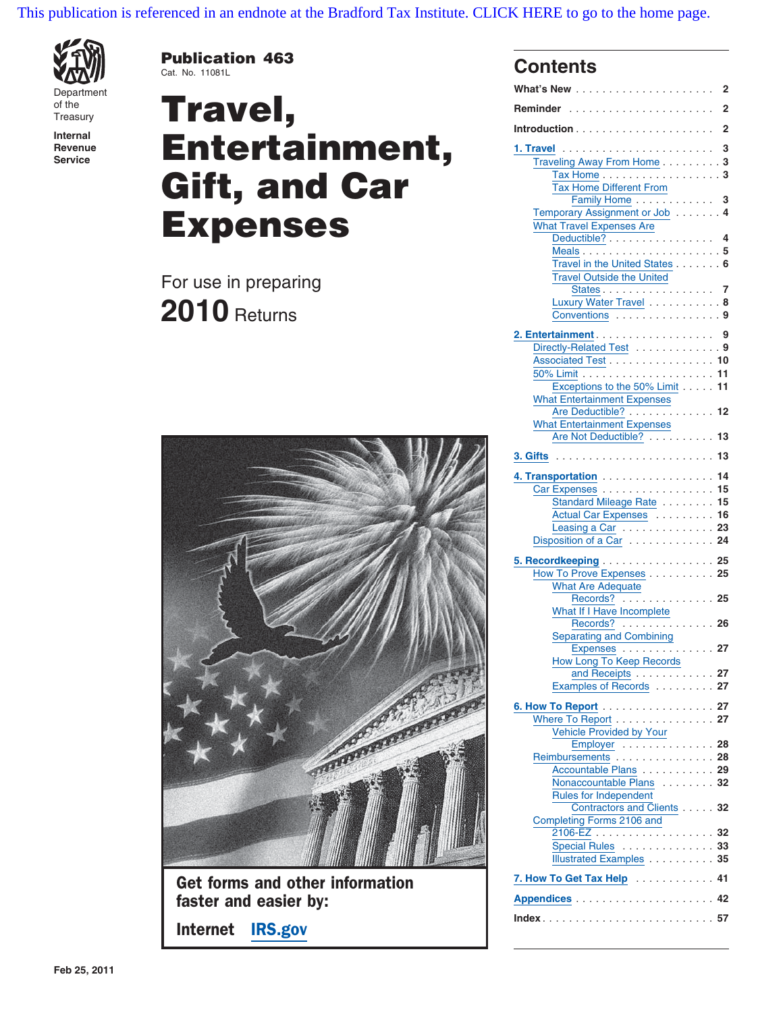[This publication is referenced in an endnote at the Bradford Tax Institute. CLICK HERE to go to the home page.](http://bradfordtaxinstitute.com/index1.aspx)



**Publication 463 PUDIICATION 463**<br>Cat. No. 11081L

# of the **Reminder** ...................... **<sup>2</sup>** Treasury **Travel, Introduction** ..................... **<sup>2</sup> Internal Revenue Entertainment, 1. Travel ..........................** 3 **Gift, and Car Expenses**



Internet IRS.gov

| ЧДД"               |                                                          |                                                          |
|--------------------|----------------------------------------------------------|----------------------------------------------------------|
| Department         |                                                          |                                                          |
| of the<br>Treasury | Travel,                                                  |                                                          |
| Internal           |                                                          |                                                          |
| Revenue<br>Service | <b>Entertainment,</b>                                    | Traveling Away From Home 3                               |
|                    |                                                          | Tax Home 3                                               |
|                    | <b>Gift, and Car</b>                                     | <b>Tax Home Different From</b><br>Family Home 3          |
|                    |                                                          | Temporary Assignment or Job 4                            |
|                    | <b>Expenses</b>                                          | <b>What Travel Expenses Are</b><br>Deductible? 4         |
|                    |                                                          | Meals5<br>Travel in the United States 6                  |
|                    | For use in preparing                                     | <b>Travel Outside the United</b>                         |
|                    |                                                          | Luxury Water Travel 8                                    |
|                    | 2010 Returns                                             | Conventions 9                                            |
|                    |                                                          | Directly-Related Test 9                                  |
|                    |                                                          | Associated Test 10                                       |
|                    |                                                          | Exceptions to the 50% Limit 11                           |
|                    |                                                          | <b>What Entertainment Expenses</b><br>Are Deductible? 12 |
|                    |                                                          | <b>What Entertainment Expenses</b>                       |
|                    |                                                          | Are Not Deductible? 13                                   |
|                    |                                                          | 4. Transportation 14                                     |
|                    |                                                          | Car Expenses 15                                          |
|                    |                                                          | Standard Mileage Rate 15<br>Actual Car Expenses 16       |
|                    |                                                          | Leasing a Car 23                                         |
|                    |                                                          | Disposition of a Car 24<br>5. Recordkeeping 25           |
|                    |                                                          | How To Prove Expenses 25                                 |
|                    |                                                          | <b>What Are Adequate</b><br>Records? 25                  |
|                    |                                                          | What If I Have Incomplete<br>Records? 26                 |
|                    |                                                          | <b>Separating and Combining</b>                          |
|                    |                                                          | How Long To Keep Records                                 |
|                    |                                                          | Examples of Records 27                                   |
|                    |                                                          | 6. How To Report 27                                      |
|                    |                                                          | Where To Report 27<br><b>Vehicle Provided by Your</b>    |
|                    |                                                          | Employer 28                                              |
|                    |                                                          | Reimbursements 28<br>Accountable Plans 29                |
|                    |                                                          | Nonaccountable Plans 32<br>Rules for Independent         |
|                    |                                                          | Contractors and Clients 32                               |
|                    |                                                          | Completing Forms 2106 and<br>2106-EZ 32                  |
|                    |                                                          | Special Rules 33<br>Illustrated Examples 35              |
|                    |                                                          | 7. How To Get Tax Help 41                                |
|                    | Get forms and other information<br>faster and easier by: |                                                          |
|                    |                                                          |                                                          |
|                    |                                                          |                                                          |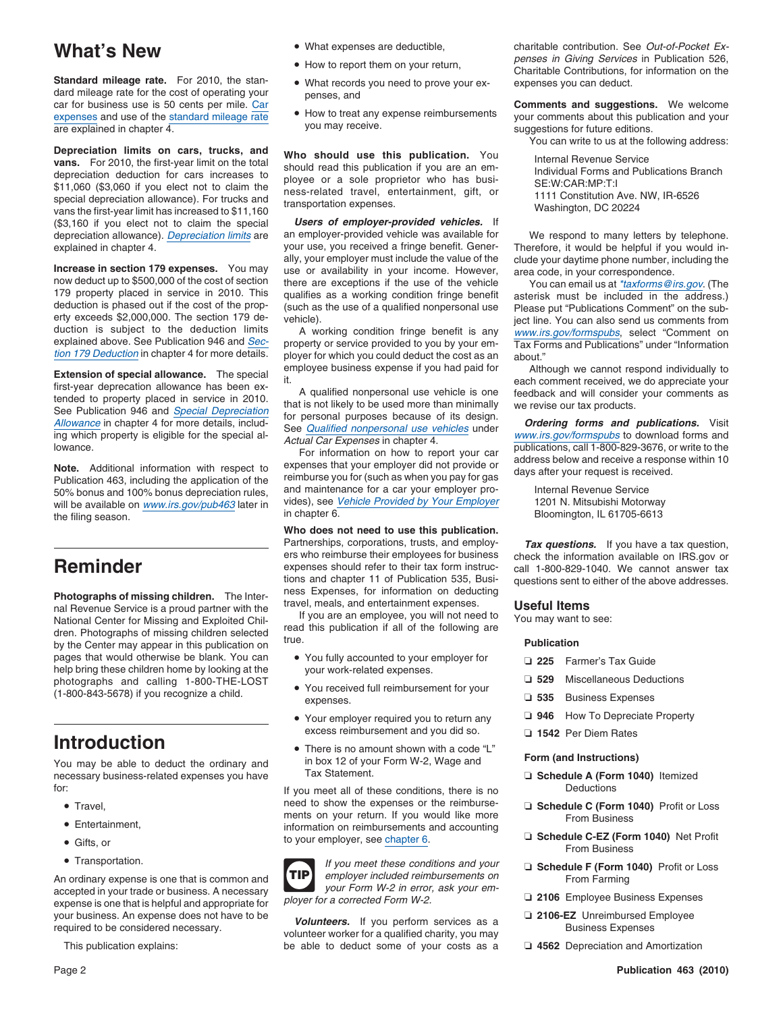Standard mileage rate. For 2010, the stan- • What records you need to prove your ex-Standard mileage rate. For 2010, the stan-<br>
dard mileage rate for the cost of operating your penses, and<br>
car for business use is 50 cents per mile. Car<br>
car for business use is 50 cents per mile. Car car for business use is 50 cents per mile. Car

Depreciation limits on cars, trucks, and<br>
vans. For 2010, the first-year limit on the total<br>
depreciation deduction for cars increases to<br>
\$11,060 (\$3,060 if you elect not to claim the<br>
sployee or a sole proprietor who has (\$3,160 if you elect not to claim the special **Users of employer-provided vehicles.** If depreciation allowance). *Depreciation limits* are an employer-provided vehicle was available for depreciation allowance). Depreciation limits are an employer-provided vehicle was available for We respond to many letters by telephone.<br>explained in chapter 4. your use, your use, you received a fringe benefit. Gener- The

**Increase in section 179 expenses.** You may ally, your employer must include the value of the clude your daytime phone number, including the now deduct up to \$500,000 of the cost of section there are exceptions if the use

**Extension of special allowance**. The special employee business expense if you had paid for<br>first-year depreciation allowance has been ex-<br>tended to property placed in service in 2010.<br>See Publication 946 and *Special Dep* 

Publication 463, including the application of the reimburse you for (such as when you pay for gas<br>50% bonus and 100% bonus depreciation rules, and maintenance for a car your employer pro-<br>will be available on www.irs gov/p will be available on www.irs.gov/pub463 later in VIGES), see V<br>the filing conceptual the filing motor in Chapter 6. the filing season. **in chapter 6.** In chapter 6. **Bloomington, IL 61705-6613** 

**Photographs of missing children.** The Inter-<br>and Devenue Camics is a graved partner with the travel, meals, and entertainment expenses. nal Revenue Service is a proud partner with the travel, meals, and entertainment expenses. **Useful Items**<br>National Center for Missing and Exploited Chil-<br>National Center for Missing and Exploited Chil-National Center for Missing and Exploited Chil-<br>dread this publication if all of the following are<br>hy the Center may appear in this publication on true.<br>**Publication** by the Center may appear in this publication on pages that would otherwise be blank. You can • You fully accounted to your employer for ❏ **<sup>225</sup>** Farmer's Tax Guide help bring these children home by looking at the your work-related expenses. photographs and calling 1-800-THE-LOST <br>
<sup>1</sup> You received full reimbursement for your
<sup>2</sup> 529 Miscellaneous Deductions
<sup>2</sup> 1,800,842,5579) if you received full reimbursement for your

The Tax Statement. necessary business-related expenses you have **Day Statement.** △ Schedule A (Form 1040) Itemized

- 
- Entertainment,
- 
- Transportation.

An ordinary expense is one that is common and<br>accepted in your trade or business. A necessary your Form W-2 in error, ask your em-<br>expense is one that is helpful and appropriate for ployer for a corrected Form W-2. expense is one that is helpful and appropriate for

- 
- 
- 
- How to treat any expense reimbursements

tion 179 Deduction in chapter 4 for more details. ployer for which you could deduct the cost as an about."

**Who does not need to use this publication.** Partnerships, corporations, trusts, and employ-<br>ers who reimburse their employees for business check the information available on IRS.gov or **Reminder** expenses should refer to their tax form instruc- call 1-800-829-1040. We cannot answer tax tions and chapter 11 of Publication 535, Busi-<br>ness Expenses, for information on deducting

- 
- You received full reimbursement for your (1-800-843-5678) if you recognize a child. expenses. ❏ **<sup>535</sup>** Business Expenses
- Your employer required you to return any ❏ **<sup>946</sup>** How To Depreciate Property excess reimbursement and you did so. □ **1542** Per Diem Rates **Introduction** • There is no amount shown with a code "I "
- There is no amount shown with a code "L" **Form (and Instructions)**<br> **Form (and Instructions)**<br> **Form 10**<br> **Form 10**<br> **Form 10**<br> **Form 10**<br> **Form 10**

for: the conditions, there is no the Deductions If you meet all of these conditions, there is no the Deductions • Travel • **•** Travel **• •** Travel **• •** Travel **• • • • • • • • •• •• •• •• •• •• •• •• •• •• •• •• •• •• •• •• •• •• •• •• •• •• •• •• •• •• •• ••** ments on your return. If you would like more From Business ■ Entertainment, information on reimbursements and accounting Cast Communication on reimbursements and accounting<br>■ Schedule C-EZ (Form 1040) Net Profit to your employer, see chapter 6. • • • • • • • • • • • • • • • • • • to your employer, see chapter 6.



your business. An expense does not have to be<br>required to be considered necessary.<br>volunteer worker for a qualified charity, you may Business Expenses<br>Pusiness Expenses This publication explains: be able to deduct some of your costs as a ❏ **4562** Depreciation and Amortization

What's New **• What expenses are deductible,** charitable contribution. See Out-of-Pocket Ex-**• How to report them on your return, example 1998** *penses in Giving Services* in Publication 526, Charitable Contributions, for information on the

expenses and use of the standard mileage rate <br>are explained in chapter 4. suggestions for future editions.<br>you may receive. The suggestions for future editions.

explained in chapter 4. your vertectived a fringe benefit. Gener-<br>ally, your employer must include the value of the clude your daytime phone number, including the

- 
- 
- 
- 
- 

- 
- **□ Schedule C (Form 1040)** Profit or Loss
- 
- If you meet these conditions and your **◯ Schedule F (Form 1040)** Profit or Loss<br>employer included reimbursements on From Farming
	-
	-
	-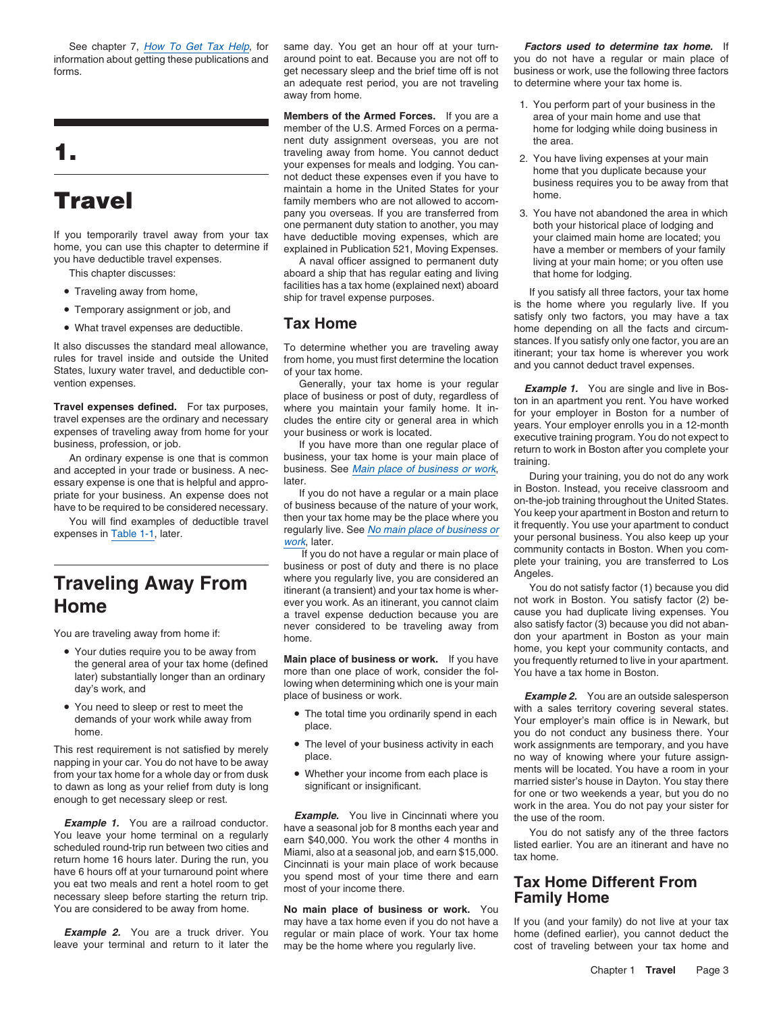- 
- 
- 
- What travel expenses are deductible.

It also discusses the standard meal allowance, To determine whether you are traveling away stances. If you satisfy only one factor, you are an<br>rules for travel inside and outside the United from home, you must first deter

- 
- You need to sleep or rest to meet the

you eat two meas and fent a hotel foom to get most of your income there.<br> **Family Home** Pou are considered to be away from home. **No main place of business or work.** You

See chapter 7, How To Get Tax Help, for same day. You get an hour off at your turn-**Factors used to determine tax home.** If information about getting these publications and around point to eat. Because you are not off to you do not have a regular or main place of forms. get necessary sleep and the brief time off is not business or work, use the following three factors an adequate rest period, you are not traveling to determine where your tax home is. away from home.<br>1. You perform part of your business in the

**Members of the Armed Forces.** If you are a area of your main home and use that member of the U.S. Armed Forces on a perma- home for lodging while doing business in nent duty assignment overseas, you are not the area. **1.** traveling away from home. You cannot deduct 2. You have living expenses at your main your expenses for meals and lodging. You can- home that you duplicate because your not deduct these expenses even if you have to business requires you to be away from that maintain a home in the United States for your home. **Travel** family members who are not allowed to accompany you overseas. If you are transferred from 3. You have not abandoned the area in which

This chapter discusses: aboard a ship that has regular eating and living that home for lodging. • Traveling away from home, **the initially interest in the set of the set of travel** expense purposes.

ever you work. As an itinerant, you cannot claim not work in Boston. You satisfy factor (2) be-<br>a travel expense deduction because you are cause you had duplicate living expenses. You<br>never considered to be traveling away never considered to be traveling away from also satisfy factor (3) because you did not aban-<br>You are traveling away from home if: home. don your apartment in Boston as your main

• Your duties require you to be away from<br>the general area of your tax home (defined<br>later) substantially longer than an ordinary<br>day's work, and<br>day's work, and<br>day's work, and<br>day's work, and<br>the determining which one is

- 
- The level of your business activity in each
- 

**Example 1.** You are a railroad conductor.<br>
You leave your home terminal on a regularly<br>
scheduled round-trip run between two cities and<br>
scheduled round-trip run between two cities and<br>
mini, also at a seasonal job, and e

may have a tax home even if you do not have a If you (and your family) do not live at your tax **Example 2.** You are a truck driver. You regular or main place of work. Your tax home home (defined earlier), you cannot deduct the leave your terminal and return to it later the may be the home where you regularly live.

- 
- 
- one permanent duty station to another, you may both your historical place of lodging and<br>home, you can use this chapter to determine if explained in Publication 521, Moving Expenses. https://www.claimed.main.home.are locat

Traveling away from home,<br>
If you satisfy all three factors, your tax home<br>
Temporary assignment or job, and<br>
is the home where you regularly live. If you • tax home<br>
is the home where you regularly live. If you • tax home Tax Home<br>Tax home that the satisfy only two factors, you may have a tax home depending on all the facts and circum-

Travel expenses defined. For tax pureses,<br>
Travel expenses defined. For tax pureses, where you maintain your family home. It in-<br>
the for your amplibute in Bos-<br>
travel expenses are the ordinary and necessary cludes the en

• Your duties require you to be away from<br>
the general area of your tax home (defined **Main place of business or work.** If you have you frequently returned to live in your apartment.

You need to sleep or rest to meet the **vertuble 1990** The total time you ordinarily spend in each with a sales territory covering several states.<br>
Your employer's main office is in Newark, but The total time you work while away from the place.<br>The the triployer's main office is in Newark, but place is in Newark, but place is in Newark, but place is in This rest requirement is not satisfied by merely<br>
mapping in your car. You do not have to be away<br>
from your tax home for a whole day or from dusk<br>
to dawn as long as your relief from duty is long<br>
enough to get necessary

may be the home where you regularly live. cost of traveling between your tax home and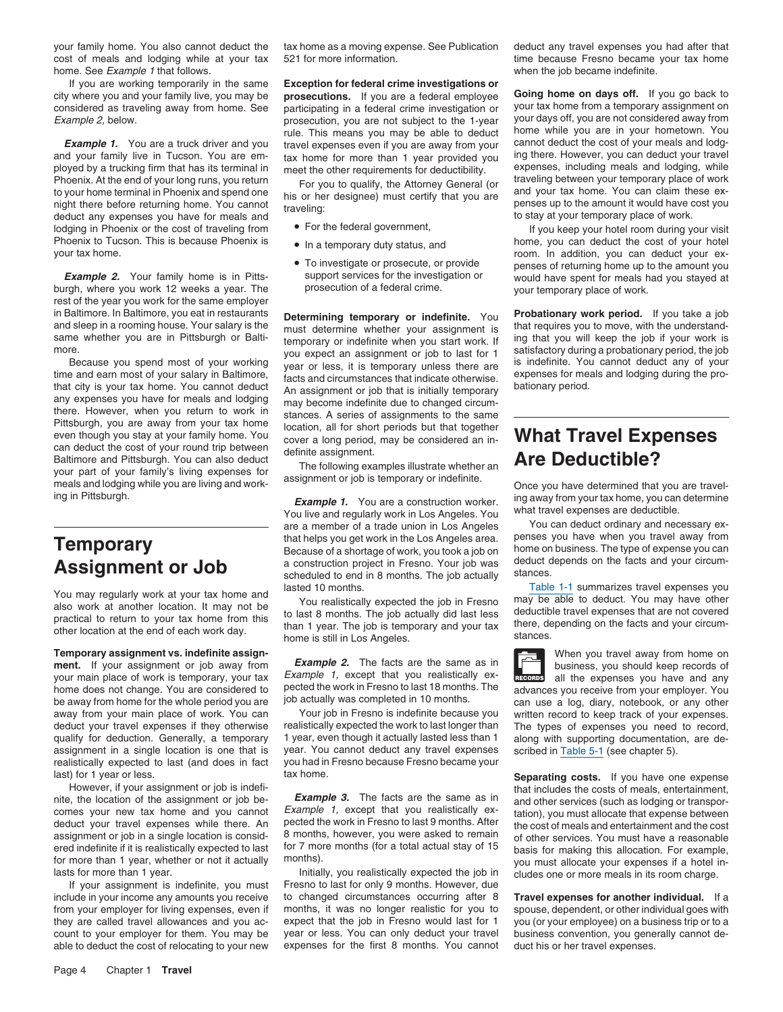home. See Example 1 that follows. when the job became indefinite.

and your family live in Tucson. You are em-<br>ployed by a trucking firm that has its terminal in meet the other requirements for deductibility. expenses, including meals and lodging, while ployed by a trucking firm that has its terminal in meet the other requirements for deductibility. expenses, including meals and lodging, while<br>Phoenix. At the end of your long runs, you return For you to qualify the Attorn Phoenix. At the end of your long runs, you return<br>to your home terminal in Phoenix and spend one<br>night there before returning home. You cannot his or her designee) must certify that you are and your tax home. You can claim Iodging in Phoenix or the cost of traveling from **F**or the federal government, If you keep your hotel room during your visit Phoenix to Tucson. This is because Phoenix is • In a temporary duty status, and

burgh, where you work 12 weeks a year. The prosecution of a federal crime. your temporary place of work. rest of the year you work for the same employer in Baltimore. In Baltimore, you eat in restaurants **Determining temporary or indefinite.** You **Probationary work period.** If you take a job and sleep in a rooming house. Your salary is the must determine whether your assig

that city is your tax home. You cannot deduct<br>any expenses you have for meals and lodging<br>there. However, when you return to work in<br>Pittsburgh, you are away from your tax home<br>even though you stay at your family home. You your part of your family's living expenses for<br>meals and lodging while you are living and work-<br>ing in Pittsburgh.<br>Figure 1. Now are a construction worker and away from your tax home, you can determine

**Temporary assignment vs. indefinite assign-**<br>**Example 2.** The facts are the same as in the pusiness, you should keep records of<br>pusiness, you should keep records of **ment.** If your assignment or job away from **Example 2.** The facts are the same as in business, you should keep records of your main place of work is temporary, your tax Example 1, except that you realistically ex-<br>home d home does not change. You are considered to pected the work in Fresno to last 18 months. The advances you receive from your employer. You<br>be away from home for the whole period you are job actually was completed in 10 mont be away from home for the whole period you are job actually was completed in 10 months. can use a log, diary, notebook, or any other away from your main place of work. You can yother away from your main place of work. You can Your job in Fresno is indefinite because you written record to keep track of your expenses.<br>deduct your travel expenses if they otherwise realistically expected the work to last l qualify for deduction. Generally, a temporary 1 year, even though it actually lasted less than 1 along with supporting documentation, are de-<br>assignment in a single location is one that is year. You cannot deduct any trave assignment in a single location is one that is year. You cannot deduct any travel expenses scribed in Table 5-1 (see chapter 5). realistically expected to last (and does in fact you had in Fresno because Fresno became your

However, if your assignment or job is indefi-<br>
Fit includes the costs of meals, entertainment,<br>
inte, the location of the assignment or job be-<br>
Example 3. The facts are the same as in<br>
and other services (such as lodging nite, the location of the assignment or job be-<br>comes your new tax home and you cannot Example 1, except that you realistically ex-<br>tation) you must allocate that expense between deduct your travel expenses while there. An pected the work in Fresno to last 9 months. After the cost of meals and entertainment and the cost of meals and entertainment and the cost of meals and entertainment and the cost assignment or job in a single location is consid-<br>
ered indefinite if it is realistically expected to last for 7 more months (for a total actual stay of 15 basis for making this allocation. For example ered indefinite if it is realistically expected to last for 7 more months (for a total actual stay of 15 basis for making this allocation. For example, for more than 1 year, whether or not it actually months).<br>Initially, y

If your assignment is indefinite, you must able to deduct the cost of relocating to your new expenses for the first 8 months. You cannot duct his or her travel expenses.

If you are working temporarily in the same **Exception for federal crime investigations or** city where you and your family live, you may be **prosecutions.** If you are a federal employee **Going home on days off.** If you go back to considered as traveling away from home. See participating in a federal crime investigation or your tax home from a temporary assignment on<br>Example 2 below prosecution you are not subject to the 1-year your days off, you ar Example 2, below. example 2, below. prosecution, you are not subject to the 1-year your days off, you are not considered away from the more of the This means you may be able to deduct home while you are in your hometown. Y rule. This means you may be able to deduct home while you are in your hometown. You<br>travel expenses even if you are away from your cannot deduct the cost of your meals and lodg-**Example 1.** You are a truck driver and you travel expenses even if you are away from your cannot deduct the cost of your meals and lodg-<br>Id your family live in Tucson, You are em-<br>the x-home for more than 1 year provided

- For the federal government,
- 
- To investigate or prosecute, or provide

and sleep in a rooming nouse. Your salary is the must determine whether your assignment is that requires you to move, with the understand-<br>Same whether you are in Pittsburgh or Balti-<br>temporary or indefinite when you start same whether you are in Pittsburgh or Balti-<br>Internative when you start work. If ing that you will keep the job in you expect an assignment or job to last for 1 satisfactory during a probationary period, the job you expect an assignment or job to last for 1<br>Because you spend most of your working year or less, it is temporary unless there are is indefinite. You cannot deduct any of your<br>time and earn most of your salary in Baltimor

You live and regularly work in Los Angeles. You live and travel expenses are deductible.<br>are a member of a trade union in Los Angeles. You can deduct ordinary and necessary exare a member of a trade union in Los Angeles You can deduct ordinary and necessary ex-<br>that helps you get work in the Los Angeles area penses you have when you travel away from that helps you get work in the Los Angeles area. penses you have when you travel away from<br>Because of a shortage of work, you took a job on home on business. The type of expense you can<br>**A colormand on the lost** are constr **Assignment or Job** a construction project in Fresno. Your job was deduct on the facts and in 8 months. The job actually stances.

realistically expected the work to last longer than The types of expenses you need to record,<br>1 year, even though it actually lasted less than 1 along with supporting documentation, are de-

 $\epsilon$  and  $\rho$  is taxel to mean you realistically ex-<br>tation), you must allocate that capacitor that is expected that expense between

Initially, you realistically expected the job in cludes one or more meals in its room charge.<br>Fresno to last for only 9 months. However, due include in your income any amounts you receive to changed circumstances occurring after 8 **Travel expenses for another individual.** If a from your employer for living expenses, even if months, it was no longer realistic for you to spouse, dependent, or other individual goes with they are called travel allowances and you ac- expect that the job in Fresno would last for 1 you (or your employee) on a business trip or to a count to your employer for them. You may be year or less. You can only deduct your travel business convention, you generally cannot de-<br>able to deduct the cost of relocating to your new expenses for the first 8 months. You

your family home. You also cannot deduct the tax home as a moving expense. See Publication deduct any travel expenses you had after that cost of meals and lodging while at your tax 521 for more information. The state of the because Fresno became your tax home

Phoenix to Tucson. This is because Phoenix is <br>your tax home. This is because Phoenix is a temporary duty status, and the cost of your hotel your ex-<br>room. In addition, you can deduct your ex-To investigate or prosecute, or provide penses of returning home up to the amount you<br>support services for the investigation or provide have spent for meals had you stayed at **Example 2.** Your family home is in Pitts-<br>
get a support services for the investigation of a support services for the investigation or would have spent for meals had you stayed at

**Example 1.** You are a construction worker. ing away from your tax home, you can determine  $\frac{1}{2}$ 

You may regularly work at your tax home and<br>also work at another location. It may not be<br>practical to return to your tax home from this to last 8 months. The job actually did last less deductible travel expenses that are n

last) for 1 year or less.<br> **Last ax home.** The state of the tax home one expense of meals entertainment.<br>
However, if your assignment or job is indefi-<br>
However, if your assignment or job is indefi-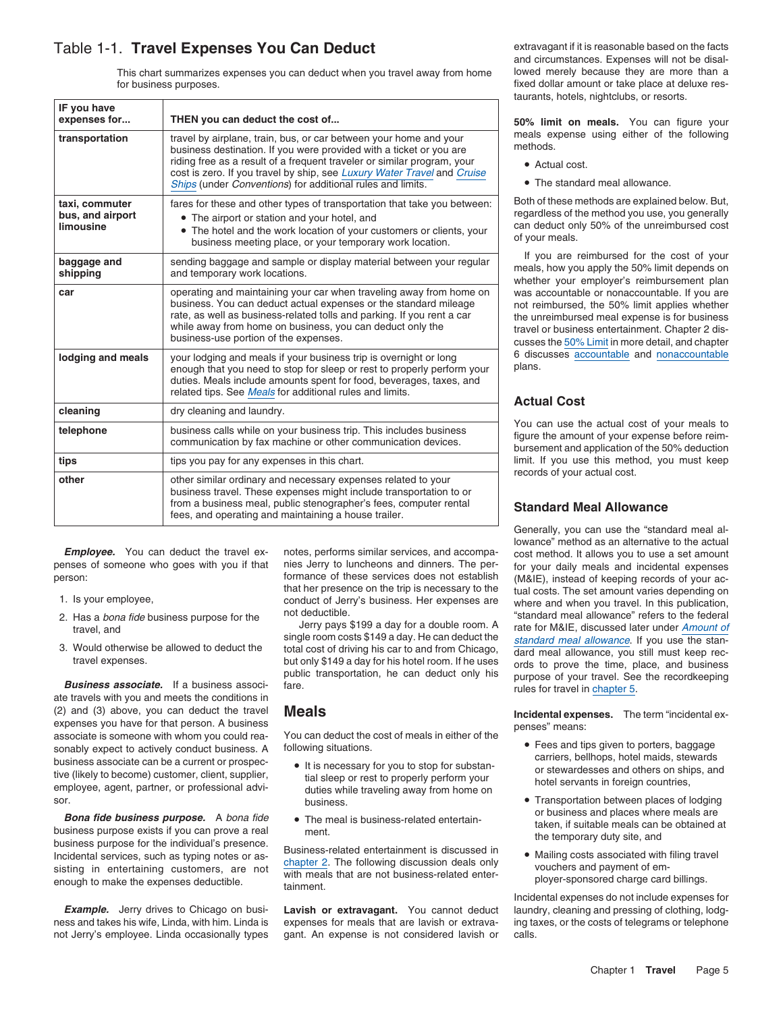## Table 1-1. **Travel Expenses You Can Deduct** extravagant if it is reasonable based on the facts<br>and circumstances. Expenses will not be disal-

This chart summarizes expenses you can deduct when you travel away from home lowed merely because they are more than a<br>fixed dollar amount or take place at deluxe res-

| IF you have                                     |                                                                                                                                                                                                                                                                                                                         | iauranio, noic                                                                      |  |  |
|-------------------------------------------------|-------------------------------------------------------------------------------------------------------------------------------------------------------------------------------------------------------------------------------------------------------------------------------------------------------------------------|-------------------------------------------------------------------------------------|--|--|
| expenses for                                    | THEN you can deduct the cost of                                                                                                                                                                                                                                                                                         | 50% limit or                                                                        |  |  |
| transportation                                  | travel by airplane, train, bus, or car between your home and your<br>business destination. If you were provided with a ticket or you are                                                                                                                                                                                | meals expens<br>methods.                                                            |  |  |
|                                                 | riding free as a result of a frequent traveler or similar program, your<br>cost is zero. If you travel by ship, see Luxury Water Travel and Cruise                                                                                                                                                                      | • Actual co                                                                         |  |  |
|                                                 | Ships (under Conventions) for additional rules and limits.                                                                                                                                                                                                                                                              | • The stand                                                                         |  |  |
| taxi, commuter<br>bus, and airport<br>limousine | fares for these and other types of transportation that take you between:<br>• The airport or station and your hotel, and<br>• The hotel and the work location of your customers or clients, your<br>business meeting place, or your temporary work location.                                                            | Both of these r<br>regardless of t<br>can deduct or<br>of your meals.               |  |  |
| baggage and<br>shipping                         | sending baggage and sample or display material between your regular<br>and temporary work locations.                                                                                                                                                                                                                    | If you are<br>meals, how yo<br>whether your                                         |  |  |
| car                                             | operating and maintaining your car when traveling away from home on<br>business. You can deduct actual expenses or the standard mileage<br>rate, as well as business-related tolls and parking. If you rent a car<br>while away from home on business, you can deduct only the<br>business-use portion of the expenses. | was accounta<br>not reimburse<br>the unreimbur<br>travel or busin<br>cusses the 50° |  |  |
| lodging and meals                               | your lodging and meals if your business trip is overnight or long<br>enough that you need to stop for sleep or rest to properly perform your<br>duties. Meals include amounts spent for food, beverages, taxes, and<br>related tips. See <i>Meals</i> for additional rules and limits.                                  | 6 discusses a<br>plans.<br><b>Actual Cos</b>                                        |  |  |
| cleaning                                        | dry cleaning and laundry.                                                                                                                                                                                                                                                                                               |                                                                                     |  |  |
| telephone                                       | business calls while on your business trip. This includes business<br>communication by fax machine or other communication devices.                                                                                                                                                                                      | You can use<br>figure the amo<br>bursement an                                       |  |  |
| tips                                            | tips you pay for any expenses in this chart.                                                                                                                                                                                                                                                                            | limit. If you u                                                                     |  |  |
| other                                           | other similar ordinary and necessary expenses related to your<br>business travel. These expenses might include transportation to or                                                                                                                                                                                     | records of you                                                                      |  |  |
|                                                 | from a business meal, public stenographer's fees, computer rental<br>fees, and operating and maintaining a house trailer.                                                                                                                                                                                               | <b>Standard N</b>                                                                   |  |  |

penses of someone who goes with you if that nies Jerry to luncheons and dinners. The per-<br>for your daily meals and incidental expenses<br>formance of these services does not establish (M&IE), instead of keeping records of you

- 
- 
- 

(2) and (3) above, you can deduct the travel **Meals Incidental expenses.** The term "incidental ex-<br> **Incidental expenses** you have for that person. A business expenses you have for that person. A business<br>associate is someone with whom you could rea- You can deduct the cost of meals in either of the<br>sonably expect to actively conduct business A following situations. sonably expect to actively conduct business. A following situations.<br>
business associate can be a current or prospec- • It is necessary for you to stop for substan-<br>
tips (illebute because) outcomes alignt aggregate varian tive (likely to become) customer, client, supplier,<br>employee, agent, partner, or professional advi-<br>sor<br>bucinosc

**Bona fide business purpose.** A bona fide<br>business purpose exists if you can prove a real<br>business purpose exists if you can prove a real<br>business related entertainment is discussed in<br>lincidental services, such as typing

**Employee.** You can deduct the travel ex- notes, performs similar services, and accompa- cost method. It allows you to use a set amount notes, and incidental expenses person: formance of these services does not establish (M&IE), instead of keeping records of your ac-<br>that her presence on the trip is necessary to the tual costs. The set amount varies depending on

- 
- 

**Example.** Jerry drives to Chicago on busi-<br>**Lavish or extravagant.** You cannot deduct laundry, cleaning and pressing of clothing, lodg-<br>ness and takes his wife, Linda, with him. Linda is expenses for meals that are lavish expenses for meals that are lavish or extrava- ing taxes, or the costs of telegrams or telephone not Jerry's employee. Linda occasionally types gant. An expense is not considered lavish or calls.

fixed dollar amount or take place at deluxe restaurants, hotels, nightclubs, or resorts.

**50% limit on meals.** You can figure your meals expense using either of the following methods.

- Actual cost.
- $\bullet$  The standard meal allowance.

Both of these methods are explained below. But, regardless of the method you use, you generally can deduct only 50% of the unreimbursed cost of your meals.

If you are reimbursed for the cost of your<br>meals, how you apply the 50% limit depends on<br>whether your employer's reimbursement plan was accountable or nonaccountable. If you are not reimbursed, the 50% limit applies whether the unreimbursed meal expense is for business<br>travel or business entertainment. Chapter 2 discusses the 50% Limit in more detail, and chapter 6 discusses accountable and nonaccountable plans.

### **Actual Cost**

You can use the actual cost of your meals to<br>figure the amount of your expense before reim-<br>bursement and application of the 50% deduction limit. If you use this method, you must keep records of your actual cost.

### **Standard Meal Allowance**

Generally, you can use the "standard meal allowance" method as an alternative to the actual that her presences on the trip is necessary to the trip is necessary to the tual conduct of Jerry's business. Her expenses are where and when you travel. In this publication, the set amount varies depending on the set amou 2. Has a *bona fide* business purpose for the<br>travel, and<br>the business purpose for the<br>deductible.<br>3. Would otherwise be allowed to deduct the<br>travel expenses.<br>tavel expenses.<br>**3.** Would otherwise be allowed to deduct the

- 
- business. **Example 2 Fransportation between places of lodging** 
	-

Incidental expenses do not include expenses for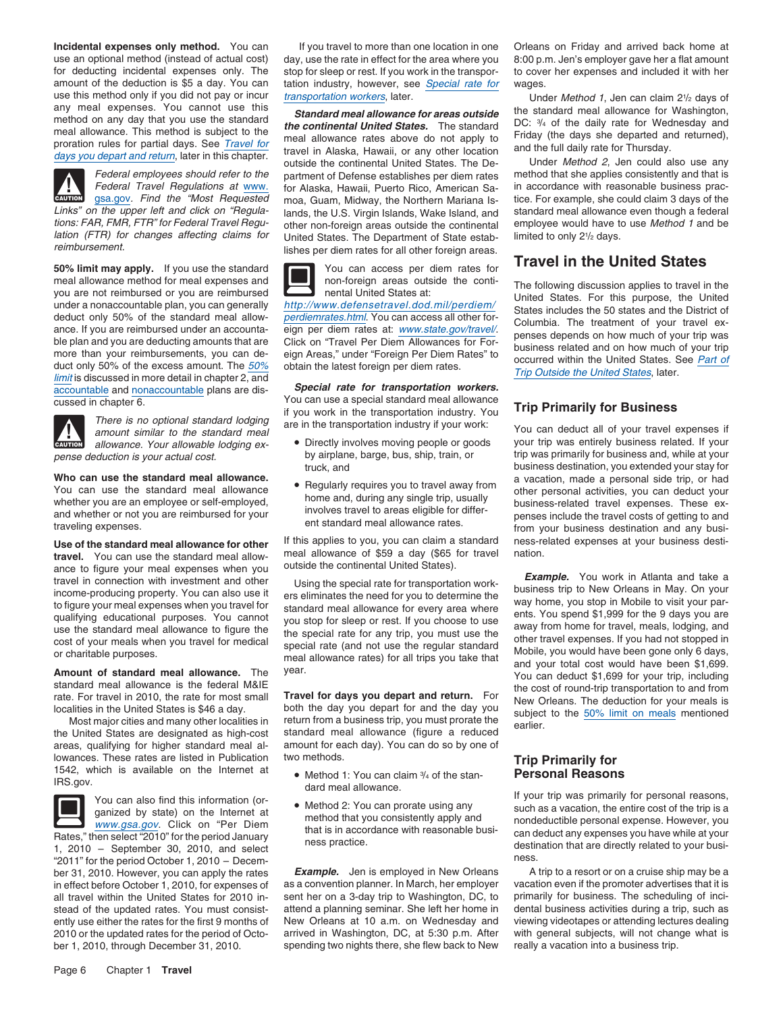**Incidental expenses only method.** You can If you travel to more than one location in one Orleans on Friday and arrived back home at use an optional method (instead of actual cost) day, use the rate in effect for the area where you 8:00 p.m. Jen's employer gave her a flat amount for deducting incidental expenses only. The stop for sleep or rest. If you work in the transpor- to cover her expenses and included it with her amount of the deduction is \$5 a day. You can tation industry, however, see Special rate for wages. use this method only if you did not pay or incur<br>any meal expenses. You cannot use this  $\alpha$ any meal expenses. You cannot use this **Standard meal allowance for areas outside** the standard meal allowance for Washington, <br>method on any day that you use the standard **the continental United States.** The standard DC:



lation (FTR) for changes affecting claims for United States. The Department of State estab-<br>reimbursement.

**10% limit may apply.** If you use the standard **The United States** of **Travel in the United States** meal allowance method for meal expenses and non-foreign areas outside the contimeal allowance method for meal expenses and<br>
you are not reinstantible by the accountable plan, you can generally<br>
under a non-foreign areas outside the conti-<br>
unter a non-foreign areas outside the conti-<br>
unter a non-fo



travel. You can use the standard meal allow-

areas, qualifying for higher standard meal allowances. These rates are listed in Publication two methods.<br> **Trip Primarily for** 1542, which is available on the Internet at • Method 1: You can claim  $\frac{9}{4}$  of the stan-<br>
IRS.gov.



ness.<br>her 31–2010 However you can apply the rates **Example**. Jen is employed in New Orleans A trip to a resort or on a cruise ship may be a in effect before October 1, 2010, for expenses of

mention of any day that you use the standard<br>meal allowance. This method is subject to the<br>proration rules for partial days. See *Travel for*<br>days you depart and return, later in this chapter.<br>days you depart and return, l Federal employees should refer to the partment of Defense establishes per diem rates method that she applies consistently and that is<br>Federal Travel Regulations at www. for Alaska. Hawaii, Puerto Rico, American Sa- in acco Federal Travel Regulations at www. ior Alaska, Hawaii, Puerto Rico, American Sa- in accordance with reasonable business prac-<br>gsa.gov. Find the "Most Requested moa Guam Midway the Northern Mariana Is- tice. For example, sh **CAUTON** gsa.gov. Find the "Most Requested moa, Guam, Midway, the Northern Mariana Is- tice. For example, she could claim 3 days of the<br>Links" on the upper left and click on "Regula- lands, the U.S. Virgin Islands. Wake Is Links" on the upper left and click on "Regula- lands, the U.S. Virgin Islands, Wake Island, and standard meal allowance even though a federal lowance even though a federal lands, the U.S. Virgin Islands, Warendorf and the tions: FAR, FMR, FTR" for Federal Travel Regu-<br>Iation (FTR) for changes affecting claims for united States. The Department of State estab- limited to only 2½ days. lishes per diem rates for all other foreign areas.

The is no optional standard lodging<br>
There is no optional standard lodging<br>
There is no optional standard lodging<br>
amount similar to the standard meal<br>
allowance Your allowable lodging<br>
allowance Your allowable lodging<br>  $\$ 

- 
- 

Most major cities and many other localities in the united States is \$40 a day.<br>Most major cities and many other localities in return from a business trip, you must prorate the earlier.<br>the United States are designated as h

- Ibal America II (1942, which is available on the internet at **of the stan-allocate in the stan- Personal Reasons**<br>IRS.gov. dard meal allowance.
	-

ber 31, 2010. However, you can apply the rates **Example.** Jen is employed in New Orleans A trip to a resort or on a cruise ship may be a<br>in effect before October 1, 2010, for expenses of as a convention planner. In March, all travel within the United States for 2010 in- sent her on a 3-day trip to Washington, DC, to primarily for business. The scheduling of incistead of the updated rates. You must consist- attend a planning seminar. She left her home in dental business activities during a trip, such as ently use either the rates for the first 9 months of New Orleans at 10 a.m. on Wednesday and viewing videotapes or attending lectures dealing 2010 or the updated rates for the period of Octo- arrived in Washington, DC, at 5:30 p.m. After with general subjects, will not change what is ber 1, 2010, through December 31, 2010. Spending two nights there, she flew bac ber 1, 2010, through December 31, 2010. spending two nights there, she flew back to New

**AWIION** allowance. Your allowable lodging ex-  $\bullet$  Directly involves moving people or goods your trip was entirely business related. If your pense deduction is your actual cost.<br>by airplane, barge, bus, ship, train, or trip was primarily for business and, while at your<br>truck, and truck, and business destination, you extended your stay for business destination, you extended your stay for Who can use the standard meal allowance.<br>You can use the standard meal allowance <br>we Regularly requires you to travel away from other personal activities, you can deduct your You can use the standard meal allowance<br>whether you are an employee or self-employed,<br>and whether or not you are reimbursed for your<br>traveling expenses. These expenses in the personal activities, you can deduct your<br>travel Use of the standard meal allowance for other If this applies to you, you can claim a standard ness-related expenses at your business desti-<br>**travel** You can use the standard meal allow. meal allowance of \$59 a day (\$65 for

ance to figure your meal expenses when you<br>
income-producing property. You can also use it was then the standard denter the secial rate for transportation work-<br>
income-producing property. You can also use it is eliminates

If your trip was primarily for personal reasons,<br>ganized by state) on the Internet at the method 2: You can prorate using any<br>ganized by state) on the Internet at anized by state) on the Internet at<br>
method 2: You can prorate using any<br>
method that you consistently apply and<br>
method that you consistently apply and<br>
method that you consistently apply and<br>
method that you consistently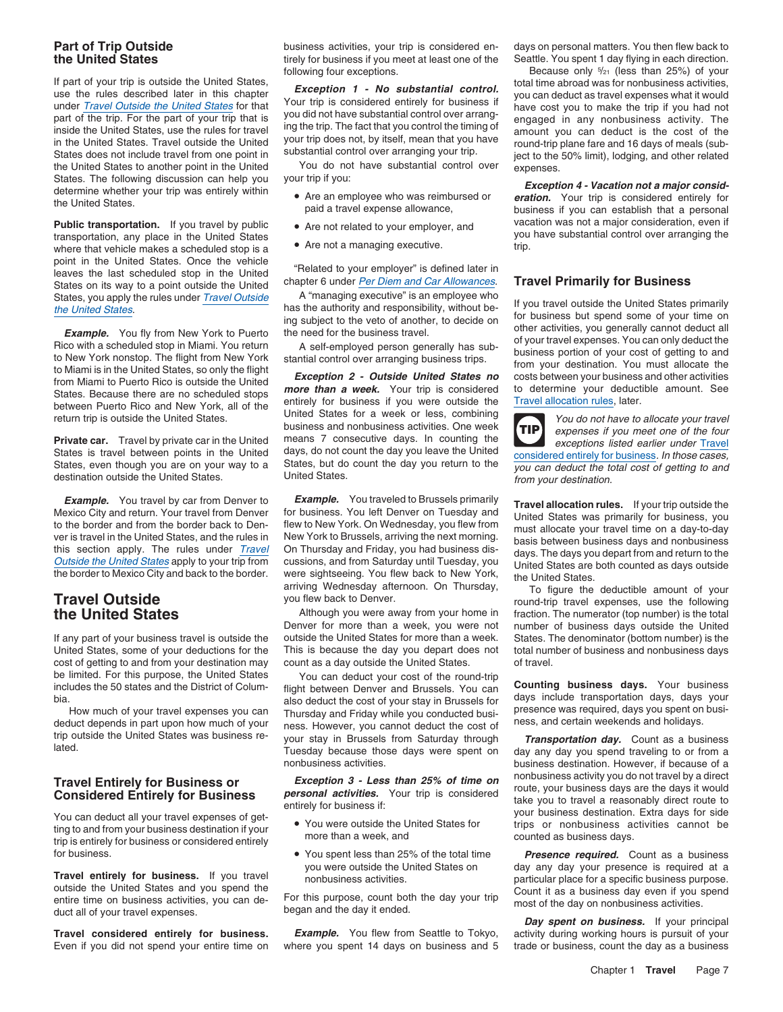If part of your trip is outside the United States,<br>use the rules described later in this chapter<br>under Travel Outside the United States for that<br>part of the trip. For the part of your trip that is<br>the United States for tha in the United States. Travel outside the United your trip does not, by usen, mean that you have round-trip plane fare and 16 days of meals (sub-<br>States does not include travel from one point in substantial control over arr the United States to another point in the United You do not have substantial control over expenses.<br>States. The following discussion can help you your trip if you: States. The following discussion can help you you. and you.<br> **Exception 4 - Vacation not a major consid-**<br>
the United States.<br> **Exception 4 - Vacation not a major consid-**<br>
the United States.

where that vehicle makes a scheduled stop is a point in the United States. Once the vehicle<br>leaves the last scheduled stop in the United<br>States on its way to a point outside the United<br>States vou apply the rules under *Travel Outside*<br>States vou apply the rules under

States, even though you are on your way to a States, but do count the day you return to the you can deduct the total cost of getting to and destination outside the United States. United States. United States.

If any part of your business travel is outside the be limited. For this purpose, the United States You can deduct your cost of the round-trip includes the 50 states and the District of Colum-<br>flight between Denver and Brussels You can

You can deduct all your travel expenses of get-<br>ting to and from your business destination if your<br>trip is entirely for business or considered entirely<br>more than a week, and the counted as business days.<br>counted as busines for business.  $\bullet$  You spent less than 25% of the total time

**Travel entirely for business.** If you travel you were outside the United States on day any day your presence is required at a<br>outside the United States and you spend the<br>entire time on business activities, you can de-<br>duc

**Part of Trip Outside business activities, your trip is considered en-** days on personal matters. You then flew back to **the United States** tirely for business if you meet at least one of the Seattle. You spent 1 day flying in each direction.

- 
- 
- 

DUSTRESS AND NOTICIST SECUVIDES. ONE WEEK TIP expenses if you meet one of the four<br>States is travel between points in the United days, do not count the day you leave the United considered entirely for business In those cas days, do not count the day you leave the United considered entirely for business. In those cases,<br>States, but do count the day you return to the considered entirely for business. In those cases,

**Example.** You travel by car from Denver to<br>Mexico City and return. You travel from Denver for business. You left Denver on Tuesday and<br>to the border and from the border back to Den-<br>wer is travel in the United States, and

**the United States** Although you were away from your home in fraction. The numerator (top number) is the total beam<br>Denver for more than a week, you were not number of business days outside the United cost of getting to and from your destination may count as a day outside the United States. of travel.

includes the 50 states and the District of Colum-<br>bight between Denver and Brussels. You can<br>select of your stay in Brussels for days include transportation days, days your also deduct the cost of your stay in Brussels for and the days include transportation days, days your .<br>How much of your travel expenses you can Thursday and Friday while you conducted busi-<br>Presence was required, days you How much of your travel expenses you can<br>deduct depends in part upon how much of your<br>deduct depends in part upon how much of your<br>trip outside the United States was business re-<br>your stay in Brussels from Saturday through lated.<br>Tuesday because those days were spent on day any day you spend traveling to or from a<br>nonbusiness activities. business destination. However, if because of a

- 
- 

**Travel considered entirely for business.** *Example.* You flew from Seattle to Tokyo, activity during working hours is pursuit of your Even if you did not spend your entire time on where you spent 14 days on business and 5 trade or business, count the day as a business

following four exceptions.<br>  $\frac{1}{2}$  Because only  $\frac{5}{2}$  (less than 25%) of your<br>  $\frac{1}{2}$  (less than 25%) of your

Are an employee who was reimbursed or **eration.** Your trip is considered entirely for<br>paid a travel expense allowance, business if you can establish that a personal **Public transportation.** If you travel by public <br>transportation, any place in the United States<br>where that vehicle makes a scheduled stop is a<br>Are not a managing executive.<br>trip.<br>trip.

States, you apply the rules under Travel Outside<br>
the United States.<br>
the United States.<br>
The United States primarily<br>
imaging executive" is an employee who<br>
imaging executive" is an employee who<br>
imaging executive" is an

**TIP**

arriving Wednesday afternoon. On Thursday, To figure the deductible amount of your<br>
you flew back to Denver.<br> **The United States** Although you were away from your home in fraction. The numerator (top number) is the total Denver for more than a week, you were not all number of business days outside the United<br>outside the United States for more than a week. States. The denominator (bottom number) is the United States, some of your deductions for the This is because the day you depart does not total number of business and nonbusiness days

business destination. However, if because of a **Travel Entirely for Business or**<br> **Considered Entirely for Business or**<br>
You can deduct all your travel expenses of get<br>
You can deduct all your travel expenses of get<br>
You were outside the United States for<br>
Your were p

Presence required. Count as a business

*Day spent on business.* If your principal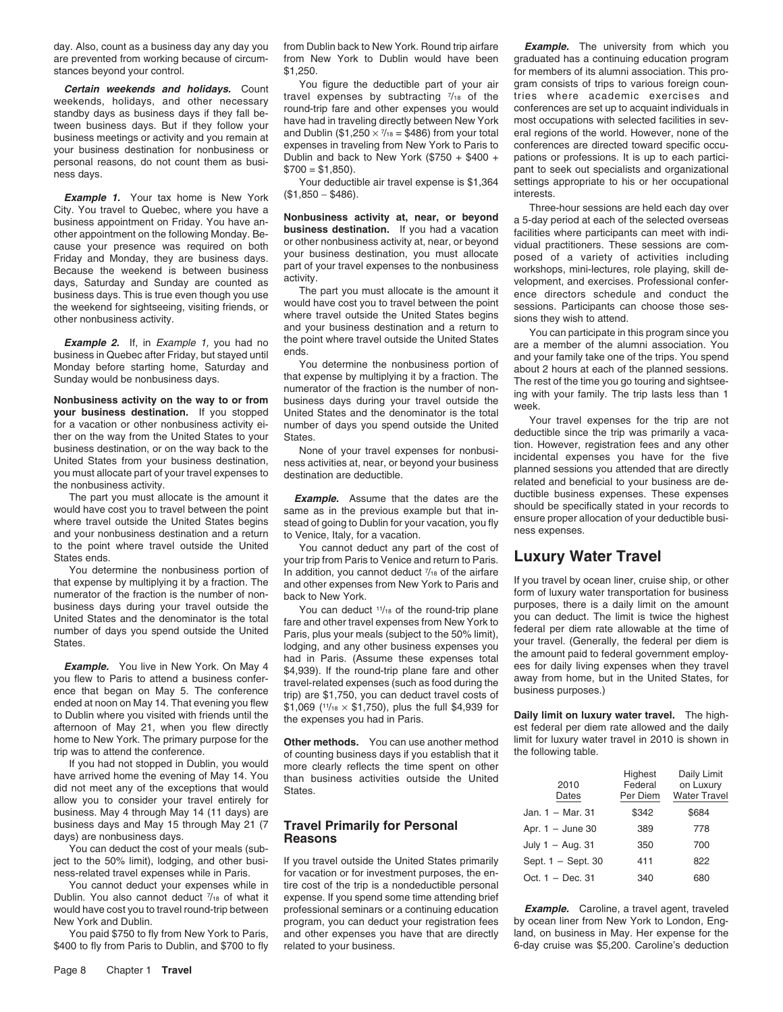stances beyond your control.  $$1,250$ .  $$1,250$ . for members of its alumni association. This pro-

(\$1,850 − \$486).<br>
interests. interests. interests. *interests. interests. Example 1.* You travel to Quebec, where you have a section of the section of the section of the section are held each day over City. You travel to Quebec, where you have a<br>business activity at, near, or beyond<br>other appointment on Friday. You have an-<br>other appointment on the following Monday. Be-<br>cause your presence was required on both<br>or other

business in Quebec after Friday, but stayed until ends.<br>Monday before starting home, Saturday and You determine the nonbusiness portion of about 2 hours at each of the planned sessions.<br>Sunday would be nonbusiness days. th

Sunday would be nonbusiness days. that expense by multiplying it by a fraction. The<br> **Nonbusiness activity on the way to or from**<br> **Nonbusiness activity on the way to or from**<br> **Nonbusiness destination.** If you stopped Uni

where travel outside the United States begins stead of going to Dublin for your vacation, you fly<br>and your nonbusiness destination and a return to Venice, Italy, for a vacation.<br>to the point where travel outside the United to the point where travel outside the United You cannot deduct any part of the cost of<br>States ends

home to New York. The primary purpose for the **Other methods.** You can use another method limit for luxury water travel in 2010 is shown in trip was to attend the conference.

If you had not stopped in Dublin, you would<br>have arrived home the evening of May 14. You than business activities outside the United Highest Highest Daily Limit<br>did not meet any of the exceptions that would States.<br>allow y business. May 4 through May 14 (11 days) are

Dublin. You also cannot deduct 7/18 of what it

\$400 to fly from Paris to Dublin, and \$700 to fly related to your business.

**Certain weekends and holidays.** Count<br>weekends, holidays, and other necessary travel expenses by subtracting  $7/18$  of the tries where academic exercises and<br>standby days as business days if they fall be-<br>travel in trave

the weekend for sightseeing, visiting friends, or<br>other nonbusiness activity.<br>other nonbusiness activity.<br>**Example 2.** If, in *Example 1*, you had no<br>business the point where travel outside the United States begins<br>busines

States ends. your trip from Paris to Venice and return to Paris. **Luxury Water Travel** You determine the nonbusiness portion of  $\int$  in addition, you cannot deduct  $\frac{7}{18}$  of the airfare that expense by multiplying it by a fraction. The and other expenses from New York to Paris and If you travel by ocean liner, cruise ship, or other numerator of the fraction is the number of non-<br>form of luxury water trans

business days during your travel outside the<br>
United States and the denominator is the total<br>
United States and the denominator is the total<br>
fare and other travel expenses from New York to<br>
number of days you spend outsi

was to attend the conference. of counting business days if you establish that it the following table.<br>If you had not stopped in Dublin, you would more clearly reflects the time spent on other

ness-related travel expenses while in Paris. for vacation or for investment purposes, the en-<br>You cannot deduct your expenses while in tire cost of the trip is a nondeductible personal expense. If you spend some time attending brief would have cost you to travel round-trip between professional seminars or a continuing education *Example.* Caroline, a travel agent, traveled New York and Dublin. **program**, you can deduct your registration fees by ocean liner from New York to London, Eng-You paid \$750 to fly from New York to Paris, and other expenses you have that are directly land, on business in May. Her expense for the York to Paris, and \$700 to fly related to your business.

day. Also, count as a business day any day you from Dublin back to New York. Round trip airfare *Example.* The university from which you are prevented from working because of circum- from New York to Dublin would have been graduated has a continuing education program business meetings or activity and you remain at and Dublin (\$1,250  $\times$  7/18 = \$486) from your total eral regions of the world. However, none of the expenses in traveling from New York to Paris to conferences are directed

The part you must allocate is the amount it<br>would have cost you to travel between the point same as in the previous example but that in-<br>where travel outside the United States begins a stood of going to Dublin for your vec

form of luxury water transportation for business<br>purposes, there is a daily limit on the amount

| <u>11 you had not stopped in Dublin, you would</u><br>have arrived home the evening of May 14. You<br>did not meet any of the exceptions that would<br>allow you to consider your travel entirely for | more clearly reflects the time spent on other<br>than business activities outside the United<br>States. | 2010<br>Dates        | <b>Highest</b><br>Federal<br>Per Diem | Daily Limit<br>on Luxury<br><b>Water Travel</b> |
|-------------------------------------------------------------------------------------------------------------------------------------------------------------------------------------------------------|---------------------------------------------------------------------------------------------------------|----------------------|---------------------------------------|-------------------------------------------------|
| business. May 4 through May 14 (11 days) are                                                                                                                                                          |                                                                                                         | Jan. $1 -$ Mar. 31   | \$342                                 | \$684                                           |
| business days and May 15 through May 21 (7)<br>days) are nonbusiness days.                                                                                                                            | <b>Travel Primarily for Personal</b>                                                                    | Apr. $1 -$ June 30   | 389                                   | 778                                             |
| You can deduct the cost of your meals (sub-                                                                                                                                                           | <b>Reasons</b>                                                                                          | July $1 -$ Aug. 31   | 350                                   | 700                                             |
| ject to the 50% limit), lodging, and other busi-                                                                                                                                                      | If you travel outside the United States primarily                                                       | Sept. $1 -$ Sept. 30 | 411                                   | 822                                             |
| ness-related travel expenses while in Paris.<br>You cannot doduct your expenses while in                                                                                                              | for vacation or for investment purposes, the en-<br>tire cost of the trip is a nondeductible personal   | Oct. $1 - Dec. 31$   | 340                                   | 680                                             |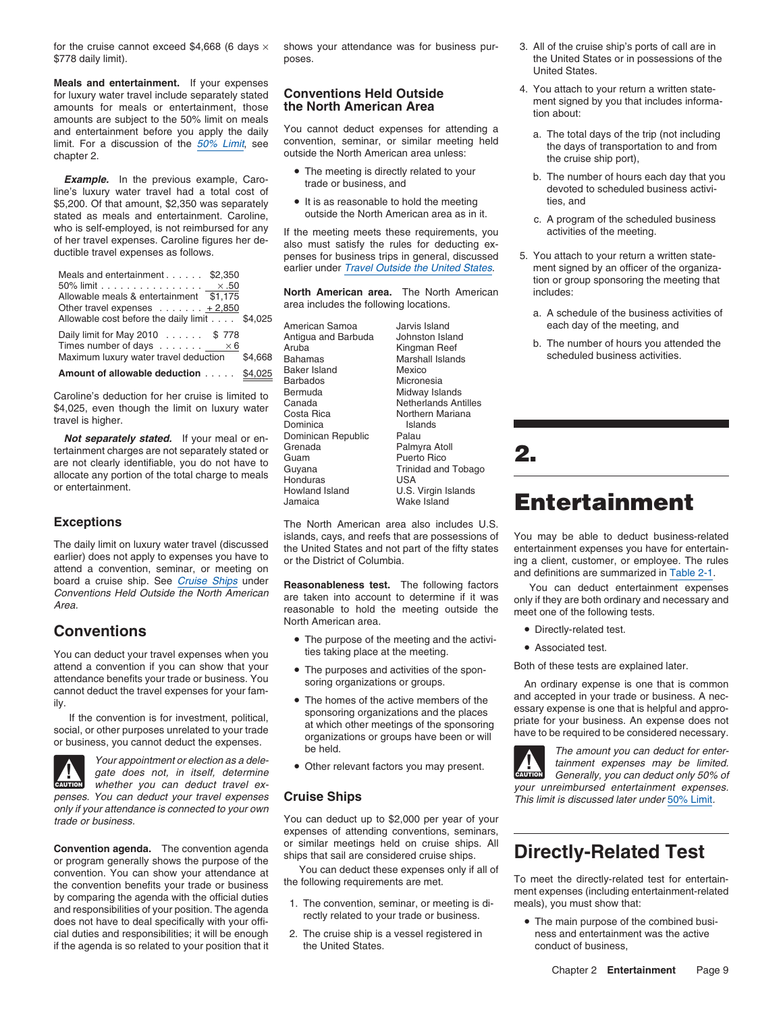\$778 daily limit). Compared the United States or in possessions of the United States or in possessions of the

**Meals and entertainment.** If your expenses<br>for luxury water travel include separately stated<br>amounts for meals or entertainment, those **the North American Area**<br>amounts are subject to the 50% limit on meals<br>and entertainm

Example. In the previous example, Caro<br>line's luxury water travel had a total cost of<br>\$5,200 Of that amount \$2,350 was senarately <br>and the meeting streament of the meeting streament of the meeting<br>\$5,200 Of that amount \$2, \$5,200. Of that amount, \$2,350 was separately <br>stated as meals and entertainment. Caroline, outside the North American area as in it. stated as meals and entertainment. Caroline, outside the North American area as in it.<br>
who is self-employed, is not reimbursed for any if the meeting meets these requirements, you activities of the meeting.<br>
of her travel

| Meals and entertainment \$2,350                                                                                                            |                                                | <u>union andone mavor outbido the original ottatos.</u>    | mont dignou by an omoor or the organiza-                                    |
|--------------------------------------------------------------------------------------------------------------------------------------------|------------------------------------------------|------------------------------------------------------------|-----------------------------------------------------------------------------|
| Allowable meals & entertainment \$1.175                                                                                                    | area includes the following locations.         | North American area. The North American                    | tion or group sponsoring the meeting that<br>includes:                      |
| Other travel expenses $\ldots \ldots +2,850$<br>Allowable cost before the daily limit \$4,025                                              | American Samoa                                 | Jarvis Island                                              | a. A schedule of the business activities of<br>each day of the meeting, and |
| Daily limit for May 2010 \$778<br>Times number of days $\ldots \ldots \ldots \times 6$<br>Maximum luxury water travel deduction<br>\$4,668 | Antigua and Barbuda<br>Aruba<br><b>Bahamas</b> | Johnston Island<br>Kingman Reef<br><b>Marshall Islands</b> | b. The number of hours you attended the<br>scheduled business activities.   |
| Amount of allowable deduction \$4,025                                                                                                      | <b>Baker Island</b><br><b>Barbados</b>         | Mexico<br>Micronesia                                       |                                                                             |

Caroline's deduction for her cruise is limited to Bermuda<br>
\$4,025, even though the limit on luxury water Costa Rica Northern Mariana travel is higher.<br>
Dominica Islands Islands

**Not separately stated.** If your meal or en-<br>tertainment charges are not separately stated or Grenada Palmyra Atoll<br>are not clearly identifiable, you do not have to Guyana Puerto Rico<br>allocate any portion of the total char

You can deduct your travel expenses when you ties taking place at the meeting.<br>Attend a convention if you can show that your return over the purposes and activities of the spon- Both of these tests are explained later. attend a convention if you can show that your  $\bullet$  The purposes and activities of the sponattendance benefits your trade or business. You soring organizations or groups.<br>
The homes of the active members of the active service or expense is one that is common<br>
ily.



whether you can deduct travel ex-<br>
penses. You can deduct your travel expenses **Cruise Ships Cause Chips CAUTION** This limit is discussed later under 50% Limit. penses. You can deduct your travel expenses **Cruise Ships The community of the Shipt** This limit is discussed later under 50% Limit.<br>only if your attendance is connected to your own

**Convention agenda.** The convention agenda or similar meetings held on cruise ships. All<br>or program generally shows the purpose of the ships that sail are considered cruise ships. **Directly-Related Test**<br>convention. You ca cial duties and responsibilities; it will be enough 2. The cruise ship is a vessel registered in ness and entertainment was the active if the agenda is so related to your position that it the United States. The conduct of business,

for the cruise cannot exceed \$4,668 (6 days  $\times$  shows your attendance was for business pur- 3. All of the cruise ship's ports of call are in

- The meeting is directly related to your
- 

Howland Island U.S. Virgin Islands

**Exceptions** The North American area also includes U.S.

board a cruise ship. See *Cruise Ships* under<br>Conventions Held Outside the North American are taken into account to determine if it was only if they are both ordinary and necessary and<br>Area. Area. Area. North American area. **Conventions** • Directly-related test.

- The purpose of the meeting and the activi-
- 
- ily.<br>
If the convention is for investment, political,<br>
social, or other purposes unrelated to your trade<br>
or business, you cannot deduct the expenses.<br>
The amount you can deduct of enter-<br>
the convention is for investment,
	-

trade or business. The issue of the You can deduct up to \$2,000 per year of your expenses of attending conventions, seminars,

- 
- 
- United States.
- -
	-
	-
- earlier under Travel Outside the United States. ment signed by an officer of the organiza- Meals and entertainment ...... \$2,350 tion or group sponsoring the meeting that 50% limit ................ <sup>×</sup> .50 **North American area.** The North American includes: Allowable meals & entertainment \$1,175
	-
	-

Jamaica Wake Island **Entertainment**

islands, cays, and reefs that are possessions of You may be able to deduct business-related<br>earlier) does not apply to expenses you have to<br>earlier) does not apply to expenses you have to or the District of Columbia.<br>atten

- 
- Associated test.



Your appointment or election as a dele-<br>gate does not, in itself, determine  $\bullet$  Other relevant factors you may present.<br>Generally you can deduct only 50% of gate does not, in itself, determine called the called the cause of the caution of the does not, in itself, determine<br>
whether you can deduct travel ex-<br>
wour unreimbursed entertainment expenses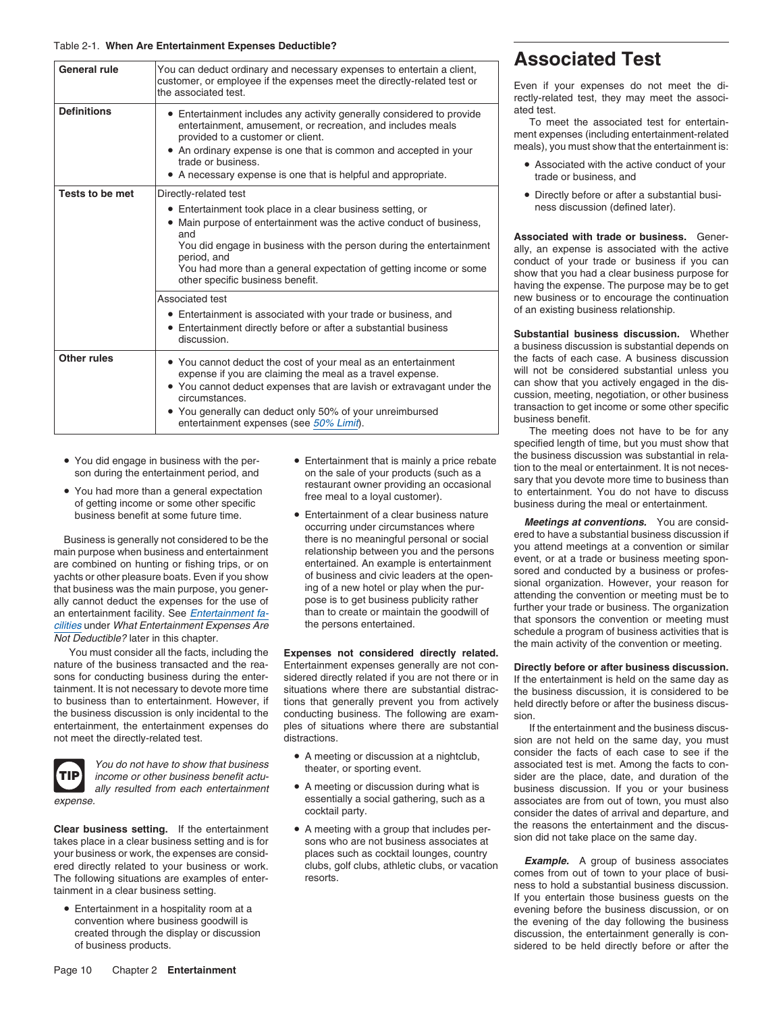### Table 2-1. **When Are Entertainment Expenses Deductible?**

|                     |                                                                                                                                                                                                                                                                                                                              | <b>Associated Test</b>                                                                                                                                                                                                                                                                                                                                                      |
|---------------------|------------------------------------------------------------------------------------------------------------------------------------------------------------------------------------------------------------------------------------------------------------------------------------------------------------------------------|-----------------------------------------------------------------------------------------------------------------------------------------------------------------------------------------------------------------------------------------------------------------------------------------------------------------------------------------------------------------------------|
| <b>General rule</b> | You can deduct ordinary and necessary expenses to entertain a client,<br>customer, or employee if the expenses meet the directly-related test or<br>the associated test.                                                                                                                                                     | Even if your expenses do not meet the di-<br>rectly-related test, they may meet the associ-                                                                                                                                                                                                                                                                                 |
| <b>Definitions</b>  | • Entertainment includes any activity generally considered to provide<br>entertainment, amusement, or recreation, and includes meals<br>provided to a customer or client.<br>• An ordinary expense is one that is common and accepted in your                                                                                | ated test.<br>To meet the associated test for entertain-<br>ment expenses (including entertainment-related<br>meals), you must show that the entertainment is:                                                                                                                                                                                                              |
|                     | trade or business.<br>• A necessary expense is one that is helpful and appropriate.                                                                                                                                                                                                                                          | • Associated with the active conduct of your<br>trade or business, and                                                                                                                                                                                                                                                                                                      |
| Tests to be met     | Directly-related test<br>• Entertainment took place in a clear business setting, or<br>• Main purpose of entertainment was the active conduct of business,                                                                                                                                                                   | • Directly before or after a substantial busi-<br>ness discussion (defined later).                                                                                                                                                                                                                                                                                          |
|                     | and<br>You did engage in business with the person during the entertainment<br>period, and<br>You had more than a general expectation of getting income or some<br>other specific business benefit.                                                                                                                           | Associated with trade or business. Gener-<br>ally, an expense is associated with the active<br>conduct of your trade or business if you can<br>show that you had a clear business purpose for<br>having the expense. The purpose may be to get                                                                                                                              |
|                     | Associated test<br>• Entertainment is associated with your trade or business, and<br>• Entertainment directly before or after a substantial business<br>discussion.                                                                                                                                                          | new business or to encourage the continuation<br>of an existing business relationship.<br>Substantial business discussion. Whether                                                                                                                                                                                                                                          |
| Other rules         | • You cannot deduct the cost of your meal as an entertainment<br>expense if you are claiming the meal as a travel expense.<br>• You cannot deduct expenses that are lavish or extravagant under the<br>circumstances.<br>• You generally can deduct only 50% of your unreimbursed<br>entertainment expenses (see 50% Limit). | a business discussion is substantial depends on<br>the facts of each case. A business discussion<br>will not be considered substantial unless you<br>can show that you actively engaged in the dis-<br>cussion, meeting, negotiation, or other business<br>transaction to get income or some other specific<br>business benefit.<br>The meeting does not have to be for any |

- 
- You had more than a general expectation to estaurant owner providing an occasional to entertainment. You do not have to discuss business business during income or some other specific the meal to a loyal customer).<br>
busin



Clear business setting. If the entertainment • A meeting with a group that includes per-<br>takes place in a clear business setting and is for<br>your business or work, the expenses are consid-<br>places such as cocktail lounges, c

• Entertainment in a hospitality room at a

- 
- 

nature of the business transacted and the rea-<br>sons for conducting business during the enter-<br>sidered directly related if you are not there or in<br>time entertainment is held on the same day as<br>tainment. It is not necessary tainment. It is not necessary to devote more time situations where there are substantial distrac-<br>to business than to entertainment. However, if tions that generally prevent you from actively held directly before or after to business than to entertainment. However, it is tions that generally prevent you from actively held directly before or after the business discus-<br>the business discussion is only incidental to the conducting business. The the business discussion is only incidental to the conducting business. The following are exam-<br>entertainment, the entertainment expenses do ples of situations where there are substantial ples of situations where there are substantial If the entertainment and the business discusnot meet the directly-related test.  $\qquad \qquad$  distractions.  $\qquad \qquad$  sion are not held on the same day, you must

- 
- 
- 

## **Associated Test**

- Associated with the active conduct of your trade or business, and
- **•** Directly before or after a substantial business discussion (defined later).

The meeting does not have to be for any specified length of time, but you must show that • You did engage in business with the per-<br>• Entertainment that is mainly a price rebate the business discussion was substantial in rela-• You did engage in business with the per-<br>son during the entertainment period, and<br>example in the sale of your products (such as a<br>restaurant owner providing an occasional<br>example the entertainment. It is not need or ente

business benefit at some future time.<br>
Business is generally not considered to be the<br>
main purpose when business and entertainment there is no meaningful personal or social<br>
main purpose when business and entertainment<br>
a

• A meeting or discussion at a nightclub, consider the facts of each case to see if the You do not have to show that business<br>income or other business benefit actu-<br>ally resulted from each entertainment<br>ally resulted from each entertainment<br>A meeting or discussion during what is<br>business discussion. If you or ally resulted from each entertainment • A meeting or discussion during what is business discussion. If you or your business discussion. If you or your business essentially a social gathering, such as a sassociates are from expense.<br>expense. expense. expenses are from out of town, you must also<br>consider the dates of arrival and departure, and consider the dates of arrival and departure, and

your business or work, the expenses are considering places such as cocktail lounges, country<br>ered directly related to your business or work. Clubs, golf clubs, athletic clubs, or vacation<br>The following situations are examp evening before the business discussion, or on convention where business goodwill is the evening of the day following the business created through the display or discussion discussion, the entertainment generally is conof business products. sidered to be held directly before or after the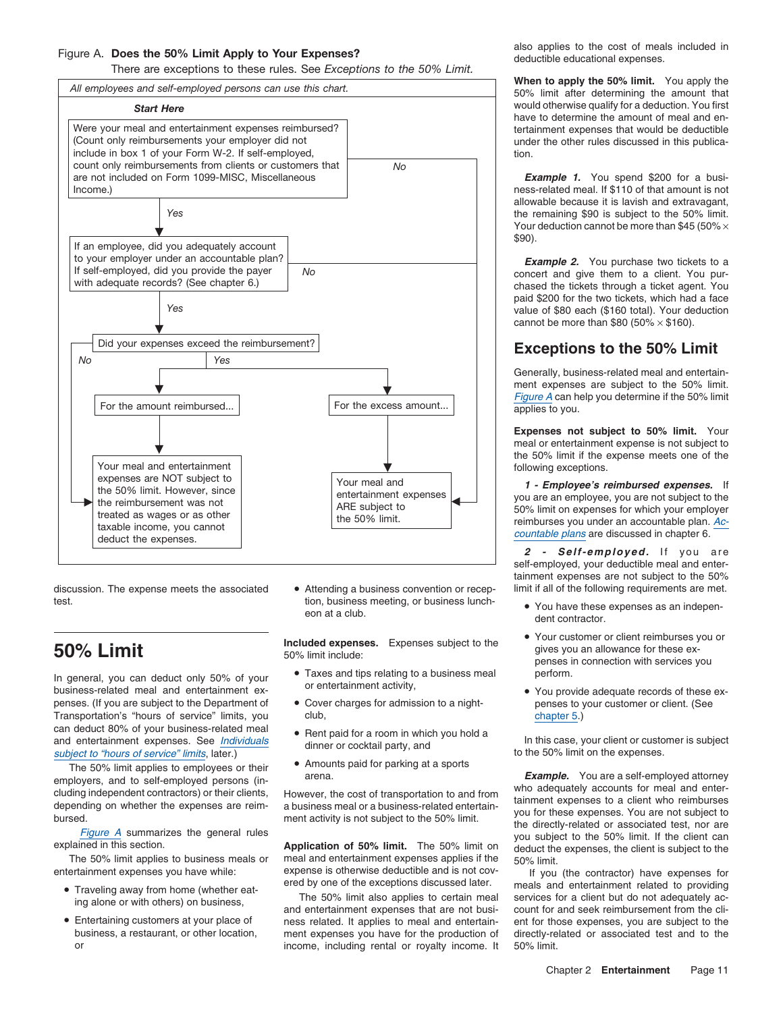### Figure A. **Does the 50% Limit Apply to Your Expenses?**

There are exceptions to these rules. See *Exceptions to the 50% Limit.*



test. the test. the state of the state of the state of the state of the state of the state of the state of the state of the state of the state of the state of the state of the state of the state of the state of the state o

- Taxes and tips relating to a business meal
- 
- 
- Amounts paid for parking at a sports

The 50% limit applies to business meals or meal and entertainment expenses applies if the  $50\%$  limit.<br>
ertainment expenses you have while: expense is otherwise deductible and is not coventertainment expenses you have while: expense is otherwise deductible and is not cov-<br>ered by one of the exceptions discussed later. meals and entertainment related to providing

business, a restaurant, or other location, ment expenses you have for the production of directly-related or associated test and to the or income, including rental or royalty income. It 50% limit.

also applies to the cost of meals included in deductible educational expenses.

**When to apply the 50% limit.** You apply the 50% limit after determining the amount that would otherwise qualify for a deduction. You first have to determine the amount of meal and entertainment expenses that would be deductible under the other rules discussed in this publication.

**Example 1.** You spend \$200 for a business-related meal. If \$110 of that amount is not allowable because it is lavish and extravagant, the remaining \$90 is subject to the 50% limit. Your deduction cannot be more than \$45 (50%  $\times$ \$90).

**Example 2.** You purchase two tickets to a concert and give them to a client. You purchased the tickets through a ticket agent. You paid \$200 for the two tickets, which had a face value of \$80 each (\$160 total). Your deduction cannot be more than \$80 (50%  $\times$  \$160).

### **Exceptions to the 50% Limit**

Generally, business-related meal and entertainment expenses are subject to the 50% limit. Figure A can help you determine if the 50% limit applies to you.

**Expenses not subject to 50% limit.** Your meal or entertainment expense is not subject to the 50% limit if the expense meets one of the following exceptions.

*1 - Employee's reimbursed expenses.* If you are an employee, you are not subject to the 50% limit on expenses for which your employer reimburses you under an accountable plan. Accountable plans are discussed in chapter 6.

*2 - Self-employed.* If you are self-employed, your deductible meal and entertainment expenses are not subject to the 50% discussion. The expense meets the associated • Attending a business convention or recep- limit if all of the following requirements are met.

- You have these expenses as an indepen-<br>dent contractor.
- Your customer or client reimburses you or **199% Limit Force Subject to the Magness Subject to the Solution or client reimburses you or gives you an allowance for these ex-<br>Base you an allowance for these ex-<br>penses in connection with services you** 
	- You provide adequate records of these ex-

employers, and to self-employed persons (in-<br>
cluding independent contractors) or their clients,<br>
depending on whether the expenses are reim-<br>
bursed.<br>
Eigure A summarizes the general rules<br>
explained in this section.<br>
App

• Traveling away from home (whether eat-<br>► The 50% limit also applies to certain meal services for a client but do not adequately ac-<br>• Incelarse a with others) on business ing alone or with others) on business,<br>and entertainment expenses that are not busi-<br>count for and seek reimbursement from the cliness related. It applies to meal and entertain- ent for those expenses, you are subject to the

In general, you can deduct only 50% of your **Came and the state of entertainment activity**, business-related meal and entertainment ex- or entertainment activity, **•** You pro penses. (If you are subject to the Department of • Cover charges for admission to a night- penses to your customer or client. (See Transportation's "hours of service" limits, you club, chapter 5.) can deduct 80% of your business-related meal • Rent paid for a room in which you hold a and entertainment expenses. See Individuals dinner or cocktail party, and the 50% limit on the expenses.<br>subject to "hours of service" limits, later.)

The 50% limit applies to employees or their  $\bullet$  Amour<br>ployers and to self employed persons (in arena.

- 
- Entertaining customers at your place of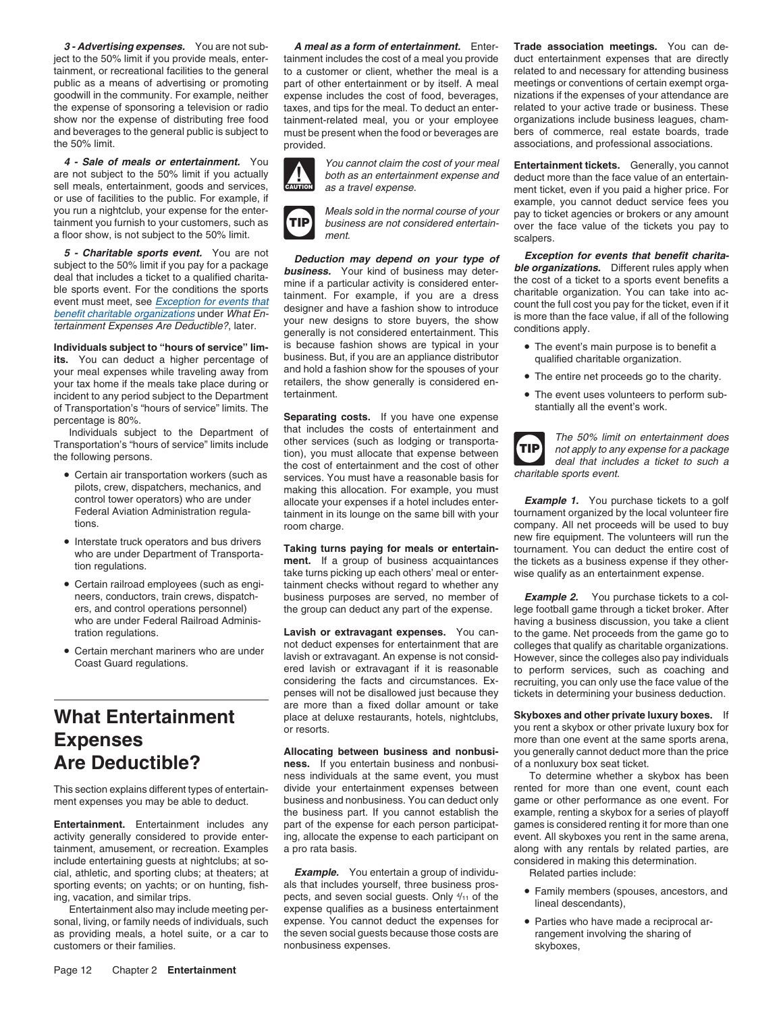ject to the 50% limit if you provide meals, enter-<br>tainment includes the cost of a meal you provide duct entertainment expenses that are directly tainment, or recreational facilities to the general to a customer or client, whether the meal is a related to and necessary for attending business public as a means of advertising or promoting part of other entertainment or by itself. A meal meetings or conventions of certain exempt orga-<br>goodwill in the community. For example, neither expense includes the cost of fo goodwill in the community. For example, neither expense includes the cost of food, beverages, nizations if the expenses of your attendance are the expense of your attendance are the expense of sponsoring a television or ra show nor the expense of distributing free food tainment-related meal, you or your employee organizations include business leagues, cham-<br>and beverages to the general public is subject to must be present when the food or be the 50% limit. **provided.** provided. **provided. associations**, and professional associations.

4 - Sale of meals or entertainment. You<br>actually as a member of your meal entertainment tickets. Generally, you cannot<br>sell meals, entertainment, goods and services,<br>sell meals, entertainment, goods and services,<br>For as a sell meals, entertainment, goods and services, **ENTION** as a travel expense.<br>or use of facilities to the public. For example, if

*5 - Charitable sports event.* You are not *Deduction may depend on your type of Exception for events that benefit charita-*

**its.** You can deduct a higher percentage of business. But, if you are an appliance distributor vour meal expenses while traveling away from and hold a fashion show for the spouses of your incident to any period subject to the Department tertainment.<br>
of Transportation's "hours of service" limits. The perform sub-

- 
- 
- 
- 

include entertaining guests at nightclubs; at so- considered in making this determination.

customers or their families. The nonbusiness expenses. The skyboxes, skyboxes, skyboxes,

*3 - Advertising expenses.* You are not sub- *A meal as a form of entertainment.* Enter- **Trade association meetings.** You can detaxes, and tips for the meal. To deduct an enter-<br>related to your active trade or business. These must be present when the food or beverages are

**TIP**

subject to the 50% limit if you pay for a package<br>deal that includes a ticket to a qualified charita-<br>ble sports event. For the conditions the sports<br>tainment For example if you are a drass charitable organization. You ca ble sports event. For the conditions the sports<br>event must meet, see *Exception for events that*<br>benefit charitable organizations under What Enterprised a designer and have a fashion show to introduce<br>the sport in the full **Individuals subject to "hours of service" lim-** is because fashion shows are typical in your • The event's main purpose is to benefit a **its.** You can deduct a higher percentage of business. But, if you are an appliance d your meal expenses while traveling away from and hold a fashion show for the spouses of your **•** The entire net proceeds go to the charity.<br>your tax home if the meals take place during or retailers, the show generally is c The entire net proceeds go to the charity.<br>tertainment.  $\bullet$  The event uses volunteers to perform sub-

of Transportation's "hours of service" limits. The<br>percentage is 80%.<br>Individuals subject to the Department of that includes the costs of entertainment and<br>Transportation's "hours of service" limits include<br>the following p the cost of entertainment and the cost of other • Certain air transportation workers (such as charitable sports areas areasonable basis for charitable sports event. pilots, crew, dispatchers, mechanics, and making this allocation. For example, you must<br>control tower operators) who are under allocate your expenses if a hotel includes enter-Federal Aviation Administration regula- tainment in its lounge on the same bill with your<br>tions

• Certain railroad employees (such as engi- tainment checks without regard to whether any neers, conductors, train crews, dispatch- business purposes are served, no member of *Example 2.* You purchase tickets to a col-

tration regulations. **Lavish or extravagant expenses.** You can-<br>not deduct expenses for entertainment that are colleges that qualify as charitable organizations. not deduct expenses for entertainment that are colleges that qualify as charitable organizations.<br>Coast Quard result incredible consultions. Coast Guard regulations.<br>ered lavish or extravagant if it is reasonable to perform services, such as coaching and considering the facts and circumstances. Ex-<br>penses will not be disallowed just because they<br>tickets in determining your business deduction. are more than a fixed dollar amount or take What Entertainment place at deluxe restaurants, hotels, nightclubs, **Skyboxes and other private luxury boxes.** If or resorts. you rent a skybox or other private luxury box for

Allocating between business and nonbusi-**Are Deductible? ness.** If you entertain business and nonbusi- of a nonluxury box seat ticket. ness individuals at the same event, you must To determine whether a skybox has been This section explains different types of entertain-<br>ment expenses you may be able to deduct. business and nonbusiness. You can deduct only game or other performance as one event. For ment expenses you may be able to deduct. business and nonbusiness. You can deduct only game or other performance as one event. For<br>the business part. If you cannot establish the example, renting a skybox for a series of pl the business part. If you cannot establish the **Entertainment.** Entertainment includes any part of the expense for each person participat- games is considered renting it for more than one activity generally considered to provide enter- ing, allocate the expense to each participant on event. All skyboxes you rent in the same arena, tainment, amusement, or recreation. Examples a pro rata basis. The manuscription of along with any rentals by related parties, are

cial, athletic, and sporting clubs; at theaters; at *Example.* You entertain a group of individu- Related parties include: sporting events; on yachts; or on hunting, fish-<br>ing, vacation, and similar trips.<br>pects, and seven social guests. Only  $\frac{q}{11}$  of the<br>recent set also expendents. Find the posts, and seven social gassis. Shirt of the lineal descendants),<br>Entertainment also may include meeting per- expense qualifies as a business entertainment lineal descendants), sonal, living, or family needs of individuals, such expense. You cannot deduct the expenses for • Parties who have made a reciprocal aras providing meals, a hotel suite, or a car to the seven social guests because those costs are rangement involving the sharing of

or use of facilities to the public. For example, if<br>you run a nightclub, your expense for the enter-<br>tainment you furnish to your customers, such as<br>a floor show, is not subject to the 50% limit.<br>a floor show, is not subje

- 
- 
- 

**TIP**

control tower operators) who are under allocate your expenses if a hotel includes enter-<br>Federal Aviation Administration regula-<br>tainment in its lounge on the same bill with your tournament organized by the local volunteer room charge. The company. All net proceeds will be used to buy • Interstate truck operators and bus drivers<br>• Taking turns paying for meals or entertain-<br>• The ore under Department of Transparte **Taking turns paying for meals or entertain-** tournament. You can deduct the entire cost • Interstate truck operators and bus drivers<br>who are under Department of Transporta-<br>tion regulations. If a group of business acquaintances the tickets as a business expense if they other-<br>take turns picking up each others

ers, and control operations personnel) the group can deduct any part of the expense. lege football game through a ticket broker. After who are under Federal Railroad Adminis-<br> **Lavish or extravagant expenses.** You can-<br>
You canto the game. Net proceeds from the game go to tickets in determining your business deduction.

**Expenses**<br>Allocating between business and nonbusi-<br>Allocating between business and nonbusi-<br>you generally cannot deduct more than the price

- 
- 

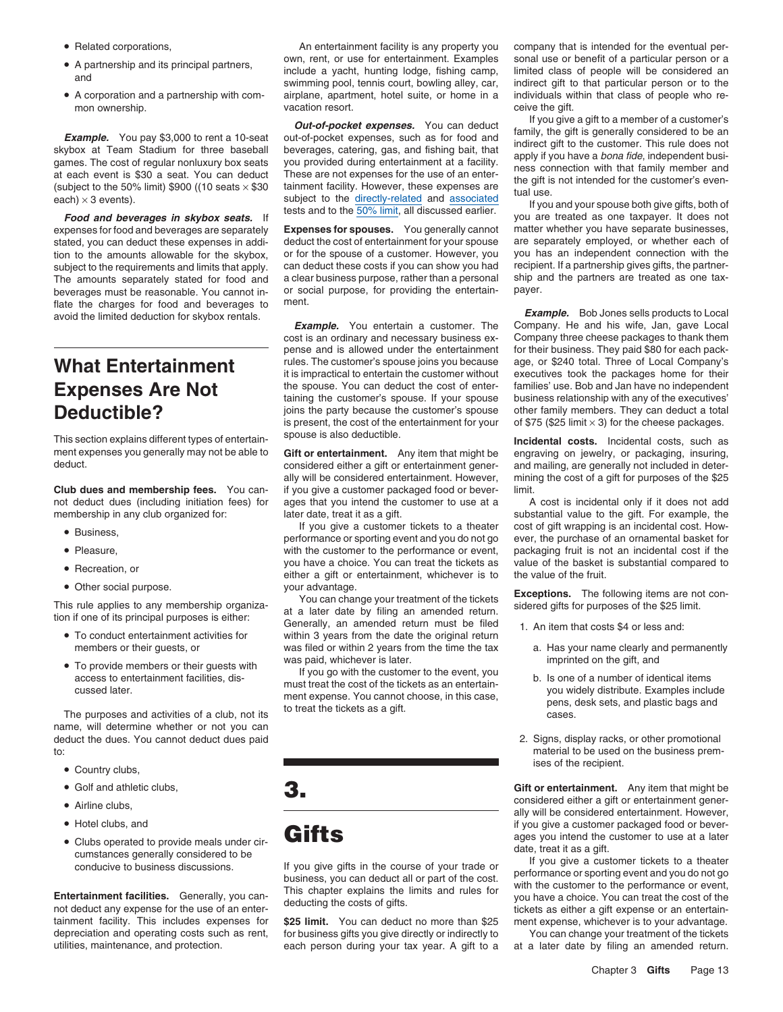- Related corporations,
- 
- A corporation and a partnership with com-

expenses for food and beverages are separately **Expenses for spouses.** You generally cannot matter whether you have separate businesses, stated, you can deduct these expenses in addi-<br>stated, you can deduct these expenses stated, you can deduct these expenses in addi- deduct the cost of entertainment for your spouse are separately employed, or whether each of tion to the amounts allowable for the skybox. Or for the spouse of a customer. How tion to the amounts allowable for the skybox, or for the spouse of a customer. However, you you has an independent connection with the<br>subject to the requirements and limits that apply can deduct these costs if you can sho subject to the requirements and limits that apply can deduct these costs if you can show you had recipient. If a partnership gives gifts, the partner-<br>The amounts separately stated for food and a clear business purpose, ra The amounts separately stated for food and a clear business purpose, rather than a personal ship and beverages must be reasonable. You cannot in- or social purpose, for providing the entertain- payer. beverages must be reasonable. You cannot in-<br>flate the charges for food and beverages to ment.

This section explains different types of entertain-<br>ment expenses you generally may not be able to **Gift or entertainment**. Any item that might be engraving on jewelry, or packaging, insuring,

- 
- Pleasure,
- 
- Other social purpose.

- To conduct entertainment activities for
- To provide members or their guests with was paid, whichever is later. imprinted on the gift, and **•** To provide members or their guests with **•** If you go with the customer to the event, you  **If the customer of the eve**

name, will determine whether or not you can deduct the dues. You cannot deduct dues paid  $\qquad$  2. Signs, display racks, or other promotional to: to: material to be used on the business prem-

- Country clubs.
- Golf and athletic clubs,
- 
- Hotel clubs, and
- 

tainment facility. This includes expenses for **\$25 limit.** You can deduct no more than \$25 ment expense, whichever is to your advantage.

own, rent, or use for entertainment. Examples sonal use or benefit of a particular person or a •A partitieral participal partitiers,<br>and swimming pool, tennis court, bowling alley, car, indirect gift to that particular person or to the<br>A corporation and a partnership with com-<br>A corporation and a partnership with com airplane, apartment, hotel suite, or home in a mon ownership. The contraction resort was vacation resort. The ceive the gift.

**Example.** You pay \$3,000 to rent a 10-seat out-of-pocket expenses. You can deduct<br>skybox at Team Stadium for three baseball beverages, catering, gas, and fishing bait, that<br>games. The cost of regular nonluxury box seats y

cost is an ordinary and necessary business ex- Company three cheese packages to thank them pense and is allowed under the entertainment for their business. They paid \$80 for each pack-<br>rules. The customer's spouse joins you because age, or \$240 total. Three of Local Company's **What Entertainment** rules. The customer's spouse joins you because age, or \$240 total. Three of Local Company's it is impractical to entertain the customer without executives took the packages home for their it is impractical to entertain the customer without **Expenses Are Not** the spouse. You can deduct the cost of enter-<br>taining the customer's spouse. If your spouse business relationship with any of the executives' taining the customer's spouse. If your spouse **Deductible?** joins the party because the customer's spouse other family members. They can deduct a total is present, the cost of the entertainment for your of \$75 (\$25 limit x 3) for the cheese packages. is present, the cost of the entertainment for your

ment expenses you generally may not be able to **Gift or entertainment.** Any item that might be engraving on jewelry, or packaging, insuring, mediately not included in datar-<br>deduct considered either a gift or entertainment gener- and mailing, are generally not included in deter-<br>ally will be considered entertainment. However, mining the cost of a gift for purposes of the \$25 ally will be considered entertainment. However, **Club dues and membership fees.** You can- if you give a customer packaged food or bever- limit. not deduct dues (including initiation fees) for ages that you intend the customer to use at a A cost is incidental only if it does not add membership in any club organized for: later date, treat it as a gift. Substantial value to the gift. For example, the

performance or sporting event and you do not go with the customer to the performance or event, packaging fruit is not an incidental cost if the ● Recreation, or value a choice. You can treat the tickets as value of the basket is substantial compared to • entertainment. whichever is to • the value of the fruit. either a gift or entertainment, whichever is to

• Other social purpose. your advantage.<br>This rule applies to any membership organiza-<br>This rule applies to any membership organiza-<br>tion if one of its principal purposes is either:<br>Generally, an amended return must be file within 3 years from the date the original return members or their guests, or was filed or within 2 years from the time the tax a. Has your name clearly and permanently

• To provide members or their guests with the customer to the event, you<br>access to entertainment facilities, dis-<br>cussed later.<br>The purposes and activities of a club, not its<br>treat the cost of the tickets as an entertain-<br>

depreciation and operating costs such as rent, for business gifts you give directly or indirectly to You can change your treatment of the tickets<br>utilities, maintenance, and protection. each person during your tax year. A each person during your tax year. A gift to a at a later date by filing an amended return.

An entertainment facility is any property you company that is intended for the eventual per-

and the limited deduction for skybox rentals.<br>avoid the limited deduction for skybox rentals.<br>Example. You entertain a customer. The Company. He and his wife, Jan, gave Local

If you give a customer tickets to a theater cost of gift wrapping is an incidental cost. How-<br>performance or sporting event and you do not go ever, the purchase of an ornamental basket for

- -
	-
- **Country clubs** and the recipient. **in the recipient of the recipient.** ises of the recipient.

**3. Gift or entertainment.** Any item that might be • Airline clubs, **and the considered either a gift or entertainment gener- •** Airline clubs, **and the considered either a gift or entertainment gener**ally will be considered entertainment. However, ■ Hotel clubs, and if you give a customer packaged food or bever-<br>
■ Clubs operated to provide meals under cir-<br>
ages you intend the customer to use at a later<br>
alte, treat it as a gift.

• Clubs operated to provide meals under cir-<br>
cumstances generally considered to be<br>
conducive to business discussions.<br>
If you give gifts in the course of your trade or<br>
the conducted or the performance or sporting event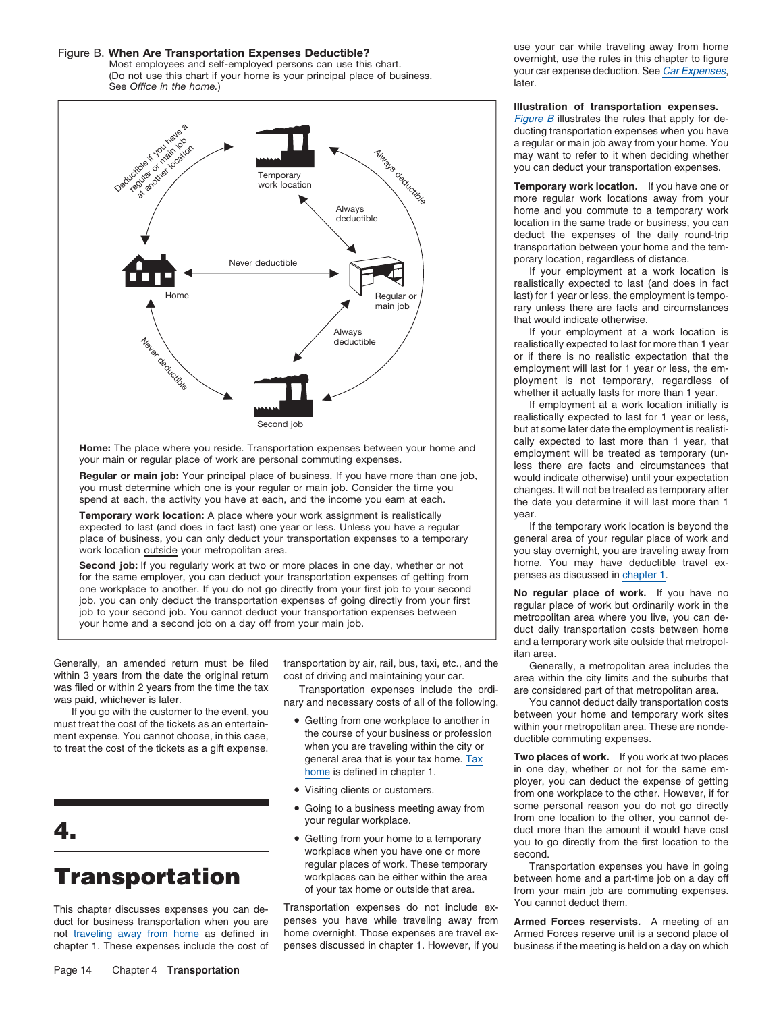### Figure B. **When Are Transportation Expenses Deductible?**

Most employees and self-employed persons can use this chart. (Do not use this chart if your home is your principal place of business. See *Office in the home.*)



**Home:** The place where you reside. Transportation expenses between your home and your main or regular place of work are personal commuting expenses.

**Regular or main job:** Your principal place of business. If you have more than one job, you must determine which one is your regular or main job. Consider the time you spend at each, the activity you have at each, and the income you earn at each.

**Temporary work location:** A place where your work assignment is realistically expected to last (and does in fact last) one year or less. Unless you have a regular place of business, you can only deduct your transportation expenses to a temporary work location outside your metropolitan area.

**Second job:** If you regularly work at two or more places in one day, whether or not for the same employer, you can deduct your transportation expenses of getting from one workplace to another. If you do not go directly from your first job to your second job, you can only deduct the transportation expenses of going directly from your first job to your second job. You cannot deduct your transportation expenses between your home and a second job on a day off from your main job.

Generally, an amended return must be filed transportation by air, rail, bus, taxi, etc., and the Generally, a metropolitan area includes the within 3 years from the date the original return cost of driving and maintaining

duct for business transportation when you are penses you have while traveling away from **Armed Forces reservists.** A meeting of an not traveling away from home as defined in home overnight. Those expenses are travel ex- Armed Forces reserve unit is a second place of chapter 1. These expenses include the cost of penses discussed in chapter 1. However, if you business if the meeting is held on a day on which

- ment expense. You cannot choose, in this case, the course of your business or profession<br>to treat the cost of the tickets as a gift expense. when you are traveling within the city or<br>qeneral area that is your tax home. Tax
	- Visiting clients or customers.
	-
	- Getting from your home to a temporary you to go directly from the first location to the workplace when you have one or more<br>regular places of work. These temporary Transportation expenses you have in going

This chapter discusses expenses you can de- Transportation expenses do not include ex- You cannot deduct them.

use your car while traveling away from home overnight, use the rules in this chapter to figure your car expense deduction. See Car Expenses, later.

### **Illustration of transportation expenses.**

Figure  $B$  illustrates the rules that apply for deducting transportation expenses when you have a regular or main job away from your home. You may want to refer to it when deciding whether you can deduct your transportation expenses.

**Temporary work location.** If you have one or more regular work locations away from your home and you commute to a temporary work location in the same trade or business, you can deduct the expenses of the daily round-trip transportation between your home and the temporary location, regardless of distance.

If your employment at a work location is realistically expected to last (and does in fact last) for 1 year or less, the employment is temporary unless there are facts and circumstances that would indicate otherwise.

If your employment at a work location is realistically expected to last for more than 1 year or if there is no realistic expectation that the employment will last for 1 year or less, the employment is not temporary, regardless of whether it actually lasts for more than 1 year.

If employment at a work location initially is realistically expected to last for 1 year or less, but at some later date the employment is realistically expected to last more than 1 year, that employment will be treated as temporary (unless there are facts and circumstances that would indicate otherwise) until your expectation changes. It will not be treated as temporary after the date you determine it will last more than 1 year.

If the temporary work location is beyond the general area of your regular place of work and you stay overnight, you are traveling away from home. You may have deductible travel expenses as discussed in chapter 1.

**No regular place of work.** If you have no regular place of work but ordinarily work in the metropolitan area where you live, you can deduct daily transportation costs between home and a temporary work site outside that metropolitan area.

If you go with the customer to the event, you<br>
must treat the cost of the tickets as an entertain <br> **Example 19 Cetting from one workplace to another in**<br>
within your metropolitan area. These are nondemust treat the treat treatment of the course of your business or profession within your metropolitan area. These are nonde-<br>the course of your business or profession ductible commuting expenses

> Two places of work. If you work at two places home is defined in chapter 1. The in one day, whether or not for the same employer, you can deduct the expense of getting from one workplace to the other. However, if for • Going to a business meeting away from some personal reason you do not go directly **4.4.** your regular workplace. **4.4.** from one location to the other, you cannot de-<br>
> ■ duct more than the amount it would have cost • detting from your home to a temporary • you to go directly from the first location to

regular places of work. These temporary Transportation expenses you have in going<br>workplaces can be either within the area between home and a part-time job on a day off<br>of your tax home or outside that area. The from your from your main job are commuting expenses.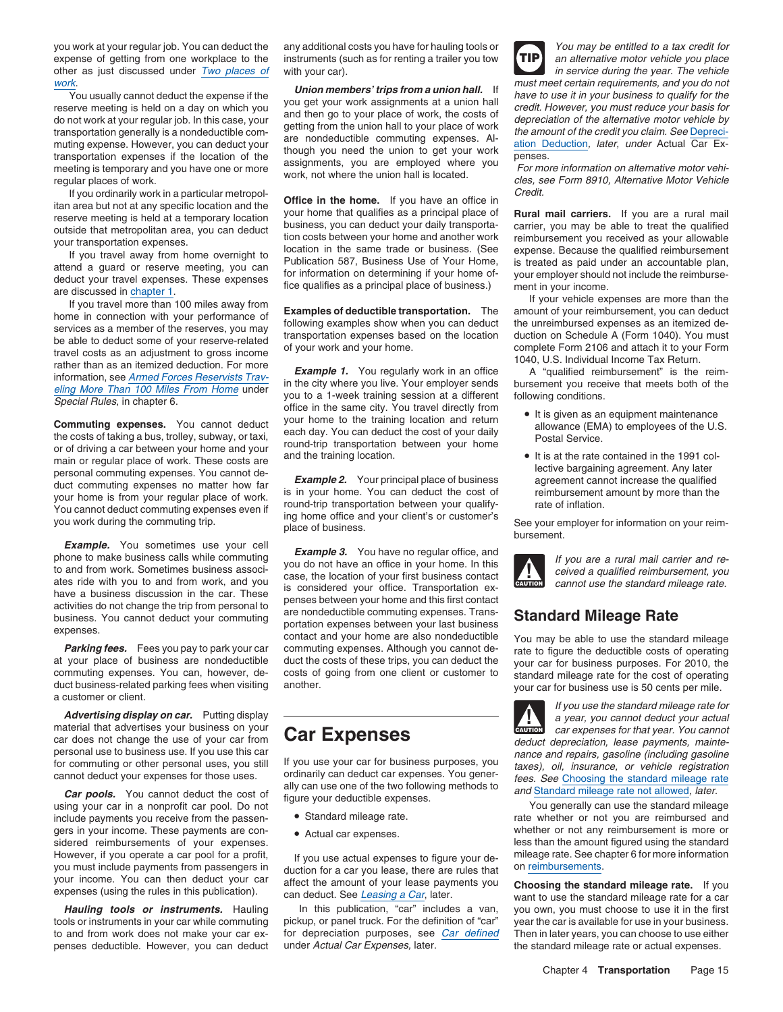expense of getting from one workplace to the instruments (such as for renting a trailer you tow  $\llbracket T \Vert P \rrbracket$  an alternative motor vehicle you place other as just discussed under Two places of with your car). In service during the year. The vehicle

Work.<br>
You usually cannot deduct the expense if the<br>
reserve meeting is held on a day on which you<br>
do not work at your regular job. In this case, your<br>
do not work at your regular job. In this case, your<br>
do not work at y

If you ordinarily work in a particular metropol-<br>Credit.

in a near but that the **the section** the **one.** If you have a office in the but and a subset of the state in the state of **Rural mail carriers**. If you are a rural mail carriers that the the proportion on the the qualifie

**Commuting expenses.** You cannot deduct your home to the training location and return<br>the costs of taking a bus, trolley, subway, or taxi,<br>or of driving a car between your home and your cannot deduct the cost of your daily

**Example.** You sometimes use your cell<br>phone to make business calls while commuting<br>to and from work. Sometimes business associancy our do not have an office in your home. In this<br>ates ride with you to and from work, and y ates ride with you to and from work, and you<br>have a business discussion in the car. These<br>activities do not change the trip from personal to<br>business between your home and this first contact<br>husiness. Vou connect dolust yo

tools or instruments in your car while commuting pickup, or panel truck. For the definition of "car" year the car is available for use in your business. to and from work does not make your car ex- for depreciation purposes, see Car defined Then in later years, you can choose to use either penses deductible. However, you can deduct under Actual Car Expenses, later. The standard mileage rate or actual expenses.

business. You cannot deduct your commuting<br>expenses. Trans-<br>expenses. To contact and your commuting expenses between your last business<br>expenses.<br>**Parking fees.** Fees you pay to park your car commuting expenses. Although y

- Standard mileage rate.
- 

However, if you operate a car pool for a profit,<br>you must include payments from passengers in<br>your income. You can then deduct your car affect the amount of your lease payments you<br>expenses (using the rules in this publica

you work at your regular job. You can deduct the any additional costs you have for hauling tools or You may be entitled to a tax credit for **TIP**

- 
- 



**Advertising display on car.** Putting display **Advertising display on car.** Putting display **a** year, you cannot deduct your actual<br>material that advertises your business on your **Car Exnanses CAUTION** For does not change the use of your car from<br>personal use to business use. If you use this car<br>for commuting or other personal uses, you still if you use your car for business purposes, you<br>cannot deduct depreciation, leas

include payments you receive from the passen- Standard mileage rate. The rate whether or not you are reimbursed and gers in your income. These payments are con-<br>  $\bullet$  Actual car expenses.<br>
Whether or not any reimbursement is more or sidered reimbursements of your expenses. Actual car expenses. I can expense less than the amount figured using the standard

Hauling tools or instruments. Hauling In this publication, "car" includes a van, you own, you must choose to use it in the first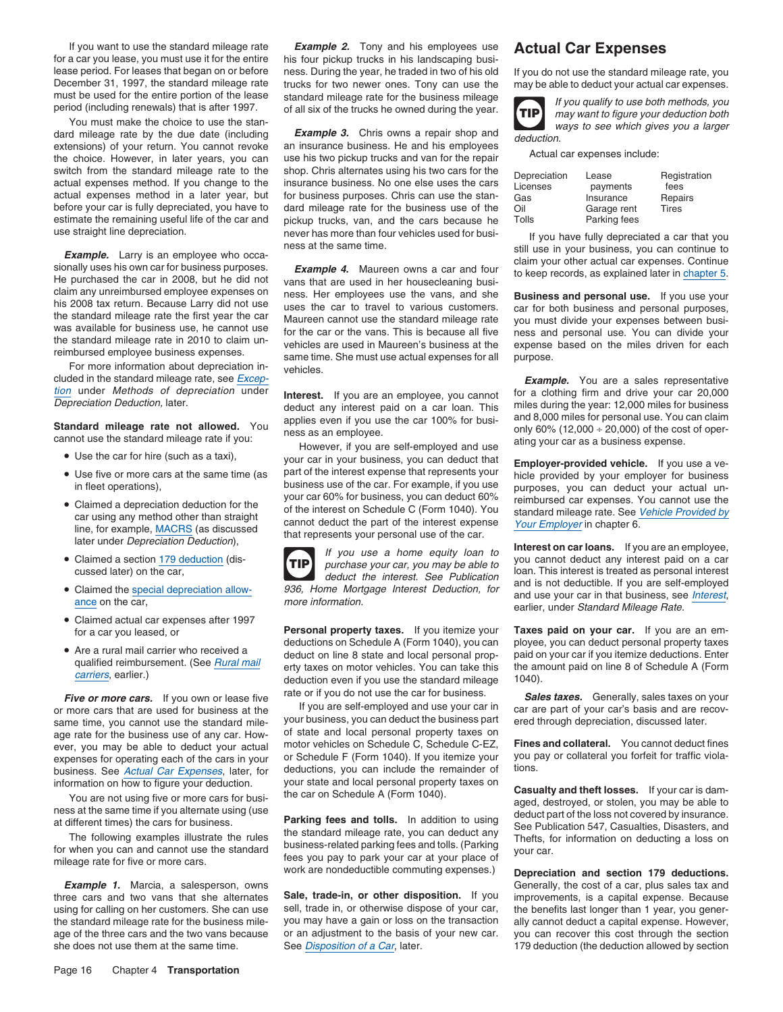lease period. For leases that began on or before ness. During the year, he traded in two of his old If you do not use the standard mileage rate, you<br>December 31, 1997, the standard mileage rate trucks for two newer ones. T December 31, 1997, the standard mileage rate trucks for two newer ones. Tony can use the may be able to deduct your actual car expenses.<br>must be used for the entire portion of the lease standard mileage rate for the busine

Fou must make the choice to use the stan-<br>dard mileage rate by the due date (including **Example 3.** Chris owns a repair shop and *deduction.*<br>extensions) of your return. You cannot revoke an insurance business. He and his extensions) of your return. You cannot revoke an insurance business. He and his employees<br>the choice. However, in later years, you can use his two pickup trucks and van for the repair Actual car expenses include: switch from the standard mileage rate to the shop. Chris alternates using his two cars for the actual expenses method. If you change to the insurance business. No one else uses the cars actual expenses method in a later ye before your car is fully depreciated, you have to dard mileage rate for the business use of the estimate the remaining useful life of the car and pickup trucks, van, and the cars because he estimate the remaining useful life of the car and pickup trucks, van, and the cars because he use straight line depreciation.

Larry is an employee who occa-<br> **Example.** Larry is an employee who occa-<br>
sionally uses his own car for business purposes.<br>
He purchased the car in 2008, but he did not<br>
He purchased the car in 2008, but he did not<br>
larry

For more information about depreciation in-<br>cluded in the standard mileage rate, see *Excep*cluded in the standard mileage rate, see *Excep- Example.* You are a sales representative<br>*tion* under *Methods of depreciation* under **unterest** if you are an employee you cannot for a clothing firm and drive your car 2

- Use the car for hire (such as a taxi),
- Use five or more cars at the same time (as
- Claimed a depreciation deduction for the interest on Schedule C (Form 1040). You standard mileage rate. See Vehicle Provided by<br>
cannot deduct the part of the interest expense that represents your example, MACRS (as disc
- 
- 
- Claimed actual car expenses after 1997
- 

or more cars that are used for business at the If you are self-employed and use your car in car are part of your car's basis and are recov-<br>same time you cannot use the standard mile, your business, you can deduct the busi same time, you cannot use the standard mile-<br>age rate for the business use of any car. How- of state and local personal property taxes on age rate for the business use of any car. How-<br>ever, you may be able to deduct your actual motor vehicles on Schedule C, Schedule C-EZ, **Fines and collateral.** You cannot deduct fines<br>expenses for operating each of the car business. See *Actual Car Expenses*, later, for deductions, you can include the remainder of information on how to figure your deduction. your state and local personal property taxes on

three cars and two vans that she alternates **Sale, trade-in, or other disposition.** If you improvements, is a capital expense. Because using for calling on her customers. She can use sell, trade in, or otherwise dispose of using for calling on her customers. She can use sell, trade in, or otherwise dispose of your car, the benefits last longer than 1 year, you gener-<br>the standard mileage rate for the business mile-you may have a gain or loss the standard mileage rate for the business mile-you may have a gain or loss on the transaction ally cannot deduct a capital expense. However, age of the three cars and the two vans because or an adjustment to the basis of your new car. you can recover this cost through the section

If you want to use the standard mileage rate *Example 2.* Tony and his employees use **Actual Car Expenses** for a car you lease, you must use it for the entire his four pickup trucks in his landscaping busi-

deduct any interest paid on a car loan. This miles during the year: 12,000 miles for business annlines aven if you use the car 100% for business during the strategy on a car loan.

However, if you are self-employed and use<br>your car in your business, you can deduct that<br>part of the interest expense that represents your<br>high provided by your employer for business part of the interest expense that represents your incle provided by your employer for business<br>business use of the car. For example, if you use in purposes in you, can ideduct, your actual unin fleet operations), business use of the car. For example, if you use purposes, you can deduct your actual un-<br>• Claimed a depreciation deduction for the • your car 60% for business, you can deduct 60% reimbursed car expe

**TIP**

• Claimed the special depreciation allow-<br>
936, Home Mortgage Interest Deduction, for

**Personal property taxes.** If you itemize your **Taxes paid on your car.** If you are an em-<br>deductions on Schedule A (Form 1040), you can ployee, you can deduct personal property taxes • Are a rural mail carrier who received a<br>qualified reimbursement. (See *Rural mail* deduct on line 8 state and local personal prop-<br>carriers, earlier.) deductions. Enter<br>deduction even if you use the standard mileage 1040

for when you can and cannot use the standard<br>mileage rate for five or more cars.<br>work are nondeductible commuting expenses.)

**TIP**

must be used for the entire portion of the lease standard mileage rate for the business mileage<br>Period (including renewals) that is after 1997. of all six of the trucks he owned during the year.<br>You must make the choice to

| Depreciation | Lease        | Registration |
|--------------|--------------|--------------|
| Licenses     | payments     | fees         |
| Gas          | Insurance    | Repairs      |
| Oil          | Garage rent  | <b>Tires</b> |
| Tolls        | Parking fees |              |

tion under Methods of depreciation under **Interest.** If you are an employee, you cannot for a clothing firm and drive your car 20,000 miles and contact paid on a car loan. This miles during the year: 12,000 miles for busin Standard mileage rate not allowed. You applies even if you use the car 100% for busi-<br>annot use the standard mileage rate if you: ness as an employee.<br>However, if you are self-employed and use ating your car as a business

• Claimed a section 179 deduction (dis-<br>cussed later) on the car,<br>and the care of the care of the care of the care of the care of the care of the care of the care of the care of the care of the care of the care of the care Claimed the special depreciation allow-<br>and use your car in that business, see *Interest*,<br>earlier, under Standard Mileage Rate.

deductions on Schedule A (Form 1040), you can ployee, you can deduct personal property taxes<br>deduct on line 8 state and local personal prop- paid on your car if you itemize deductions. Enter

Five or more cars. If you own or lease five the or if you do not use the car for business.<br>If you are self-employed and use your car in car are part of your car's basis and are recover in the tart of your our car's basis a

information on how to figure your deduction.<br>
You are not using five or more cars for business at the same time if you alternate using (use<br>
at different times) the cars for business.<br>
The following examples illustrate the

Depreciation and section 179 deductions. **Example 1.** Marcia, a salesperson, owns **Generally, the cost of a car, plus sales tax and two vans that she alternates <b>Sale, trade-in, or other disposition.** If you improvements is a capital expense. Because she does not use them at the same time. See Disposition of a Car, later. 179 deduction (the deduction allowed by section allowed by section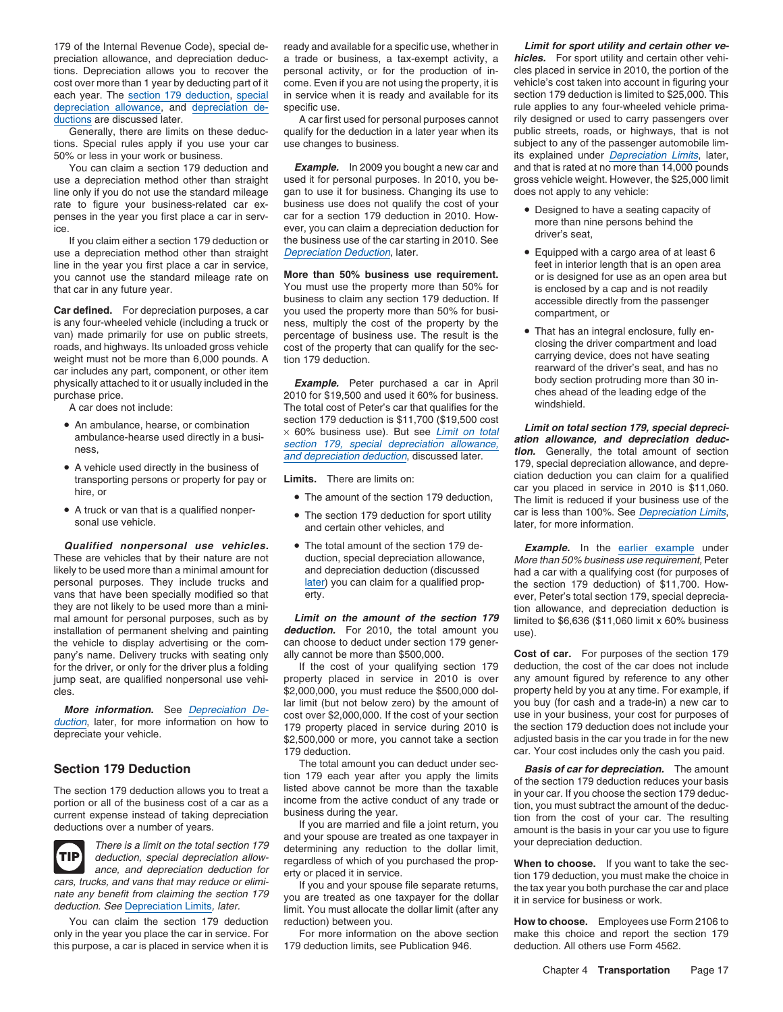preciation allowance, and depreciation deduc- a trade or business, a tax-exempt activity, a *hicles*. For sport utility and certain other vehitions. Depreciation allows you to recover the personal activity, or for the pr tions. Depreciation allows you to recover the personal activity, or for the production of incost over more than 1 year by deducting part of it come. Even if you are not using the property, it is vehicle's cost taken into account in figuring your each year. The section 179 deduction, special in service when it is ready and available for its section 179 deduction is limited to \$25,000. This depreciation allowance, and depreciation de-<br>ductions are discussed later. The applies to any four-wheeled vehicle prima-<br>A car first used for personal purposes cannot and rily designed or used to carry passengers over

tions. Special rules apply if you use your car use changes to business. The subject to any of the passenger automobile lim-50% or less in your work or business. its explained under *Depreciation Limits*, later,

use a depreciation method other than straight used it for personal purposes. In 2010, you be- gross vehicle weight. However, the \$25,000 limit line only if you do not use the standard mileage gan to use it for business. Changing its use to does not apply to any vehicle: rate to figure your business-related car ex-<br>penses in the year you first place a car in serv- car for a section 179 deduction in 2010. How-<br>penses in the year you first place a car in serv- car for a section 179 deduction

use a depreciation method other than straight Depreciation Deduction, later.<br>
line in the year you first place a car in service,<br>
feet in interior length that is an open area line in the year you first place a car in service,  $\frac{1}{100}$  More than 50% business use requirement. you cannot use the standard mileage rate on **More than 50% business use requirement.** or is designed for use as an open area but that car in any future year

van) made primarily for use on public streets, percentage of business use. The result is the<br>roads, and highways. Its unloaded gross vehicle cost of the property that can qualify for the sec-<br>weight must not be more than 6 weight must not be more than 6,000 pounds. A carrying device, does not have seating vertically be more than 6,000 pounds. A carrying device, does not have seating tion 179 deduction. car includes any part, component, or other item<br>physically attached to it or usually included in the **Example.** Peter purchased a car in April body section protruding more than 30 in-<br>purchase price. 2010 for \$19,500 and u

- 
- 
- A truck or van that is a qualified nonper-

*Qualified nonpersonal use vehicles.* • The total amount of the section 179 de-<br>These are vehicles that by their nature are not duction, special depreciation allowance, *More than 50% business use requirement*. Peter the vehicle to display advertising or the com-<br>
pany's name. Delivery trucks with seating only ally cannot be more than \$500,000. pany's name. Delivery trucks with seating only ally cannot be more than \$500,000. **Cost of car.** For purposes of the section 179 jump seat, are qualified nonpersonal use vehi-



only in the year you place the car in service. For For more information on the above section make this choice and report the section 179 this purpose, a car is placed in service when it is 179 deduction limits, see Publica this purpose, a car is placed in service when it is 179 deduction limits, see Publication 946. deduction. All others use Form 4562.

179 of the Internal Revenue Code), special de- ready and available for a specific use, whether in *Limit for sport utility and certain other ve-*

ductions are discussed later.  $\blacksquare$  A car first used for personal purposes cannot

You can claim a section 179 deduction and *Example.* In 2009 you bought a new car and and that is rated at no more than 14,000 pounds penses in the year you first place a car in serv-<br>
ice.<br>
If you claim either a section 179 deduction or<br>
If you claim either a section 179 deduction or<br>
ties a depreciation method other than straight<br>
Depreciation Deductio

that car in any future year. The state of the property more than 50% for the property more than 50% for that car in any future year. If the property more than 50% for the passenger business to claim any section 179 deducti **Car defined.** For depreciation purposes, a car you used the property more than 50% for busi-<br>is any four-wheeled vehicle (including a truck or ness, multiply the cost of the property by the van) made primarily for use on

A car does not include:<br>
The total cost of Peter's car that qualifies for the windshield. • An ambulance, hearse, or combination<br>mbulance-bearse used directly in a busi-  $\times$  60% business use). But see Limit on total

- 
- The section 179 deduction for sport utility car is less than 100%. See<br>and certain other vehicles, and later, for more information.
- 

**Limit on the amount of the section 179** limited to \$6,636 (\$11,060 limit x 60% business **deduction.** For 2010, the total amount you installation of permanent shelving and painting *deduction*. For 2010, the total amount you use).<br>the vehicle to display advertising or the com- can choose to deduct under section 179 gener-

for the driver, or only for the driver plus a folding If the cost of your qualifying section 179 deduction, the cost of the car does not include iump seat, are qualified nonpersonal use vehi-<br>
property placed in service in cles. \$2,000,000, you must reduce the \$500,000 dol- property held by you at any time. For example, if More information. See *Depreciation De*<br>duction, later, for more information on how to<br>depreciate your vehicle.<br>depreciate your vehicle. \$2,500,000 or more, you cannot take a section and a trade-in) a new car to<br>\$2,500,000

You can claim the section 179 deduction reduction) between you. **How to choose.** Employees use Form 2106 to

Generally, there are limits on these deduc- qualify for the deduction in a later year when its public streets, roads, or highways, that is not

- 
- 
- 

• An ambulance, hearse, or combination  $\times$  60% business use). But see Limit on total section 179, special depreci-<br>ambulance-hearse used directly in a business,<br>and depreciation deduction, discussed later.<br>A vehicle used • A vehicle used directly in the business of and depreciation deduction, discussed identity in the business of  $\frac{and \text{ dependent}}{179}$ , special depreciation allowance, and depre-<br>transporting persons or property for pay or **Limit** car you placed in service in 2010 is \$11,060.<br>hire, or • • • • • • The amount of the section 179 deduction. • • The limit is reduced if your business use of the The limit is reduced if your business use of the A truck or van that is a qualified nonper-<br>
Sonal use vehicle.<br>
Sonal use vehicles and origin other vehicles and contain the vehicles and later, for more information.

These are vehicles that by their nature are not duction, special depreciation allowance, More than 50% business use requirement, Peter is a unity in the duction of the term in the duction of the term in the duction of the likely to be used more than a minimal amount for and depreciation deduction (discussed had a car with a qualifying cost (for purposes of personal purposes of personal purposes of personal purposes of personal purposes of t personal purposes. They include trucks and later) you can claim for a qualified prop-<br>vans that have been specially modified so that erly. vans that have been specially modified so that erty.<br>
they are not likely to be used more than a mini-<br>
tion allowance, and depreciation deduction is they are not likely to be used more than a mini-<br>mal amount for personal purposes, such as by Limit on the amount of the section 179 limited to \$6.636 (\$11.060 limit x 60% business

179 deduction. **care includes only the cash you paid.** car. Your cost includes only the cash you paid.

Section 179 Deduction<br>
The section 179 deduction allows you to treat a<br>
listed amount you can deduct under sec-<br>
In the business cost of a car as a<br>
current expense instead of taking depreciation<br>
current expense instead o

ance, and depreciation deduction for erty or placed it in service.<br>
The tax year you both purchase the choice in the tax year you both purchase the car and place<br>
nate any benefit from claiming the section 179 you are trea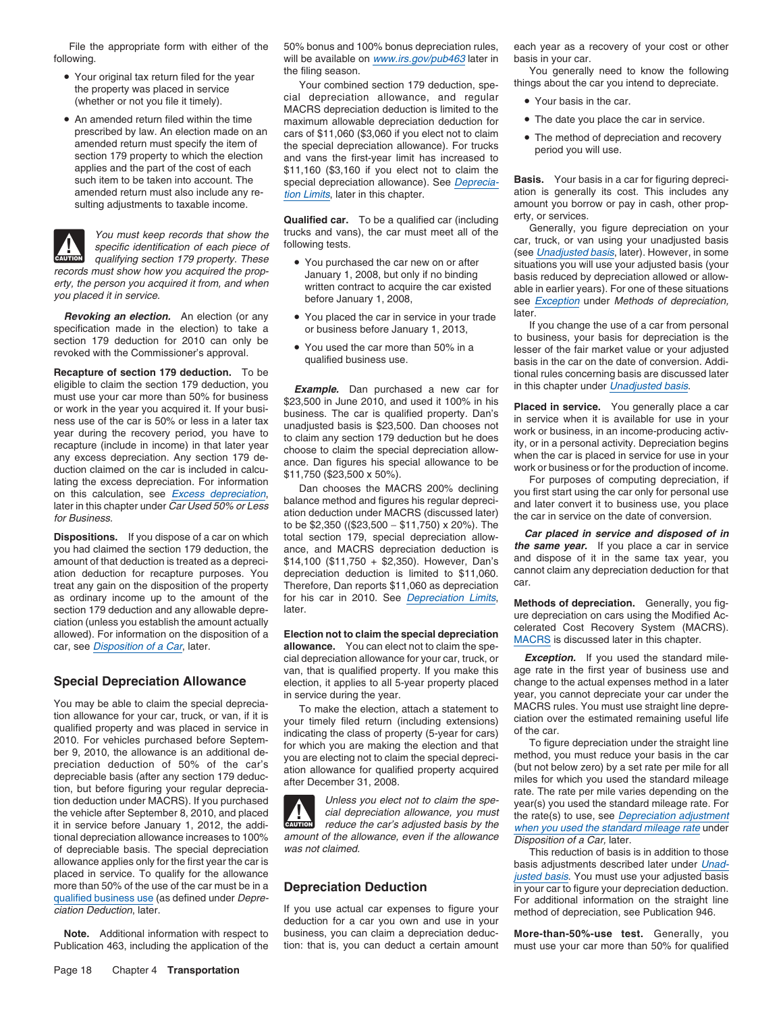following. will be available on www.irs.gov/pub463 later in basis in your car.

- 
- An amended return filed within the time



**Revoking an election.** An election (or any vertical the car in service in your trade later.<br>specification made in the election) to take a or business before January 1, 2013,<br>section 179 deduction for 2010 can only be vol

eligible to claim the section 179 deduction, you **Example.** Dan purchased a new car for must use your car more than 50% for business. must use your car more than 50% for business<br>or work in the year you acquired it. If your busi-<br>ness use of the car is 50% or less in a later tax unadjusted basis \$23,500. The 2010, and used it 100% in his<br>ness use of the

treat any gain on the disposition of the property Therefore, Dan reports \$11,060 as depreciation car.<br>as ordinary income up to the amount of the for his car in 2010. See *Depreciation Limits*, as ordinary income up to the amount of the for his car in 2010. See *Depreciation Limits*,<br>section 179 deduction and any allowable depre-<br>ciation (unless you establish the amount actually<br>allowed). For information on the d

You may be able to claim the special deprecia-<br>
tion allowance for your car, truck, or van, if it is<br>
your tion allowance for your car, truck, or van, if it is<br>
qualified property and was placed in service in service in th of depreciable basis. The special depreciation was not claimed. This reduction of basis is in addition to those allowance applies only for the first year the car is<br>
placed in service. To qualify for the allowance<br>
placed in service. To qualify for the allowance<br>
placed in service. To qualify for the allowance

File the appropriate form with either of the 50% bonus and 100% bonus depreciation rules, each year as a recovery of your cost or other

For exponent we can be properly was placed in service<br>
(whether or not you file it timely). Cial depreciation allowance, and regular whether or not you file it timely). MACRS depreciation deduction is limited to the An amended return filed within the time maximum allowable depreciation deduction for • The date you place the car in service.<br>
prescribed by law. An election made on an cars of \$11.060 (\$3.060 if you elect not to claim prescribed by law. An election made on an cars of \$11,060 (\$3,060 if you elect not to claim • The method of depreciation and recovery amended return must specify the item of the special depreciation allowance). For trucks amended return must specify the item of the special depreciation allowance). For trucks<br>section 179 property to which the election and vans the first-year limit has increased to<br>applies and the part of the cost of each  $$1$ applies and the part of the cost of each  $$11,160$  (\$3,160 if you elect not to claim the such item to be taken into account. The special depreciation allowance). See *Deprecia*such item to be taken into account. The **Basis** in a car for figuring depreci-<br>amended return must also include any re-<br>figuring limits later in this chapter<br>ation is generally its cost. This includes any

- You purchased the car new on or after
- 
- 

cial depreciation allowance for your car, truck, or *Exception.* If you used the standard milevan, that is qualified property. If you make this age rate in the first year of business use and<br>election, it applies to all 5-year property placed change to the actual expenses method in a later **Special Depreciation Allowance** election, it applies to all 5-year property placed change to the actual expenses method in a later<br>in service during the year.

**!** tional depreciation allowance increases to 100% amount of the allowance, even if the allowance  $\frac{Disposition\ of\ ac\ Car, later.}{Disposition\ of\ ac\ Cr, later.}$ 

**Note.** Additional information with respect to business, you can claim a depreciation deduc- **More-than-50%-use test.** Generally, you

• Your original tax return filed for the year<br>
the filing season.<br>
Your combined section 179 deduction, spe-<br>
things about the car you intend to depreciate.

- 
- 
- 

amended return must also include any re-<br>sulting adjustments to taxable income.<br>amount you borrow or pay in cash, other prop-<br>amount you borrow or pay in cash, other propamount you borrow or pay in cash, other prop-<br>erty, or services.

You must keep records that show the trucks and vans), the car must meet all of the specific identification on your<br>specific identification of each piece of following tests.<br>qualifying section 179 property. These vou purcha Gradually the section of the property. These the car new on or after situations you will use your adjusted basis (your property, the person you acquired it from, and when you placed it in service.<br>The person you acquired i

section 179 deduction for 2010 can only be vou used the car more than 50% in a lesser of the fair market value or your adjusted<br>In the Commissioner's approval. qualified business use. basis in the car on the date of conver **Recapture of section 179 deduction.** To be tional rules concerning basis are discussed later<br>eligible to claim the section 179 deduction, you **Fyample** Dan purchased a new car for in this chapter under *Unadjusted basis*.

when you used the standard mileage rate under

placed in service. To qualify for the allowance<br>more than 50% of the use of the car must be in a<br>qualified business use (as defined under *Depre-*<br>ciation Deduction, later.<br>ciation Deduction, later.<br>deduction for a car you

Publication 463, including the application of the tion: that is, you can deduct a certain amount must use your car more than 50% for qualified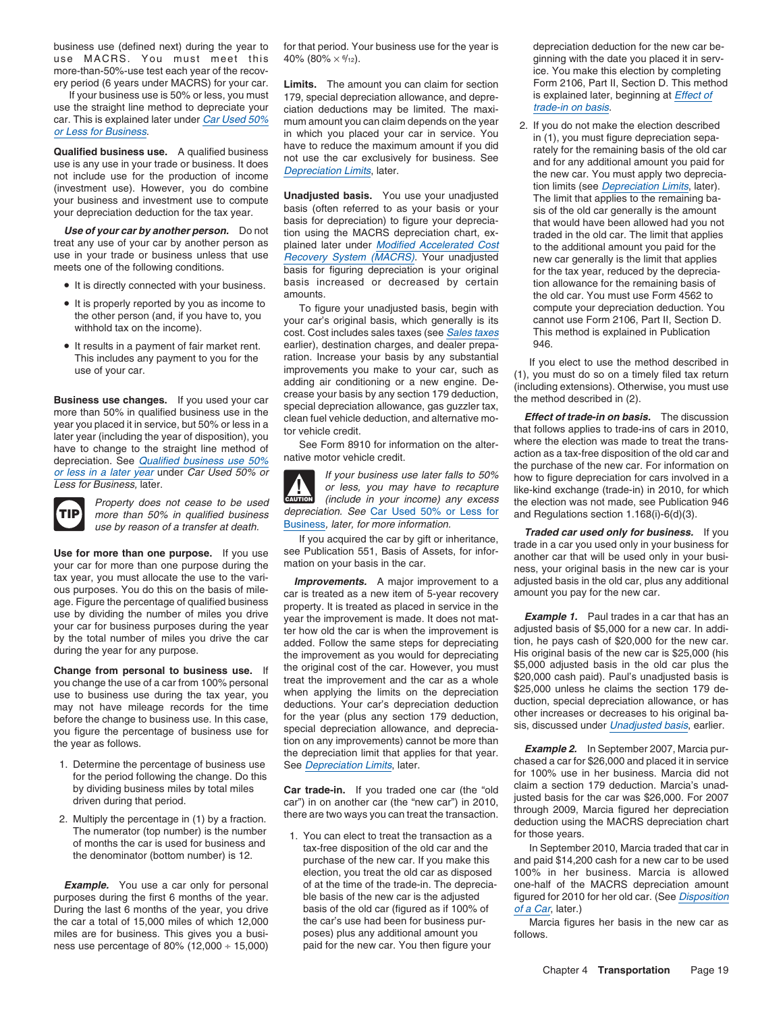business use (defined next) during the year to for that period. Your business use for the year is depreciation deduction for the new car beuse MACRS. You must meet this  $40\%$  (80%  $\times$   $6/12$ ).  $\qquad \qquad$  ginning with the date you placed it in servmore-than-50%-use test each year of the recov- ice. You make this election by completing

(investment use). However, you do combine<br>vour business and investment use to compute **Unadjusted basis.** You use your unadjusted The limit that applies to the remaining bayour business and investment use to compute **Unadjusted basis.** You use your unadjusted Your basis or your

- 
- It is properly reported by you as income to
- It results in a payment of fair market rent.

This includes any payment to you for the<br>
use of your car.<br>
improvements you make to your car, such as in the anding air conditioning or a new engine. De-<br> **Business use changes**. If you used your car<br> **Business use chang** 



Property does not cease to be used

Use for more than one purpose. If you acquired the car by gift or inheritance,<br>
Use for more than one purpose. If you use<br>
you acquired the car by gift or inheritance,<br>
you acquired the car by gift or inheritance,<br>
you acq

- 
- 

**Example.** You use a car only for personal of at the time of the trade-in. The deprecia-During the last 6 months of the year, you drive basis of the old car (figured as if 100% of of a Car, later.) the car a total of 15,000 miles of which 12,000 the car's use had been for business pur-<br>miles are for business. This gives you a busi- poses) plus any additional amount you follows. miles are for business. This gives you a busi- poses) plus any additional amount you follows. ness use percentage of 80% (12,000 ÷ 15,000) paid for the new car. You then figure your

40% (80%  $\times$  %/12).

ery period (6 years under MACRS) for your car. Limits. The amount you can claim for section Form 2106, Part II, Section D. This method If your business use is 50% or less, you must 179. special depreciation allowance. and If your business use is 50% or less, you must it allows the straight line method to depreciation at 179, special depreciation allowance, and depre-<br>use the straight line method to depreciate your ciation deductions may be ciation deductions may be limited. The maxi-

your depreciation deduction for the tax year. basis (often referred to as your basis or your sis of the old car generally is the amount basis for depreciation) to figure your deprecia-<br>basis for depreciation) to figure you **Use of your car by another person.** Do not<br>treat any use of your car by another person. Do not<br>treat any use of your car by another person as<br>treat any use of your car by another person as<br>treat any use of your car by ano • basis increased or decreased by certain tion allowance for the remaining basis of It is directly connected with your business. amounts. the old car. You must use Form 4562 to

It results in a payment of fair market rent. earlier), destination charges, and dealer prepa-<br>This includes any payment to you for the ration. Increase your basis by any substantial

**!** more than 50% in qualified business depreciation. See Car Used 50% or Less for and Regulations section 1.168(i)-6(d)(3).<br>use by reason of a transfer at death Business, later, for more information. use by reason of a transfer at death. Business, later, for more information.<br>If you acquired the car by gift or inheritance,

your car for business purposes during the year<br>by the total number of miles you drive the car<br>diversion of the car is when the improvement is<br>added. Follow the same steps for depreciating tion, he pays cash of \$20,000 for the improvement as you would for depreciating His original basis of the new car is \$25,000 (his the original cost of the car However you must \$5,000 adjusted basis in the old car plus the **Change from personal to business use.** If the original cost of the car. However, you must  $$5,000$  adjusted basis in the old car plus the you change the use of a car from 100% personal treat the improvement and the car a you miles to business use during the tax year, you when applying the limits on the depreciation \$25,000 unless he claims the section 179 de-<br>may not have mileage records for the time deductions. Your car's depreciation ded

car. This is explained later under Car Used 50% mum amount you can claim depends on the year or Less for Business.<br>
Or Less for Business.<br> **Qualified business use.** A qualified business have to reduce the maximum amount if • It is properly reported by you as income to To figure your unadjusted basis, begin with compute your depreciation deduction. You the other person (and, if you have to, you your car's original basis, which generally is it

(include in your income) any excess the election was not made, see Publication 946

the year as follows.<br>
The Depreciation Initial applies for that year.<br>
The depreciation limits, alter the percentage of business use<br>
to the period following the change. Do this<br>
to the period following the change. Do thi

election, you treat the old car as disposed 100% in her business. Marcia is allowed of at the time of the trade-in. The deprecia- one-half of the MACRS depreciation amount purposes during the first 6 months of the year. ble basis of the new car is the adjusted figured for 2010 for her old car. (See Disposition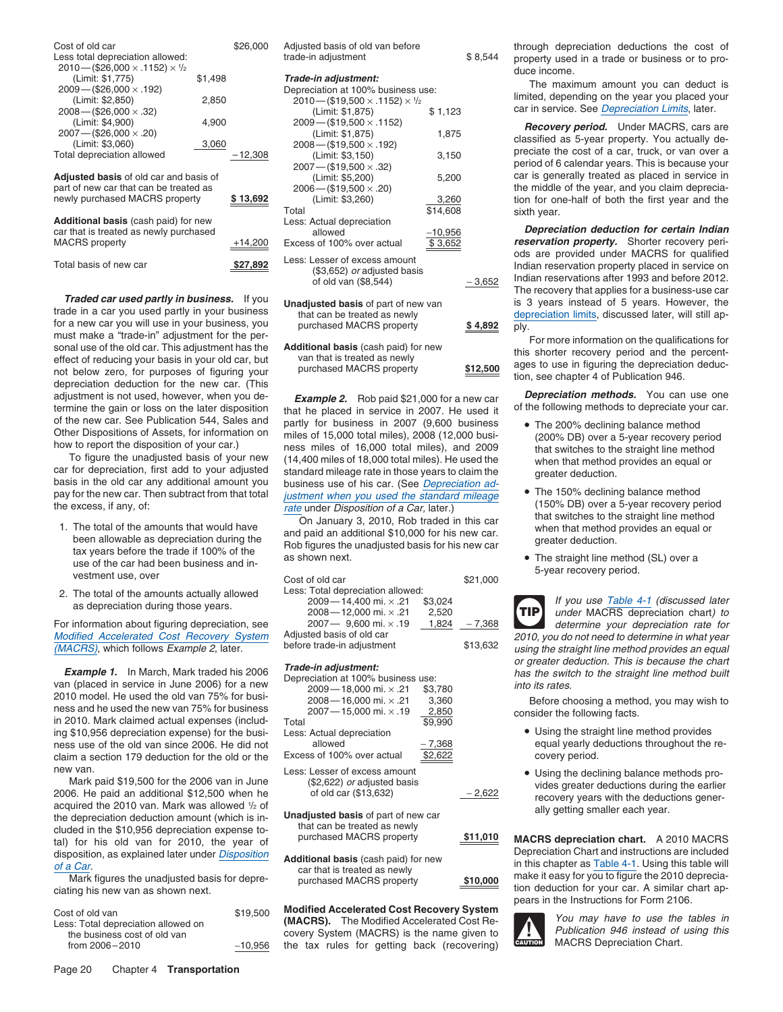| Cost of old car<br>Less total depreciation allowed:<br>$2010 - (26,000 \times .1152) \times \frac{1}{2}$ |         |       |
|----------------------------------------------------------------------------------------------------------|---------|-------|
| (Limit: \$1,775)                                                                                         | \$1.498 |       |
| $2009 - (26000 \times 0.192)$<br>(Limit: \$2,850)                                                        | 2.850   |       |
| $2008 - (26000 \times .32)$<br>(Limit: \$4,900)                                                          | 4,900   |       |
| $2007 - (26,000 \times .20)$<br>(Limit: \$3,060)<br>Total depreciation allowed                           | 3,060   | 12.30 |
| <b>Adjusted basis</b> of old car and basis of                                                            |         |       |
| part of new car that can be treated as<br>newly purchased MACRS property                                 |         |       |

| <b>Additional basis</b> (cash paid) for new |          |
|---------------------------------------------|----------|
| car that is treated as newly purchased      |          |
| <b>MACRS</b> property                       | $+14,20$ |
| Total basis of new car                      | \$27.89  |
|                                             |          |

adjustment is not used, however, when you de-<br>termine the gain or loss on the later disposition<br>of the new car. See Publication 544, Sales and<br>of the new car. See Publication 544, Sales and<br>partly for business in 2007 (9.

- tax years before the trade if 100% of the a use of the car had been business and in-<br>use of the car had been business and in-<br>vestment use, over Cost of old car servery period.
- 

Modified Accelerated Cost Recovery System Adjusted basis of old car and a managed and a call the distribution<br>MACRS), which follows Example 2, later. The before trade-in adjustment MACRS and a straight line method provides

**Example 1.** In March, Mark traded his 2006<br>
van (placed in service in June 2006) for a new Depreciation at 100% business use:<br>
2010 model. He used the old van 75% for busi-<br>
ness and he used the new van 75% for business<br> ing \$10,956 depreciation expense) for the busi-<br>ness use of the old van since 2006. He did not allowed  $-7,368$  equal yearly deductions throughout the reness use of the old van since 2006. He did not claim a section 179 deduction for the old or the Excess of 100% over actual \$2,622 covery period.

| Cost of old van                     | \$19,500  |
|-------------------------------------|-----------|
| Less: Total depreciation allowed on |           |
| the business cost of old van        |           |
| from 2006-2010                      | $-10.956$ |

| $2010 - (26000 \times 0.1152) \times \frac{1}{2}$  |           |                                                     |           | duce income.                                         |
|----------------------------------------------------|-----------|-----------------------------------------------------|-----------|------------------------------------------------------|
| (Limit: \$1,775)                                   | \$1,498   | Trade-in adjustment:                                |           | The maximum amount you can deduct is                 |
| $2009 - (26,000 \times .192)$                      |           | Depreciation at 100% business use:                  |           |                                                      |
| (Limit: \$2,850)                                   | 2,850     | $2010 - (1519,500 \times .1152) \times \frac{1}{2}$ |           | limited, depending on the year you placed your       |
| $2008 - (26,000 \times .32)$                       |           | (Limit: \$1,875)                                    | \$1,123   | car in service. See Depreciation Limits, later.      |
| (Limit: \$4,900)                                   | 4,900     | $2009 - (119,500 \times .1152)$                     |           | <b>Recovery period.</b> Under MACRS, cars are        |
| $2007 - (26,000 \times .20)$                       |           | (Limit: \$1,875)                                    | 1,875     | classified as 5-year property. You actually de-      |
| (Limit: \$3,060)                                   | 3,060     | $2008 - (19,500 \times .192)$                       |           |                                                      |
| Total depreciation allowed                         | $-12,308$ | (Limit: \$3,150)                                    | 3,150     | preciate the cost of a car, truck, or van over a     |
|                                                    |           | $2007 - (119,500 \times .32)$                       |           | period of 6 calendar years. This is because your     |
| Adjusted basis of old car and basis of             |           | (Limit: \$5,200)                                    | 5,200     | car is generally treated as placed in service in     |
| part of new car that can be treated as             |           | $2006 - (119,500 \times .20)$                       |           | the middle of the year, and you claim deprecia-      |
| newly purchased MACRS property                     | \$13,692  | (Limit: \$3,260)                                    | 3,260     | tion for one-half of both the first year and the     |
|                                                    |           | Total                                               | \$14,608  | sixth year.                                          |
| <b>Additional basis</b> (cash paid) for new        |           | Less: Actual depreciation                           |           |                                                      |
| car that is treated as newly purchased             |           | allowed                                             | $-10,956$ | Depreciation deduction for certain Indian            |
| <b>MACRS</b> property                              | $+14,200$ | Excess of 100% over actual                          | \$3,652   | reservation property. Shorter recovery peri-         |
|                                                    |           | Less: Lesser of excess amount                       |           | ods are provided under MACRS for qualified           |
| Total basis of new car                             | \$27,892  | (\$3,652) or adjusted basis                         |           | Indian reservation property placed in service on     |
|                                                    |           | of old van (\$8,544)                                | $-3,652$  | Indian reservations after 1993 and before 2012.      |
|                                                    |           |                                                     |           | The recovery that applies for a business-use car     |
| <b>Traded car used partly in business.</b> If you  |           | Unadjusted basis of part of new van                 |           | is 3 years instead of 5 years. However, the          |
| trade in a car you used partly in your business    |           | that can be treated as newly                        |           | depreciation limits, discussed later, will still ap- |
| for a new car you will use in your business, you   |           | purchased MACRS property                            | \$4,892   | ply.                                                 |
| must make a "trade-in" adjustment for the per-     |           |                                                     |           | For more information on the qualifications for       |
| sonal use of the old car. This adjustment has the  |           | Additional basis (cash paid) for new                |           |                                                      |
| effect of reducing your basis in your old car, but |           | van that is treated as newly                        |           | this shorter recovery period and the percent-        |
| not below zero, for purposes of figuring your      |           | purchased MACRS property                            | \$12,500  | ages to use in figuring the depreciation deduc-      |
| depreciation deduction for the new car. (This      |           |                                                     |           | tion, see chapter 4 of Publication 946.              |
|                                                    |           |                                                     |           |                                                      |

of the new car. See Publication 544, Sales and<br>
Other Dispositions of Assets, for information on<br>
how to report the disposition of your car.)<br>
To figure the unadjusted basis of your new (14,400 miles of 16,000 total miles) basis in the old car any additional amount you<br>
pay for the new car. Then subtract from that total *justment when you used the standard mileage* The 150% declining balance method<br>
the excess, if any, of: *The Standard mil* 

the excess, if any, of:<br>
1. The total of the amounts that would have<br>
been allowable as depreciation during the<br>
tax years before the trade if 100% of the<br>
tax years before the trade if 100% of the<br>
tax years before the tr

| vestment use, over                                                                  | Cost of old car                                                                                | \$21.000         | _ . _ _ _ _ . _ _                                                                    |
|-------------------------------------------------------------------------------------|------------------------------------------------------------------------------------------------|------------------|--------------------------------------------------------------------------------------|
| 2. The total of the amounts actually allowed<br>as depreciation during those years. | Less: Total depreciation allowed:<br>2009-14,400 mi. × .21<br>$2008 - 12,000$ mi. $\times$ .21 | \$3.024<br>2.520 | If you use Table 4-1 (discussed later<br>(TIP)<br>under MACRS depreciation chart) to |
| For information about figuring depreciation, see                                    | $2007 - 9,600$ mi. $\times$ .19                                                                | - 7,368<br>1,824 | determine your depreciation rate for                                                 |
| <b>Modified Accelerated Cost Recovery System</b>                                    | Adjusted basis of old car                                                                      |                  | 2010, you do not need to determine in what year                                      |
| (MACRS) which follows Example 2 lotar                                               | before trade-in adjustment                                                                     | \$13.632         | المستحدث وبالمستحام تستحصر والمتماعات والمستحدث والمعارض والمستحدث                   |

| <b>Example 1.</b> In March, Mark Haugu his 2006<br>van (placed in service in June 2006) for a new<br>2010 model. He used the old van 75% for busi-<br>ness and he used the new van 75% for business<br>in 2010. Mark claimed actual expenses (includ- | Depreciation at 100% business use:<br>$2009 - 18,000$ mi. $\times$ .21<br>\$3,780<br>2008-16,000 mi. × .21<br>3,360<br>2007-15,000 mi. × .19<br>2,850<br>\$9,990<br>Total |          | nas the switch to the straight line method bull.<br>into its rates.<br>Before choosing a method, you may wish to<br>consider the following facts.                         |
|-------------------------------------------------------------------------------------------------------------------------------------------------------------------------------------------------------------------------------------------------------|---------------------------------------------------------------------------------------------------------------------------------------------------------------------------|----------|---------------------------------------------------------------------------------------------------------------------------------------------------------------------------|
| ing \$10,956 depreciation expense) for the busi-<br>ness use of the old van since 2006. He did not<br>claim a section 179 deduction for the old or the                                                                                                | Less: Actual depreciation<br>$-7,368$<br>allowed<br>\$2,622<br>Excess of 100% over actual                                                                                 |          | • Using the straight line method provides<br>equal yearly deductions throughout the re-<br>covery period.                                                                 |
| new van.<br>Mark paid \$19,500 for the 2006 van in June<br>2006. He paid an additional \$12,500 when he<br>acquired the 2010 van. Mark was allowed 1/2 of<br>the depreciation deduction amount (which is in-                                          | Less: Lesser of excess amount<br>(\$2,622) or adjusted basis<br>of old car (\$13,632)<br>Unadjusted basis of part of new car<br>that can be treated as newly              | $-2,622$ | • Using the declining balance methods pro-<br>vides greater deductions during the earlier<br>recovery years with the deductions gener-<br>ally getting smaller each year. |
| cluded in the \$10,956 depreciation expense to-<br>tal) for his old van for 2010, the year of<br>disposition, as explained later under <i>Disposition</i><br>of a Car.                                                                                | purchased MACRS property<br>Additional basis (cash paid) for new                                                                                                          | \$11,010 | <b>MACRS depreciation chart.</b> A 2010 MACRS<br>Depreciation Chart and instructions are included<br>in this chapter as Table 4-1. Using this table will                  |
| Mark figures the unadjusted basis for depre-                                                                                                                                                                                                          | car that is treated as newly<br>purchased MACRS property                                                                                                                  | \$10,000 | make it easy for you to figure the 2010 deprecia<br>tion doduction for your oor A cimilar abort on                                                                        |

Modified Accelerated Cost Recovery System<br>
(MACRS). The Modified Accelerated Cost Re-<br>
Covery System (MACRS) is the name given to<br> **Covery System (MACRS)** is the name given to<br> **Covery System (MACRS)** is the name given to<br> Covery System (MACRS) is the name given to Fublication 946 instead of the tax rules for getting back (recovering) **CAUTION** MACRS Depreciation Chart.

OO Adjusted basis of old van before through depreciation deductions the cost of trade-in adjustment  $$8,544$  property used in a trade or business or to proproperty used in a trade or business or to pro-<br>duce income.

- 
- 
- 

- 
- 

tal) for his old van for 2010, the year of purchased MACRS property **\$11,010 MACRS depreciation chart.** A 2010 MACRS disposition as explained later under *Disposition* **by the set of the set of the set of the set of the** disposition, as explained later under *Disposition*<br>
of a Car.<br>
Mark figures the unadjusted basis for depre-<br>
ciating his new van as shown next.<br>
ciating his new van as shown next.<br>
Cating his new van as shown next.<br>
Catin

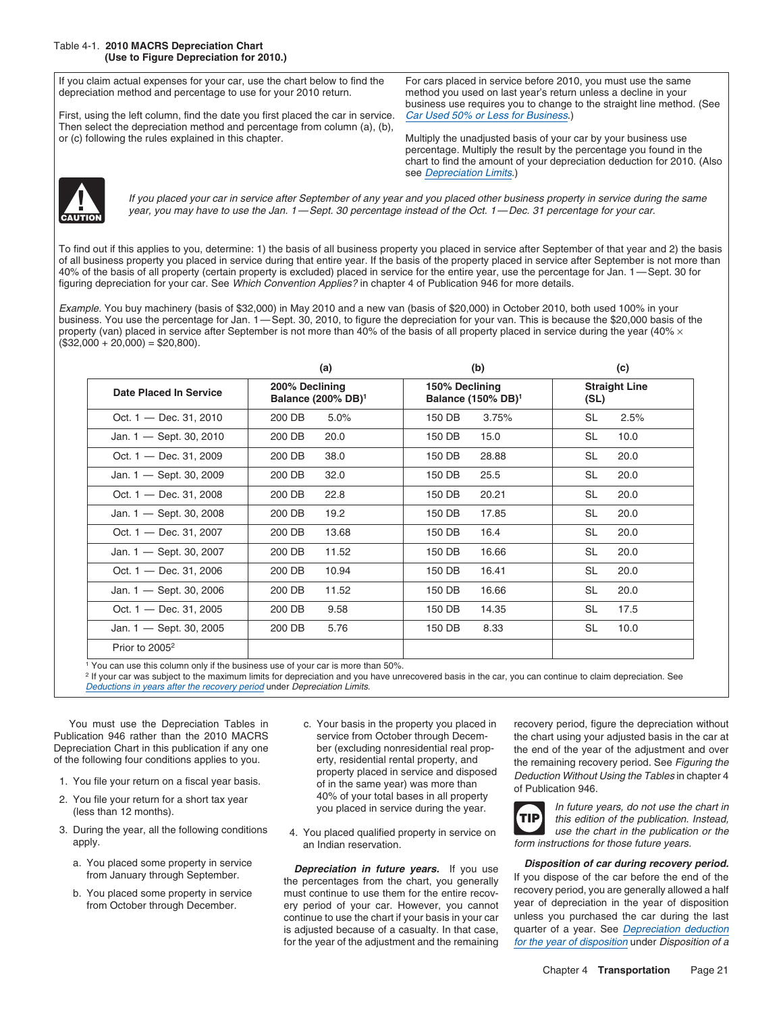depreciation method and percentage to use for your 2010 return. method you used on last year's return unless a decline in your

First, using the left column, find the date you first placed the car in service. Then select the depreciation method and percentage from column (a), (b), or (c) following the rules explained in this chapter.

If you claim actual expenses for your car, use the chart below to find the For cars placed in service before 2010, you must use the same business use requires you to change to the straight line method. (See Car Used 50% or Less for Business.)

> Multiply the unadjusted basis of your car by your business use percentage. Multiply the result by the percentage you found in the chart to find the amount of your depreciation deduction for 2010. (Also see Depreciation Limits.)



If you placed your car in service after September of any year and you placed other business property in service during the same year, you may have to use the Jan. 1—Sept. 30 percentage instead of the Oct. 1—Dec. 31 percentage for your car.

To find out if this applies to you, determine: 1) the basis of all business property you placed in service after September of that year and 2) the basis of all business property you placed in service during that entire year. If the basis of the property placed in service after September is not more than 40% of the basis of all property (certain property is excluded) placed in service for the entire year, use the percentage for Jan. 1—Sept. 30 for figuring depreciation for your car. See Which Convention Applies? in chapter 4 of Publication 946 for more details.

Example. You buy machinery (basis of \$32,000) in May 2010 and a new van (basis of \$20,000) in October 2010, both used 100% in your business. You use the percentage for Jan. 1—Sept. 30, 2010, to figure the depreciation for your van. This is because the \$20,000 basis of the property (van) placed in service after September is not more than 40% of the basis of all property placed in service during the year (40% ×  $($32,000 + 20,000) = $20,800).$ 

|                            | (a)                                  | (b)                                  | (c)                  |
|----------------------------|--------------------------------------|--------------------------------------|----------------------|
| Date Placed In Service     | 200% Declining                       | 150% Declining                       | <b>Straight Line</b> |
|                            | <b>Balance (200% DB)<sup>1</sup></b> | <b>Balance (150% DB)<sup>1</sup></b> | (SL)                 |
| Oct. $1 -$ Dec. 31, 2010   | 200 DB                               | 150 DB                               | 2.5%                 |
|                            | 5.0%                                 | 3.75%                                | SL                   |
| Jan. 1 - Sept. 30, 2010    | 200 DB                               | 150 DB                               | SL                   |
|                            | 20.0                                 | 15.0                                 | 10.0                 |
| Oct. $1 -$ Dec. 31, 2009   | 200 DB                               | 28.88                                | <b>SL</b>            |
|                            | 38.0                                 | 150 DB                               | 20.0                 |
| Jan. $1 -$ Sept. 30, 2009  | 32.0                                 | 150 DB                               | SL                   |
|                            | 200 DB                               | 25.5                                 | 20.0                 |
| Oct. $1 -$ Dec. 31, 2008   | 200 DB                               | 150 DB                               | <b>SL</b>            |
|                            | 22.8                                 | 20.21                                | 20.0                 |
| Jan. 1 - Sept. 30, 2008    | 19.2                                 | 150 DB                               | <b>SL</b>            |
|                            | 200 DB                               | 17.85                                | 20.0                 |
| Oct. $1 -$ Dec. 31, 2007   | 13.68                                | 150 DB                               | <b>SL</b>            |
|                            | 200 DB                               | 16.4                                 | 20.0                 |
| Jan. $1 -$ Sept. 30, 2007  | 200 DB                               | 16.66                                | <b>SL</b>            |
|                            | 11.52                                | 150 DB                               | 20.0                 |
| Oct. $1 -$ Dec. 31, 2006   | 200 DB                               | 150 DB                               | <b>SL</b>            |
|                            | 10.94                                | 16.41                                | 20.0                 |
| Jan. 1 - Sept. 30, 2006    | 11.52                                | 16.66                                | <b>SL</b>            |
|                            | 200 DB                               | 150 DB                               | 20.0                 |
| Oct. $1 -$ Dec. 31, 2005   | 9.58                                 | 14.35                                | <b>SL</b>            |
|                            | 200 DB                               | 150 DB                               | 17.5                 |
| Jan. 1 - Sept. 30, 2005    | 5.76                                 | 8.33                                 | SL                   |
|                            | 200 DB                               | 150 DB                               | 10.0                 |
| Prior to 2005 <sup>2</sup> |                                      |                                      |                      |

<sup>1</sup> You can use this column only if the business use of your car is more than 50%.

<sup>2</sup> If your car was subject to the maximum limits for depreciation and you have unrecovered basis in the car, you can continue to claim depreciation. See Deductions in years after the recovery period under Depreciation Limits.

- 
- 
- -
	-
- 2. You file your return for a short tax year 40% of your total bases in all property
	- an Indian reservation. Form instructions for those future years.

from October through December. ery period of your car. However, you cannot year of depreciation in the year of disposition continue to use the chart if your basis in your car unless you purchased the car during the last is adjusted because of a casualty. In that case, quarter of a year. See Depreciation deduction for the year of the adjustment and the remaining for the year of disposition under Disposition of a

You must use the Depreciation Tables in c. Your basis in the property you placed in recovery period, figure the depreciation without Publication 946 rather than the 2010 MACRS service from October through Decem-<br>Publicatio the chart using your adjusted basis in the car at Depreciation Chart in this publication if any one ber (excluding nonresidential real prop-<br>of the following four conditions applies to you. erty, residential rental property, and the remaining recovery period. See Figuring of the following four conditions applies to you. erty, residential rental property, and the remaining recovery period. See Figuring the<br>4 property placed in service and disposed *Deduction Without Using the Tables* in chap



you placed in service during the year.<br>
TIP In future years, do not use the chart in (less than 12 months).<br>
3. During the year, all the following conditions a you placed qualified property in service on use the chart in t During the year, all the following conditions 4. You placed qualified property in service on use the chart in the publication or the apply.

a. You placed some property in service **Depreciation in future years.** If you use **Disposition of car during recovery period.**<br>from January through September. The percentages from the chart, you generally the you dispose o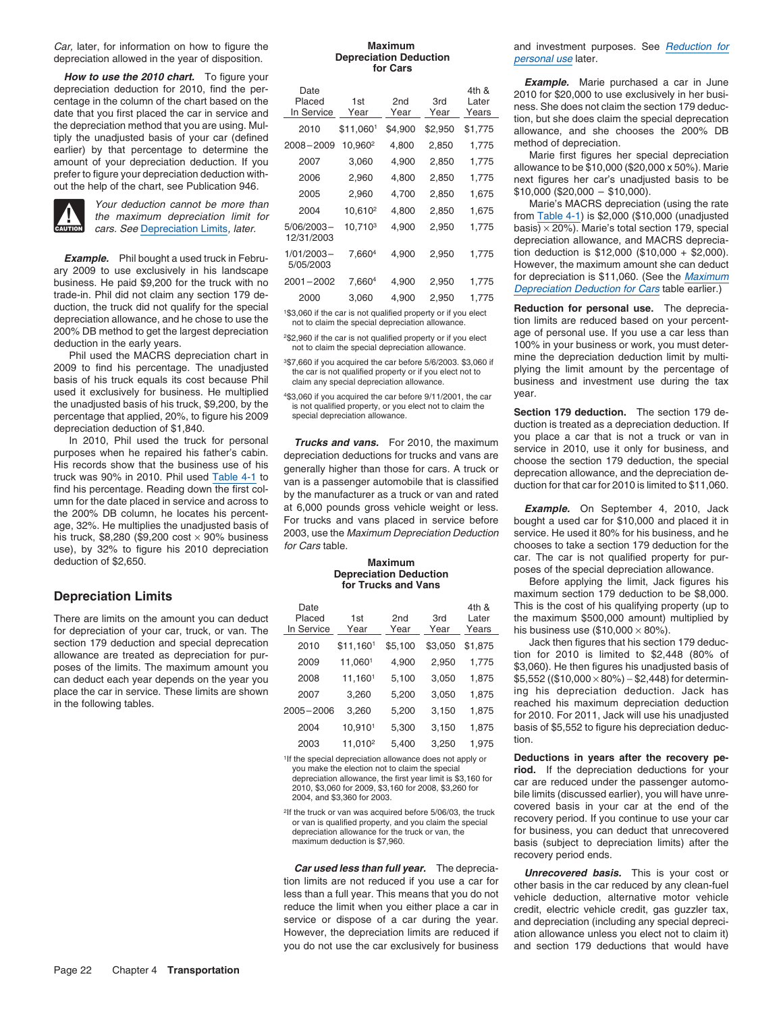depreciation allowed in the year of disposition. **Depreciation Deduction** personal use later.



duction, the truck did not quality for the special<br>depreciation allowance, and he chose to use the<br>200% DB method to get the largest depreciation<br>200% DB method to get the largest depreciation<br>200% DB method to get the lar

Phil used the MACRS depreciation chart in<br>2009 to find his percentage. The unadjusted <sup>3</sup>\$7,660 if you acquired the car before 5/6/2003. \$3,060 if mine the depreciation deduction limit by multi-<br>basis of his truck equals i used it exclusively for business. He multiplied et a stream in the carta fore 9/11/2001, the cartas and the unadjusted basis of his truck, \$9,200, by the the sinot qualified property, or you elect not to claim the section

depreciation deduction of \$1,840.<br>
In 2010, Phil used the truck for personal<br>
In 2010, Phil used the truck for personal<br>
purposes when he repaired his father's cabin.<br>
His records show that the business use of his<br>
His re

# **for Cars**

| <b>How to use the 2010 chart.</b> To figure your                                                |                                                                                                                                                                                                                                                                                                                                    |                       |                 |         |         | <b>Example.</b> Marie purchased a car in June            |
|-------------------------------------------------------------------------------------------------|------------------------------------------------------------------------------------------------------------------------------------------------------------------------------------------------------------------------------------------------------------------------------------------------------------------------------------|-----------------------|-----------------|---------|---------|----------------------------------------------------------|
| depreciation deduction for 2010, find the per-                                                  | Date                                                                                                                                                                                                                                                                                                                               |                       |                 |         | 4th &   | 2010 for \$20,000 to use exclusively in her busi-        |
| centage in the column of the chart based on the                                                 | Placed                                                                                                                                                                                                                                                                                                                             | 1st                   | 2 <sub>nd</sub> | 3rd     | Later   | ness. She does not claim the section 179 deduc-          |
| date that you first placed the car in service and                                               | In Service                                                                                                                                                                                                                                                                                                                         | Year                  | Year            | Year    | Years   | tion, but she does claim the special deprecation         |
| the depreciation method that you are using. Mul-                                                | 2010                                                                                                                                                                                                                                                                                                                               | \$11.060 <sup>1</sup> | \$4,900         | \$2,950 | \$1,775 | allowance, and she chooses the 200% DB                   |
| tiply the unadjusted basis of your car (defined<br>earlier) by that percentage to determine the | $2008 - 2009$                                                                                                                                                                                                                                                                                                                      | 10,960 <sup>2</sup>   | 4,800           | 2,850   | 1.775   | method of depreciation.                                  |
| amount of your depreciation deduction. If you                                                   | 2007                                                                                                                                                                                                                                                                                                                               | 3,060                 | 4,900           | 2,850   | 1,775   | Marie first figures her special depreciation             |
| prefer to figure your depreciation deduction with-                                              |                                                                                                                                                                                                                                                                                                                                    |                       |                 |         |         | allowance to be \$10,000 (\$20,000 x 50%). Marie         |
| out the help of the chart, see Publication 946.                                                 | 2006                                                                                                                                                                                                                                                                                                                               | 2,960                 | 4,800           | 2,850   | 1,775   | next figures her car's unadjusted basis to be            |
|                                                                                                 | 2005                                                                                                                                                                                                                                                                                                                               | 2,960                 | 4.700           | 2,850   | 1.675   | $$10,000$ (\$20,000 - \$10,000).                         |
| Your deduction cannot be more than                                                              | 2004                                                                                                                                                                                                                                                                                                                               | 10,610 <sup>2</sup>   | 4,800           | 2,850   | 1,675   | Marie's MACRS depreciation (using the rate               |
| the maximum depreciation limit for                                                              |                                                                                                                                                                                                                                                                                                                                    |                       |                 |         |         | from Table 4-1) is \$2,000 (\$10,000 (unadjusted         |
| cars. See Depreciation Limits, later.<br><b>CAUTION</b>                                         | $5/06/2003 -$                                                                                                                                                                                                                                                                                                                      | 10.7103               | 4,900           | 2,950   | 1.775   | basis) $\times$ 20%). Marie's total section 179, special |
|                                                                                                 | 12/31/2003                                                                                                                                                                                                                                                                                                                         |                       |                 |         |         | depreciation allowance, and MACRS deprecia-              |
| Phil bought a used truck in Febru-<br>Example.                                                  | $1/01/2003 -$                                                                                                                                                                                                                                                                                                                      | 7.6604                | 4,900           | 2,950   | 1.775   | tion deduction is $$12,000$ (\$10,000 + \$2,000).        |
| ary 2009 to use exclusively in his landscape                                                    | 5/05/2003                                                                                                                                                                                                                                                                                                                          |                       |                 |         |         | However, the maximum amount she can deduct               |
| business. He paid \$9,200 for the truck with no                                                 | $2001 - 2002$                                                                                                                                                                                                                                                                                                                      | 7,6604                | 4,900           | 2,950   | 1.775   | for depreciation is \$11,060. (See the Maximum           |
| trade-in. Phil did not claim any section 179 de-                                                |                                                                                                                                                                                                                                                                                                                                    |                       |                 |         |         | Depreciation Deduction for Cars table earlier.)          |
| duction, the truck did not qualify for the special                                              | 2000                                                                                                                                                                                                                                                                                                                               | 3.060                 | 4,900           | 2,950   | 1,775   |                                                          |
|                                                                                                 | $\mathbf{1}$ $\mathbf{A}$ $\mathbf{A}$ $\mathbf{A}$ $\mathbf{A}$ $\mathbf{A}$ $\mathbf{A}$ $\mathbf{A}$ $\mathbf{A}$ $\mathbf{A}$ $\mathbf{A}$ $\mathbf{A}$ $\mathbf{A}$ $\mathbf{A}$ $\mathbf{A}$ $\mathbf{A}$ $\mathbf{A}$ $\mathbf{A}$ $\mathbf{A}$ $\mathbf{A}$ $\mathbf{A}$ $\mathbf{A}$ $\mathbf{A}$ $\mathbf{A}$ $\mathbf{$ |                       |                 |         |         | <b>Reduction for personal use.</b> The deprecia-         |

| <b>DENICARIOII FIIIIIII</b>                                                                       | Date                 |                       |             |             | $4th$ &         | This is the cost of his qualifying property (up to                                           |
|---------------------------------------------------------------------------------------------------|----------------------|-----------------------|-------------|-------------|-----------------|----------------------------------------------------------------------------------------------|
| There are limits on the amount you can deduct<br>for depreciation of your car, truck, or van. The | Placed<br>In Service | 1st<br>Year           | 2nd<br>Year | 3rd<br>Year | Later<br>Years  | the maximum \$500,000 amount) multiplied by<br>his business use $(\$10,000 \times 80\%)$ .   |
| section 179 deduction and special deprecation                                                     | 2010                 | \$11.160 <sup>1</sup> | \$5.100     |             | \$3,050 \$1,875 | Jack then figures that his section 179 deduc-<br>tion for 2010 is limited to \$2,448 (80% of |
| allowance are treated as depreciation for pur-<br>poses of the limits. The maximum amount you     | 2009                 | 11.0601               | 4,900       | 2,950       | 1,775           | \$3,060). He then figures his unadjusted basis of                                            |
| can deduct each year depends on the year you                                                      | 2008                 | 11,1601               | 5.100       | 3.050       | 1.875           | \$5,552 ((\$10,000 $\times$ 80%) – \$2,448) for determin-                                    |
| place the car in service. These limits are shown<br>in the following tables.                      | 2007                 | 3.260                 | 5,200       | 3.050       | 1.875           | ing his depreciation deduction. Jack has<br>reached his maximum depreciation deduction       |
|                                                                                                   | $2005 - 2006$        | 3.260                 | 5,200       | 3.150       | 1,875           | for 2010. For 2011, Jack will use his unadjusted                                             |
|                                                                                                   | 2004                 | 10.9101               | 5,300       | 3.150       | 1.875           | basis of \$5,552 to figure his depreciation deduc-                                           |
|                                                                                                   | 2003                 | 11.010 <sup>2</sup>   | 5.400       | 3.250       | 1.975           | tion.                                                                                        |

**Car used less than full year.** The depreciation limits are not reduced if you use a car for ther basis in the car reduced by any clean-fuel less than a full year. This means that you do not vehicle deduction, alternative reduce the limit when you either place a car in credit, electric vehicle credit, gas guzzler tax,<br>service or dispose of a car during the year. and depreciation (including any special depreci-However, the depreciation limits are reduced if ation allowance unless you elect not to claim it) you do not use the car exclusively for business and section 179 deductions that would have

Car, later, for information on how to figure the **and inversion inversion contains and investment** purposes. See *Reduction for*<br>depreciation allowed in the vear of disposition **because Depreciation Deduction Depreciatio** 

200% DB method to get the largest depreciation<br>deduction in the early years.<br>Phil used the MACRS depreciation chart in<br>Phil used the MACRS depreciation chart in<br>Phil used the MACRS depreciation chart in

use), by 32% to figure his 2010 depreciation for Cars table.<br>deduction of \$2,650. **Maximum** Maximum Depreciation Deduction of \$2,650.<br>**Depreciation Deduction** Maximum poses of the special depreciation allowance.<br>**for Truck** 

**Depreciation Limits Example 19 and the case of the maximum section 179 deduction to be \$8,000.** This is the cost of his qualifying property (up to the maximum \$500,000 amount) multiplied by

If the special depreciation allowance does not apply or **Deductions in years after the recovery pe-**<br>you make the election not to claim the special **riod.** If the depreciation deductions for your you make the election not to claim the special<br>depreciation deductions for your<br>depreciation allowance, the first year limit is \$3,160 for<br>2010, \$3,060 for 2009, \$3,160 for 2008, \$3,260 for<br>bile limits (discussed earlier), <sup>2</sup>If the truck or van was acquired before 5/06/03, the truck<br>or van is qualified property, and you claim the special recovery period. If you continue to use your car depreciation allowance for the truck or van, the for business, you can deduct that unrecovered maximum deduction is \$7,960. basis (subject to depreciation limits) after the recovery period ends.

and depreciation (including any special depreci-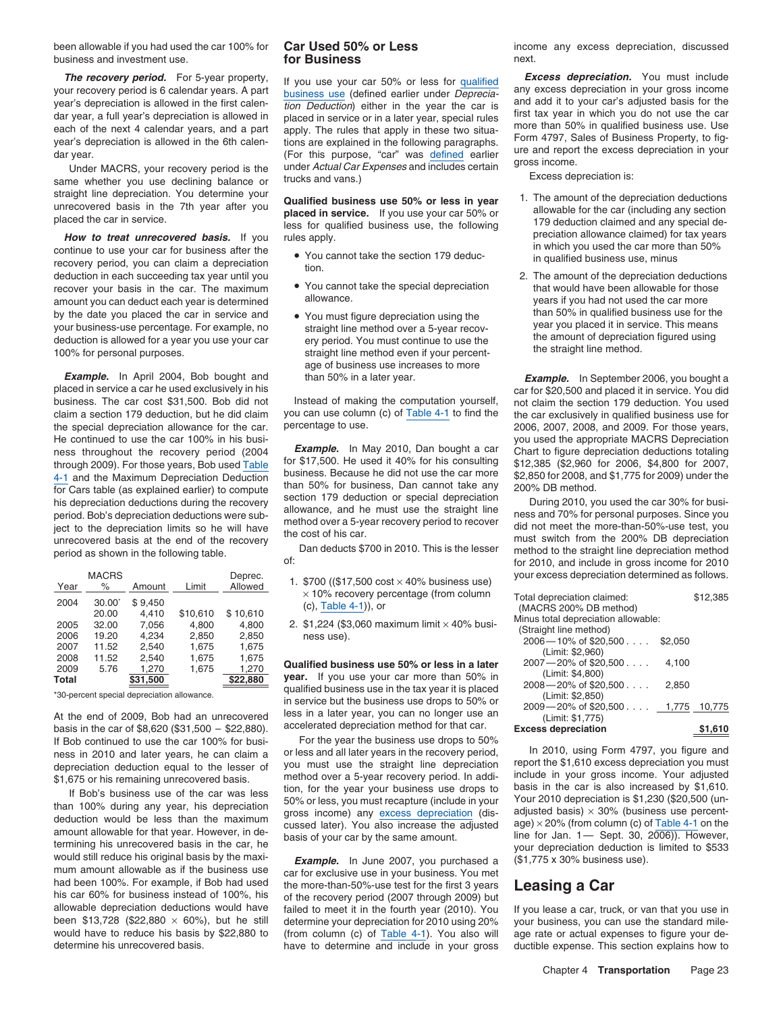business and investment use. **for Business** next.

same whether you use declining balance or

**Frechanol and the treat unrecovered basis.** If you rules apply.<br>
continue to use your car for business after the exerce in which you used the car more than 50% in which you used the car more than 50% in qualified business recovery period, you can claim a depreciation in each succeeding tax year until you tion. recover your basis in the car. The maximum  $\bullet$  You cannot take the special depreciation that would have been allowable for those<br>amount you can deduct each vear is determined allowance. amount you can deduct each year is determined by the date you placed the car in service and  $\bullet$  You must figure depreciation using the  $\bullet$  than 50% in qualified business use for the • year business-use percentage. For example, no • straight line method over a 5-vear your business-use percentage. For example, no<br>deduction is allowed for a year you use your car ery period. You must continue to use the the amount of depreciation figured using<br>100% for personal purposes. The straight line

*Example.* In April 2004, Bob bought and than 50% in a later year. *Example.* In September 2006, you bought a placed in service. You did business. The car cost \$31,500. Bob did not Instead of making the computation yourself, not claim the section 179 deduction. You used claim a section 179 deduction, but he did claim you can use column (c) of  $\frac{7 \text{able } 4-1}{1}$  to find the the car exclusively in qualified business use for the car exclusively in qualified business use for the car percenta the special depreciation allowance for the car. percentage to use. 2006, 2007, 2008, and 2009. For those years, He continued to use the car 100% in his busi-<br>ness, throughout the recovery period (2004 **Example.** In May 2010, Dan bought a car Chart to figure depreciation deductions totaling ness throughout the recovery period (2004 **Example.** In May 2010, Dan bought a car Chart to figure depreciation deductions totaling<br>through 2000) For those years Bobused Table for \$17,500. He used it 40% for his consulting through 2009). For those years, Bob used  $\frac{\text{Table}}{\text{Table}}$  for \$17,500. He used it 40% for his consulting \$12,385 (\$2,960 for 2006, \$4,800 for 2007, the Maximum Depreciation Deduction business. Because he did not use the car  $\frac{4-1}{1}$  and the Maximum Depreciation Deduction business. Because he did not use the car more \$2,850 for 2008, and  $\frac{1}{100}$  for Cars table (as explained earlier) to compute the 50% for business, Dan cannot take any For Cars table (as explained earlier) to compute than 50% for business, Dan cannot take any 200% DB method.<br>
his depreciation deductions during the recovery section 179 deduction or special depreciation buring 2010, you us

| Year         | <b>MACRS</b><br>$\%$ | Amount   | Limit    | Deprec.<br>Allowed |
|--------------|----------------------|----------|----------|--------------------|
| 2004         | $30.00^{\circ}$      | \$9.450  |          |                    |
|              | 20.00                | 4.410    | \$10.610 | \$10.610           |
| 2005         | 32.00                | 7.056    | 4.800    | 4.800              |
| 2006         | 19.20                | 4,234    | 2,850    | 2,850              |
| 2007         | 11.52                | 2.540    | 1,675    | 1.675              |
| 2008         | 11.52                | 2,540    | 1,675    | 1,675              |
| 2009         | 5.76                 | 1,270    | 1.675    | 1.270              |
| <b>Total</b> |                      | \$31,500 |          | \$22,880           |
|              |                      |          |          |                    |

basis in the car of \$8,620 (\$31,500 – \$22,880). If Bob continued to use the car 100% for busi- For the year the business use drops to 50% ness in 2010 and later years, he can claim a or less and all later years in the recovery period, In 2010, using Form 4797, you figure and ness in 2010 and later years, he can claim a or less and all later years in the reco depreciation deduction equal to the lesser of you must use the straight line depreciation report the \$1,610 excess depreciation you must<br>\$1,675 or his remaining unrecovered basis method over a 5-year recovery period. In ad

amount allowable for that year. However, in de-<br>termining his unrecovered basis in the car, he<br>would still reduce his original basis by the maxi-<br>would still reduce his original basis by the maxi-<br>would still reduce his o been \$13,728 (\$22,880  $\times$  60%), but he still determine your depreciation for 2010 using 20% would have to reduce his basis by \$22,880 to (from column (c) of Table 4-1). You also will

dar year, a full year's depreciation is allowed in placed in service or in a later year, special rules<br>each of the next 4 calendar years, and a part apply. The rules that apply in these two situa-<br>year's depreciation is al year.<br>Under MACRS, your recovery period is the under *Actual Car Expenses* and includes certain gross income.<br>The whather you use declining balance or trucks and yans.) Excess depreciation is:

- 
- 
- age of business use increases to more

- 1. \$700 ((\$17,500 cost  $\times$  40% business use) your excess depreciation determined as follows.<br> $\times$  10% recovery percentage (from column  $\frac{1}{\text{Total depreciation claimed}}$
- 

\$1,675 or his remaining unrecovered basis. The method over a 5-year recovery period. In addi-<br>If Bob's business use of the car was less tion, for the year your business use drops to basis in the car is also increased by \$

mum amount allowable as if the business use<br>had been 100%. For example, if Bob had used<br>his car 60% for business instead of 100%, his<br>allowable depreciation deductions would have<br>allowable depreciation deductions would ha allowable depreciation deductions would have failed to meet it in the fourth year (2010). You If you lease a car, truck, or van that you use in<br>been \$13,728 (\$22,880 × 60%), but he still determine your depreciation for 201 would have to reduce his basis by \$22,880 to (from column (c) of  $\frac{\text{Table 4-1}}{\text{able}}$ . You also will age rate or actual expenses to figure your de-<br>determine his unrecovered basis. have to determine and include in your gros have to determine and include in your gross ductible expense. This section explains how to

been allowable if you had used the car 100% for **Car Used 50% or Less** income any excess depreciation, discussed

**The recovery period.** For 5-year property, if you use your car 50% or less for qualified<br>your recovery period is 6 calendar years. A part business use (defined earlier under *Deprecia*-<br>year's depreciation in your gross i year's depreciation is allowed in the first calen-<br>dar year, a full year's depreciation is allowed in placed in service or in a later year special rules first tax year in which you do not use the car

- straight line depreciation. You determine your<br>unrecovered basis in the 7th year after you **Qualified business use 50% or less in year** 1. The amount of the depreciation deductions<br>placed the car in service.<br>**How to treat** 
	- $\bullet$  You cannot take the special depreciation<br> $\bullet$  You cannot take the special depreciation that would have been allowable for those

car for \$20,500 and placed it in service. You did<br>Instead of making the computation yourself, not claim the section 179 deduction. You used

period as shown in the following table.<br>Dan deducts \$700 in 2010. This is the lesser method to the straight line depreciation method<br>for 2010, and include in gross income for 2010. for 2010, and include in gross income for 2010

| 2004                                        | $30.00^{\circ}$<br>20.00 | \$9.450<br>4.410 | \$10,610                                           | \$10.610                                   | $\times$ 10% recovery percentage (from column<br>(c), Table 4-1)), or | Total depreciation claimed:<br>(MACRS 200% DB method)                   | \$12,385     |
|---------------------------------------------|--------------------------|------------------|----------------------------------------------------|--------------------------------------------|-----------------------------------------------------------------------|-------------------------------------------------------------------------|--------------|
| 2005                                        | 32.00                    | 7.056            | 4.800                                              | 4.800                                      | 2. \$1,224 (\$3,060 maximum limit $\times$ 40% busi-                  | Minus total depreciation allowable:                                     |              |
| 2006                                        | 19.20                    | 4.234            | 2.850                                              | 2.850                                      | ness use).                                                            | (Straight line method)<br>$2006 - 10\%$ of \$20,500 $\ldots$<br>\$2.050 |              |
| 2007                                        | 11.52                    | 2.540            | 1.675                                              | 1.675                                      |                                                                       | (Limit: \$2,960)                                                        |              |
| 2008                                        | 11.52                    | 2.540            | 1.675                                              | 1.675                                      | Qualified business use 50% or less in a later                         | $2007 - 20\%$ of \$20,500 $\ldots$                                      | 4.100        |
| 2009                                        | 5.76                     | 1,270            | 1.675                                              | 1,270                                      | <b>year.</b> If you use your car more than 50% in                     | (Limit: \$4,800)                                                        |              |
| Total                                       |                          | <u>\$31,500</u>  |                                                    | \$22,880                                   | qualified business use in the tax year it is placed                   | $2008 - 20\%$ of \$20,500 $\ldots$                                      | 2.850        |
| *30-percent special depreciation allowance. |                          |                  |                                                    |                                            | in service but the business use drops to 50% or                       | (Limit: \$2,850)                                                        |              |
|                                             |                          |                  |                                                    |                                            |                                                                       | $2009 - 20\%$ of \$20.500                                               | 1,775 10,775 |
|                                             |                          |                  |                                                    | At the end of 2009, Bob had an unrecovered | less in a later year, you can no longer use an                        | (Limit: \$1,775)                                                        |              |
|                                             |                          |                  | basis in the car of \$8.620 (\$31.500 – \$22.880). |                                            | accelerated depreciation method for that car.                         | <b>Excess depreciation</b>                                              | \$1.610      |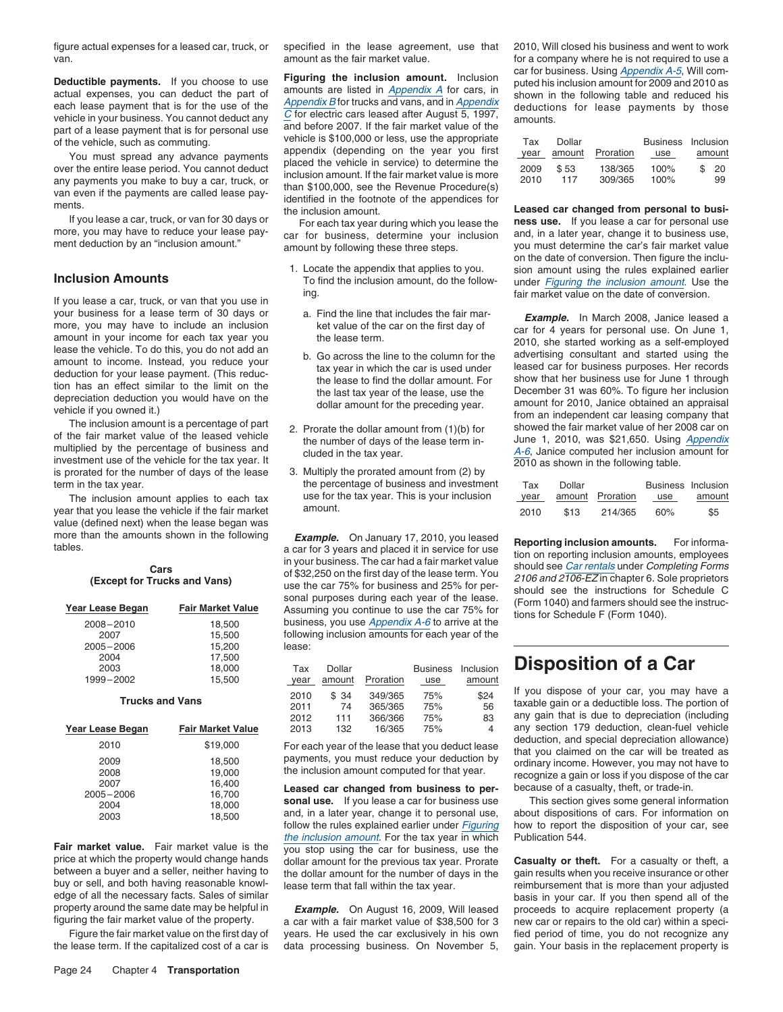van. The same variable value of the fair market value. The form a company where he is not required to use a set

of the fair market value of the leased vehicle<br>
multiplied by the percentage of business and<br>
investment use of the vehicle for the tax year. It<br>
is prorated for the number of days of the lease and<br>
is prorated for the nu term in the tax year. The tax of the percentage of business and investment

year that you lease the vehicle if the fair market value (defined next) when the lease began was

| Year Lease Began | <b>Fair Market Value</b> |
|------------------|--------------------------|
| $2008 - 2010$    | 18,500                   |
| 2007             | 15.500                   |
| $2005 - 2006$    | 15.200                   |
| 2004             | 17.500                   |
| 2003             | 18,000                   |
| 1999-2002        | 15,500                   |

| Year Lease Began                      | <b>Fair Market Value</b>             | 2013 | 132 | 16/365                                                                                                                                                                                              | 75% | any section 179 deduction, clean-fuel vehicle                                                                                                                                                 |
|---------------------------------------|--------------------------------------|------|-----|-----------------------------------------------------------------------------------------------------------------------------------------------------------------------------------------------------|-----|-----------------------------------------------------------------------------------------------------------------------------------------------------------------------------------------------|
| 2010                                  | \$19,000                             |      |     | For each year of the lease that you deduct lease                                                                                                                                                    |     | deduction, and special depreciation allowance)<br>that you claimed on the car will be treated as                                                                                              |
| 2009<br>2008                          | 18.500<br>19.000                     |      |     | payments, you must reduce your deduction by<br>the inclusion amount computed for that year.                                                                                                         |     | ordinary income. However, you may not have to<br>recognize a gain or loss if you dispose of the car                                                                                           |
| 2007<br>$2005 - 2006$<br>2004<br>2003 | 16.400<br>16.700<br>18.000<br>18.500 |      |     | Leased car changed from business to per-<br>sonal use. If you lease a car for business use<br>and, in a later year, change it to personal use,<br>follow the rules explained earlier under Figuring |     | because of a casualty, theft, or trade-in.<br>This section gives some general information<br>about dispositions of cars. For information on<br>how to report the disposition of your car, see |

**Fair market value.** Fair market value is the you stop using the car for business, use the price at which the property would change hands dollar amount for the previous tax vear. Prorate price at which the property would change hands dollar amount for the previous tax year. Prorate **Casualty or theft.** For a casualty or theft, a between a buyer and a seller, neither having to the dollar amount for the numb

figure actual expenses for a leased car, truck, or specified in the lease agreement, use that 2010, Will closed his business and went to work

**Deductible payments.** If you choose to use **Figuring the inclusion amount.** Inclusion  $\frac{1}{2}$  car for business. Using Appendix A-5, Will com-<br>actual expenses, you can deduct the part of amounts are listed in Appendix A You must spread any advance payments<br>over the entire lease period. You cannot deduct<br>any payments you make to buy a car, truck, or<br>wan even if the payments are called lease pay-<br>ments.<br>Man \$100,000, see the Revenue Procedu

more, you may have to reduce your lease pay-<br>mount by following these three staps and must determine the car's fair market value amount by following these three steps. you must determine the car's fair market value

- -
	-
- 
- The inclusion amount applies to each tax use for the tax year. This is your inclusion  $\frac{P}{P}$  are the top use amount.

more than the amounts shown in the following<br>
a car for 3 years and placed it in service for use<br>
a car for 3 years and placed it in service for use<br>
in your business. The car had a fair market value<br>
(Except for Trucks an business, you use Appendix A-6 to arrive at the following inclusion amounts for each year of the lease:

| 2003<br>1999-2002      | 18.000<br>15.500         | Tax<br>vear  | Dollar<br>amount | Proration          | <b>Business</b><br>use | Inclusion<br>amount |
|------------------------|--------------------------|--------------|------------------|--------------------|------------------------|---------------------|
| <b>Trucks and Vans</b> |                          | 2010<br>2011 | \$ 34<br>74      | 349/365<br>365/365 | 75%<br>75%             | \$24<br>56          |
|                        |                          | 2012         | 111              | 366/366            | 75%                    | 83                  |
| <b>Lease Began</b>     | <b>Fair Market Value</b> | 2013         | 132              | 16/365             | 75%                    |                     |

the inclusion amount. For the tax year in which Publication 544.

property around the same date may be helpful in **Example.** On August 16, 2009, Will leased proceeds to acquire replacement property (a<br>figuring the fair market value of the property. a car with a fair market value of \$38,5 a car with a fair market value of \$38,500 for 3 new car or repairs to the old car) within a speci-Figure the fair market value on the first day of years. He used the car exclusively in his own fied period of time, you do not recognize any the lease term. If the capitalized cost of a car is data processing business. On November 5, gain. Your basis in the replacement property is

| Tax<br>year | Dollar<br>amount | Proration | Business Inclusion<br>use |     | amount |
|-------------|------------------|-----------|---------------------------|-----|--------|
| 2009        | \$53             | 138/365   | 100%                      | \$. | 20     |
| 2010        | 117              | 309/365   | 100%                      |     | 99     |

If you lease a car, truck, or van for 30 days or the inclusion amount.<br>If you lease a car, truck, or van for 30 days or For each tax year during which you lease the **ness use.** If you lease a car for personal use more, you on the date of conversion. Then figure the inclu-1. Locate the appendix that applies to you. sion amount using the rules explained earlier<br>To find the inclusion amount, do the follow- under *Figuring the inclusion amount*. Use the<br>fair market value on the date of convers ing. fair market value on the date of conversion. If you lease a car, truck, or van that you use in

your business for a lease term of 30 days or a. Find the line that includes the fair mar-<br>ample. In March 2008, Janice leased a<br>amount in your mome for each tax year you<br>lease the vehicle. To do this, you do not add an<br>amo

| Tax  | Dollar |           | Business Inclusion |        |
|------|--------|-----------|--------------------|--------|
| year | amount | Proration | use                | amount |
| 2010 | \$13   | 214/365   | 60%                | \$5    |

### **Disposition of a Car**

Trucks and Vans<br>
2010 \$ 34 349/365 75% \$24 Trucks and Vans<br>
2011 74 365/365 75% 56 taxable gain or a deductible loss. The portion of any gain that is due to depreciation (including any section 179 deduction, clean-fuel vehicle deduction, and special depreciation allowance)

between a buyer and a seller, neither having to the dollar amount for the number of days in the gain results when you receive insurance or other<br>buy or sell, and both having reasonable knowl-<br>lease term that insurance or o buy or sell, and both having reasonable knowl-<br>
edge of all the necessary facts. Sales of similar<br>
then spend all of the edge of all the necessary facts. Sales of similar basis in your car. If you then spend all of the<br>property around the same date may be helpful in **Example**. On August 16, 2009. Will leased proceeds to acquire replacement p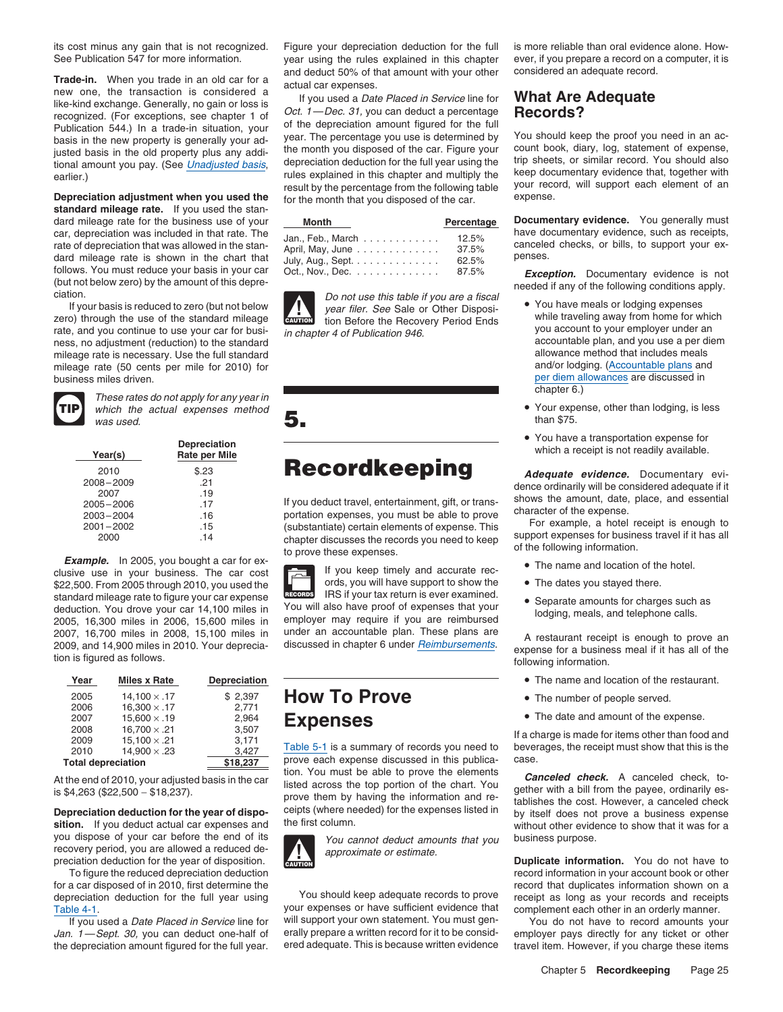Trade-in. When you trade in an old car for a<br>new one, the transaction is considered a actual car expenses.<br>like-kind exchange. Generally, no gain or loss is

**Depreciation adjustment when you used the** for the month that you disposed of the car. **Expense.** For the month that you disposed of the car. **Expense. Standard mileage rate.** If you used the stan-<br>dard mileage rate for dard mileage rate is shown in the chart that follows. You must reduce your basis in your car follows. You must reduce your basis in your car Oct., Nov., Dec.<br>
(but not below zero) by the amount of this depre-<br>
ciation. Documentary evidence is not<br>
let not below are a fiscal<br>
If your basis is reduced to zero (but n

zero) through the use of the standard mileage **bound by the Standard of Publication 946** exercy Period Ends while traveling away from home for which rate, and you continue to use your car for busi-<br>
rate, and you account t rate, and you continue to use your car for busi-<br>ness no adjustment (reduction) to the standard<br>ness no adjustment (reduction) to the standard ness, no adjustment (reduction) to the standard accountable plan, and you use a per diemection of the standard<br>Accountable plan, and you use a per diemection of the standard and you use a per diemection of the standard an<br> mileage rate is necessary. Use the full standard<br>mileage rate (50 cents per mile for 2010) for<br>mileage rate (50 cents per mile for 2010) for mileage rate (50 cents per mile for 2010) for business miles driven. **per discussed in the set of the set of the set of the set of the set of the set of the set of the set of the set of the set of the set of the set of the set of the set of the set of the set of the s** 



These rates do not apply for any year in was used. **for the conduct of the set of the set of the set of the set of the set of the set of the set of the set of the set of the set of the set of the set of the set of the set of the set of the set of the set of the s** 

| Year(s)       | <b>Depreciation</b><br>Rate per Mile |                                                      | <b>TOU TIGAC UT IT IS SO TIGHTER OF THE STATE OF THE STATE OF THE STATE OF THE STATE</b><br>which a receipt is not readily available. |
|---------------|--------------------------------------|------------------------------------------------------|---------------------------------------------------------------------------------------------------------------------------------------|
| 2010          | \$.23                                | <b>Recordkeeping</b>                                 | Adequate evidence. Documentary evi-                                                                                                   |
| $2008 - 2009$ | .21                                  |                                                      | dence ordinarily will be considered adequate if it                                                                                    |
| 2007          | .19                                  |                                                      |                                                                                                                                       |
| $2005 - 2006$ | .17                                  | If you deduct travel, entertainment, gift, or trans- | shows the amount, date, place, and essential                                                                                          |
| $2003 - 2004$ | .16                                  | portation expenses, you must be able to prove        | character of the expense.                                                                                                             |
| $2001 - 2002$ | .15                                  | (substantiate) certain elements of expense. This     | For example, a hotel receipt is enough to                                                                                             |
| 2000          | .14                                  | chapter discusses the records you need to keep       | support expenses for business travel if it has all                                                                                    |

clusive use in your business. The car cost the state of the location of the hotel. If you keep timely and accurate rec-<br>\$22.500. From 2005 through 2010, you used the ords, you will have support to show the • The dates you \$22,500. From 2005 through 2010, you used the **Calculation Constantine support to show the • Standard mileage rate to figure your car expense**. **IRS if your tax return is ever examined.** IRS if your tax return is ever examined.<br>
deduction, You drove your car 14,100 miles in You will also have proof of expenses that your deduction. You drove your car 14,100 miles in You will also have proof of expenses that your<br>2005, 16,300 miles in 2006, 15,600 miles in employer may require if you are reimbursed lodging, meals, and telephone calls.<br>2007,

| Year                      | Miles x Rate         | <b>Depreciation</b> |                                               | • The name and location of the restaurant.        |
|---------------------------|----------------------|---------------------|-----------------------------------------------|---------------------------------------------------|
| 2005                      | $14.100 \times 0.17$ | \$2,397             | <b>How To Prove</b>                           | • The number of people served.                    |
| 2006                      | $16.300 \times 0.17$ | 2.771               |                                               |                                                   |
| 2007                      | $15.600 \times .19$  | 2,964               | <b>Expenses</b>                               | • The date and amount of the expense.             |
| 2008                      | 16.700 $\times$ .21  | 3.507               |                                               |                                                   |
| 2009                      | $15.100 \times .21$  | 3.171               |                                               | If a charge is made for items other than food and |
| 2010                      | $14.900 \times .23$  | 3.427               | Table 5-1 is a summary of records you need to | beverages, the receipt must show that this is the |
| <b>Total depreciation</b> |                      | \$18,237            | prove each expense discussed in this publica- | case.                                             |

you dispose of your car before the end of its<br>recovery period, you are allowed a reduced de-<br>approximate or estimate of estimate recovery period, you are allowed a reduced de-<br>preciation deduction for the year of disposition.<br>To figure the reduced depreciation deduction<br>**Duplicate information.** You do not have to<br>record information in your account b

the depreciation amount figured for the full year. ered adequate. This is because written evidence travel item. However, if you charge these items

its cost minus any gain that is not recognized. Figure your depreciation deduction for the full is more reliable than oral evidence alone. How-See Publication 547 for more information. year using the rules explained in this chapter ever, if you prepare a record on a computer, it is and deduct 50% of that amount with vour other considered an adequate record.

like-kind exchange. Generally, no gain or loss is<br>recognized. (For exceptions, see chapter 1 of  $\frac{Oct. 1 - Dec. 31}$ , you can deduct a percentage **Records?**<br>Publication 544.) In a trade-in situation, your of the depreciation Publication 544.) In a trade-in situation, your of the depreciation amount figured for the full<br>basis in the new property is generally your ad-<br>justed basis in the old property plus any addi-<br>the month you disposed of the tional amount you pay. (See *Unadjusted basis*, depreciation deduction for the full year using the the keep documentary evidence that, together with result by the percentage from the following table sexplained in this chap

| dard mileage rate for the business use of your     | Month                      | Percentage | <b>Documentary evidence.</b> You generally must |  |
|----------------------------------------------------|----------------------------|------------|-------------------------------------------------|--|
| car, depreciation was included in that rate. The   | Jan., Feb., March $\ldots$ | 12.5%      | have documentary evidence, such as receipts,    |  |
| rate of depreciation that was allowed in the stan- | April, May, June           | 37.5%      | canceled checks, or bills, to support your ex-  |  |
| dard mileage rate is shown in the chart that       |                            | 62.5%      | penses.                                         |  |
| follows. You must reduce your basis in your car    | Oct., Nov., Dec.           | 87.5%      | <b>Exception</b> Documentary evidence is not    |  |

If your basis is reduced to zero (but not below year filer. See Sale or Other Disposi-<br>
o) through the use of the standard mileage causes tion Before the Recovery Period Ends while traveling away from home for which **!**

2001–2002 .15 (substantiate) certain elements of expense. This For example, a notel receipt is enough to chapter discusses the records you need to keep support expenses for business travel if it has all of the following in

# **How To Prove** • The number of people served.

At the end of 2010, your adjusted basis in the carries and tion. You must be able to prove the elements **Canceled check.** A canceled check, to-<br>is \$4,263 (\$22,500 – \$18,237). prove them by having the information and re-<br>pr prove them by having the information and re-<br>Depreciation deduction for the year of dispo-<br>sition of the expenses listed in by itself does not prove a business expense<br>without other evidence to show that it was for a<br>witho

depreciation deduction for the full year using You should keep adequate records to prove receipt as long as your records and receipts Your expenses or have sufficient evidence that complement each other in an orderly manne your expenses or have sufficient evidence that . complement each other in an orderly manner.<br>If you used a *Date Placed in Service* line for will support your own statement. You must gen- You do not have to record amounts If you used a Date Placed in Service line for will support your own statement. You must gen-<br>You do not have to record amounts your Jan. 1—Sept. 30, you can deduct one-half of erally prepare a written record for it to be consid- employer pays directly for any ticket or other

- 
- which the actual expenses method<br>was used.<br>was used.<br>than \$75.
	- •*E*<br> *Necordkeeping<br>
	<i>Adequate evidence.* Documentary

- 
- 
- Separate amounts for charges such as

2007, 16,700 miles in 2008, 15,100 miles in under an accountable plan. These plans are and 14,900 miles in 2010. Your deprecia- discussed in chapter 6 under *Reimbursements*.<br>The separation is figured as follows.<br>tion is f

- **The name and location of the restaurant.**
- 
- 

**sition.** If you deduct actual car expenses and the first column. The interview without other evidence to show that it was for a

record information in your account book or other for a car disposed of in 2010, first determine the record that duplicates information shown on a<br>depreciation deduction for the full year using You should keep adequate records to prove receipt as long as your records and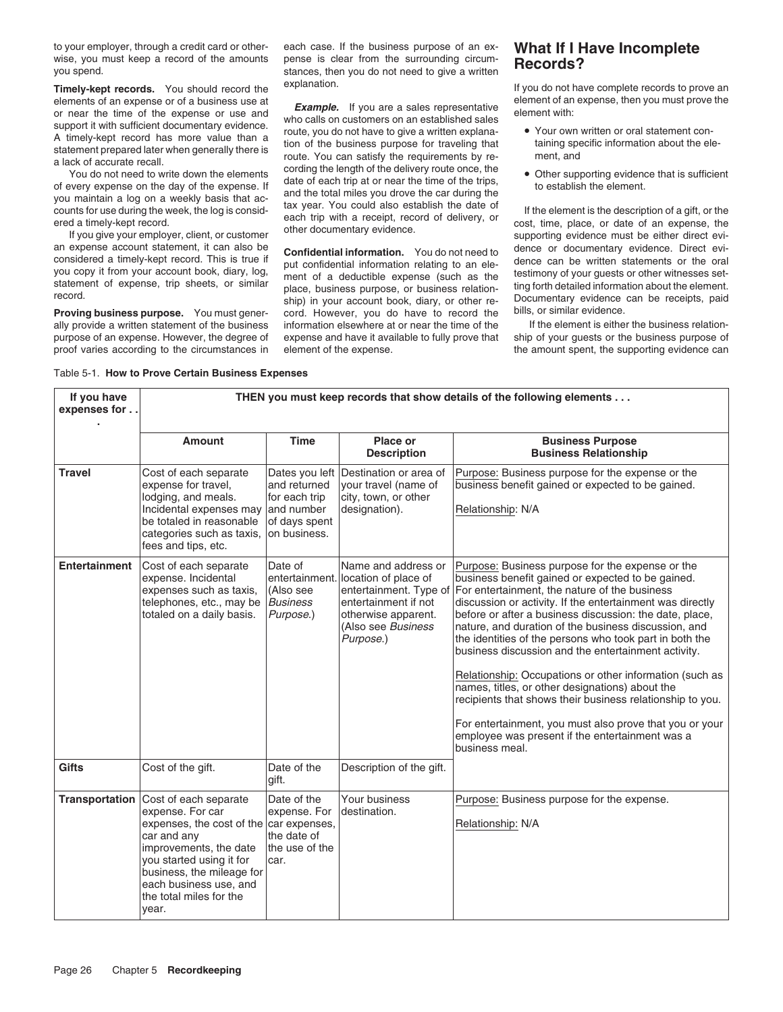an expense account statement, it can also be<br>considered a timely-kept record. This is true if<br>you copy it from your account book, diary, log, the put confidential information relating to an ele-<br>you copy it from your accou

**Proving business purpose.** You must gener- cord. However, you do have to record the bills, or similar evidence.<br>Ally provide a written statement of the business information elsewhere at or near the time of the lift the el ally provide a written statement of the business information elsewhere at or near the time of the purpose of an expense. However, the degree of expense and have it available to fully prove that ship of your guests or the business purpose of

to your employer, through a credit card or other-<br>wise, you must keep a record of the amounts pense is clear from the surrounding circum-<br>you spend.<br>stances, then you do not need to give a written<br>Records?

elements of an expense or of a business use at<br>support it with sufficient documentary evidence. Who calls on customers on an established sales<br>support it with sufficient documentary evidence. A timely-kept record has more

you copy it from your account book, diary, loy,<br>statement of expense, trip sheets, or similar<br>record.<br>**Proving business purpose**, or similar ship) in your account book, diary, or other re-<br>**Proving business purpose**. You m proof varies according to the circumstances in element of the expense. The support of the amount spent, the supporting evidence can

**Timely-kept records.** You should record the explanation. The If you do not have complete records to prove an

- 
- 

|  |  | Table 5-1. How to Prove Certain Business Expenses |  |  |
|--|--|---------------------------------------------------|--|--|
|--|--|---------------------------------------------------|--|--|

| If you have<br>expenses for. |                                                                                                                                                                                                                                                                     |                                                                                                |                                                                                                                                                                        | THEN you must keep records that show details of the following elements                                                                                                                                                                                                                                                                                                                                                                                                                                                                                                                                                                                                                                                                                              |
|------------------------------|---------------------------------------------------------------------------------------------------------------------------------------------------------------------------------------------------------------------------------------------------------------------|------------------------------------------------------------------------------------------------|------------------------------------------------------------------------------------------------------------------------------------------------------------------------|---------------------------------------------------------------------------------------------------------------------------------------------------------------------------------------------------------------------------------------------------------------------------------------------------------------------------------------------------------------------------------------------------------------------------------------------------------------------------------------------------------------------------------------------------------------------------------------------------------------------------------------------------------------------------------------------------------------------------------------------------------------------|
|                              | <b>Amount</b>                                                                                                                                                                                                                                                       | <b>Time</b>                                                                                    | Place or<br><b>Description</b>                                                                                                                                         | <b>Business Purpose</b><br><b>Business Relationship</b>                                                                                                                                                                                                                                                                                                                                                                                                                                                                                                                                                                                                                                                                                                             |
| <b>Travel</b>                | Cost of each separate<br>expense for travel,<br>lodging, and meals.<br>Incidental expenses may<br>be totaled in reasonable<br>categories such as taxis.<br>fees and tips, etc.                                                                                      | Dates you left<br>and returned<br>for each trip<br>and number<br>of days spent<br>on business. | Destination or area of<br>your travel (name of<br>city, town, or other<br>designation).                                                                                | Purpose: Business purpose for the expense or the<br>business benefit gained or expected to be gained.<br>Relationship: N/A                                                                                                                                                                                                                                                                                                                                                                                                                                                                                                                                                                                                                                          |
| <b>Entertainment</b>         | Cost of each separate<br>expense. Incidental<br>expenses such as taxis,<br>telephones, etc., may be<br>totaled on a daily basis.                                                                                                                                    | Date of<br>(Also see<br><b>Business</b><br>Purpose.)                                           | Name and address or<br>entertainment. location of place of<br>entertainment. Type of<br>entertainment if not<br>otherwise apparent.<br>(Also see Business<br>Purpose.) | Purpose: Business purpose for the expense or the<br>business benefit gained or expected to be gained.<br>For entertainment, the nature of the business<br>discussion or activity. If the entertainment was directly<br>before or after a business discussion: the date, place,<br>nature, and duration of the business discussion, and<br>the identities of the persons who took part in both the<br>business discussion and the entertainment activity.<br>Relationship: Occupations or other information (such as<br>names, titles, or other designations) about the<br>recipients that shows their business relationship to you.<br>For entertainment, you must also prove that you or your<br>employee was present if the entertainment was a<br>business meal. |
| <b>Gifts</b>                 | Cost of the gift.                                                                                                                                                                                                                                                   | Date of the<br>gift.                                                                           | Description of the gift.                                                                                                                                               |                                                                                                                                                                                                                                                                                                                                                                                                                                                                                                                                                                                                                                                                                                                                                                     |
|                              | Transportation Cost of each separate<br>expense. For car<br>expenses, the cost of the car expenses,<br>car and any<br>improvements, the date<br>you started using it for<br>business, the mileage for<br>each business use, and<br>the total miles for the<br>year. | Date of the<br>expense. For<br>the date of<br>the use of the<br>car.                           | Your business<br>destination.                                                                                                                                          | Purpose: Business purpose for the expense.<br>Relationship: N/A                                                                                                                                                                                                                                                                                                                                                                                                                                                                                                                                                                                                                                                                                                     |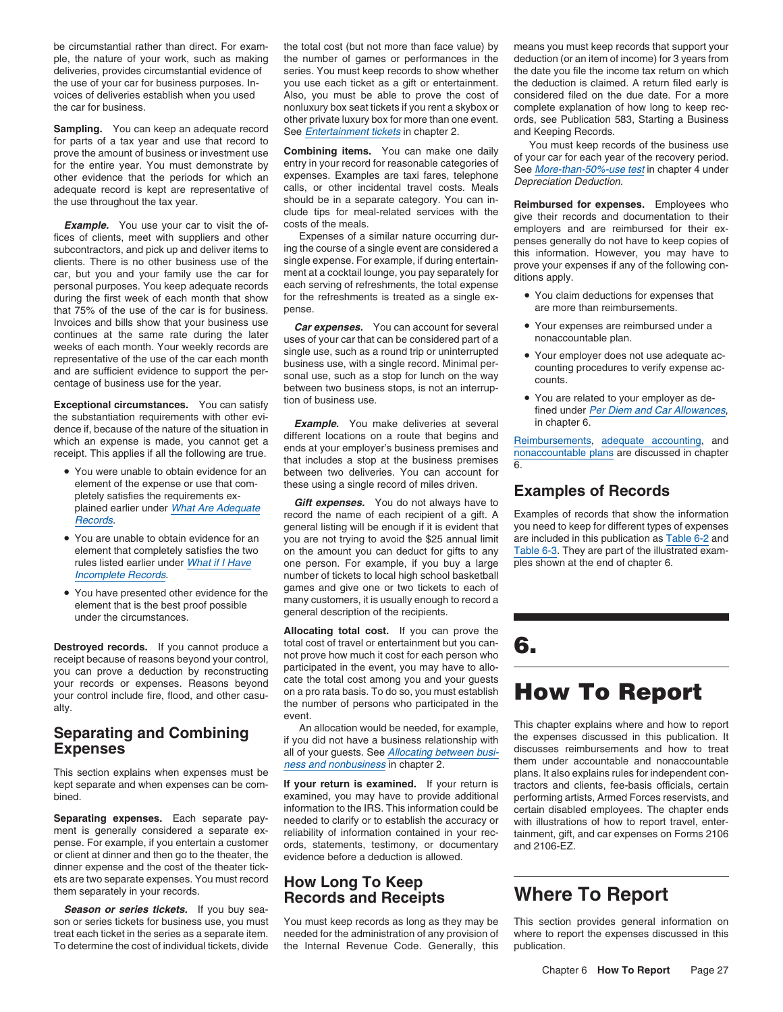ple, the nature of your work, such as making the number of games or performances in the deduction (or an item of income) for 3 years from deliveries, provides circumstantial evidence of series. You must keep records to show whether the date you file the income tax return on which the use of your car for business purposes. In-<br>voices of deliveries establish when vou used Also, you must be able to prove the cost of considered filed on the due date. For a more

**Sampling.** You can keep an adequate record<br>for parts of a tax year and use that record to ther private luxury box for more than one event. The ords, see Publication 583, Starting a Business<br>for parts of a tax year and use

that 75% of the use of the car is for business. Invoices and bills show that your business use **Car expenses.** You can account for several • Your expenses are reimbursed under a continues at the same rate during the later uses of your car that can be considered part of

**Exceptional circumstances.** You can satisfy tion of business use.<br>the substantiation requirements with other evi-<br>dence if, because of the nature of the situation in<br>which an expense is made, you cannot get a<br>receipt. Th

- You were unable to obtain evidence for an element of the expense or use that com- these using a single record of miles driven. Solution and the second of the state of **Examples of Records**<br>pletely satisfies the requirements ex-<br>plained earlier under <u>What Are Adequate</u><br>Records.<br>Records.<br>Records.<br>Seneral listing will be enough if it is evident that
- You are unable to obtain evidence for an
- You have presented other evidence for the many customers, it is usually enough to record a element that is the best proof possible under the circumstances.

kept separate and when expenses can be com- **If your return is examined.** If your return is tractors and clients, fee-basis officials, certain

or client at dinner and then go to the theater, the evidence before a deduction is allowed. dinner expense and the cost of the theater tickets are two separate expenses. You must record **How Long To Keep** them separately in your records. **Records and Receipts Where To Report**

*Season or series tickets.* If you buy season or series tickets for business use, you must You must keep records as long as they may be This section provides general information on treat each ticket in the series as a separate item. needed for the administration of any provision of where to report the expenses discussed in this To determine the cost of individual tickets, divide the Internal Revenue Code. Generally, this publication.

be circumstantial rather than direct. For exam- the total cost (but not more than face value) by means you must keep records that support your Also, you must be able to prove the cost of considered filed on the due date. For a more the car for business. The complete explanation of how long to keep rec-

during the first week of each month that show for the refreshments is treated as a single ex-<br>that 75% of the use of the car is for business pense.

representative of the use of the car each month<br>and are sufficient evidence to support the per-<br>centage of business use for the year.<br>between two business stops, is not an interrup-<br>between two business stops, is not an in

between two deliveries. You can account for

You are unable to obtain evidence for an you are not trying to avoid the \$25 annual limit are included in this publication as Table 6-2 and element that completely satisfies the two on the amount you can deduct for gifts t element that completely satisfies the two on the amount you can deduct for gifts to any  $\frac{7 \text{able } 6-3}{1}$ . They are part of the illustrated exam-<br>rules listed earlier under *What if I Have* one person. For example, if yo one person. For example, if you buy a large Incomplete Records. The number of tickets to local high school basketball You have presented other evidence for the games and give one or two tickets to each of

**Allocating total cost.** If you can prove the Destroyed records. If you cannot produce a<br>receipt because of reasons beyond your control, not prove how much it cost for each person who<br>you can prove a deduction by reconstructing participated in the event, you may have

information to the IRS. This information could be<br>Separating expenses. Each separate pay-<br>ment is generally considered a separate ex-<br>pense. For example, if you entertain a customer creation of the information contained in

the use throughout the tax year.<br> **Example.** You use your car to visit the of-<br> **Example.** You use your car to visit the of-<br>
fices of clients, meet with suppliers and other<br>
fices of clients, meet with suppliers and other

- You claim deductions for expenses that
- 
- 
- 

**Separating and Combining**<br> **Expenses** and **Combining**<br>
In allocation would be needed, for example, This chapter explains where and how to report<br>
all of your guests. See *Allocating between busi*-<br>
This section explains w bined. examined, you may have to provide additional performing artists, Armed Forces reservists, and<br>information to the IRS. This information could be certain disabled employees. The chapter ends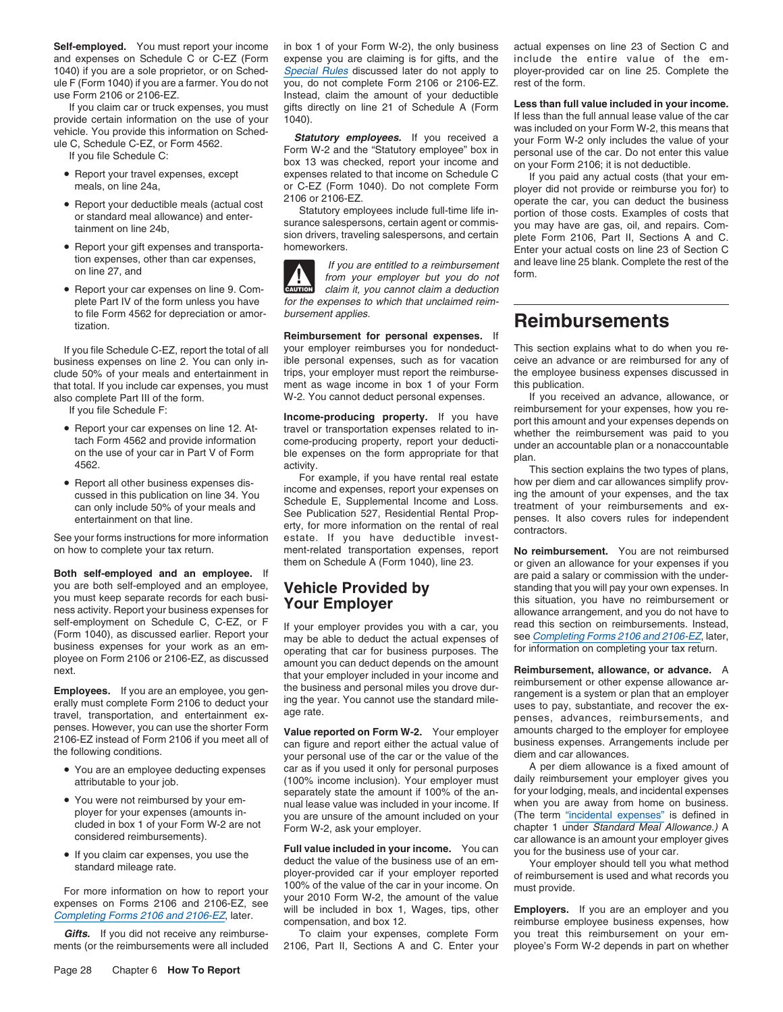- Report your travel expenses, except
- 
- Report your gift expenses and transporta-
- to file Form 4562 for depreciation or amor-<br>bursement applies. tization.

business expenses on line 2. You can only in-<br>clude 50% of your meals and entertainment in trips, your employer must report the reimburse- the employee business expenses discussed in clude 50% of your meals and entertainment in trips, your employer must report the reimburse- the employee busi<br>that total, if you include car expenses, you must ment as wage income in box 1 of your Form this publication. that total. If you include car expenses, you must ment as wage income in box 1 of your Form this publication.<br>also complete Part III of the form. W-2. You cannot deduct personal expenses. If you received an advance, allowa

- 
- 

on how to complete your tax return. ment-related transportation expenses, report **No reimbursement.** You are not reimbursed

self-employment on Schedule C, C-EZ, or F<br>(Form 1040), as discussed earlier. Report your<br>business expenses for your work as an em-<br>business purposes The for information on completing your tax return.

- 
- 
- 

ule F (Form 1040) if you are a farmer. You do not you, do not complete Form 2106 or 2106-EZ. rest of the form.<br>use Form 2106 or 2106-EZ. Instead, claim the amount of your deductible

Report your travel expenses, except expenses related to that income on Schedule C if you paid any actual costs (that your em-<br>meals, on line 24a, on the 24a, on line 24a, our or C-EZ (Form 1040). Do not complete Form plove or C-EZ (Form 1040). Do not complete Form sployer did not provide or reimburse you for) to car when the business

• Report your car expenses on line 9. Com- **CAUTION** claim it, you cannot claim a deduction **!** plete Part IV of the form unless you have for the expenses to which that unclaimed reim-

**Reimbursement for personal expenses.** If If you file Schedule C-EZ, report the total of all your employer reimburses you for nondeduct-<br>usiness expenses on line 2. You can only in-<br>libe personal expenses on line 2. You can only in-<br>libe personal expenses, such as

• Report your car expenses on line 12. At travel or transportation expenses related to in-<br>tach Form 4562 and provide information<br>on the use of your car in Part V of Form be expenses on the form appropriate for that<br>4562.<br>

• Report all other business expenses dis-<br>cussed in this publication on line 34. You<br>can only include 50% of your meals and<br>can only include 50% of your meals and<br>experimental income and dex-<br>entertainment on that line.<br>Se

You are an employee deducting expenses car as if you used it only for personal purposes A per diem allowance is a fixed amount of • You are an employer gives you • attributable to your inb attributable to your job. <sup>100%</sup> income inclusion). Your employer must daily reimbursement your employer gives you<br>separately state the amount if 100% of the an- for your lodging, meals, and incidental expenses separately state the amount if 100% of the an-<br>• You were not reimbursed by your em-<br>• Nou were not reimbursed by your em-<br>• nual lease value was included in your income. If when you are away from home on business. ployer for your expenses (amounts in-<br>cluded in box 1 of your Form W-2 are not<br>a Form W-2 ask your employer and the direct of the standard Meal Allowance ) A

considered reimbursements).<br>• If you claim car expenses, you use the **Full value included in your income.** You can you for the business use of your car.<br>• Hou claim car expenses, you use the **readily deduct the value of th** deduct the value of the business use of an em-<br>standard mileage rate.<br>100% of the value of the car in your employer reported<br>100% of the value of the car in your income. On must provide For more information on how to report your 100% of the value of the car in your income. On must provide.<br>expenses on Forms 2106 and 2106-EZ, see will be included in box 1, Wages, tips, other **Employers.** If you are an empl

**Self-employed.** You must report your income in box 1 of your Form W-2), the only business actual expenses on line 23 of Section C and and expenses on Schedule C or C-EZ (Form expense you are claiming is for gifts, and the include the entire value of the em-1040) if you are a sole proprietor, or on Sched-<br>
Special Rules discussed later do not apply to ployer-provided car on line 25. Complete the

use Form 2106 or 2106-EZ.<br>
Instead, claim the amount of your deductible<br>
If you claim car or truck expenses, you must<br>
provide certain information on the use of your<br>
provide certain information on the use of your<br>
vehicle

• Report your deductible meals (actual cost and actual cost and actual cost and actual cost and actor of 2106-EZ.<br>Constant of those costs. Examples of costs that • Report your deductible meals (actual cost<br>or standard meal allowance) and enter-<br>tainment on line 24b,<br>sion drivers, traveling salespersons, and certain<br>sion drivers, traveling salespersons, and certain<br>sion drivers, tra Report your gift expenses and transporta-<br>
tion expenses, other than car expenses,<br>
the conservant and leave line 25 blank. Complete the rest of the tion expenses, other than car expenses,  $\begin{array}{c} \text{If you are entitled to a reimbursement} \\ \text{on line 27, and} \end{array}$  consider the rest of the Interval on line 27, and

W-2. You cannot deduct personal expenses. If you received an advance, allowance, or<br>-eimbursement for your expenses, how you re-If you file Schedule F:<br>■ Income-producing property. If you have port this amount and your expenses depends on<br>■ Peport your car expenses on line 12. At • • travel or transportation expenses related to in-<br>whether the rei

them on Schedule A (Form 1040), line 23. or given an allowance for your expenses if you **Both self-employed and an employee.** If are paid a salary or commission with the under-<br>you are both self-employed and an employee, **Vahicle Provided by** standing that you will pay your own expenses. In you are both self-employed and an employee, **Vehicle Provided by** standing that you will pay your own expenses. In<br>you must keep separate records for each busi-<br>**Vour Employer** and the situation, you have no reimbursement you must keep separate records for each busi-<br>ness activity. Report your business expenses for **Your Employer**<br>self-employment on Schedule C, C-EZ, or F and your employer provides you with a car you read this section on re

business expenses for your work as an em-<br>
ployee on Form 2106 or 2106-EZ, as discussed<br>
mext.<br> **Employees.** If you are an employee, you gen-<br>
that your employer included in your income and<br> **Employees.** If you are an empl

cluded in box 1 of your Form W-2 are not Form W-2, ask your employer.<br>considered reimbursements).

Gifts. If you did not receive any reimburse-<br>
To claim your expenses, complete Form your treat this reimbursement on your expenses, complete Form your emments (or the reimbursements were all included 2106, Part II, Sections A and C. Enter your ployee's Form W-2 depends in part on whether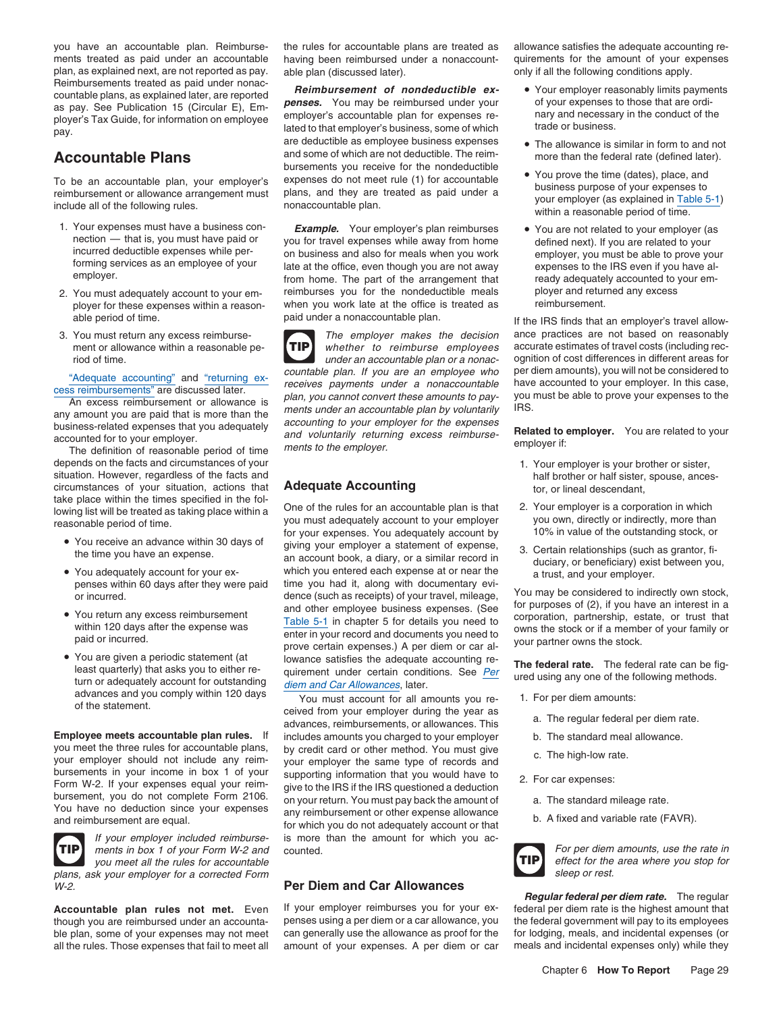you have an accountable plan. Reimburse- the rules for accountable plans are treated as allowance satisfies the adequate accounting rements treated as paid under an accountable having been reimbursed under a nonaccount- quirements for the amount of your expenses plan, as explained next, are not reported as pay. able plan (discussed later). plan, as explained next, are not reported as pay. able plan (discussed later).<br>Reimbursements treated as paid under nonace

- 
- 
- 

depends on the facts and circumstances of your depends on the facts and circumstances of your depends of the facts and the structure of the facts and the structure or sister, spouse, ances are the facts and the structure o circumstances of your situation, actions that **Adequate Accounting** tor, or lineal descendant, take place within the times specified in the fol-

- You receive an advance within 30 days of
- You adequately account for your ex-
- 
- You are given a periodic statement (at • You are given a periodic statement (at lowance satisfies the adequate accounting re-<br>least quarterly) that asks you to either re-<br>turn or adequately account for outstanding<br>advances and you comply within 120 days<br>of the

**Employee meets accountable plan rules.** If includes amounts you charged to your employer b. The standard meal allowance.



ments in box 1 of your Form W-2 and counted.<br>
you meet all the rules for accountable the state in the area where you stop for you meet all the rules for accountable effect for the area when  $\Box$  area where  $\Box$  area where  $\Box$  area where  $\Box$  area where  $\Box$  area where  $\Box$  area where  $\Box$  area where  $\Box$  area where  $\Box$  area where  $\Box$  area when plans, ask your employer for a corrected Form W-2. **Per Diem and Car Allowances**

though you are reimbursed under an accounta- penses using a per diem or a car allowance, you the federal government will pay to its employees ble plan, some of your expenses may not meet can generally use the allowance as proof for the for lodging, meals, and incidental expenses (or all the rules. Those expenses that fail to meet all amount of your expenses. A p

Reimbursement of nondeductible ex-<br>
countable plans, as explained later, are reported<br>
as pay. See Publication 15 (Circular E), Em-<br>
ployer's accountable plan for expenses re-<br>
ployer's Tax Guide, for information on employ Accountable Plans and some of which are not deductible. The reim-<br>more than the federal rate (defined later). bursements you receive for the nondeductible

1. Your expenses must have a business con-<br>
nection — that is, you must have paid or<br>
incurred deductible expenses while per-<br>
forming services as an employee of your<br>
forming services as an employee of your<br>
forming servi 2. You must adequately account to your em-<br>
reimburses you for the nondeductible meals ployer and returned any excess<br>
ployer for these expenses within a reason-<br>
when you work late at the office is treated as reimbursemen ployer for these expenses within a reason-<br>when you work late at the office is treated as

ment or allowance within a reasonable pe-  $\begin{bmatrix} TIP \end{bmatrix}$  whether to reimburse employees riod of time.<br>
under an accountable plan and an employee who per diem amounts), you will not be considered to **TIP** "Adequate accounting" and "returning exertion of the considered to receives payments under a nonaccountable have accountable to your employer. In this case,<br>
An excess reimbursements" are discussed later.<br>
An excess reimbu

take place within the times specified in the fol-<br>lowing list will be treated as taking place within a convert for an accountable plan is that 2. Your employer is a corporation in which<br>you must adequately account to your You receive an advance within 30 days of giving your employer a statement of expense, 3. Certain relationships (such as grantor, fi-<br>the time you have an expense. an account book, a diary, or a similar record in duciary, o You adequately account for your ex-<br>penses within 60 days after they were paid time you had it, along with documentary evi-<br>within 60 days after they were paid time you had it, along with documentary evior incurred.<br>
Table 5-1 in chapter 5 for details you need to experiment and other employee business expenses. (See the corporation, partnership, estate, or trust that with the current can be considered to indirectly own st • You return any excess reimbursement<br>within 120 days after the expense was<br>paid or incurred.<br>paid or incurred.<br>paid or incurred.<br>paid or incurred.<br>paid or incurred.<br>paid or incurred.<br>paid or incurred.<br>paid or incurred.<br>pr

vour employer should not include any reim-<br>bursements in your income in box 1 of your employer the same type of records and<br>bursements in your income in box 1 of your employer the same type of records and<br>Form W-2. If your If your employer included reimburse- is more than the amount for which you ac-

all the rules. Those expenses that fail to meet all amount of your expenses. A per diem or car

- 
- The allowance is similar in form to and not
- You prove the time (dates), place, and To be an accountable plan, your employer's expenses do not meet rule (1) for accountable  $\bullet$  You prove the time (dates), place, and business purpose of your expenses to reimbursement or allowance arrangement must plans, a
	-

able period of time. **paid under a nonaccountable plan.** If the IRS finds that an employer's travel allow-3. You must return any excess reimburse-<br>ment or allowance within a reasonable pe-<br>whether to reimburse employees accurate estimates of travel costs (including rec-

- **Adequate Accounting**<br>**Adequate Accounting** the fact of the fact of the fact of the fact of the fact of the fact of the fact of the fact of the fact of the fact of the fact of the fact of the fact of the fact of the fact o
	-
	-

- -
	-
	-
- -
	-



*Regular federal per diem rate.* The regular Accountable plan rules not met. Even If your employer reimburses you for your ex-<br>though you are reimbursed under an accounta- penses using a per diem or a car allowance, you the federal government will pay to its employee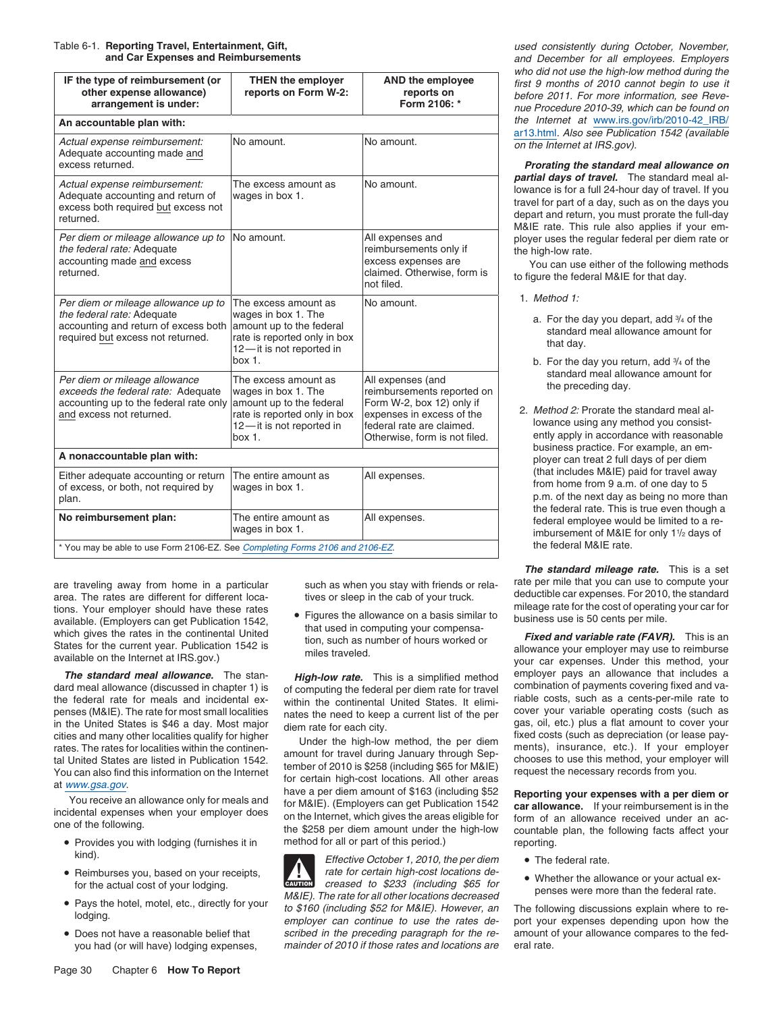## Table 6-1. **Reporting Travel, Entertainment, Gift,** and the state of the consistently during October, November, November, and Car Expenses and Reimbursements and Car Expenses and Reimbursements and December for all employe

|                                                                                                                                                |                                                                                                                                                  |                                                                                                                                                                         | who did not use the high-low method during the                                                                                                                                                                                                                 |
|------------------------------------------------------------------------------------------------------------------------------------------------|--------------------------------------------------------------------------------------------------------------------------------------------------|-------------------------------------------------------------------------------------------------------------------------------------------------------------------------|----------------------------------------------------------------------------------------------------------------------------------------------------------------------------------------------------------------------------------------------------------------|
| IF the type of reimbursement (or<br>other expense allowance)<br>arrangement is under:                                                          | <b>THEN the employer</b><br>reports on Form W-2:                                                                                                 | AND the employee<br>reports on<br>Form 2106: *                                                                                                                          | first 9 months of 2010 cannot begin to use it<br>before 2011. For more information, see Reve-<br>nue Procedure 2010-39, which can be found on                                                                                                                  |
| An accountable plan with:                                                                                                                      |                                                                                                                                                  |                                                                                                                                                                         | the Internet at www.irs.gov/irb/2010-42_IRB/                                                                                                                                                                                                                   |
| Actual expense reimbursement:<br>Adequate accounting made and<br>excess returned.                                                              | No amount.                                                                                                                                       | No amount.                                                                                                                                                              | ar13.html. Also see Publication 1542 (available<br>on the Internet at IRS.gov).<br>Prorating the standard meal allowance on                                                                                                                                    |
| Actual expense reimbursement:<br>Adequate accounting and return of<br>excess both required but excess not<br>returned.                         | The excess amount as<br>wages in box 1.                                                                                                          | No amount.                                                                                                                                                              | partial days of travel. The standard meal al-<br>lowance is for a full 24-hour day of travel. If you<br>travel for part of a day, such as on the days you<br>depart and return, you must prorate the full-day<br>M&IE rate. This rule also applies if your em- |
| Per diem or mileage allowance up to<br>the federal rate: Adequate<br>accounting made and excess<br>returned.                                   | No amount.                                                                                                                                       | All expenses and<br>reimbursements only if<br>excess expenses are<br>claimed. Otherwise, form is<br>not filed.                                                          | ployer uses the regular federal per diem rate or<br>the high-low rate.<br>You can use either of the following methods<br>to figure the federal M&IE for that day.                                                                                              |
| Per diem or mileage allowance up to<br>the federal rate: Adequate<br>accounting and return of excess both<br>required but excess not returned. | The excess amount as<br>wages in box 1. The<br>amount up to the federal<br>rate is reported only in box<br>12-it is not reported in<br>box 1.    | No amount.                                                                                                                                                              | 1. Method 1:<br>a. For the day you depart, add $\frac{3}{4}$ of the<br>standard meal allowance amount for<br>that day.<br>b. For the day you return, add $\frac{3}{4}$ of the                                                                                  |
| Per diem or mileage allowance<br>exceeds the federal rate: Adequate<br>accounting up to the federal rate only<br>and excess not returned.      | The excess amount as<br>wages in box 1. The<br>amount up to the federal<br>rate is reported only in box<br>12-it is not reported in<br>box $1$ . | All expenses (and<br>reimbursements reported on<br>Form W-2, box 12) only if<br>expenses in excess of the<br>federal rate are claimed.<br>Otherwise, form is not filed. | standard meal allowance amount for<br>the preceding day.<br>2. Method 2: Prorate the standard meal al-<br>lowance using any method you consist-<br>ently apply in accordance with reasonable<br>business practice. For example, an em-                         |
| A nonaccountable plan with:                                                                                                                    |                                                                                                                                                  |                                                                                                                                                                         | ployer can treat 2 full days of per diem                                                                                                                                                                                                                       |
| Either adequate accounting or return<br>of excess, or both, not required by<br>plan.                                                           | The entire amount as<br>wages in box 1.                                                                                                          | All expenses.                                                                                                                                                           | (that includes M&IE) paid for travel away<br>from home from 9 a.m. of one day to 5<br>p.m. of the next day as being no more than<br>the federal rate. This is true even though a                                                                               |
| No reimbursement plan:                                                                                                                         | The entire amount as<br>wages in box 1.                                                                                                          | All expenses.                                                                                                                                                           | federal employee would be limited to a re-<br>imbursement of M&IE for only 11/2 days of                                                                                                                                                                        |
| * You may be able to use Form 2106-EZ. See Completing Forms 2106 and 2106-EZ.                                                                  |                                                                                                                                                  |                                                                                                                                                                         | the federal M&IE rate.                                                                                                                                                                                                                                         |

area. The rates are different for different loca-<br>tions. Your employer should have these rates<br>available. (Employers can get Publication 1542,<br>available. (Employers can get Publication 1542, available. (Employers can get Publication 1542,<br>
States for the current year. Publication 1542,<br>
States for the current year. Publication 1542 is<br>
available on the Internet at IRS.gov.)<br>
available on the Internet at IRS.go

dard meal allowance (discussed in chapter 1) is of computing the federal per diem rate for travel combination of payments covering fixed and va-<br>the federal rate for meals and incidental ex-<br>within the continental United S

- Provides you with lodging (furnishes it in method for all or part of this period.) reporting.
- 
- 
- Does not have a reasonable belief that

penses (M&IE). The rate for most small localities<br>in the United States is \$46 a day. Most major<br>cities and many other localities (such as depreciation of cover your variable operating costs (such as<br>cities and many the loc

kind). • Reimburses you, based on your receipts, rate for certain high-cost locations de-Reimburses you, based on your receipts,<br>
for the actual cost of your lodging.<br> **CAUTION** creased to \$233 (including \$65 for<br> **CAUTION** creased to \$233 (including \$65 for<br>
penses were more than the federal rate. **! Penses were more man the rederal rate.**<br>• Pays the hotel, motel, etc., directly for your to \$160 (including \$52 for M&IE). However, an The following discussions explain where to re-Lays the hotel, molen, etc., directly for your to \$160 (including \$52 for M&IE). However, an The following discussions explain where to re-<br>lodging. employer can continue to use the rates de- port your expenses depending u scribed in the preceding paragraph for the re- amount of your allowance compares to the fedyou had (or will have) lodging expenses, mainder of 2010 if those rates and locations are eral rate.

and December for all employees. Employers *the Internet at www.irs.gov/irb/2010-42\_IRB/*<br>ar13.html. Also see Publication 1542 (available

- - a. For the day you depart, add  $\frac{3}{4}$  of the
	-
- ently apply in accordance with reasonable<br>business practice. For example, an employer can treat 2 full days of per diem (that includes M&IE) paid for travel away<br>from home from 9 a.m. of one day to 5 p.m. of the next day as being no more than<br>the federal rate. This is true even though a federal employee would be limited to a reimbursement of M&IE for only 11/2 days of the federal M&IE rate.

*The standard mileage rate.* This is a set are traveling away from home in a particular such as when you stay with friends or rela-<br>area. The rates are different for different loca-<br>since or clean in the cab of your truck deductible car expenses. For 2010, the stan

**The standard meal allowance.** The stan-*High-low rate.* This is a simplified method employer pays an allowance that includes a This is a simplified method employer pays an allowance (discussed in chapter 1) is a simplif within the continental United States. It elimi-<br>nates the need to keep a current list of the percycloner your variable operating costs (such as

- 
-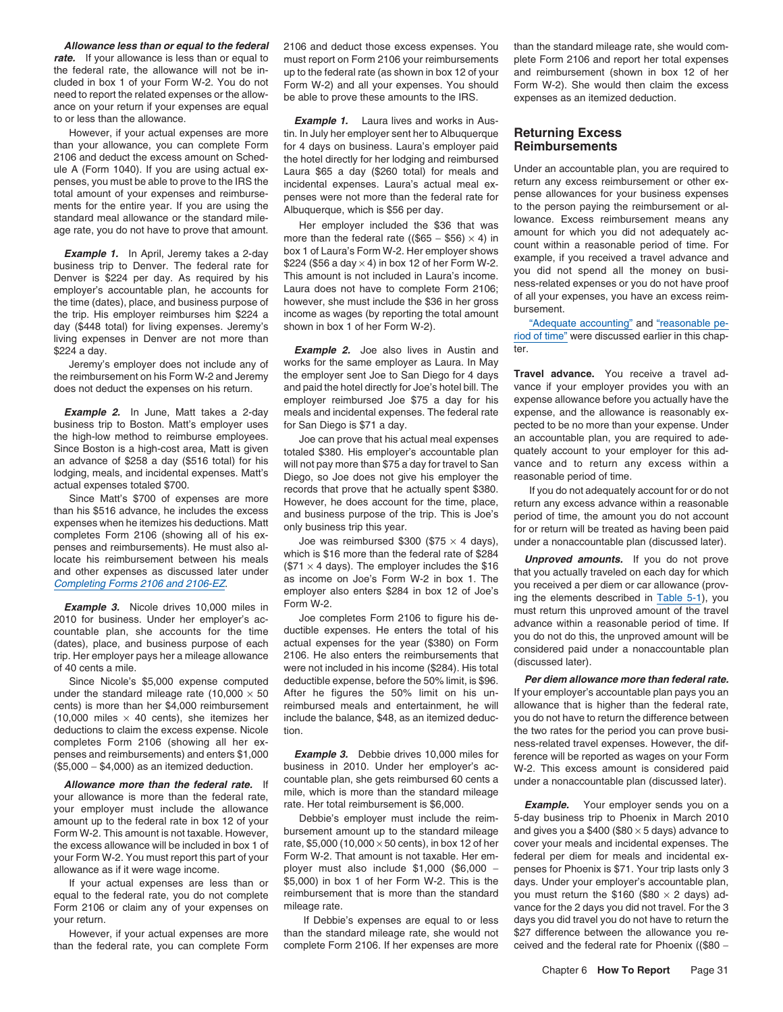rate. If your allowance is less than or equal to must report on Form 2106 your reimbursements plete Form 2106 and report her total expenses the federal rate, the allowance will not be in-<br>the federal rate, the allowance wi the federal rate, the allowance will not be in-<br>cluded in box 1 of your Form W-2. You do not Form W-2) and all your expenses. You should Form W-2). She would then claim the excess cluded in box 1 of your Form W-2. You do not Form W-2) and all your expenses. You should Form W-2). She would then claim the excess need to report the related expenses or the allow-<br>need to report the related expenses or t need to report the related expenses or the allow-<br>ance on your return if your expenses are equal<br>ance on your return if your expenses are equal

2106 and deduct the excess amount on Sched-<br>Let a life the hotel directly for her lodging and ule A (Form 1040). If you are using actual ex-<br>Laura \$65 a day (\$260 total) for meals and

\$224 a day. *Example 2.* Joe also lives in Austin and ter.

does not deduct the expenses on his return. and paid the hotel directly for Joe's hotel bill. The

business trip to Boston. Matt's employer uses for San Diego is \$71 a day. pected to be no more than your expense. Under the high-low method to reimburse employees. Joe can prove that his actual meal expenses an accountable plan, you are required to ade-<br>Since Boston is a high-cost area, Matt is given totaled \$380. His employer's accountable

under the standard mileage rate (10,000  $\times$  50 After he figures the 50% limit on his un- If your employer's accountable plan pays you an cents) is more than her \$4.000 reimbursement reimbursed meals and entertainment. he cents) is more than her \$4,000 reimbursement  $(10,000)$  miles  $\times$  40 cents), she itemizes her include the balance, \$48, as an itemized deduc-you do not have to return the difference between deductions to claim the excess expense. Nicole tion. The two rates for the period you can prove busicompletes Form 2106 (showing all her ex-<br>penses and reimbursements) and enters \$1,000 **Example 3.** Debbie drives 10,000 miles for ference will be reported as wages on your Form penses and reimbursements) and enters \$1,000 *Example 3.* Debbie drives 10,000 miles for ference will be reported as wages on your Form<br>(\$5,000 - \$4,000) as an itemized deduction. business in 2010. Under her employer's ac-

**Allowance more than the federal rate.** If countable plan, she gets reimbursed 60 cents a under a nonaccountable plan (discussed later).<br>your allowance is more than the federal rate, mile, which is more than the standard m the excess allowance will be included in box 1 of rate, \$5,000 (10,000  $\times$  50 cents), in box 12 of her

equal to the federal rate, you do not complete reimbursement than that is more than than than the standard return than the standard F Form 2106 or claim any of your expenses on mileage rate. The state of the 2 days you did not travel. For the 3 your return. The same same of the Debbie's expenses are equal to or less days you did travel you do not have to return the

than the federal rate, you can complete Form

*Allowance less than or equal to the federal* 2106 and deduct those excess expenses. You than the standard mileage rate, she would com-

to or less than the allowance.<br>However, if your actual expenses are more tin. In July her employer sent her to Albuquerque However, if your actual expenses are more tin. In July her employer sent her to Albuquerque **Returning Excess** for 4 days on business. Laura's employer paid ule A (Form 1040). If you are using actual ex-<br>penses, you must be able to prove to the IRS the incidental expenses. Laura's actual meal ex- return any excess reimbursement or other expenses, you must be able to prove to the IRS the incidental expenses. Laura's actual meal ex-<br>total amount of your expenses and reimburse-<br>ments for the entire year. If you are using the Albuquerque, which is \$56 per day.

standard meal allowance or the standard mile-<br>age rate, you do not have to prove that amount.<br>more than the federal rate ((\$65 – \$56) × 4) in<br>mount for which you did not adequately ac-<br>**Example 1.** In April, Jeremy takes

Jeremy's employer does not include any of works for the same employer as Laura. In May<br>reimbursement on his Form W-2 and Jeremy the employer sent Joe to San Diego for 4 days the reimbursement on his Form W-2 and Jeremy the employer sent Joe to San Diego for 4 days **Travel advance.** You receive a travel ad-<br>does not deduct the expenses on his return. and paid the hotel directly for Joe's hotel employer reimbursed Joe \$75 a day for his expense allowance before you actually have the **Example 2.** In June, Matt takes a 2-day meals and incidental expenses. The federal rate expense, and the allowance is reasonably ex-

Since Nicole's \$5,000 expense computed deductible expense, before the 50% limit, is \$96. **Per diem allowance more than federal rate.**<br>Her the standard mileage rate (10,000 × 50 After he figures the 50% limit on his un- If

business in 2010. Under her employer's ac- W-2. This excess amount is considered paid countable plan, she gets reimbursed 60 cents a under a nonaccountable plan (discussed later)

Form W-2. This amount is not taxable. However, bursement amount up to the standard mileage and gives you a \$400 (\$80  $\times$  5 days) advance to the excess allowance will be included in box 1 of rate, \$5,000 (10,000  $\times$  50 c your Form W-2. You must report this part of your Form W-2. That amount is not taxable. Her em- federal per diem for meals and incidental exallowance as if it were wage income. ployer must also include \$1,000 (\$6,000 <sup>−</sup> penses for Phoenix is \$71. Your trip lasts only 3 If your actual expenses are less than or \$5,000) in box 1 of her Form W-2. This is the days. Under your employer's accountable plan, If your actual expenses are less than or \$5,000) in box 1 of her Form W-2. This is the d

However, if your actual expenses are more than the standard mileage rate, she would not \$27 difference between the allowance you re-<br>In the federal rate, you can complete Form complete Form 2106. If her expenses are more c

Since Boston is a high-cost area, Matt is given the stock of scaled \$380. His employer's accountable plan quately account to your employer for this ad-<br>
logging, meals, and incidental expenses. Matt's  $\frac{1}{2}$  Diego, so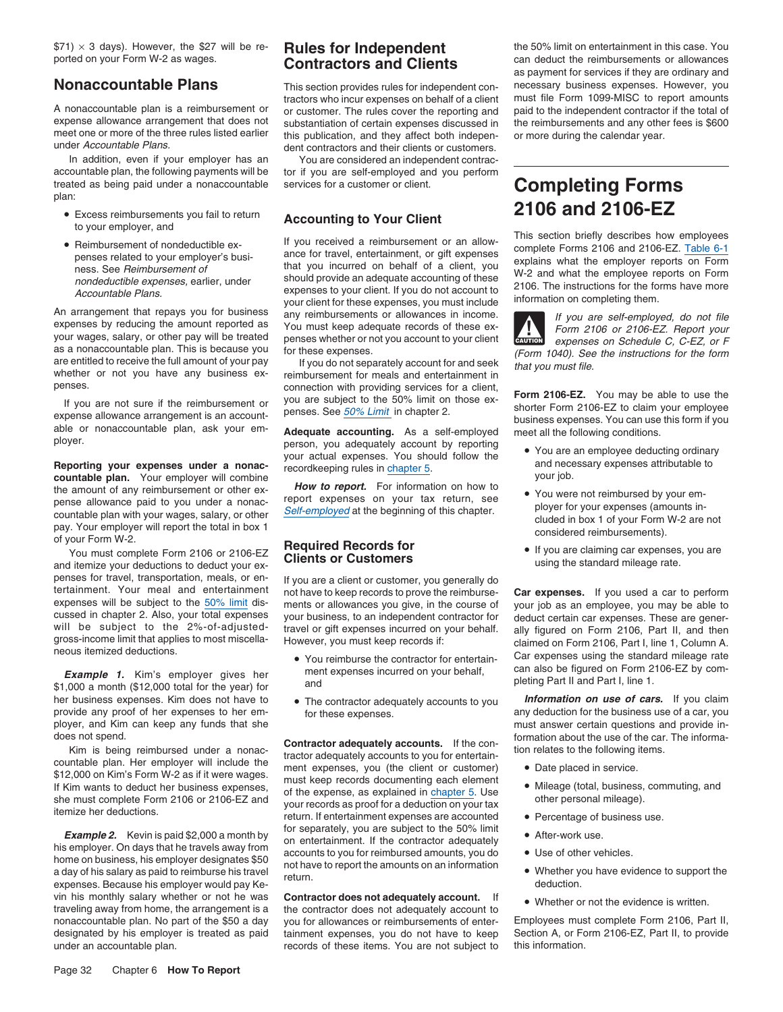expense allowance arrangement that does not substantiation of certain expenses discussed in the reimbursements and any other fees is \$600 meet one or more of the three rules listed earlier this publication, and they affect meet one or more of the three rules listed earlier this publication, and they affect both indepen-<br>under Accountable Plans

- Excess reimbursements you fail to return Excess reimbursements you fail to return **2106 and 2106-EZ**<br>to your employer, and **Accounting to Your Client and 2106-EZ**<br>**Examployees** This section briefly describes how employees If you received a reimbursement or an a
- 

An arrangement that repays you for business any reimbursements or allowances in income.<br>expenses by reducing the amount reported as You must keep adequate records of these ex-<br>your wages, salary, or other pay will be treat as a nonaccountable plan. This is because you<br>are entitled to receive the full amount of your pay if you do not separately account for and seek (Form 1040). See the instructions for the form<br>whether or not you have any bus

penses.<br>
If you are not sure if the reimbursement or<br>
expense allowance arrangement is an account-<br>
penses. See 50% Limit in chapter 2.<br>
able or nonaccountable plan, ask your em-<br>
ployer.<br>
able or nonaccountable plan, ask

**countable plan.** Your employer will combine<br>the amount of any reimbursement or other ex. **How to report.** For information on how to the amount of any reimbursement or other ex-<br>nense allowance paid to you under a nonacy report expenses on your tax return, see . You were not reimbursed by your em-Fractional of a single aniount of any term of the external of our enternal countable plan with your wages, salary, or other<br>
pay. Your employer for your extension with your wages, salary, or other<br>
pay. Your employer will

penses for travel, transportation, meals, or en-<br>tertainment. Your meal and entertainment not have to keep records to prove the reimburse-

**Example 1.** Kim's employer gives her ment expenses incurred on your behalf, can also be figured on Form 2106-EZ by com-<br>\$1,000 a month (\$12,000 total for the year) for and pleting Part II and Part I, line 1.<br>her business her business expenses. Kim does not have to •provide any proof of her expenses to her em-<br>ployer, and Kim can keep any funds that she

**Example 2.** Kevin is paid \$2,000 a month by<br>his employer. On days that he travels away from<br>home on business, his employer designates \$50<br>a day of his salary as paid to reimburse his travel<br>a day of his salary as paid to vin his monthly salary whether or not he was **Contractor does not adequately account.** If Whether or not the evidence is written. traveling away from home, the arrangement is a the contractor does not adequately account to<br>nonaccountable plan. No part of the \$50 a day you for allowances or reimbursements of enter-<br>mployees must complete Form 2106, Pa nonaccountable plan. No part of the \$50 a day you for allowances or reimbursements of enter-<br>designated by his employer is treated as paid tainment expenses, you do not have to keep Section A, or Form 2106-EZ, Part II, to designated by his employer is treated as paid tainment expenses, you do not have to keep Section A, or Form 20<br>under an accountable plan.<br>precords of these items. You are not subject to this information. under an accountable plan. The records of these items. You are not subject to

tractors who incur expenses on behalf of a client must file Form 1099-MISC to report amounts<br>or customer. The rules cover the reporting and paid to the independent contractor if the total of A nonaccountable plan is a reimbursement or or customer. The rules cover the reporting and expense allowance arrangement that does not substantiation of certain expenses discussed in dent contractors and their clients or customers.

In addition, even if your employer has an You are considered an independent contrac-<br>accountable plan, the following payments will be tor if you are self-employed and you perform tor if you are self-employed and you perform

• Reimbursement of nondeductible ex-<br>
penses related to your employer's busi-<br>
mess. See *Reimbursement of*<br>
mess. See *Reimbursement of*<br>
mess. See *Reimbursement of*<br>
that you incurred on behalf of a client, you<br>
that yo

Prover.<br>
Person, you adequately account by reporting<br> **Reporting your expenses under a nonac-** recordkeeping rules in chapter 5.<br> **Reporting your expenses attributable to**<br> **Countable plan.** Your employer will combine<br> **Co** 

tertainment. Your meal and entertainment not have to keep records to prove the reimburse- **Car expenses.** If you used a car to perform expenses will be subject to the 50% limit dis-<br>expenses will be subject to the 50% limi

- You reimburse the contractor for entertain-
- 

does not spend.<br>
Kim is being reimbursed under a nonaction and the tractor adequately accounts. If the con-<br>
countable plan. Her employer will include the<br>
\$12,000 on Kim's Form W-2 as if it were wages.<br>
If Kim wants to de

\$71) × 3 days). However, the \$27 will be re-<br>ported on your Form W-2 as wages. **Contractors and Clients** and the 50% limit on entertainment in this case. You<br>as payment for services if they are ordinary and a spayment for **Nonaccountable Plans** This section provides rules for independent con-<br>tractors who incur expenses on behalf of a client must file Form 1099-MISC to report amounts

# treated as being paid under a nonaccountable services for a customer or client. **Completing Forms**<br>plan: **2106 and 2106-EZ**

**CAUTION** 

- 
- 
- 

expenses will be subject to the 50% limit dis-<br>cussed in chapter 2. Also, your total expenses your business, to an independent contractor for deduct certain car expenses. These are gener-<br>will be subject to the 2%-of-adjus

• The contractor adequately accounts to you **Information on use of cars.** If you claim any deduction for the business use of a car, you must answer certain questions and provide in-

- 
- 
- 
- 
- 
- 
-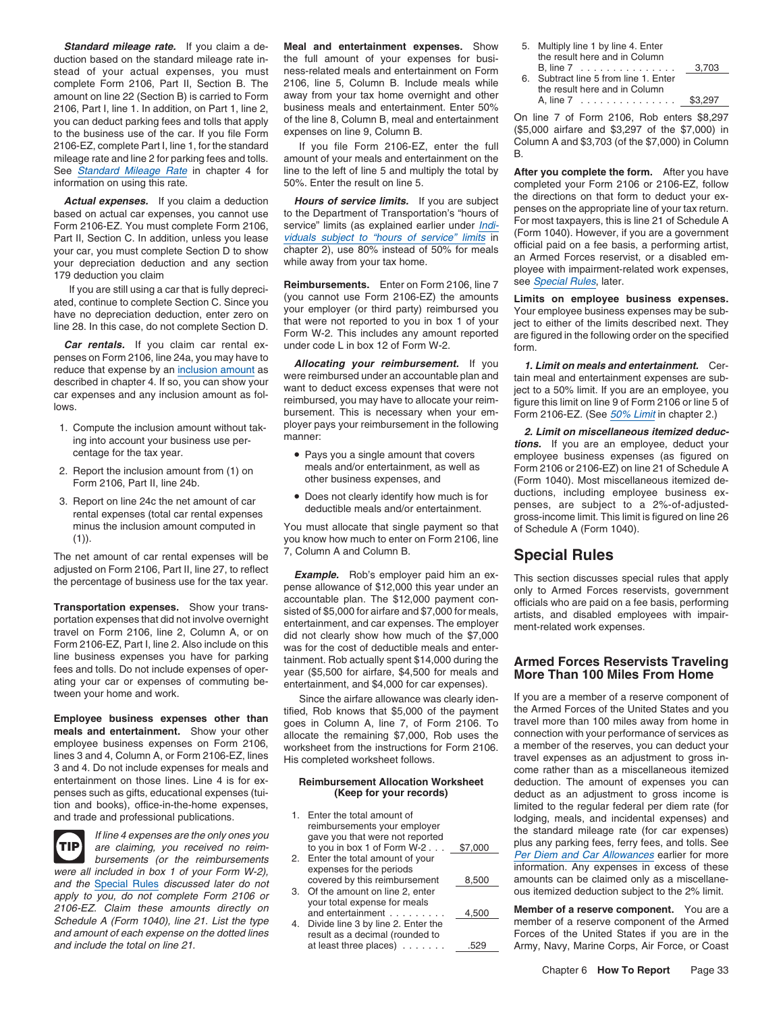duction based on the standard mileage rate in-<br>ctood of your actual axpaneos, you must uses-related meals and entertainment on Form B, line 7 ............... B, line 7 ............... 3,703 stead of your actual expenses, you must ness-related meals and entertainment on Form ou can deduct parking fees and tolls that apply of the line 8, Column B, meal and entertainment On line 7 of Form 2106, Rob enters \$8,297 you can deduct parking fees and tolls that apply of the line 8, Column B, meal and e mileage rate and line 2 for parking fees and tolls. amount of your meals and entertainment on the

Part II, Section C. In addition, unless you lease viduals subject to "hours of service" limits in (Form 1040). However, if you are a government vour car. you are a government vour car. you are a government vour car. you mu

- 
- 
- 

line business expenses you have for parking<br>fees and tolls. Do not include expenses of oper-<br>ating your car or expenses of commuting be-<br>terrainment, and \$4,000 for car expenses).<br>tween your home and work.<br>Since the airfar

**Employee business expenses other than** goes in Column A, line 7, of Form 2106. To **meals and entertainment.** Show your other allocate the remaining \$7,000. Bob uses the



were all included in box 1 of your Form W-2),<br>and the Special Rules discussed later do not<br>apply to you, do not complete Form 2106 or<br>2106-EZ. Claim these amounts directly on<br>Schedule A (Form 1040), line 21. List the type<br>

**Standard mileage rate.** If you claim a de-<br>Intion based on the standard mileage rate in-<br>Internal amount of your expenses for busicomplete Form 2106, Part II, Section B. The 2106, line 5, Column B. Include meals while  $\frac{6}{100}$ . Subtract line 5 from line 1. Enter and in Column and include and in Column and there and in Column and the result here an

See *Standard Mileage Rate* in chapter 4 for line to the left of line 5 and multiply the total by **After you complete the form.** After you have information on using this rate. 50%. Enter the result on line 5.

From W-2. This includes any amount eported<br>
Captur car, you must complete Section D to show chapter 2), use 80% instead of 50% for meals<br>
your depreciation deduction and any section D to show while away from your tax home.

penses on Form 2106, line 24a, you may have to<br>reduce that expense by an inclusion amount as<br>described in chapter 4. If so, you can show your<br>car expenses and any inclusion amount as fol-<br>lows.<br>lows.<br>lows.

- 
- 

(1)). you know how much to enter on Form 2106, line The net amount of car rental expenses will be 7, Column A and Column B. **Special Rules** 

adjusted on Form 2106, Part II, line 27, to reflect<br>the percentage of business use for the tax year.<br>Transportation expenses use for the tax year.<br>Transportation expenses. Show your trans-<br>portation expenses. Show your tra

tified, Rob knows that \$5,000 of the payment the Armed Forces of the United States and you<br>goes in Column A, line 7, of Form 2106, To travel more than 100 miles away from home in meals and entertainment. Show your other allocate the remaining \$7,000, Rob uses the connection with your performance of services as<br>employee business expenses on Form 2106, worksheet from the instructions for Form 2106 a employee business expenses on Form 2106, worksheet from the instructions for Form 2106. a member of the reserves, you can deduct your lines 3 and 4, Column A, or Form 2106 EZ, lines Hie completed worksheet follows the reve

- 
- 
- 

to the business use of the car. If you file Form expenses on line 9, Column B. (\$5,000 airmare and \$3,297 or the \$7,000) in<br>2106-EZ, complete Part I, line 1, for the standard If you file Form 2106-EZ, enter the full Colum

completed your Form 2106 or 2106-EZ, follow **Actual expenses.** If you claim a deduction<br>based on actual car expenses, you cannot use to the Department of Transportation's "hours of the directions on that form to deduct your ex-<br>Form 2106-EZ. You must complete Form 2

1. Compute the inclusion amount without tak-<br>ing into account your business use per-<br>centage for the tax year.<br>**Example and the following**<br>centage for the tax year.<br>**Example and the following**<br>Pays you a single amount that 2. Report the inclusion amount from (1) on meals and/or entertainment, as well as Form 2106 or 2106-EZ) on line 21 of Schedule A<br>Form 2106 Part II line 24b cher business expenses, and (Form 1040). Most miscellaneous itemiz Form 2106, Part II, line 24b. **Form 2106, Part II, line 24b.** Communisties of the business expenses, and **Form 1040**). Most miscellaneous itemized de-• Does not clearly identify how much is for ductions, including employee business ex-3. Report on line 24c the net amount of car<br>rental expenses (total car rental expenses<br>minus the inclusion amount computed in<br>minus the inclusion amount computed in<br>Pour must allocate that single payment so that<br>of Schedul

Since the airfare allowance was clearly iden- If you are a member of a reserve component of d. Rob knows that \$5,000 of the payment the Armed Forces of the United States and you lines 3 and 4, Column A, or Form 2106-EZ, lines His completed worksheet follows. The travel expenses as an adjustment to gross in-<br>3 and 4. Do not include expenses for meals and come rather than as a miscellaneous itemized entertainment on those lines. Line 4 is for ex-<br> **Reimbursement Allocation Worksheet** deduction. The amount of expenses you can<br>
deduct as an adjustment to gross income is deduct as an adjustment to gross income is tion and books), office-in-the-home expenses,<br>and trade and professional publications. The foreint of the total amount of the regular meals, and incidental expenses) and and trade and professional publications.<br>
The the total amount of and trade and professional publications.<br>
The 4 expenses are the only ones you<br>
the 4 expenses are the only ones you<br>
the standard mileage rate (for car exp

and amount of each expense on the dotted lines result as a decimal (rounded to Forces of the United States if you are in the and include the total on line 21. Army, Navy, Marine Corps, Air Force, or Coast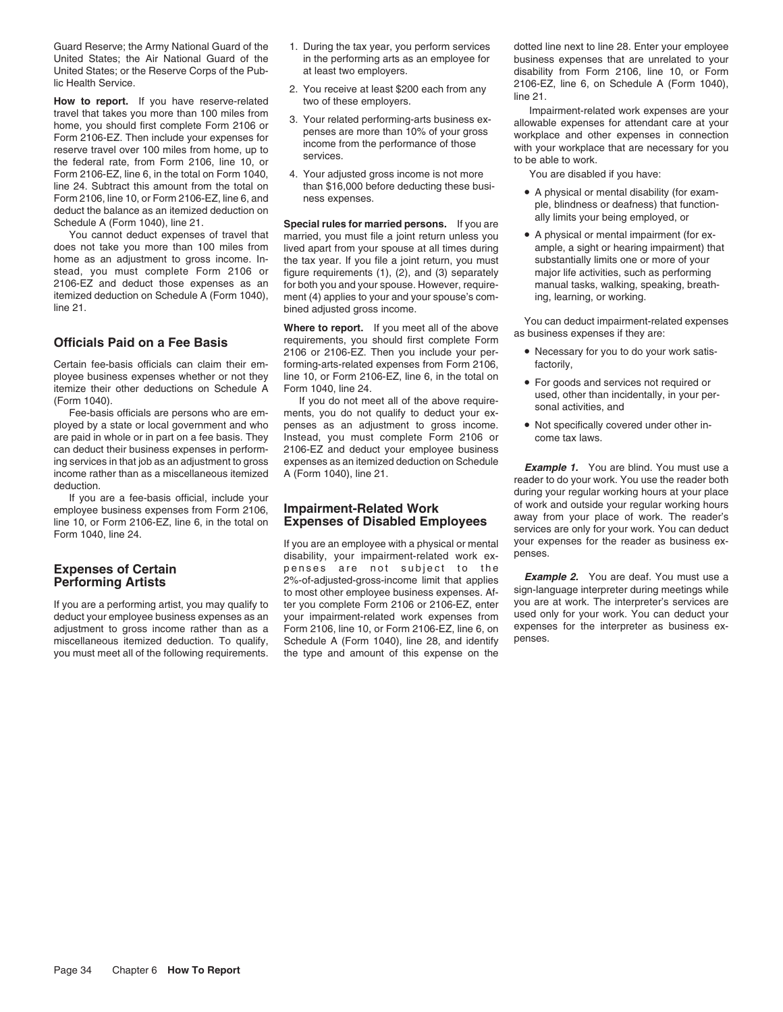Guard Reserve; the Army National Guard of the 1. During the tax year, you perform services dotted line next to line 28. Enter your employee United States; the Air National Guard of the in the performing arts as an employee for business expenses that are unrelated to your United States; or the Reserve Corps of the Pub- at least two employers. disability from Form 2106, line 10, or Form

lic Health Service.<br>
How to report. If you have reserve-related two of these employers.<br>
Inte 21.<br>
Intervel that takes you more than 100 miles from 3. Your related performing-arts business ex-<br>
Anome, you should first comp Form 2106-EZ. Then include your expenses for penses are more than 10% of your gross workplace and other expenses in connection<br>
reserve travel over 100 miles from home, up to income from the performance of those with your Form 2106-EZ, line 6, in the total on Form 1040, 4. Your adjusted gross income is not more You are disabled if you have: line 24. Subtract this amount from the total on than \$16,000 before deducting these busi-<br>Form 2106, line 10, or Form 2106-EZ, line 6, and ness expenses. Form 2106, line 10, or Form 2106-EZ, line 6, and<br>deduct the balance as an itemized deduction on<br>Schedule A (Form 1040), line 21.<br>Schedule A (Form 1040), line 21.<br>Special rules for married persons. If you are

does not take you more than 100 miles from lived apart from your spouse at all times during<br>home as an adjustment to gross income. In- the tax year. If you file a joint return, you must home as an adjustment to gross income. In-<br>stead, you must complete Form 2106 or figure requirements (1), (2), and (3) separately major life activities, such as performing stead, you must complete Form 2106 or figure requirements (1), (2), and (3) separately major life activities, such as performing<br>2106-EZ and deduct those expenses as an for both you and your spouse. However, require- manua 2106-EZ and deduct those expenses as an for both you and your spouse. However, require-<br>itemized deduction on Schedule A (Form 1040), ment (4) applies to your and your spouse's com- ing. learning, or working. itemized deduction on Schedule A (Form 1040), ment (4) applies to your and your spouse's com- ing, learning, or working.<br>line 21.

ployed by a state or local government and who penses as an adjustment to gross income. • Not specifically covered under other inare paid in whole or in part on a fee basis. They lnstead, you must complete Form 2106 or come tax laws. can deduct their business expenses in perform- 2106-EZ and deduct your employee business

you must meet all of the following requirements. the type and amount of this expense on the

- 
- 
- 
- 

You cannot deduct expenses of travel that married, you must file a joint return unless you • A physical or mental impairment (for ex-<br>does not take you more than 100 miles from lived apart from your spouse at all times dur bined adjusted gross income.

**Vou can deduct impairment-related expenses**<br>**Officials Paid on a Fee Basis CHEC 2. The state of the above** as business expenses if they are:<br>**2106 or 2106-EZ.** Then you include your per-<br>**•** Necessary for you to do your 2106 or 2106-EZ. Then you include your per-Certain fee-basis officials can claim their em- forming-arts-related expenses from Form 2106, factorily, ployee business expenses whether or not they line 10, or Form 2106-EZ, line 6, in the total on • For goods and services not required or itemize their other deductions on Schedule A Form 1040, line 24.

disability, your impairment-related work ex-<br>penses are not subject to the **Expenses of Certain Expenses are not subject to the** *Example 2.* **You are deaf. You must use a <b>Performing Artists 2%-of-adjusted-gross-income limit that applies** *Example 2.* You are deaf. You must use a **Performing A** to most other employee business expenses. Af- sign-language interpreter during meetings while<br>ter you complete Form 2106 or 2106-EZ, enter you are at work. The interpreter's services are If you are a performing artist, you may qualify to ter you complete Form 2106 or 2106-EZ, enter you are at work. The interpreter's services are<br>deduct your employee business expenses as an your impairment-related work, exp deduct your employee business expenses as an your impairment-related work expenses from used only for your work. You can deduct your<br>adjustment to gross income rather than as a Form 2106 line 10 or Form 2106-FZ line 6 on e adjustment to gross income rather than as a Form 2106, line 10, or Form 2106-EZ, line 6, on expense miscellaneous itemized deduction. To qualify, Schedule A (Form 1040), line 28, and identify penses. Schedule A (Form 1040), line 28, and identify

- 
- 

- 
- For goods and services not required or<br>itemize their other deductions on Schedule A Form 1040, line 24.<br>Form 1040).<br>Fee-basis officials are persons who are em-<br>Fee-basis officials are persons who are em-<br>Fee-basis official
	-

income rather than as a miscellaneous itemized and itemized deduction on Schedule<br>
income rather than as a miscellaneous itemized<br>
deduction.<br>
If you are a fee-basis official, include your<br>
If you are a fee-basis official,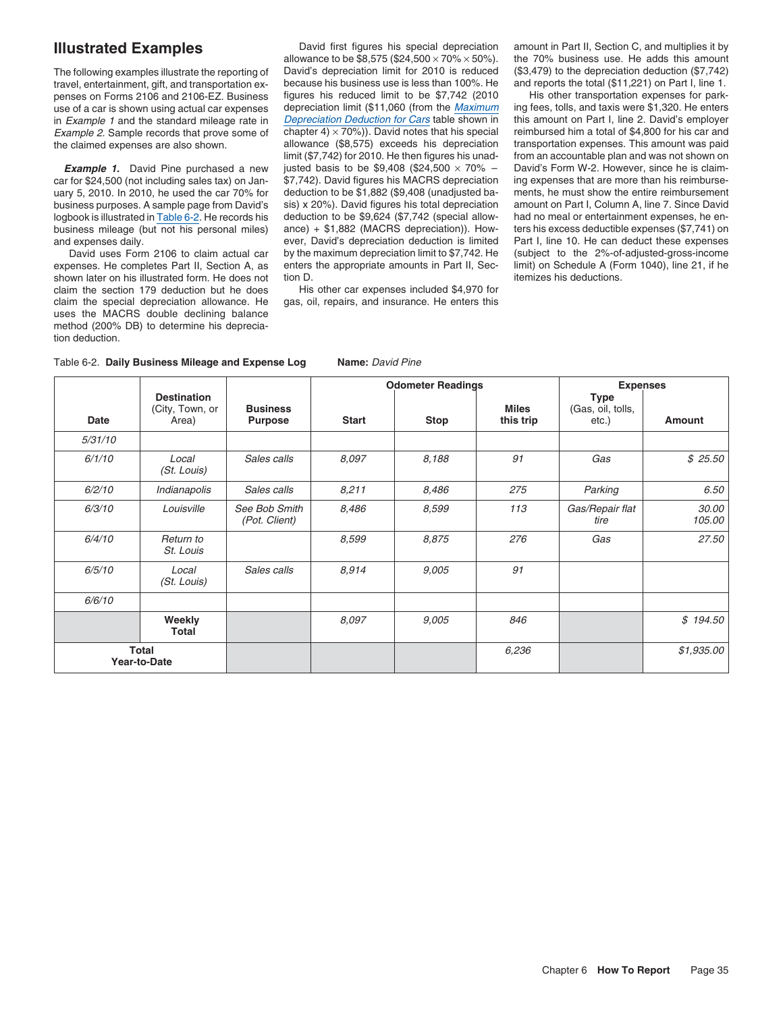travel, entertainment, gift, and transportation ex-Example 2. Sample records that prove some of

expenses. He completes Part II, Section A, as enters the appropriate amounts in Part II, Sec- limit) on Schedule A (Form 1040), line 21, if he shown later on his illustrated form. He does not tion D. shown later on his illustrated form. He does not claim the section 179 deduction but he does His other car expenses included \$4,970 for claim the special depreciation allowance. He gas, oil, repairs, and insurance. He enters this uses the MACRS double declining balance method (200% DB) to determine his depreciation deduction.

The following examples illustrate the reporting of David's depreciation limit for 2010 is reduced (\$3,479) to the depreciation deduction (\$7,742) travel, entertainment, gift, and transportation ex- because his business use penses on Forms 2106 and 2106-EZ. Business figures his reduced limit to be \$7,742 (2010 His other transportation expenses for park-<br>use of a car is shown using actual car expenses depreciation limit (\$11,060 (from the *Max* use of a car is shown using actual car expenses depreciation limit (\$11,060 (from the *Maximum* ing fees, tolls, and taxis were \$1,320. He enters in *Example 1* and the standard mileage rate in *Depreciation Deduction for* in Example 1 and the standard mileage rate in Depreciation Deduction for Cars table shown in this amount on Part I, line 2. David's employer Example 2. Sample records that prove some of chapter 4)  $\times$  70%). David notes t the claimed expenses are also shown. allowance (\$8,575) exceeds his depreciation transportation expenses. This amount was paid<br>limit (\$7,742) for 2010. He then figures his unad-<br>from an accountable plan and was not shown o **Example 1.** David Pine purchased a new justed basis to be \$9,408 (\$24,500  $\times$  70% – David's Form W-2. However, since he is claimcar for \$24,500 (not including sales tax) on Jan- \$7,742). David figures his MACRS depreciation ing expenses that are more than his reimburseuary 5, 2010. In 2010, he used the car 70% for deduction to be \$1,882 (\$9,408 (unadjusted ba- ments, he must show the entire reimbursement business purposes. A sample page from David's sis) x 20%). David figures his total depreciation amount on Part I, Column A, line 7. Since David logbook is illustrated in Table 6-2. He records his deduction to be \$9,624 (\$7,742 (special allow-had no meal or entertainment expenses, he enbusiness mileage (but not his personal miles) ance) + \$1,882 (MACRS depreciation)). How- ters his excess deductible expenses (\$7,741) on and expenses daily. ever, David's depreciation deduction is limited Part I, line 10. He can deduct these expenses David uses Form 2106 to claim actual car by the maximum depreciation limit to \$7,742. He (subject to the 2%-of-adjusted-gross-income

**Illustrated Examples** David first figures his special depreciation amount in Part II, Section C, and multiplies it by allowance to be \$8,575 (\$24,500 × 70% × 50%). the 70% business use. He adds this amount

from an accountable plan and was not shown on

Table 6-2. **Daily Business Mileage and Expense Log Name:** David Pine

|                              |                                                |                                   |              | <b>Odometer Readings</b> | <b>Expenses</b>           |                                           |                 |  |
|------------------------------|------------------------------------------------|-----------------------------------|--------------|--------------------------|---------------------------|-------------------------------------------|-----------------|--|
| Date                         | <b>Destination</b><br>(City, Town, or<br>Area) | <b>Business</b><br><b>Purpose</b> | <b>Start</b> | <b>Stop</b>              | <b>Miles</b><br>this trip | <b>Type</b><br>(Gas, oil, tolls,<br>etc.) | <b>Amount</b>   |  |
| 5/31/10                      |                                                |                                   |              |                          |                           |                                           |                 |  |
| 6/1/10                       | Local<br>(St. Louis)                           | Sales calls                       | 8.097        | 8.188                    | 91                        | Gas                                       | \$25.50         |  |
| 6/2/10                       | Indianapolis                                   | Sales calls                       | 8,211        | 8,486                    | 275                       | Parking                                   | 6.50            |  |
| 6/3/10                       | Louisville                                     | See Bob Smith<br>(Pot. Client)    | 8,486        | 8,599                    | 113                       | Gas/Repair flat<br>tire                   | 30.00<br>105.00 |  |
| 6/4/10                       | Return to<br>St. Louis                         |                                   | 8,599        | 8.875                    | 276                       | Gas                                       | 27.50           |  |
| 6/5/10                       | Local<br>(St. Louis)                           | Sales calls                       | 8.914        | 9,005                    | 91                        |                                           |                 |  |
| 6/6/10                       |                                                |                                   |              |                          |                           |                                           |                 |  |
|                              | Weekly<br>Total                                |                                   | 8.097        | 9.005                    | 846                       |                                           | \$194.50        |  |
| <b>Total</b><br>Year-to-Date |                                                |                                   |              |                          | 6,236                     |                                           | \$1,935.00      |  |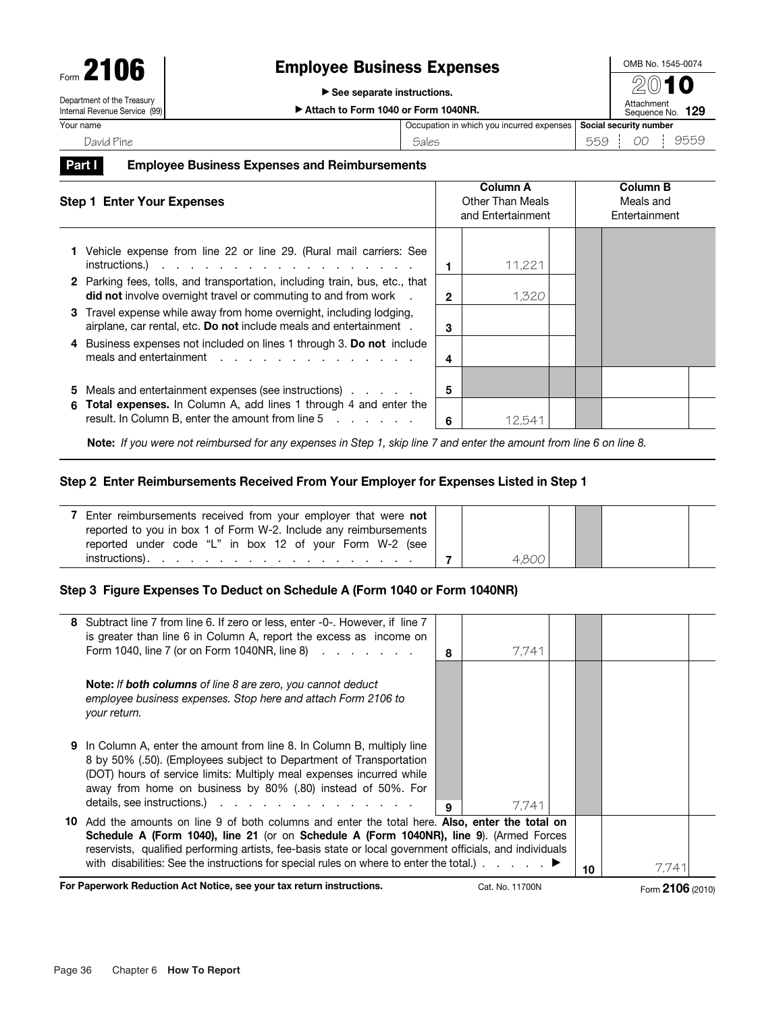## Form **2106**  Department of the Treasury

### Internal Revenue Service (99)

**Employee Business Expenses** 

See separate instructions.

Attach to Form 1040 or Form 1040NR.

OMB No. 1545-0074 20**10** Attachment Sequence No. **129**

**Your name Occupation in which you incurred expenses <b>Social security number Occupation** in which you incurred expenses **Social security number** 00 9559

 $\frac{1}{2}$ David Pine Sales **Sales** 559

**Part I** Employee Business Expenses and Reimbursements

|         | <b>Step 1 Enter Your Expenses</b>                                                                                                                            |   | Column A<br><b>Other Than Meals</b><br>and Entertainment | <b>Column B</b><br>Meals and<br>Entertainment |  |  |  |
|---------|--------------------------------------------------------------------------------------------------------------------------------------------------------------|---|----------------------------------------------------------|-----------------------------------------------|--|--|--|
|         | Vehicle expense from line 22 or line 29. (Rural mail carriers: See<br>$instructions.)$                                                                       |   | 11,221                                                   |                                               |  |  |  |
|         | <b>2</b> Parking fees, tolls, and transportation, including train, bus, etc., that<br><b>did not</b> involve overnight travel or commuting to and from work. | 2 | 1.320                                                    |                                               |  |  |  |
|         | 3 Travel expense while away from home overnight, including lodging,<br>airplane, car rental, etc. Do not include meals and entertainment.                    | 3 |                                                          |                                               |  |  |  |
|         | 4 Business expenses not included on lines 1 through 3. Do not include<br>meals and entertainment                                                             | 4 |                                                          |                                               |  |  |  |
| 5.<br>6 | Meals and entertainment expenses (see instructions)<br><b>Total expenses.</b> In Column A, add lines 1 through 4 and enter the                               | 5 |                                                          |                                               |  |  |  |
|         | result. In Column B, enter the amount from line 5                                                                                                            | 6 | 12.541                                                   |                                               |  |  |  |

 **Note:** If you were not reimbursed for any expenses in Step 1, skip line 7 and enter the amount from line 6 on line 8.

### **Step 2 Enter Reimbursements Received From Your Employer for Expenses Listed in Step 1**

| Enter reimbursements received from your employer that were not<br>reported to you in box 1 of Form W-2. Include any reimbursements |       |  |  |
|------------------------------------------------------------------------------------------------------------------------------------|-------|--|--|
| reported under code "L" in box 12 of your Form W-2 (see<br>$instructions$ ).                                                       | 4.800 |  |  |

### **Step 3 Figure Expenses To Deduct on Schedule A (Form 1040 or Form 1040NR)**

|   | For Paperwork Reduction Act Notice, see your tax return instructions.                                                                                                                                                                                                                                                                                                                                                                                                           |    | Cat. No. 11700N | Form 2106 (2010) |  |  |
|---|---------------------------------------------------------------------------------------------------------------------------------------------------------------------------------------------------------------------------------------------------------------------------------------------------------------------------------------------------------------------------------------------------------------------------------------------------------------------------------|----|-----------------|------------------|--|--|
|   | 10 Add the amounts on line 9 of both columns and enter the total here. Also, enter the total on<br>Schedule A (Form 1040), line 21 (or on Schedule A (Form 1040NR), line 9). (Armed Forces<br>reservists, qualified performing artists, fee-basis state or local government officials, and individuals<br>with disabilities: See the instructions for special rules on where to enter the total.) $\blacksquare$                                                                | 10 | 7.741           |                  |  |  |
| 9 | <b>Note:</b> If <b>both columns</b> of line 8 are zero, you cannot deduct<br>employee business expenses. Stop here and attach Form 2106 to<br>your return.<br>In Column A, enter the amount from line 8. In Column B, multiply line<br>8 by 50% (.50). (Employees subject to Department of Transportation<br>(DOT) hours of service limits: Multiply meal expenses incurred while<br>away from home on business by 80% (.80) instead of 50%. For<br>details, see instructions.) | 9  | 7.741           |                  |  |  |
|   | 8 Subtract line 7 from line 6. If zero or less, enter -0-. However, if line 7<br>is greater than line 6 in Column A, report the excess as income on<br>Form 1040, line 7 (or on Form 1040NR, line 8)                                                                                                                                                                                                                                                                            | 8  | 7.741           |                  |  |  |
|   |                                                                                                                                                                                                                                                                                                                                                                                                                                                                                 |    |                 |                  |  |  |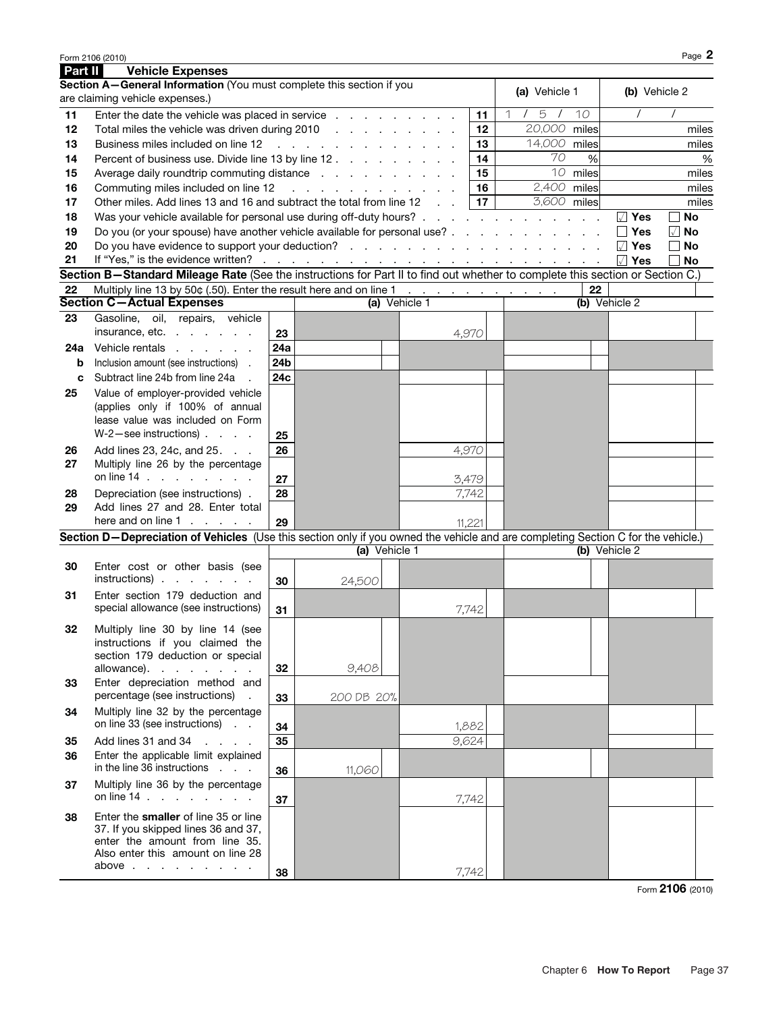|          | Form 2106 (2010)                                                                                                                                                                    |                 |                                     |          |                                     |                              |                | Page 2     |
|----------|-------------------------------------------------------------------------------------------------------------------------------------------------------------------------------------|-----------------|-------------------------------------|----------|-------------------------------------|------------------------------|----------------|------------|
| Part II  | <b>Vehicle Expenses</b>                                                                                                                                                             |                 |                                     |          |                                     |                              |                |            |
|          | Section A-General Information (You must complete this section if you                                                                                                                |                 |                                     |          | (a) Vehicle 1                       |                              | (b) Vehicle 2  |            |
|          | are claiming vehicle expenses.)                                                                                                                                                     |                 |                                     |          |                                     |                              |                |            |
| 11       | Enter the date the vehicle was placed in service                                                                                                                                    |                 |                                     | 11       | 1<br>5                              | 10                           |                |            |
| 12       | Total miles the vehicle was driven during $2010$                                                                                                                                    |                 |                                     | 12       |                                     | 20,000 miles<br>14,000 miles |                | miles      |
| 13<br>14 | Percent of business use. Divide line 13 by line 12                                                                                                                                  |                 |                                     | 13<br>14 | 70                                  | %                            |                | miles<br>% |
| 15       | Average daily roundtrip commuting distance                                                                                                                                          |                 |                                     | 15       |                                     | 10 miles                     |                | miles      |
| 16       | Commuting miles included on line 12                                                                                                                                                 |                 | and a series of the contract of the | 16       | 2,400                               | miles                        |                | miles      |
| 17       | Other miles. Add lines 13 and 16 and subtract the total from line 12                                                                                                                |                 |                                     | 17       |                                     | 3,600 miles                  |                | miles      |
| 18       | Was your vehicle available for personal use during off-duty hours?                                                                                                                  |                 |                                     |          |                                     |                              | $\sqrt{ }$ Yes | No         |
| 19       | Do you (or your spouse) have another vehicle available for personal use?                                                                                                            |                 |                                     |          |                                     |                              | Yes            | l√l No     |
| 20       |                                                                                                                                                                                     |                 |                                     |          |                                     |                              | l√l Yes        | No         |
| 21       | If "Yes," is the evidence written? $\ldots$ $\ldots$ $\ldots$ $\ldots$ $\ldots$ $\ldots$ $\ldots$ $\ldots$ $\ldots$ $\ldots$ $\ldots$                                               |                 |                                     |          |                                     |                              | I√l Yes        | No         |
|          | Section B-Standard Mileage Rate (See the instructions for Part II to find out whether to complete this section or Section C.)                                                       |                 |                                     |          |                                     |                              |                |            |
| 22       | Multiply line 13 by 50¢ (.50). Enter the result here and on line 1                                                                                                                  |                 |                                     |          | and a series of the contract of the | 22                           |                |            |
|          | <b>Section C-Actual Expenses</b>                                                                                                                                                    |                 | (a) Vehicle 1                       |          |                                     |                              | (b) Vehicle 2  |            |
| 23       | Gasoline,<br>oil, repairs, vehicle<br>insurance, etc. $\ldots$ $\ldots$ $\ldots$                                                                                                    |                 |                                     |          |                                     |                              |                |            |
|          | Vehicle rentals                                                                                                                                                                     | 23<br>24a       |                                     | 4,970    |                                     |                              |                |            |
| 24a<br>b | Inclusion amount (see instructions).                                                                                                                                                | 24 <sub>b</sub> |                                     |          |                                     |                              |                |            |
| c        | Subtract line 24b from line 24a                                                                                                                                                     | 24c             |                                     |          |                                     |                              |                |            |
| 25       | Value of employer-provided vehicle                                                                                                                                                  |                 |                                     |          |                                     |                              |                |            |
|          | (applies only if 100% of annual                                                                                                                                                     |                 |                                     |          |                                     |                              |                |            |
|          | lease value was included on Form                                                                                                                                                    |                 |                                     |          |                                     |                              |                |            |
|          | $W-2$ - see instructions) $\ldots$ .                                                                                                                                                | 25              |                                     |          |                                     |                              |                |            |
| 26       | Add lines 23, 24c, and 25.                                                                                                                                                          | 26              |                                     | 4,970    |                                     |                              |                |            |
| 27       | Multiply line 26 by the percentage                                                                                                                                                  |                 |                                     |          |                                     |                              |                |            |
|          | on line $14$                                                                                                                                                                        | 27              |                                     | 3,479    |                                     |                              |                |            |
| 28       | Depreciation (see instructions).                                                                                                                                                    | 28              |                                     | 7,742    |                                     |                              |                |            |
| 29       | Add lines 27 and 28. Enter total                                                                                                                                                    |                 |                                     |          |                                     |                              |                |            |
|          | here and on line $1 \cdot \cdot \cdot \cdot$ .<br>Section D-Depreciation of Vehicles (Use this section only if you owned the vehicle and are completing Section C for the vehicle.) | 29              |                                     | 11,221   |                                     |                              |                |            |
|          |                                                                                                                                                                                     |                 | (a) Vehicle 1                       |          |                                     |                              | (b) Vehicle 2  |            |
| 30       | Enter cost or other basis (see                                                                                                                                                      |                 |                                     |          |                                     |                              |                |            |
|          | $instructions)$ $\ldots$ $\ldots$ $\ldots$                                                                                                                                          | 30              | 24,500                              |          |                                     |                              |                |            |
| 31       | Enter section 179 deduction and                                                                                                                                                     |                 |                                     |          |                                     |                              |                |            |
|          | special allowance (see instructions)                                                                                                                                                | 31              |                                     | 7,742    |                                     |                              |                |            |
| 32       | Multiply line 30 by line 14 (see                                                                                                                                                    |                 |                                     |          |                                     |                              |                |            |
|          | instructions if you claimed the                                                                                                                                                     |                 |                                     |          |                                     |                              |                |            |
|          | section 179 deduction or special                                                                                                                                                    |                 |                                     |          |                                     |                              |                |            |
|          | allowance).                                                                                                                                                                         | 32              | 9,408                               |          |                                     |                              |                |            |
| 33       | Enter depreciation method and<br>percentage (see instructions)                                                                                                                      | 33              | 200 DB 20%                          |          |                                     |                              |                |            |
| 34       | Multiply line 32 by the percentage                                                                                                                                                  |                 |                                     |          |                                     |                              |                |            |
|          | on line 33 (see instructions)                                                                                                                                                       | 34              |                                     | 1,882    |                                     |                              |                |            |
| 35       | Add lines 31 and 34<br>$\mathbf{L} = \mathbf{L} \times \mathbf{L}$                                                                                                                  | 35              |                                     | 9,624    |                                     |                              |                |            |
| 36       | Enter the applicable limit explained                                                                                                                                                |                 |                                     |          |                                     |                              |                |            |
|          | in the line 36 instructions<br><b>Contract Contract</b>                                                                                                                             | 36              | 11,060                              |          |                                     |                              |                |            |
| 37       | Multiply line 36 by the percentage                                                                                                                                                  |                 |                                     |          |                                     |                              |                |            |
|          | on line $14 \cdot \cdot \cdot \cdot \cdot \cdot \cdot$                                                                                                                              | 37              |                                     | 7,742    |                                     |                              |                |            |
| 38       | Enter the smaller of line 35 or line                                                                                                                                                |                 |                                     |          |                                     |                              |                |            |
|          | 37. If you skipped lines 36 and 37,                                                                                                                                                 |                 |                                     |          |                                     |                              |                |            |
|          | enter the amount from line 35.<br>Also enter this amount on line 28                                                                                                                 |                 |                                     |          |                                     |                              |                |            |
|          | above                                                                                                                                                                               | 38              |                                     | 7,742    |                                     |                              |                |            |
|          |                                                                                                                                                                                     |                 |                                     |          |                                     |                              |                |            |

Form **2106** (2010)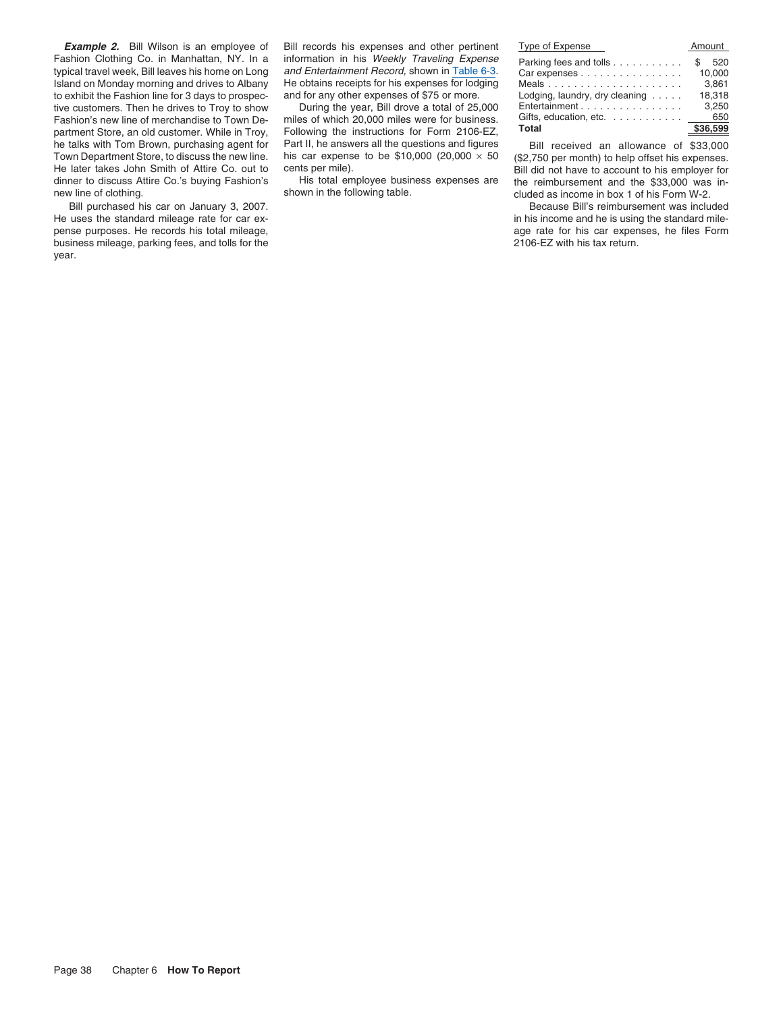Fashion Clothing Co. in Manhattan, NY. In a information in his Weekly Traveling Expense typical travel week, Bill leaves his home on Long and Entertainment Record, shown in Table 6-3. typical travel week, Bill leaves his home on Long and Entertainment Record, shown in Table 6-3.<br>Island on Monday morning and drives to Albany He obtains receipts for his expenses for lodging to exhibit the Fashion line for 3 days to prospective customers. Then he drives to Troy to show During the year, Bill drove a total of 25,000 Fashion's new line of merchandise to Town De- miles of which 20,000 miles were for business. **Total \$36,599** partment Store, an old customer. While in Troy, Following the instructions for Form 2106-EZ, he talks with Tom Brown, purchasing agent for Part II, he answers all the questions and figures Bill received an allowance of \$33,000<br>Town Department Store, to discuss the new line. his car expense to be \$10,000 (20,000

business mileage, parking fees, and tolls for the 2106-EZ with his tax return. year.

**Example 2.** Bill Wilson is an employee of Bill records his expenses and other pertinent Ty He obtains receipts for his expenses for lodging and for any other expenses of \$75 or more.

| ype of Expense                                     | Amount |  |
|----------------------------------------------------|--------|--|
| arking fees and tolls $\dots\dots\dots\dots$ \$520 |        |  |
| ar expenses                                        | 10,000 |  |

| Parking fees and tolls         | -520     |
|--------------------------------|----------|
| Car expenses                   | 10,000   |
|                                | 3.861    |
| Lodging, laundry, dry cleaning | 18.318   |
| Entertainment                  | 3.250    |
| Gifts, education, etc.         | 650      |
| Total                          | \$36.599 |

Town Department Store, to discuss the new line. his car expense to be \$10,000 (20,000  $\times$  50 (\$2,750 per month) to help offset his expenses.<br>He later takes John Smith of Attire Co. out to cents per mile). Bill did not ha He later takes John Smith of Attire Co. out to cents per mile).<br>dinner to discuss Attire Co.'s buying Fashion's His total employee business expenses are the reimbursement and the \$33,000 was indinner to discuss Attire Co.'s buying Fashion's His total employee business expenses are the reimbursement and the \$33,000 was in-<br>shown in the following table. cluded as income in box 1 of his Form W-2. cluded as income in box 1 of his Form W-2.

Bill purchased his car on January 3, 2007. Because Bill's reimbursement was included He uses the standard mileage rate for car ex-<br>
pense purposes. He records his total mileage,<br>
pense purposes. He records his total mileage,<br>
pense purposes. He records his total mileage, age rate for his car expenses, he files Form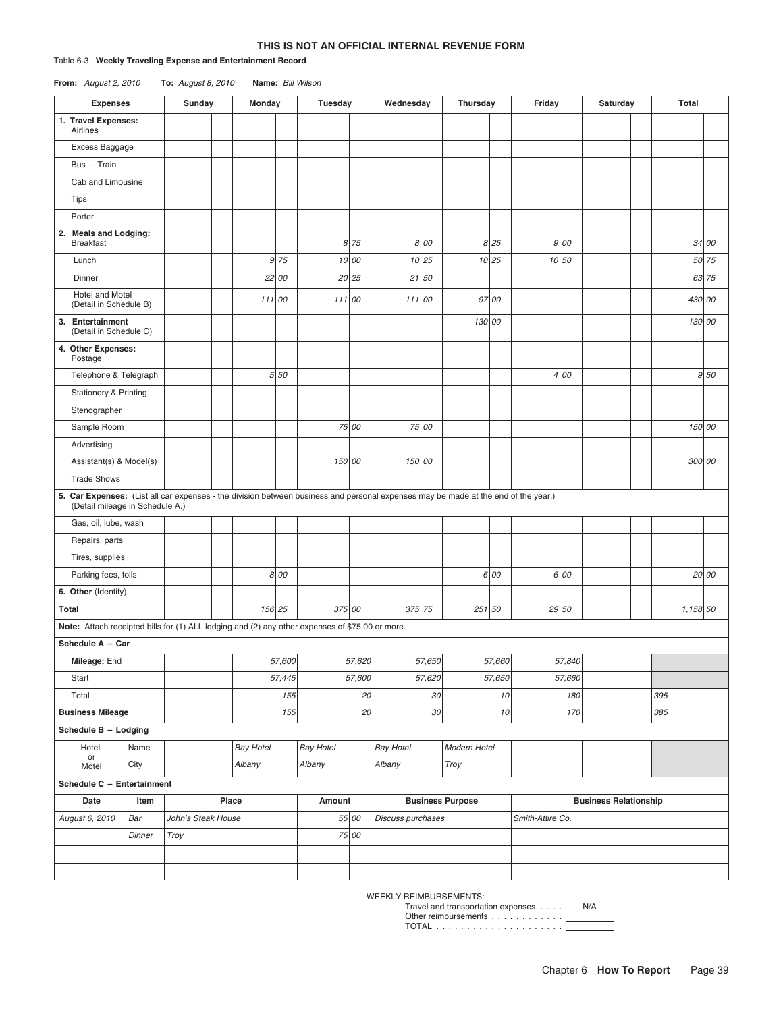### **THIS IS NOT AN OFFICIAL INTERNAL REVENUE FORM**

### Table 6-3. **Weekly Traveling Expense and Entertainment Record**

**From:** August 2, 2010 **To:** August 8, 2010 **Name:** Bill Wilson

| <b>Expenses</b>                                                                                                                                                       |        | Sunday             |       | Monday           |        | Tuesday          |        | Wednesday         |        | Thursday                |        | Friday           |        | Saturday                     |  | Total    |       |
|-----------------------------------------------------------------------------------------------------------------------------------------------------------------------|--------|--------------------|-------|------------------|--------|------------------|--------|-------------------|--------|-------------------------|--------|------------------|--------|------------------------------|--|----------|-------|
| 1. Travel Expenses:<br>Airlines                                                                                                                                       |        |                    |       |                  |        |                  |        |                   |        |                         |        |                  |        |                              |  |          |       |
| Excess Baggage                                                                                                                                                        |        |                    |       |                  |        |                  |        |                   |        |                         |        |                  |        |                              |  |          |       |
| Bus - Train                                                                                                                                                           |        |                    |       |                  |        |                  |        |                   |        |                         |        |                  |        |                              |  |          |       |
| Cab and Limousine                                                                                                                                                     |        |                    |       |                  |        |                  |        |                   |        |                         |        |                  |        |                              |  |          |       |
| <b>Tips</b>                                                                                                                                                           |        |                    |       |                  |        |                  |        |                   |        |                         |        |                  |        |                              |  |          |       |
| Porter                                                                                                                                                                |        |                    |       |                  |        |                  |        |                   |        |                         |        |                  |        |                              |  |          |       |
| 2. Meals and Lodging:<br><b>Breakfast</b>                                                                                                                             |        |                    |       |                  |        |                  | 8 75   |                   | 8 00   |                         | 8 25   |                  | 900    |                              |  |          | 34 00 |
| Lunch                                                                                                                                                                 |        |                    |       | 9                | 75     |                  | 10 00  |                   | 10 25  |                         | 10 25  |                  | 10 50  |                              |  |          | 50 75 |
| Dinner                                                                                                                                                                |        |                    |       |                  | 22 00  |                  | 20 25  | 21                | 50     |                         |        |                  |        |                              |  |          | 63 75 |
| Hotel and Motel<br>(Detail in Schedule B)                                                                                                                             |        |                    |       | 111 00           |        | 111 00           |        | 111 00            |        |                         | 97 00  |                  |        |                              |  | 430 00   |       |
| 3. Entertainment<br>(Detail in Schedule C)                                                                                                                            |        |                    |       |                  |        |                  |        |                   |        | 130 00                  |        |                  |        |                              |  | 130 00   |       |
| 4. Other Expenses:<br>Postage                                                                                                                                         |        |                    |       |                  |        |                  |        |                   |        |                         |        |                  |        |                              |  |          |       |
| Telephone & Telegraph                                                                                                                                                 |        |                    |       |                  | 5 50   |                  |        |                   |        |                         |        |                  | 4 00   |                              |  |          | 9 50  |
| <b>Stationery &amp; Printing</b>                                                                                                                                      |        |                    |       |                  |        |                  |        |                   |        |                         |        |                  |        |                              |  |          |       |
| Stenographer                                                                                                                                                          |        |                    |       |                  |        |                  |        |                   |        |                         |        |                  |        |                              |  |          |       |
| Sample Room                                                                                                                                                           |        |                    |       |                  |        |                  | 75 00  |                   | 75 00  |                         |        |                  |        |                              |  | 150 00   |       |
| Advertising                                                                                                                                                           |        |                    |       |                  |        |                  |        |                   |        |                         |        |                  |        |                              |  |          |       |
| Assistant(s) & Model(s)                                                                                                                                               |        |                    |       |                  |        | 150 00           |        | 150 00            |        |                         |        |                  |        |                              |  | 300 00   |       |
| <b>Trade Shows</b>                                                                                                                                                    |        |                    |       |                  |        |                  |        |                   |        |                         |        |                  |        |                              |  |          |       |
| 5. Car Expenses: (List all car expenses - the division between business and personal expenses may be made at the end of the year.)<br>(Detail mileage in Schedule A.) |        |                    |       |                  |        |                  |        |                   |        |                         |        |                  |        |                              |  |          |       |
| Gas, oil, lube, wash                                                                                                                                                  |        |                    |       |                  |        |                  |        |                   |        |                         |        |                  |        |                              |  |          |       |
| Repairs, parts                                                                                                                                                        |        |                    |       |                  |        |                  |        |                   |        |                         |        |                  |        |                              |  |          |       |
| Tires, supplies                                                                                                                                                       |        |                    |       |                  |        |                  |        |                   |        |                         |        |                  |        |                              |  |          |       |
| Parking fees, tolls                                                                                                                                                   |        |                    |       |                  | 8 00   |                  |        |                   |        |                         | 6 00   |                  | 6 00   |                              |  |          | 20 00 |
| 6. Other (Identify)                                                                                                                                                   |        |                    |       |                  |        |                  |        |                   |        |                         |        |                  |        |                              |  |          |       |
| <b>Total</b>                                                                                                                                                          |        |                    |       | 156 25           |        | 375 00           |        | 375 75            |        | 251                     | 50     |                  | 29 50  |                              |  | 1,158 50 |       |
| Note: Attach receipted bills for (1) ALL lodging and (2) any other expenses of \$75.00 or more.                                                                       |        |                    |       |                  |        |                  |        |                   |        |                         |        |                  |        |                              |  |          |       |
| Schedule A - Car                                                                                                                                                      |        |                    |       |                  |        |                  |        |                   |        |                         |        |                  |        |                              |  |          |       |
| Mileage: End                                                                                                                                                          |        |                    |       |                  | 57,600 |                  | 57,620 |                   | 57,650 |                         | 57,660 |                  | 57,840 |                              |  |          |       |
| Start                                                                                                                                                                 |        |                    |       |                  | 57,445 |                  | 57,600 |                   | 57,620 |                         | 57,650 |                  | 57,660 |                              |  |          |       |
| Total                                                                                                                                                                 |        |                    |       |                  | 155    |                  | 20     |                   | $30\,$ |                         | 10     |                  | 180    |                              |  | 395      |       |
| <b>Business Mileage</b>                                                                                                                                               |        |                    |       |                  | 155    |                  | 20     |                   | $30\,$ |                         | 10     |                  | 170    |                              |  | 385      |       |
| Schedule B - Lodging                                                                                                                                                  |        |                    |       |                  |        |                  |        |                   |        |                         |        |                  |        |                              |  |          |       |
| Hotel<br>or                                                                                                                                                           | Name   |                    |       | <b>Bay Hotel</b> |        | <b>Bay Hotel</b> |        | <b>Bay Hotel</b>  |        | Modern Hotel            |        |                  |        |                              |  |          |       |
| Motel                                                                                                                                                                 | City   |                    |       | Albany           |        | Albany           |        | Albany            |        | Troy                    |        |                  |        |                              |  |          |       |
| Schedule C - Entertainment                                                                                                                                            |        |                    |       |                  |        |                  |        |                   |        |                         |        |                  |        |                              |  |          |       |
| Date                                                                                                                                                                  | Item   |                    | Place |                  |        | Amount           |        |                   |        | <b>Business Purpose</b> |        |                  |        | <b>Business Relationship</b> |  |          |       |
| August 6, 2010                                                                                                                                                        | Bar    | John's Steak House |       |                  |        |                  | 55 00  | Discuss purchases |        |                         |        | Smith-Attire Co. |        |                              |  |          |       |
|                                                                                                                                                                       | Dinner | Troy               |       |                  |        |                  | 75 00  |                   |        |                         |        |                  |        |                              |  |          |       |
|                                                                                                                                                                       |        |                    |       |                  |        |                  |        |                   |        |                         |        |                  |        |                              |  |          |       |
|                                                                                                                                                                       |        |                    |       |                  |        |                  |        |                   |        |                         |        |                  |        |                              |  |          |       |

WEEKLY REIMBURSEMENTS:

Travel and transportation expenses ....<u> N/A</u><br>Other reimbursements ............<br>TOTAL ..........................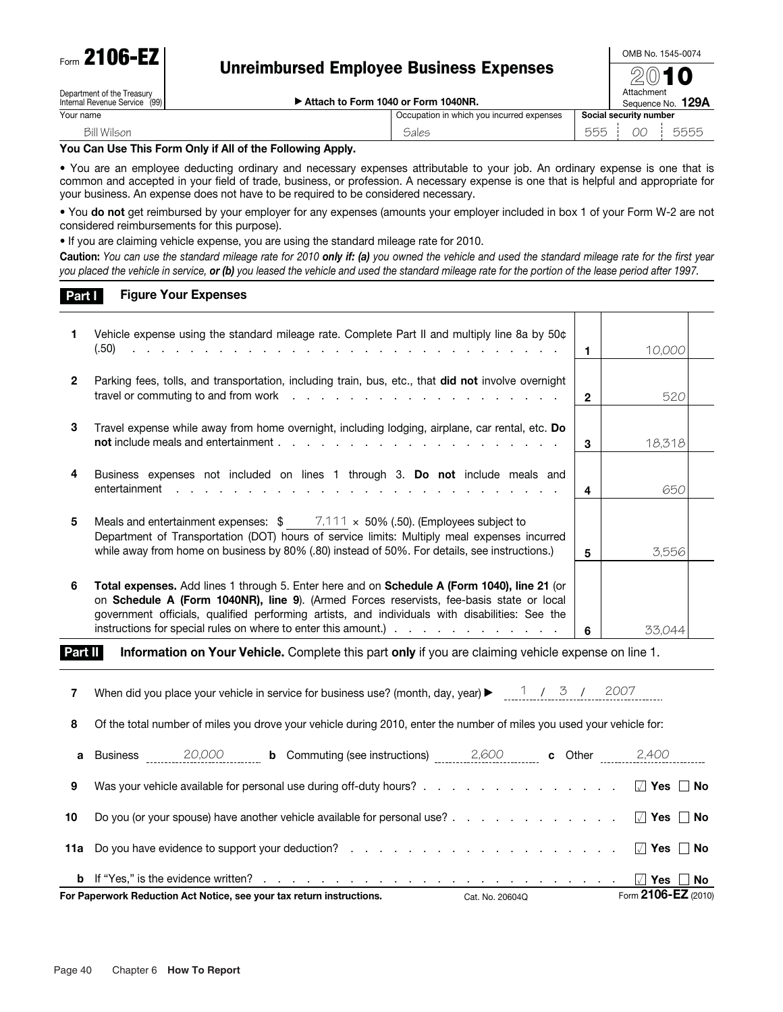

Department of the Treasury

### **Unreimbursed Employee Business Expenses**

| OMB No. 1545-0074                      |  |  |  |  |  |  |  |  |
|----------------------------------------|--|--|--|--|--|--|--|--|
| $\left( 0\right) 1$ $\mathbf{O}% _{0}$ |  |  |  |  |  |  |  |  |
| Attachment                             |  |  |  |  |  |  |  |  |
| Sequence No. 129A                      |  |  |  |  |  |  |  |  |
| cial security number                   |  |  |  |  |  |  |  |  |
|                                        |  |  |  |  |  |  |  |  |

| (99)<br>Internal Revenue Service |                                           | Sequence No. 129A |                        |      |
|----------------------------------|-------------------------------------------|-------------------|------------------------|------|
| Your name                        | Occupation in which you incurred expenses |                   | Social security number |      |
| Bill Wilson                      | Sales                                     | 555               | nη                     | 5555 |

### **You Can Use This Form Only if All of the Following Apply.**

• You are an employee deducting ordinary and necessary expenses attributable to your job. An ordinary expense is one that is common and accepted in your field of trade, business, or profession. A necessary expense is one that is helpful and appropriate for your business. An expense does not have to be required to be considered necessary.

• You **do not** get reimbursed by your employer for any expenses (amounts your employer included in box 1 of your Form W-2 are not considered reimbursements for this purpose).

• If you are claiming vehicle expense, you are using the standard mileage rate for 2010.

**Caution:** You can use the standard mileage rate for 2010 *only if: (a)* you owned the vehicle and used the standard mileage rate for the first year you placed the vehicle in service, *or (b)* you leased the vehicle and used the standard mileage rate for the portion of the lease period after 1997.

### **Part I Figure Your Expenses**

|   | Vehicle expense using the standard mileage rate. Complete Part II and multiply line 8a by 50¢<br>(.50)<br>a constitution of the constitution of the constitution of the constitution of the constitution of the constitution of the constitution of the constitution of the constitution of the constitution of the constitution of the                      | 1            | 10,000 |
|---|--------------------------------------------------------------------------------------------------------------------------------------------------------------------------------------------------------------------------------------------------------------------------------------------------------------------------------------------------------------|--------------|--------|
| 2 | Parking fees, tolls, and transportation, including train, bus, etc., that <b>did not</b> involve overnight                                                                                                                                                                                                                                                   | $\mathbf{2}$ | 520    |
| 3 | Travel expense while away from home overnight, including lodging, airplane, car rental, etc. Do                                                                                                                                                                                                                                                              | 3            | 18,318 |
| 4 | Business expenses not included on lines 1 through 3. Do not include meals and<br>entertainment<br>a constitution of the constitution of the constitution of the constitution of the constitution of the constitution of the constitution of the constitution of the constitution of the constitution of the constitution of the                              | 4            | 650    |
| 5 | Meals and entertainment expenses: $\frac{2}{3}$ 7.111 x 50% (.50). (Employees subject to<br>Department of Transportation (DOT) hours of service limits: Multiply meal expenses incurred<br>while away from home on business by 80% (.80) instead of 50%. For details, see instructions.)                                                                     | 5            | 3,556  |
| 6 | Total expenses. Add lines 1 through 5. Enter here and on Schedule A (Form 1040), line 21 (or<br>on Schedule A (Form 1040NR), line 9). (Armed Forces reservists, fee-basis state or local<br>government officials, qualified performing artists, and individuals with disabilities: See the<br>instructions for special rules on where to enter this amount.) | 6            | 33.044 |

**Part II Information on Your Vehicle.** Complete this part only if you are claiming vehicle expense on line 1.

**7** When did you place your vehicle in service for business use? (month, day, year)  $\blacktriangleright$   $\frac{1}{2}$ 1 3 2007

**8** Of the total number of miles you drove your vehicle during 2010, enter the number of miles you used your vehicle for:

|    | <b>a</b> Business 20,000                                                                                                                   | <b>b</b> Commuting (see instructions) 2,600 |  |  |  |                 |  |  |  | <b>c</b> Other $2,400$ |                      |
|----|--------------------------------------------------------------------------------------------------------------------------------------------|---------------------------------------------|--|--|--|-----------------|--|--|--|------------------------|----------------------|
| 9  | Was your vehicle available for personal use during off-duty hours? $\Box$ Yes $\Box$ No                                                    |                                             |  |  |  |                 |  |  |  |                        |                      |
| 10 | Do you (or your spouse) have another vehicle available for personal use? $\ldots$ $\ldots$ $\ldots$ $\ldots$ $\ldots$ $\Box$ Yes $\Box$ No |                                             |  |  |  |                 |  |  |  |                        |                      |
|    |                                                                                                                                            |                                             |  |  |  |                 |  |  |  |                        | $\Box$ Yes $\Box$ No |
|    |                                                                                                                                            |                                             |  |  |  |                 |  |  |  |                        | $\Box$ Yes $\Box$ No |
|    | For Paperwork Reduction Act Notice, see your tax return instructions.                                                                      |                                             |  |  |  | Cat. No. 20604Q |  |  |  |                        | Form 2106-EZ (2010)  |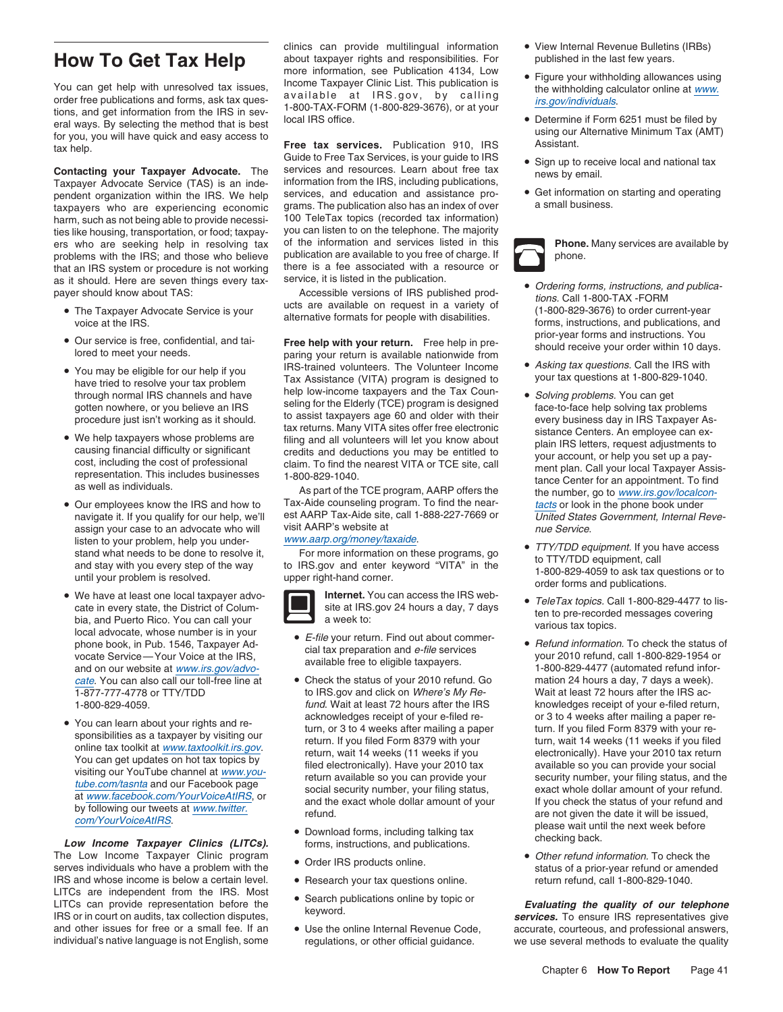You can get help with unresolved tax issues,<br>
order free publications and forms, ask tax ques<br>
interesting the method that is best<br>
free publications and forms, ask tax ques-<br>
order free publications and forms, ask tax que

pendent organization within the IRS. We help services, and education and assistance pro- • Get information of the IRS. We help services, and education and assistance pro-<br>taxpayers who are experiencing economic grams. The taxpayers who are experiencing economic grams. The publication also has an index of over<br>harm, such as not being able to provide necessi- 100 TeleTax topics (recorded tax information) harm, such as not being able to provide necessi-<br>ties like housing transportation, or food: taxpay-<br>you can listen to on the telephone. The majority ties like housing, transportation, or food; taxpay-you can listen to on the telephone. The majority<br>ers who are seeking help in resolving tax of the information and services listed in this ers who are seeking help in resolving tax of the information and services listed in this **Phone.** Many services are available by problems with the IRS; and those who believe publication are available to you free of charge. If phone.<br>
that an IRS system or procedure is not working there is a fee associated with a resource or that an IRS system or procedure is not working there is a fee associated with a r<br>as it should. Here are seven things every tax-<br>service, it is listed in the publication. as it should. Here are seven things every tax-<br>
payer should know about TAS: Accessible versions of IRS published prod-<br>
e Ordering forms, instructions, and publica-<br>
tione Cell 1,800 TAY EQDM

- 
- 
- 
- 
- assign your case to an advocate who will visit AARP's website at nue service.<br>listen to your problem, help you under- www.aarp.org/money/taxaide. listen to your problem, help you under-<br>stand what needs to be done to resolve it, For more information on these programs, go<br> $\overrightarrow{LT}$
- We have at least one local taxpayer advo-<br> **Internet.** You can access the IRS web-TeleTax topics. Call 1-800-829-4477 to lis-<br>bia, and Puerto Rico. You can call your<br>local advocate, whose number is in your<br>local advocate, whose number is in your<br>extention is the state in the state of Colum-<br>local advoca book, in Pub. 1546, Taxpayer Advanced the IRS,<br>vocate Service—Your Voice at the IRS, cial tax preparation and *e-file* services vocate Service—Your Voice at the IRS, cial tax preparation and *e-file* services your 2010 ref
- 

The Low Income Taxpayer Clinic program • Order IRS products online.<br>Serves individuals who have a problem with the • Order IRS products online. • • • • • • status of a prior-year refund or amended serves individuals who have a problem with the IRS and whose income is below a certain level. •LITCs are independent from the IRS. Most<br>LITCs can provide representation before the<br>the state of the state of the state of the state of the state of the state of the state of the state of the state of the state of the sta LITCs can provide representation before the and sensitive providence of the services. To ensure IRS representatives give<br>IRS or in court on audits, tax collection disputes, theyword. The services. To ensure IRS representat and other issues for free or a small fee. If an . Use the online Internal Revenue Code, accurate, courteous, and professional answers, individual's native language is not English, some regulations, or other official guidance. we use several methods to evaluate the quality

clinics can provide multilingual information • View Internal Revenue Bulletins (IRBs) **How To Get Tax Help** about taxpayer rights and responsibilities. For published in the last few years.<br>more information, see Publication 4134, Low . Figure your withholding allowances using more information, see Publication 4134, Low<br>Income Taxpayer Clinic List. This publication is

Guide to Free Tax Services, is your guide to IRS<br>
Contacting your Taxpayer Advocate. The services and resources. Learn about free tax<br>
Taxpayer Advocate Service (TAS) is an inde-<br>
information from the IRS, including public

Ordering forms, and published prod-<br>The Taxpayer Advocate Service is your ucts are available on request in a variety of *tions.* Call 1-800-TAX -FORM use are available on request in a variety of *(1-800-829-3676)* to order

Our service is free, confidential, and tai-<br>lored to meet your needs.<br>Management is available nationwide from the should receive your order within 10 day<br>Instrained volunteers. The Volunteer Income *Asking tax questions*. IRS-trained volunteers. The Volunteer Income ● Asking tax questions. Call the IRS with • You may be eligible for our help if you is assistance (VITA) program is designed to vour tax questions at 1-800-829-1040. • You may be eligible for our help if you<br>
have tried to resolve your tax problem<br>
through normal IRS channels and have<br>
gotten nowhere, or you believe an IRS<br>
gotten nowhere, or you believe an IRS<br>
gotten is designed to<br>

• Our employees know the IRS and how to Tax-Aide counseling program. To find the near-<br>navigate it. If you qualify for our help, we'll est AARP Tax-Aide site, call 1-888-227-7669 or *United States Government, Internal Righ* navigate it. If you qualify for our help, we'll est AARP Tax-Aide site, call 1-888-227-7669 or United States Government, Internal Reve-<br>assign your case to an advocate who will visit AARP's website at

- 
- cate. You can also call our toll-free line at Check the status of your 2010 refund. Go mation 24 hours a day, 7 days a week). 1-877-777-4778 or TTY/TDD to IRS.gov and click on Where's My Re- Wait at least 72 hours after the IRS ac-1-800-829-4059. https://wait at least 72 hours after the IRS knowledges receipt of your e-filed return, • You can learn about your rights and re-<br>• You can learn about your rights and re-<br>• turn. or 3 to 4 weeks after mailing a paper burn. If you filed Form 8379 with your re-
- Download forms, including talking tax checking back. *Low Income Taxpayer Clinics (LITCs).* forms, instructions, and publications.
	-
	-
	-
	-
- 
- 
- 
- 
- 



- The Taxpayer Advocate Service is your alternative formats for people with disabilities.<br>voice at the IRS. forms, instructions, and publications, and • Our service is free, confidential, and tai-<br>
Free help with your return. Free help in pre-<br>
land teceive your order within 10 days.
	-
- We help taxpayers whose problems are filing and all volunteers will let you know about<br>
causing financial difficulty or significant<br>
cost, including the cost of professional<br>
representation. This includes businesses<br>
as
	- and what needs to be done to resolve it,<br>and stay with you every step of the way the way the URS.gov and enter keyword "VITA" in the the theory of the way the until your problem is resolved.<br>and stay with you every step of
		-
- You can learn about your rights and re-<br>sponsibilities as a taxpayer by visiting our<br>online tax toolkit a www.taxtoolkit.irs.gov.<br>You can get updates on hot tax topics by<br>visiting our<br>visiting our YouTube channel at <u>www</u>
	- Research your tax questions online. return refund, call 1-800-829-1040.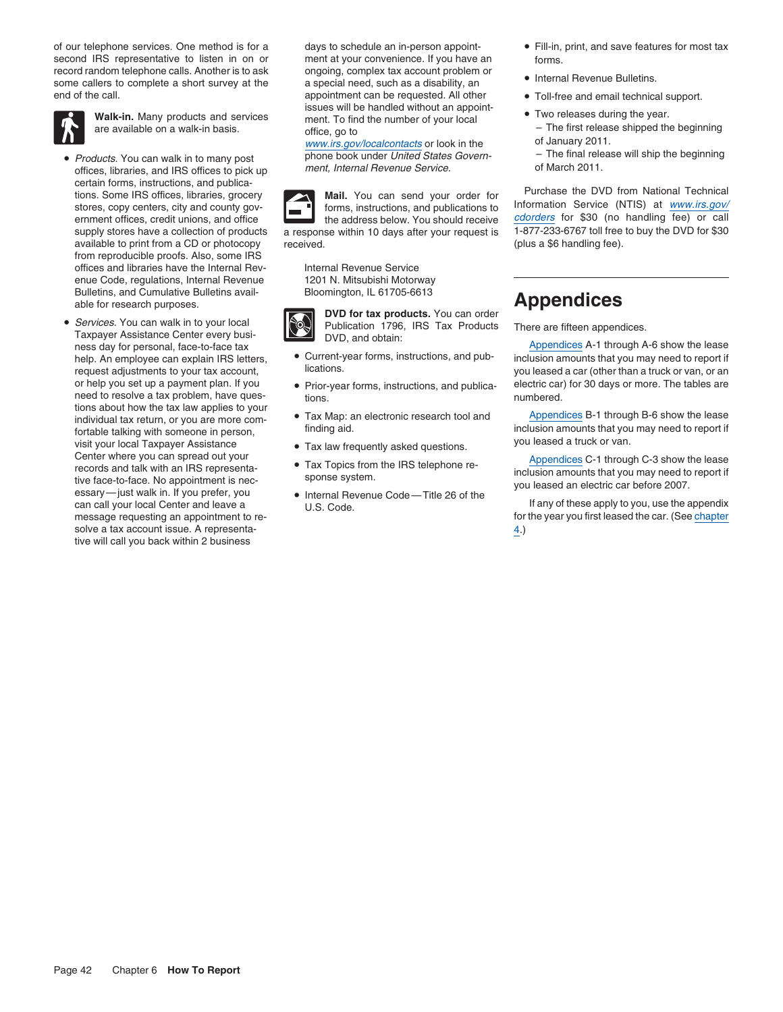of our telephone services. One method is for a days to schedule an in-person appoint- • Fill-in, print, and save features for most tax second IRS representative to listen in on or ment at your convenience. If you have an forms. record random telephone calls. Another is to ask ongoing, complex tax account problem or<br>some callers to complete a short survey at the a special need, such as a disability, an **I** hternal Revenue Bulletins. some callers to complete a short survey at the



- Products. You can walk in to many post phone book under United States Govern- The final release will share to pick up the ment. Internal Revenue Service. Products. The many post many post ment, Internal Revenue Service. certain forms, instructions, and publica-<br>tions. Some IRS offices, libraries, grocery<br>stores, copy centers, city and county gov-<br>forms, instructions, and publications to linformation Service (NTIS) at www.irs.gov/ available to print from a CD or photocopy received. The second contract that the set of plus a \$6 handling fee). from reproducible proofs. Also, some IRS offices and libraries have the Internal Rev- Internal Revenue Service enue Code, regulations, Internal Revenue 1201 N. Mitsubishi Motorway Bulletins, and Cumulative Bulletins avail-<br>
Bloomington, IL 61705-6613
- •Services. You can walk in to your local Publication 1796, IRS Tax Products There are fifteen appendices.<br>Taxpayer Assistance Center every busi- DVD, and obtain: Publication 1796, IRS Tax Products There are fifteen appendic or help you set up a payment plan. If you •need to resolve a tax problem, have ques-<br>tions. tions about how the tax law applies to your Visit your local Taxpayer Assistance visit your local Taxpayer Assistance visit your local Taxpayer Assistance<br>
Center where you can spread out your<br>
Fax Topics from the IRS telephone re-<br>
Fax Topics from the IRS telephone records and talk with an IRS representa-<br>tive face-to-face. No appointment is nec-<br>essary—just walk in. If you prefer, you <br>essary—just walk in. If you prefer, you <br>essary—just walk in. If you prefer, you <br>essary—just walk solve a tax account issue. A representa-  $4.$ ) tive will call you back within 2 business

end of the call. <br>appointment can be requested. All other • Toll-free and email technical support.<br>absures will be handled without an appoint-**Walk-in.** Many products and services ment. To find the number of your local **CONFTANT CONFINEM TEXALL THE SAMPLE THE SAMPLE THE SAMPLE THE SAMPLE THE SAMPLE THE first release shipped the beginning of January 2011.** 

www.irs.gov/localcontacts or look in the Tanuary 2011.<br>The final release will ship the beginning<br>phone book under United States Govern-<br>phone final release will ship the beginning



Bureaus, and committed bureaus available for research purposes.<br> **Appendices**<br> **DVD for tax products.** You can order<br>
Publication 1796. IRS Tax Products There are fifteen anneno

- Current-year forms, instructions, and pub-
- 
- Tax Map: an electronic research tool and
- 
- 
- Internal Revenue Code-Title 26 of the
- 
- 
- 
- 
- 
- 

ernment offices, credit unions, and office the address below. You should receive cdorders for \$30 (no handling fee) or call supply stores have a collection of products a response within 10 days after your request is 1-877-233-6767 toll free to buy the DVD for \$30

Appendices A-1 through A-6 show the lease help. An employee can explain IRS letters, Current-year forms, instructions, and pub-<br>
lications.<br>
lications. request adjustments to your tax account,  $\frac{1}{2}$  lications. The state of your leased a car (other than a truck or van, or an • Prior-year forms, instructions, and publica-<br>tions. none. The tables are<br>numbered.

individual tax return, or you are more com-<br>
fortable talking with someone in person, finding aid.<br>
visit your local Taxpayer Assistance **and Configures** Tax law frequently asked questions. The special control of<br>
visit yo

can call your local Center and leave a If any of these apply to you, use the appendix U.S. Code. message requesting an appointment to re-<br>  $\frac{1}{2}$  for the year you first leased the car. (See chapter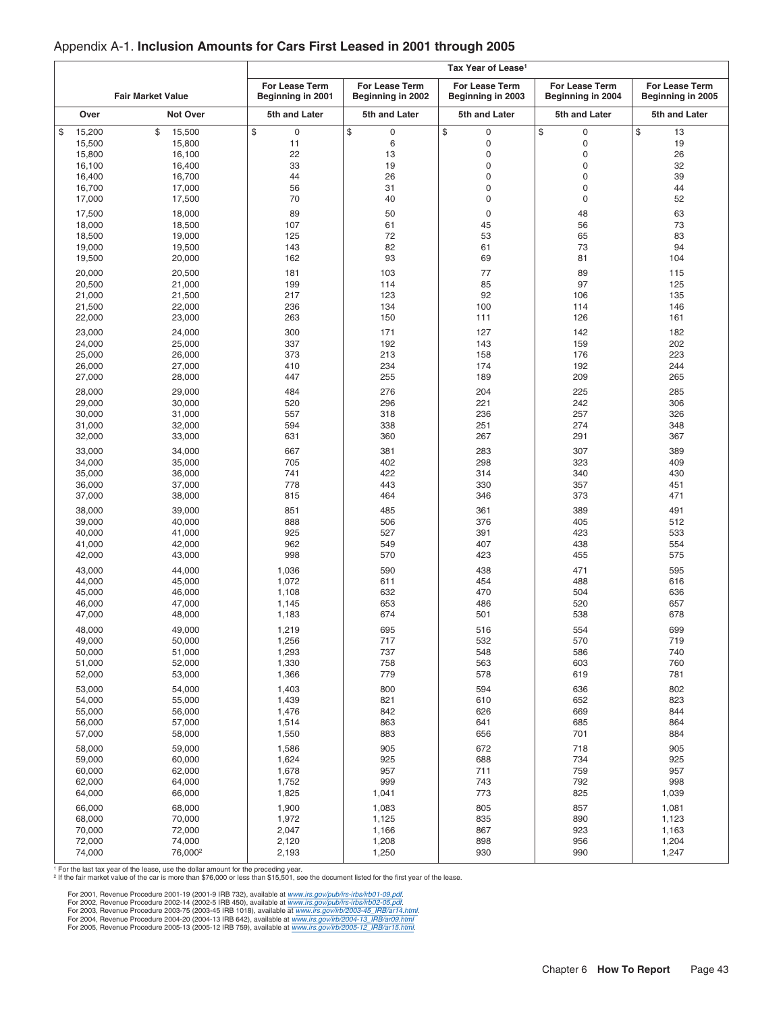|              |                          |                                     |                                     | Tax Year of Lease <sup>1</sup>      |                                     |                                     |
|--------------|--------------------------|-------------------------------------|-------------------------------------|-------------------------------------|-------------------------------------|-------------------------------------|
|              | <b>Fair Market Value</b> | For Lease Term<br>Beginning in 2001 | For Lease Term<br>Beginning in 2002 | For Lease Term<br>Beginning in 2003 | For Lease Term<br>Beginning in 2004 | For Lease Term<br>Beginning in 2005 |
| Over         | Not Over                 | 5th and Later                       | 5th and Later                       | 5th and Later                       | 5th and Later                       | 5th and Later                       |
| \$<br>15,200 | \$<br>15,500             | \$<br>$\mathbf 0$                   | \$<br>0                             | \$<br>0                             | \$<br>$\mathbf 0$                   | \$<br>13                            |
| 15,500       | 15,800                   | 11                                  | 6                                   | 0                                   | $\pmb{0}$                           | 19                                  |
| 15,800       | 16,100                   | 22                                  | 13                                  | 0                                   | $\mathbf 0$                         | 26                                  |
| 16,100       | 16,400                   | 33                                  | 19                                  | 0                                   | 0                                   | 32                                  |
| 16,400       | 16,700                   | 44                                  | 26                                  | 0                                   | 0                                   | 39                                  |
| 16,700       | 17,000                   | 56                                  | 31                                  | 0                                   | 0                                   | 44                                  |
| 17,000       | 17,500                   | 70                                  | 40                                  | 0                                   | $\mathbf 0$                         | 52                                  |
| 17,500       | 18,000                   | 89                                  | 50                                  | 0                                   | 48                                  | 63                                  |
| 18,000       | 18,500                   | 107                                 | 61                                  | 45                                  | 56                                  | 73                                  |
| 18,500       | 19,000                   | 125                                 | 72                                  | 53                                  | 65                                  | 83                                  |
| 19,000       | 19,500                   | 143                                 | 82                                  | 61                                  | 73                                  | 94                                  |
| 19,500       | 20,000                   | 162                                 | 93                                  | 69                                  | 81                                  | 104                                 |
| 20,000       | 20,500                   | 181                                 | 103                                 | 77                                  | 89                                  | 115                                 |
| 20,500       | 21,000                   | 199                                 | 114                                 | 85                                  | 97                                  | 125                                 |
| 21,000       | 21,500                   | 217                                 | 123                                 | 92                                  | 106                                 | 135                                 |
| 21,500       | 22,000                   | 236                                 | 134                                 | 100                                 | 114                                 | 146                                 |
| 22,000       | 23,000                   | 263                                 | 150                                 | 111                                 | 126                                 | 161                                 |
| 23,000       | 24,000                   | 300                                 | 171                                 | 127                                 | 142                                 | 182                                 |
| 24,000       | 25,000                   | 337                                 | 192                                 | 143                                 | 159                                 | 202                                 |
| 25,000       | 26,000                   | 373                                 | 213                                 | 158                                 | 176                                 | 223                                 |
| 26,000       | 27,000                   | 410                                 | 234                                 | 174                                 | 192                                 | 244                                 |
| 27,000       | 28,000                   | 447                                 | 255                                 | 189                                 | 209                                 | 265                                 |
| 28,000       | 29,000                   | 484                                 | 276                                 | 204                                 | 225                                 | 285                                 |
| 29,000       | 30,000                   | 520                                 | 296                                 | 221                                 | 242                                 | 306                                 |
| 30,000       | 31,000                   | 557                                 | 318                                 | 236                                 | 257                                 | 326                                 |
| 31,000       | 32,000                   | 594                                 | 338                                 | 251                                 | 274                                 | 348                                 |
| 32,000       | 33,000                   | 631                                 | 360                                 | 267                                 | 291                                 | 367                                 |
|              |                          |                                     |                                     |                                     |                                     |                                     |
| 33,000       | 34,000                   | 667                                 | 381                                 | 283                                 | 307                                 | 389                                 |
| 34,000       | 35,000                   | 705                                 | 402                                 | 298                                 | 323                                 | 409                                 |
| 35,000       | 36,000                   | 741                                 | 422                                 | 314                                 | 340                                 | 430                                 |
| 36,000       | 37,000                   | 778                                 | 443                                 | 330                                 | 357                                 | 451                                 |
| 37,000       | 38,000                   | 815                                 | 464                                 | 346                                 | 373                                 | 471                                 |
| 38,000       | 39,000                   | 851                                 | 485                                 | 361                                 | 389                                 | 491                                 |
| 39,000       | 40,000                   | 888                                 | 506                                 | 376                                 | 405                                 | 512                                 |
| 40,000       | 41,000                   | 925                                 | 527                                 | 391                                 | 423                                 | 533                                 |
| 41,000       | 42,000                   | 962                                 | 549                                 | 407                                 | 438                                 | 554                                 |
| 42,000       | 43,000                   | 998                                 | 570                                 | 423                                 | 455                                 | 575                                 |
| 43,000       | 44,000                   | 1,036                               | 590                                 | 438                                 | 471                                 | 595                                 |
| 44,000       | 45,000                   | 1,072                               | 611                                 | 454                                 | 488                                 | 616                                 |
| 45,000       | 46,000                   | 1,108                               | 632                                 | 470                                 | 504                                 | 636                                 |
| 46,000       | 47,000                   | 1,145                               | 653                                 | 486                                 | 520                                 | 657                                 |
| 47,000       | 48,000                   | 1,183                               | 674                                 | 501                                 | 538                                 | 678                                 |
| 48,000       | 49,000                   | 1,219                               | 695                                 | 516                                 | 554                                 | 699                                 |
| 49,000       | 50,000                   | 1,256                               | 717                                 | 532                                 | 570                                 | 719                                 |
| 50,000       | 51,000                   | 1,293                               | 737                                 | 548                                 | 586                                 | 740                                 |
| 51,000       | 52,000                   | 1,330                               | 758                                 | 563                                 | 603                                 | 760                                 |
| 52,000       | 53,000                   | 1,366                               | 779                                 | 578                                 | 619                                 | 781                                 |
| 53,000       | 54,000                   | 1,403                               | 800                                 | 594                                 | 636                                 | 802                                 |
| 54,000       | 55,000                   | 1,439                               | 821                                 | 610                                 | 652                                 | 823                                 |
| 55,000       | 56,000                   | 1,476                               | 842                                 | 626                                 | 669                                 | 844                                 |

56,000 57,000 | 1,514 | 863 | 641 | 685 | 864 57,000 58,000 | 1,550 | 883 | 656 | 701 | 884 58,000 59,000 1,586 905 672 718 905 59,000 60,000 1,624 925 688 734 925 60,000 62,000 1,678 957 711 759 957 62,000 64,000 1,752 999 743 792 998 64,000 66,000 1,825 1,041 773 825 1,039 66,000 68,000 | 1,900 | 1,083 | 805 | 857 | 1,081 68,000 70,000 1,972 1,125 835 890 1,123 70,000 72,000 2,047 1,166 867 923 1,163 72,000 74,000 | 2,120 | 1,208 | 898 | 956 | 1,204 74,000 76,000<sup>2</sup> 2,193 1,250 930 990 1,247

### Appendix A-1. **Inclusion Amounts for Cars First Leased in 2001 through 2005**

<sup>1</sup> For the last tax year of the lease, use the dollar amount for the preceding year. <sup>2</sup> If the fair market value of the car is more than \$76,000 or less than \$15,501, see the document listed for the first year of the lease.

For 2001, Revenue Procedure 2001-19 (2001-9 IRB 732), available at www.irs.gov/pub/irs-irbs/irb01-09.pdf.

For 2002, Revenue Procedure 2002-14 (2002-5 IRB 450), available at <u>www.irs.*gov/pub/irs-irbs/irb02-05.pdf.*<br>For 2003, Revenue Procedure 2003-75 (2003-45 IRB 1018), available at *www.irs.gov/irb/2003-45\_IRB/ar14.html*.<br>For</u>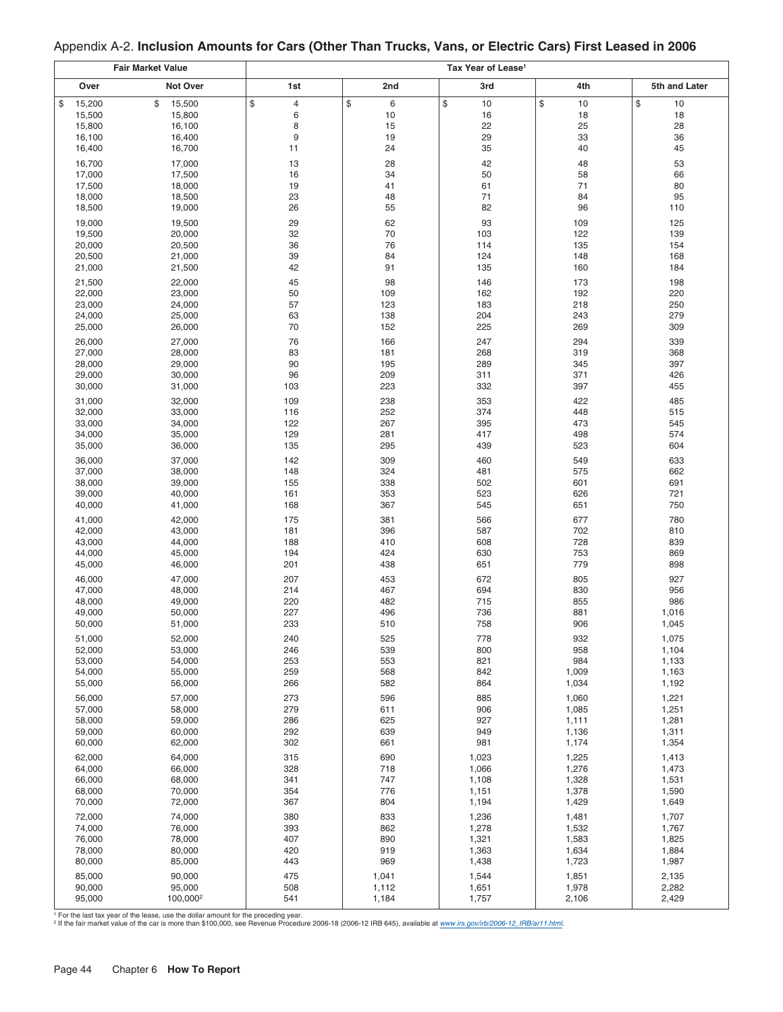|              | <b>Fair Market Value</b><br>Tax Year of Lease <sup>1</sup> |                      |         |          |          |               |  |  |  |
|--------------|------------------------------------------------------------|----------------------|---------|----------|----------|---------------|--|--|--|
| Over         | Not Over                                                   | 1st                  | 2nd     | 3rd      | 4th      | 5th and Later |  |  |  |
| \$<br>15,200 | \$<br>15,500                                               | \$<br>$\overline{4}$ | \$<br>6 | \$<br>10 | \$<br>10 | \$<br>10      |  |  |  |
| 15,500       | 15,800                                                     | 6                    | 10      | 16       | 18       | 18            |  |  |  |
| 15,800       | 16,100                                                     | 8                    | 15      | 22       | 25       | 28            |  |  |  |
| 16,100       | 16,400                                                     | 9                    | 19      | 29       | 33       | 36            |  |  |  |
| 16,400       | 16,700                                                     | 11                   | 24      | 35       | 40       | 45            |  |  |  |
| 16,700       | 17,000                                                     | 13                   | 28      | 42       | 48       | 53            |  |  |  |
| 17,000       | 17,500                                                     | 16                   | 34      | 50       | 58       | 66            |  |  |  |
| 17,500       | 18,000                                                     | 19                   | 41      | 61       | 71       | 80            |  |  |  |
| 18,000       | 18,500                                                     | 23                   | 48      | 71       | 84       | 95            |  |  |  |
| 18,500       | 19,000                                                     | 26                   | 55      | 82       | 96       | 110           |  |  |  |
|              |                                                            |                      |         |          |          |               |  |  |  |
| 19,000       | 19,500                                                     | 29                   | 62      | 93       | 109      | 125           |  |  |  |
| 19,500       | 20,000                                                     | 32                   | 70      | 103      | 122      | 139           |  |  |  |
| 20,000       | 20,500                                                     | 36                   | 76      | 114      | 135      | 154           |  |  |  |
| 20,500       | 21,000                                                     | 39                   | 84      | 124      | 148      | 168           |  |  |  |
| 21,000       | 21,500                                                     | 42                   | 91      | 135      | 160      | 184           |  |  |  |
| 21,500       | 22,000                                                     | 45                   | 98      | 146      | 173      | 198           |  |  |  |
| 22,000       | 23,000                                                     | 50                   | 109     | 162      | 192      | 220           |  |  |  |
| 23,000       | 24,000                                                     | 57                   | 123     | 183      | 218      | 250           |  |  |  |
| 24,000       | 25,000                                                     | 63                   | 138     | 204      | 243      | 279           |  |  |  |
| 25,000       | 26,000                                                     | 70                   | 152     | 225      | 269      | 309           |  |  |  |
| 26,000       | 27,000                                                     | 76                   | 166     | 247      | 294      | 339           |  |  |  |
| 27,000       | 28,000                                                     | 83                   | 181     | 268      | 319      | 368           |  |  |  |
| 28,000       | 29,000                                                     | 90                   | 195     | 289      | 345      | 397           |  |  |  |
| 29,000       | 30,000                                                     | 96                   | 209     | 311      | 371      | 426           |  |  |  |
| 30,000       | 31,000                                                     | 103                  | 223     | 332      | 397      | 455           |  |  |  |
|              |                                                            |                      |         |          |          |               |  |  |  |
| 31,000       | 32,000                                                     | 109                  | 238     | 353      | 422      | 485           |  |  |  |
| 32,000       | 33,000                                                     | 116                  | 252     | 374      | 448      | 515           |  |  |  |
| 33,000       | 34,000                                                     | 122                  | 267     | 395      | 473      | 545           |  |  |  |
| 34,000       | 35,000                                                     | 129                  | 281     | 417      | 498      | 574           |  |  |  |
| 35,000       | 36,000                                                     | 135                  | 295     | 439      | 523      | 604           |  |  |  |
| 36,000       | 37,000                                                     | 142                  | 309     | 460      | 549      | 633           |  |  |  |
| 37,000       | 38,000                                                     | 148                  | 324     | 481      | 575      | 662           |  |  |  |
| 38,000       | 39,000                                                     | 155                  | 338     | 502      | 601      | 691           |  |  |  |
| 39,000       | 40,000                                                     | 161                  | 353     | 523      | 626      | 721           |  |  |  |
| 40,000       | 41,000                                                     | 168                  | 367     | 545      | 651      | 750           |  |  |  |
| 41,000       | 42,000                                                     | 175                  | 381     | 566      | 677      | 780           |  |  |  |
| 42,000       | 43,000                                                     | 181                  | 396     | 587      | 702      | 810           |  |  |  |
| 43,000       | 44,000                                                     | 188                  | 410     | 608      | 728      | 839           |  |  |  |
| 44,000       | 45,000                                                     | 194                  | 424     | 630      | 753      | 869           |  |  |  |
| 45,000       | 46,000                                                     | 201                  | 438     | 651      | 779      | 898           |  |  |  |
|              |                                                            |                      |         |          |          |               |  |  |  |
| 46,000       | 47,000                                                     | 207                  | 453     | 672      | 805      | 927           |  |  |  |
| 47,000       | 48,000<br>49.000                                           | 214                  | 467     | 694      | 830      | 956           |  |  |  |
| 48,000       |                                                            | 220                  | 482     | 715      | 855      | 986           |  |  |  |
| 49,000       | 50,000                                                     | 227                  | 496     | 736      | 881      | 1,016         |  |  |  |
| 50,000       | 51,000                                                     | 233                  | 510     | 758      | 906      | 1,045         |  |  |  |
| 51,000       | 52,000                                                     | 240                  | 525     | 778      | 932      | 1,075         |  |  |  |
| 52,000       | 53,000                                                     | 246                  | 539     | 800      | 958      | 1,104         |  |  |  |
| 53,000       | 54,000                                                     | 253                  | 553     | 821      | 984      | 1,133         |  |  |  |
| 54,000       | 55,000                                                     | 259                  | 568     | 842      | 1,009    | 1,163         |  |  |  |
| 55,000       | 56,000                                                     | 266                  | 582     | 864      | 1,034    | 1,192         |  |  |  |
| 56,000       | 57,000                                                     | 273                  | 596     | 885      | 1,060    | 1,221         |  |  |  |
| 57,000       | 58,000                                                     | 279                  | 611     | 906      | 1,085    | 1,251         |  |  |  |
| 58,000       | 59,000                                                     | 286                  | 625     | 927      | 1,111    | 1,281         |  |  |  |
| 59,000       | 60,000                                                     | 292                  | 639     | 949      | 1,136    | 1,311         |  |  |  |
| 60,000       | 62,000                                                     | 302                  | 661     | 981      | 1,174    | 1,354         |  |  |  |
| 62,000       | 64,000                                                     | 315                  | 690     | 1,023    | 1,225    | 1,413         |  |  |  |
| 64,000       | 66,000                                                     | 328                  | 718     | 1,066    | 1,276    | 1,473         |  |  |  |
| 66,000       | 68,000                                                     | 341                  | 747     | 1,108    | 1,328    | 1,531         |  |  |  |
| 68,000       | 70,000                                                     | 354                  | 776     | 1,151    | 1,378    | 1,590         |  |  |  |
| 70,000       | 72,000                                                     | 367                  | 804     | 1,194    | 1,429    | 1,649         |  |  |  |
|              |                                                            |                      |         |          |          |               |  |  |  |
| 72,000       | 74,000                                                     | 380                  | 833     | 1,236    | 1,481    | 1,707         |  |  |  |
| 74,000       | 76,000                                                     | 393                  | 862     | 1,278    | 1,532    | 1,767         |  |  |  |
| 76,000       | 78,000                                                     | 407                  | 890     | 1,321    | 1,583    | 1,825         |  |  |  |
| 78,000       | 80,000                                                     | 420                  | 919     | 1,363    | 1,634    | 1,884         |  |  |  |
| 80,000       | 85,000                                                     | 443                  | 969     | 1,438    | 1,723    | 1,987         |  |  |  |
| 85,000       | 90,000                                                     | 475                  | 1,041   | 1,544    | 1,851    | 2,135         |  |  |  |
| 90,000       | 95,000                                                     | 508                  | 1,112   | 1,651    | 1,978    | 2,282         |  |  |  |
| 95,000       | 100,000 <sup>2</sup>                                       | 541                  | 1,184   | 1,757    | 2,106    | 2,429         |  |  |  |

### Appendix A-2. **Inclusion Amounts for Cars (Other Than Trucks, Vans, or Electric Cars) First Leased in 2006**

<sup>1</sup> For the last tax year of the lease, use the dollar amount for the preceding year.<br><sup>2</sup> If the fair market value of the car is more than \$100,000, see Revenue Procedure 2006-18 (2006-12 IRB 645), available at *www.irs.go*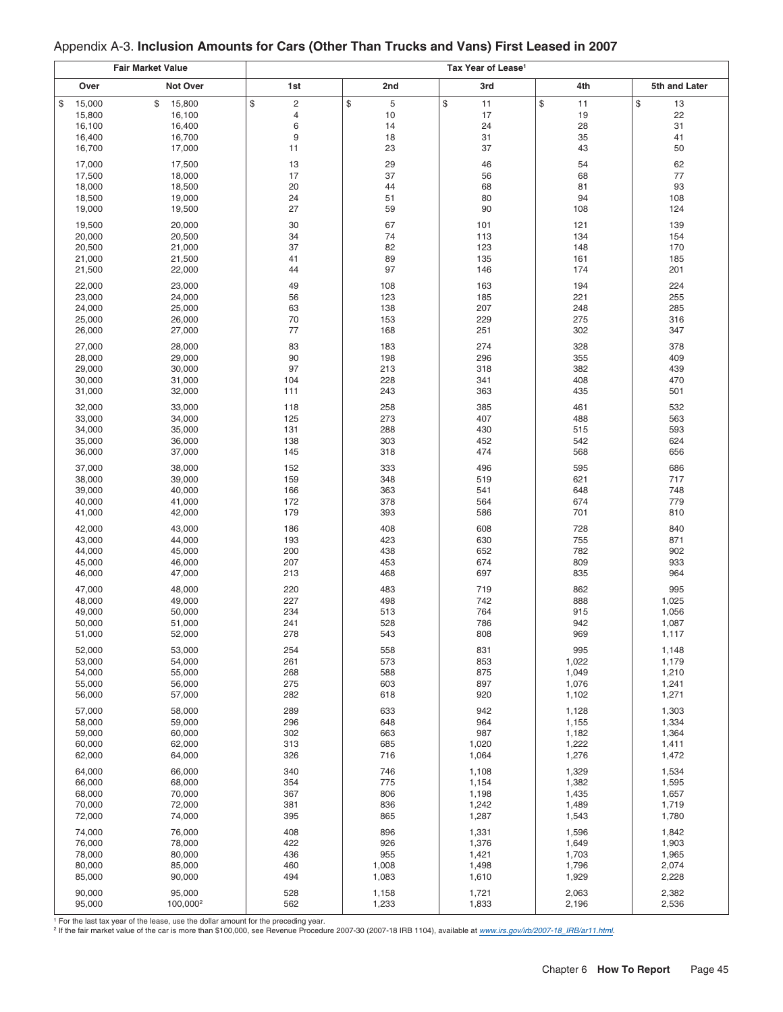|              | <b>Fair Market Value</b> |                  |                   | Tax Year of Lease <sup>1</sup> |          |               |
|--------------|--------------------------|------------------|-------------------|--------------------------------|----------|---------------|
| Over         | Not Over                 | 1st              | 2nd               | 3rd                            | 4th      | 5th and Later |
| \$<br>15,000 | \$<br>15,800             | \$<br>$\sqrt{2}$ | $\mathbb{S}$<br>5 | \$<br>11                       | \$<br>11 | \$<br>13      |
| 15,800       | 16,100                   | $\overline{4}$   | 10                | 17                             | 19       | 22            |
| 16,100       | 16,400                   | 6                | 14                | 24                             | 28       | 31            |
| 16,400       | 16,700                   | 9                | 18                | 31                             | 35       | 41            |
| 16,700       | 17,000                   | 11               | 23                | 37                             | 43       | 50            |
|              |                          |                  |                   |                                |          |               |
| 17,000       | 17,500                   | 13               | 29                | 46                             | 54       | 62            |
| 17,500       | 18,000                   | 17               | 37                | 56                             | 68       | 77            |
| 18,000       | 18,500                   | 20               | 44                | 68                             | 81       | 93            |
| 18,500       | 19,000                   | 24               | 51                | 80                             | 94       | 108           |
| 19,000       | 19,500                   | 27               | 59                | 90                             | 108      | 124           |
|              |                          |                  |                   |                                |          |               |
| 19,500       | 20,000                   | 30               | 67                | 101                            | 121      | 139           |
| 20,000       | 20,500                   | 34               | 74                | 113                            | 134      | 154           |
| 20,500       | 21,000                   | 37               | 82                | 123                            | 148      | 170           |
| 21,000       | 21,500                   | 41               | 89                | 135                            | 161      | 185           |
| 21,500       | 22,000                   | 44               | 97                | 146                            | 174      | 201           |
| 22,000       | 23,000                   | 49               | 108               | 163                            | 194      | 224           |
| 23,000       | 24,000                   | 56               | 123               | 185                            | 221      | 255           |
| 24,000       | 25,000                   | 63               | 138               | 207                            | 248      | 285           |
| 25,000       | 26,000                   | 70               | 153               | 229                            | 275      | 316           |
|              |                          |                  |                   |                                |          |               |
| 26,000       | 27,000                   | 77               | 168               | 251                            | 302      | 347           |
| 27,000       | 28,000                   | 83               | 183               | 274                            | 328      | 378           |
| 28,000       | 29,000                   | 90               | 198               | 296                            | 355      | 409           |
| 29,000       | 30,000                   | 97               | 213               | 318                            | 382      | 439           |
| 30,000       | 31,000                   | 104              | 228               | 341                            | 408      | 470           |
| 31,000       | 32,000                   | 111              | 243               | 363                            | 435      | 501           |
|              |                          |                  |                   |                                |          |               |
| 32,000       | 33,000                   | 118              | 258               | 385                            | 461      | 532           |
| 33,000       | 34,000                   | 125              | 273               | 407                            | 488      | 563           |
| 34,000       | 35,000                   | 131              | 288               | 430                            | 515      | 593           |
| 35,000       | 36,000                   | 138              | 303               | 452                            | 542      | 624           |
| 36,000       | 37,000                   | 145              | 318               | 474                            | 568      | 656           |
| 37,000       | 38,000                   | 152              | 333               | 496                            | 595      | 686           |
| 38,000       | 39,000                   | 159              | 348               | 519                            | 621      | 717           |
| 39,000       | 40,000                   | 166              | 363               | 541                            | 648      | 748           |
|              |                          |                  |                   |                                |          |               |
| 40,000       | 41,000                   | 172              | 378               | 564                            | 674      | 779           |
| 41,000       | 42,000                   | 179              | 393               | 586                            | 701      | 810           |
| 42,000       | 43,000                   | 186              | 408               | 608                            | 728      | 840           |
| 43,000       | 44,000                   | 193              | 423               | 630                            | 755      | 871           |
| 44,000       | 45,000                   | 200              | 438               | 652                            | 782      | 902           |
| 45,000       | 46,000                   | 207              | 453               | 674                            | 809      | 933           |
| 46,000       | 47,000                   | 213              | 468               | 697                            | 835      | 964           |
|              |                          |                  |                   |                                |          |               |
| 47,000       | 48.000                   | 220              | 483               | 719                            | 862      | 995           |
| 48,000       | 49,000                   | 227              | 498               | 742                            | 888      | 1,025         |
| 49,000       | 50,000                   | 234              | 513               | 764                            | 915      | 1,056         |
| 50,000       | 51,000                   | 241              | 528               | 786                            | 942      | 1,087         |
| 51,000       | 52,000                   | 278              | 543               | 808                            | 969      | 1,117         |
| 52,000       | 53,000                   | 254              | 558               | 831                            | 995      | 1,148         |
| 53,000       | 54,000                   | 261              | 573               | 853                            | 1,022    | 1,179         |
| 54,000       | 55,000                   | 268              | 588               | 875                            | 1,049    | 1,210         |
| 55,000       | 56,000                   | 275              | 603               | 897                            | 1,076    | 1,241         |
| 56,000       | 57,000                   | 282              | 618               | 920                            | 1,102    | 1,271         |
|              |                          |                  |                   |                                |          |               |
| 57,000       | 58,000                   | 289              | 633               | 942                            | 1,128    | 1,303         |
| 58,000       | 59,000                   | 296              | 648               | 964                            | 1,155    | 1,334         |
| 59,000       | 60,000                   | 302              | 663               | 987                            | 1,182    | 1,364         |
| 60,000       | 62,000                   | 313              | 685               | 1,020                          | 1,222    | 1,411         |
| 62,000       | 64,000                   | 326              | 716               | 1,064                          | 1,276    | 1,472         |
| 64,000       | 66,000                   | 340              | 746               | 1,108                          | 1,329    | 1,534         |
|              |                          |                  |                   |                                |          |               |
| 66,000       | 68,000                   | 354              | 775               | 1,154                          | 1,382    | 1,595         |
| 68,000       | 70,000                   | 367              | 806               | 1,198                          | 1,435    | 1,657         |
| 70,000       | 72,000                   | 381              | 836               | 1,242                          | 1,489    | 1,719         |
| 72,000       | 74,000                   | 395              | 865               | 1,287                          | 1,543    | 1,780         |
| 74,000       | 76,000                   | 408              | 896               | 1,331                          | 1,596    | 1,842         |
| 76,000       | 78,000                   | 422              | 926               | 1,376                          | 1,649    | 1,903         |
| 78,000       | 80,000                   | 436              | 955               | 1,421                          | 1,703    | 1,965         |
| 80,000       | 85,000                   | 460              | 1,008             | 1,498                          | 1,796    | 2,074         |
| 85,000       | 90,000                   | 494              | 1,083             | 1,610                          | 1,929    | 2,228         |
|              |                          |                  |                   |                                |          |               |
| 90,000       | 95,000                   | 528              | 1,158             | 1,721                          | 2,063    | 2,382         |
| 95,000       | 100,000 <sup>2</sup>     | 562              | 1,233             | 1,833                          | 2,196    | 2,536         |

### Appendix A-3. **Inclusion Amounts for Cars (Other Than Trucks and Vans) First Leased in 2007**

<sup>1</sup> For the last tax year of the lease, use the dollar amount for the preceding year.<br><sup>2</sup> If the fair market value of the car is more than \$100,000, see Revenue Procedure 2007-30 (2007-18 IRB 1104), available at *www.irs.g*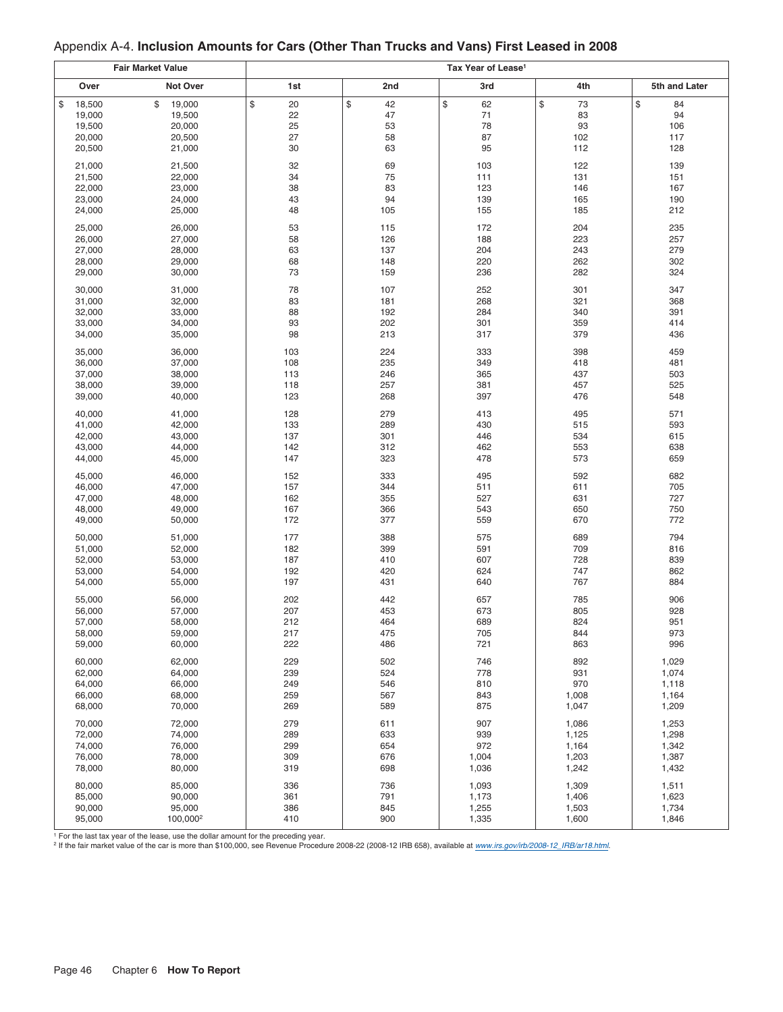|                  | <b>Fair Market Value</b> |            |            | Tax Year of Lease <sup>1</sup> |            |               |
|------------------|--------------------------|------------|------------|--------------------------------|------------|---------------|
| Over             | Not Over                 | 1st        | 2nd        | 3rd                            | 4th        | 5th and Later |
| \$<br>18,500     | \$<br>19,000             | \$<br>20   | \$<br>42   | \$<br>62                       | \$<br>73   | \$<br>84      |
| 19,000           | 19,500                   | 22         | 47         | 71                             | 83         | 94            |
| 19,500           | 20,000                   | 25         | 53         | 78                             | 93         | 106           |
| 20,000           | 20,500                   | 27         | 58         | 87                             | 102        | 117           |
| 20,500           | 21,000                   | 30         | 63         | 95                             | 112        | 128           |
| 21,000           | 21,500                   | 32         | 69         | 103                            | 122        | 139           |
| 21,500           | 22,000                   | 34         | 75         | 111                            | 131        | 151           |
| 22,000           | 23,000                   | 38         | 83         | 123                            | 146        | 167           |
| 23,000           | 24,000                   | 43         | 94         | 139                            | 165        | 190           |
| 24,000           | 25,000                   | 48         | 105        | 155                            | 185        | 212           |
| 25,000           | 26,000                   | 53         | 115        | 172                            | 204        | 235           |
| 26,000           | 27,000                   | 58         | 126        | 188                            | 223        | 257           |
| 27,000           | 28,000                   | 63         | 137        | 204                            | 243        | 279           |
| 28,000           | 29,000                   | 68         | 148        | 220                            | 262        | 302           |
| 29,000           | 30,000                   | 73         | 159        | 236                            | 282        | 324           |
|                  |                          |            |            |                                |            |               |
| 30,000           | 31,000                   | 78         | 107        | 252                            | 301        | 347           |
| 31,000           | 32,000                   | 83         | 181        | 268                            | 321        | 368           |
| 32,000           | 33,000                   | 88         | 192        | 284                            | 340        | 391           |
| 33,000           | 34,000                   | 93         | 202        | 301                            | 359        | 414           |
| 34,000           | 35,000                   | 98         | 213        | 317                            | 379        | 436           |
| 35,000           | 36,000                   | 103        | 224        | 333                            | 398        | 459           |
| 36,000           | 37,000                   | 108        | 235        | 349                            | 418        | 481           |
| 37,000           | 38,000                   | 113        | 246        | 365                            | 437        | 503           |
| 38,000           | 39,000                   | 118        | 257        | 381                            | 457        | 525           |
| 39,000           | 40,000                   | 123        | 268        | 397                            | 476        | 548           |
| 40,000           | 41,000                   | 128        | 279        | 413                            | 495        | 571           |
| 41,000           | 42,000                   | 133        | 289        | 430                            | 515        | 593           |
| 42,000           | 43,000                   | 137        | 301        | 446                            | 534        | 615           |
| 43,000           | 44,000                   | 142        | 312        | 462                            | 553        | 638           |
| 44,000           | 45,000                   | 147        | 323        | 478                            | 573        | 659           |
| 45,000           | 46,000                   | 152        | 333        | 495                            | 592        | 682           |
| 46,000           | 47,000                   | 157        | 344        | 511                            | 611        | 705           |
| 47,000           | 48,000                   | 162        | 355        | 527                            | 631        | 727           |
| 48,000           | 49,000                   | 167        | 366        | 543                            | 650        | 750           |
| 49,000           | 50,000                   | 172        | 377        | 559                            | 670        | 772           |
|                  |                          |            |            |                                |            |               |
| 50,000           | 51,000                   | 177        | 388        | 575                            | 689        | 794           |
| 51,000           | 52,000                   | 182<br>187 | 399<br>410 | 591<br>607                     | 709<br>728 | 816           |
| 52,000<br>53,000 | 53,000<br>54,000         | 192        | 420        | 624                            | 747        | 839<br>862    |
| 54,000           | 55,000                   | 197        | 431        | 640                            | 767        | 884           |
|                  |                          |            |            |                                |            |               |
| 55,000           | 56,000                   | 202        | 442        | 657                            | 785        | 906           |
| 56,000           | 57,000                   | 207        | 453        | 673                            | 805        | 928           |
| 57,000<br>58,000 | 58,000                   | 212        | 464        | 689                            | 824        | 951           |
| 59,000           | 59,000<br>60,000         | 217<br>222 | 475<br>486 | 705<br>721                     | 844<br>863 | 973<br>996    |
|                  |                          |            |            |                                |            |               |
| 60,000           | 62,000                   | 229        | 502        | 746                            | 892        | 1,029         |
| 62,000           | 64,000                   | 239        | 524        | 778                            | 931        | 1,074         |
| 64,000           | 66,000                   | 249        | 546        | 810                            | 970        | 1,118         |
| 66,000           | 68,000                   | 259        | 567        | 843                            | 1,008      | 1,164         |
| 68,000           | 70,000                   | 269        | 589        | 875                            | 1,047      | 1,209         |
| 70,000           | 72,000                   | 279        | 611        | 907                            | 1,086      | 1,253         |
| 72,000           | 74,000                   | 289        | 633        | 939                            | 1,125      | 1,298         |
| 74,000           | 76,000                   | 299        | 654        | 972                            | 1,164      | 1,342         |
| 76,000           | 78,000                   | 309        | 676        | 1,004                          | 1,203      | 1,387         |
| 78,000           | 80,000                   | 319        | 698        | 1,036                          | 1,242      | 1,432         |
| 80,000           | 85,000                   | 336        | 736        | 1,093                          | 1,309      | 1,511         |
| 85,000           | 90,000                   | 361        | 791        | 1,173                          | 1,406      | 1,623         |
| 90,000           | 95,000                   | 386        | 845        | 1,255                          | 1,503      | 1,734         |
| 95,000           | 100,000 <sup>2</sup>     | 410        | 900        | 1,335                          | 1,600      | 1,846         |

### Appendix A-4. **Inclusion Amounts for Cars (Other Than Trucks and Vans) First Leased in 2008**

<sup>1</sup> For the last tax year of the lease, use the dollar amount for the preceding year.<br><sup>2</sup> If the fair market value of the car is more than \$100,000, see Revenue Procedure 2008-22 (2008-12 IRB 658), available at *www.irs.go*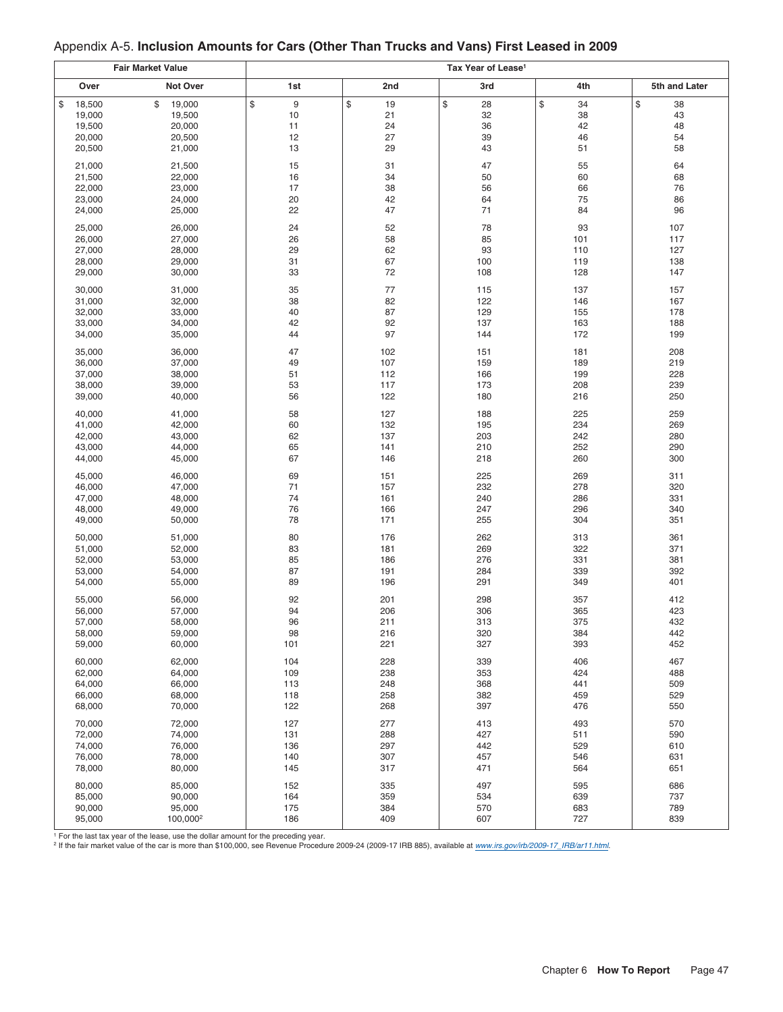|              | <b>Fair Market Value</b> |         |          | Tax Year of Lease <sup>1</sup> |          |               |
|--------------|--------------------------|---------|----------|--------------------------------|----------|---------------|
| Over         | Not Over                 | 1st     | 2nd      | 3rd                            | 4th      | 5th and Later |
| \$<br>18,500 | \$<br>19,000             | \$<br>9 | \$<br>19 | \$<br>28                       | \$<br>34 | \$<br>38      |
| 19,000       | 19,500                   | 10      | 21       | 32                             | 38       | 43            |
| 19,500       | 20,000                   | 11      | 24       | 36                             | 42       | 48            |
| 20,000       | 20,500                   | 12      | 27       | 39                             | 46       | 54            |
| 20,500       | 21,000                   | 13      | 29       | 43                             | 51       | 58            |
|              |                          |         |          |                                |          |               |
| 21,000       | 21,500                   | 15      | 31       | 47                             | 55       | 64            |
| 21,500       | 22,000                   | 16      | 34       | 50                             | 60       | 68            |
| 22,000       | 23,000                   | 17      | 38       | 56                             | 66       | 76            |
| 23,000       | 24,000                   | 20      | 42       | 64                             | 75       | 86            |
| 24,000       | 25,000                   | 22      | 47       | 71                             | 84       | 96            |
| 25,000       | 26,000                   | 24      | 52       | 78                             | 93       | 107           |
| 26,000       | 27,000                   | 26      | 58       | 85                             | 101      | 117           |
| 27,000       | 28,000                   | 29      | 62       | 93                             | 110      | 127           |
| 28,000       | 29,000                   | 31      | 67       | 100                            | 119      | 138           |
| 29,000       | 30,000                   | 33      | 72       | 108                            | 128      | 147           |
| 30,000       | 31,000                   | 35      | 77       | 115                            | 137      | 157           |
| 31,000       | 32,000                   | 38      | 82       | 122                            | 146      | 167           |
| 32,000       | 33,000                   | 40      | 87       | 129                            | 155      | 178           |
| 33,000       | 34,000                   | 42      | 92       | 137                            | 163      | 188           |
| 34,000       | 35,000                   | 44      | 97       | 144                            | 172      | 199           |
| 35,000       | 36,000                   | 47      | 102      | 151                            | 181      | 208           |
| 36,000       | 37,000                   | 49      | 107      | 159                            | 189      | 219           |
| 37,000       | 38,000                   | 51      | 112      | 166                            | 199      | 228           |
| 38,000       | 39,000                   | 53      | 117      | 173                            | 208      | 239           |
| 39,000       | 40,000                   | 56      | 122      | 180                            | 216      | 250           |
|              |                          |         |          |                                |          |               |
| 40,000       | 41,000                   | 58      | 127      | 188                            | 225      | 259           |
| 41,000       | 42,000                   | 60      | 132      | 195                            | 234      | 269           |
| 42,000       | 43,000                   | 62      | 137      | 203                            | 242      | 280           |
| 43,000       | 44,000                   | 65      | 141      | 210                            | 252      | 290           |
| 44,000       | 45,000                   | 67      | 146      | 218                            | 260      | 300           |
| 45,000       | 46,000                   | 69      | 151      | 225                            | 269      | 311           |
| 46,000       | 47,000                   | 71      | 157      | 232                            | 278      | 320           |
| 47,000       | 48,000                   | 74      | 161      | 240                            | 286      | 331           |
| 48,000       | 49,000                   | 76      | 166      | 247                            | 296      | 340           |
| 49,000       | 50,000                   | 78      | 171      | 255                            | 304      | 351           |
| 50,000       | 51,000                   | 80      | 176      | 262                            | 313      | 361           |
| 51,000       | 52,000                   | 83      | 181      | 269                            | 322      | 371           |
| 52,000       | 53,000                   | 85      | 186      | 276                            | 331      | 381           |
| 53,000       | 54,000                   | 87      | 191      | 284                            | 339      | 392           |
| 54,000       | 55,000                   | 89      | 196      | 291                            | 349      | 401           |
| 55,000       | 56,000                   | 92      | 201      | 298                            | 357      | 412           |
| 56,000       | 57,000                   | 94      | 206      | 306                            | 365      | 423           |
| 57,000       | 58,000                   | 96      | 211      | 313                            | 375      | 432           |
| 58,000       | 59,000                   | 98      | 216      | 320                            | 384      | 442           |
| 59,000       | 60,000                   | 101     | 221      | 327                            | 393      | 452           |
| 60,000       | 62,000                   | 104     | 228      | 339                            | 406      | 467           |
| 62,000       | 64,000                   | 109     | 238      | 353                            | 424      | 488           |
| 64,000       | 66,000                   | 113     | 248      | 368                            | 441      | 509           |
| 66,000       | 68,000                   | 118     | 258      | 382                            | 459      | 529           |
| 68,000       | 70,000                   | 122     | 268      | 397                            | 476      | 550           |
| 70,000       | 72,000                   | 127     | 277      | 413                            | 493      | 570           |
| 72,000       | 74,000                   | 131     | 288      | 427                            | 511      | 590           |
| 74,000       | 76,000                   | 136     | 297      | 442                            | 529      | 610           |
| 76,000       | 78,000                   | 140     | 307      | 457                            | 546      | 631           |
| 78,000       | 80,000                   | 145     | 317      | 471                            | 564      | 651           |
| 80,000       | 85,000                   | 152     | 335      | 497                            | 595      | 686           |
| 85,000       | 90,000                   | 164     | 359      | 534                            | 639      | 737           |
| 90,000       | 95,000                   | 175     | 384      | 570                            | 683      | 789           |
| 95,000       | 100,000 <sup>2</sup>     | 186     | 409      | 607                            | 727      | 839           |

### Appendix A-5. **Inclusion Amounts for Cars (Other Than Trucks and Vans) First Leased in 2009**

<sup>1</sup> For the last tax year of the lease, use the dollar amount for the preceding year.<br><sup>2</sup> If the fair market value of the car is more than \$100,000, see Revenue Procedure 2009-24 (2009-17 IRB 885), available at *www.irs.go*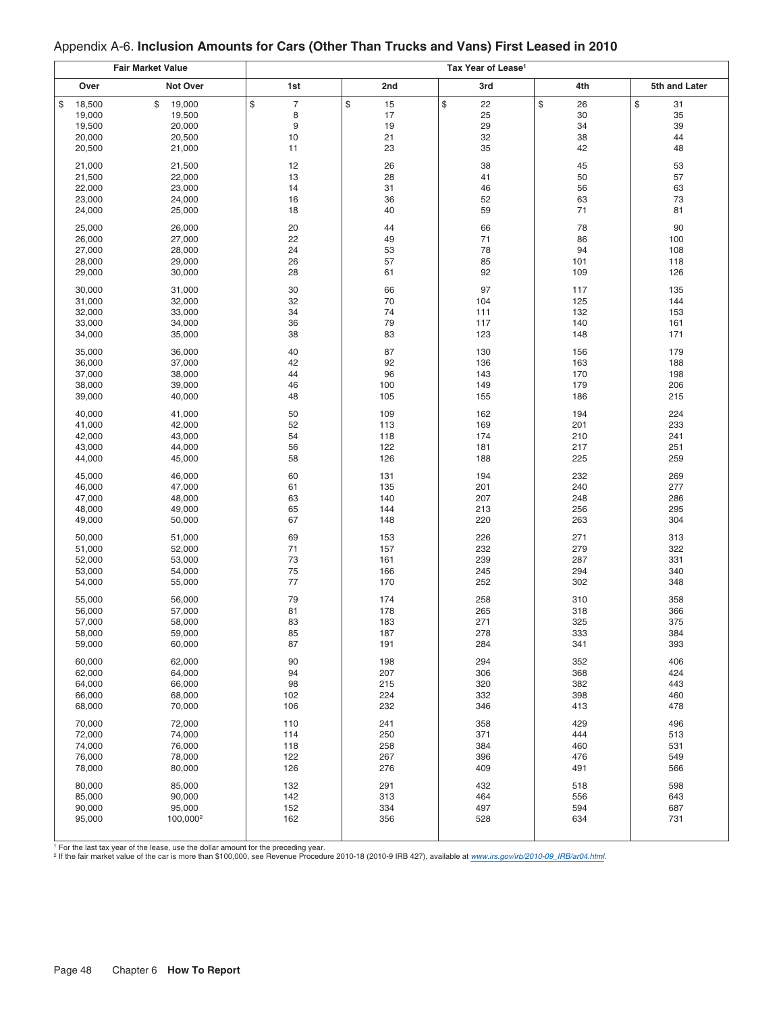|                  | <b>Fair Market Value</b> |                      | Tax Year of Lease <sup>1</sup> |            |            |               |  |  |  |
|------------------|--------------------------|----------------------|--------------------------------|------------|------------|---------------|--|--|--|
| Over             | Not Over                 | 1st                  | 2nd                            | 3rd        | 4th        | 5th and Later |  |  |  |
| \$<br>18,500     | \$<br>19,000             | \$<br>$\overline{7}$ | \$<br>15                       | \$<br>22   | \$<br>26   | \$<br>31      |  |  |  |
| 19,000           | 19,500                   | 8                    | 17                             | 25         | 30         | 35            |  |  |  |
| 19,500           | 20,000                   | 9                    | 19                             | 29         | 34         | 39            |  |  |  |
| 20,000           | 20,500                   | 10                   | 21                             | 32         | 38         | 44            |  |  |  |
| 20,500           | 21,000                   | 11                   | 23                             | 35         | 42         | 48            |  |  |  |
|                  |                          |                      |                                |            |            |               |  |  |  |
| 21,000           | 21,500                   | 12                   | 26                             | 38         | 45         | 53            |  |  |  |
| 21,500           | 22,000                   | 13                   | 28                             | 41         | 50         | 57            |  |  |  |
| 22,000           | 23,000                   | 14                   | 31                             | 46         | 56         | 63            |  |  |  |
| 23,000           | 24,000                   | 16                   | 36                             | 52         | 63         | 73            |  |  |  |
| 24,000           | 25,000                   | 18                   | 40                             | 59         | 71         | 81            |  |  |  |
| 25,000           | 26,000                   | 20                   | 44                             | 66         | 78         | 90            |  |  |  |
| 26,000           | 27,000                   | 22                   | 49                             | 71         | 86         | 100           |  |  |  |
| 27,000           | 28,000                   | 24                   | 53                             | 78         | 94         | 108           |  |  |  |
| 28,000           | 29,000                   | 26                   | 57                             | 85         | 101        | 118           |  |  |  |
| 29,000           | 30,000                   | 28                   | 61                             | 92         | 109        | 126           |  |  |  |
|                  |                          |                      |                                |            |            |               |  |  |  |
| 30,000           | 31,000                   | 30                   | 66                             | 97         | 117        | 135           |  |  |  |
| 31,000           | 32,000                   | 32                   | 70                             | 104        | 125        | 144           |  |  |  |
| 32,000           | 33,000                   | 34                   | 74                             | 111        | 132        | 153           |  |  |  |
| 33,000           | 34,000                   | 36                   | 79                             | 117        | 140        | 161           |  |  |  |
| 34,000           | 35,000                   | 38                   | 83                             | 123        | 148        | 171           |  |  |  |
| 35,000           | 36,000                   | 40                   | 87                             | 130        | 156        | 179           |  |  |  |
| 36,000           | 37,000                   | 42                   | 92                             | 136        | 163        | 188           |  |  |  |
| 37,000           | 38,000                   | 44                   | 96                             | 143        | 170        | 198           |  |  |  |
| 38,000           | 39,000                   | 46                   | 100                            | 149        | 179        | 206           |  |  |  |
| 39,000           | 40,000                   | 48                   | 105                            | 155        | 186        | 215           |  |  |  |
|                  |                          |                      |                                |            |            |               |  |  |  |
| 40,000           | 41,000                   | 50                   | 109                            | 162        | 194        | 224           |  |  |  |
| 41,000           | 42,000                   | 52                   | 113                            | 169        | 201        | 233           |  |  |  |
| 42,000           | 43,000                   | 54                   | 118                            | 174        | 210        | 241           |  |  |  |
| 43,000           | 44,000                   | 56                   | 122                            | 181        | 217        | 251           |  |  |  |
| 44,000           | 45,000                   | 58                   | 126                            | 188        | 225        | 259           |  |  |  |
| 45,000           | 46,000                   | 60                   | 131                            | 194        | 232        | 269           |  |  |  |
| 46,000           | 47,000                   | 61                   | 135                            | 201        | 240        | 277           |  |  |  |
| 47,000           | 48,000                   | 63                   | 140                            | 207        | 248        | 286           |  |  |  |
| 48,000           | 49,000                   | 65                   | 144                            | 213        | 256        | 295           |  |  |  |
| 49,000           | 50,000                   | 67                   | 148                            | 220        | 263        | 304           |  |  |  |
|                  |                          |                      |                                |            |            |               |  |  |  |
| 50,000           | 51,000                   | 69                   | 153                            | 226        | 271        | 313           |  |  |  |
| 51,000           | 52,000                   | 71                   | 157                            | 232        | 279        | 322           |  |  |  |
| 52,000           | 53,000                   | 73                   | 161                            | 239        | 287        | 331           |  |  |  |
| 53,000           | 54,000                   | 75                   | 166                            | 245        | 294        | 340           |  |  |  |
| 54,000           | 55,000                   | 77                   | 170                            | 252        | 302        | 348           |  |  |  |
| 55,000           | 56,000                   | 79                   | 174                            | 258        | 310        | 358           |  |  |  |
| 56,000           | 57,000                   | 81                   | 178                            | 265        | 318        | 366           |  |  |  |
| 57,000           | 58,000                   | 83                   | 183                            | 271        | 325        | 375           |  |  |  |
| 58,000           | 59,000                   | 85                   | 187                            | 278        | 333        | 384           |  |  |  |
| 59,000           | 60,000                   | 87                   | 191                            | 284        | 341        | 393           |  |  |  |
| 60,000           | 62,000                   | 90                   | 198                            | 294        | 352        | 406           |  |  |  |
| 62,000           | 64,000                   | 94                   | 207                            | 306        | 368        | 424           |  |  |  |
|                  |                          |                      |                                |            |            |               |  |  |  |
| 64,000<br>66,000 | 66,000<br>68,000         | 98<br>102            | 215<br>224                     | 320<br>332 | 382<br>398 | 443<br>460    |  |  |  |
|                  |                          |                      |                                |            |            |               |  |  |  |
| 68,000           | 70,000                   | 106                  | 232                            | 346        | 413        | 478           |  |  |  |
| 70,000           | 72,000                   | 110                  | 241                            | 358        | 429        | 496           |  |  |  |
| 72,000           | 74,000                   | 114                  | 250                            | 371        | 444        | 513           |  |  |  |
| 74,000           | 76,000                   | 118                  | 258                            | 384        | 460        | 531           |  |  |  |
| 76,000           | 78,000                   | 122                  | 267                            | 396        | 476        | 549           |  |  |  |
| 78,000           | 80,000                   | 126                  | 276                            | 409        | 491        | 566           |  |  |  |
| 80,000           | 85,000                   | 132                  | 291                            | 432        | 518        | 598           |  |  |  |
| 85,000           | 90,000                   | 142                  | 313                            | 464        | 556        | 643           |  |  |  |
| 90,000           | 95,000                   | 152                  | 334                            | 497        | 594        | 687           |  |  |  |
| 95,000           | 100,000 <sup>2</sup>     | 162                  | 356                            | 528        | 634        | 731           |  |  |  |
|                  |                          |                      |                                |            |            |               |  |  |  |
|                  |                          |                      |                                |            |            |               |  |  |  |

### Appendix A-6. **Inclusion Amounts for Cars (Other Than Trucks and Vans) First Leased in 2010**

<sup>1</sup> For the last tax year of the lease, use the dollar amount for the preceding year.<br><sup>2</sup> If the fair market value of the car is more than \$100,000, see Revenue Procedure 2010-18 (2010-9 IRB 427), available at *www.irs.gov*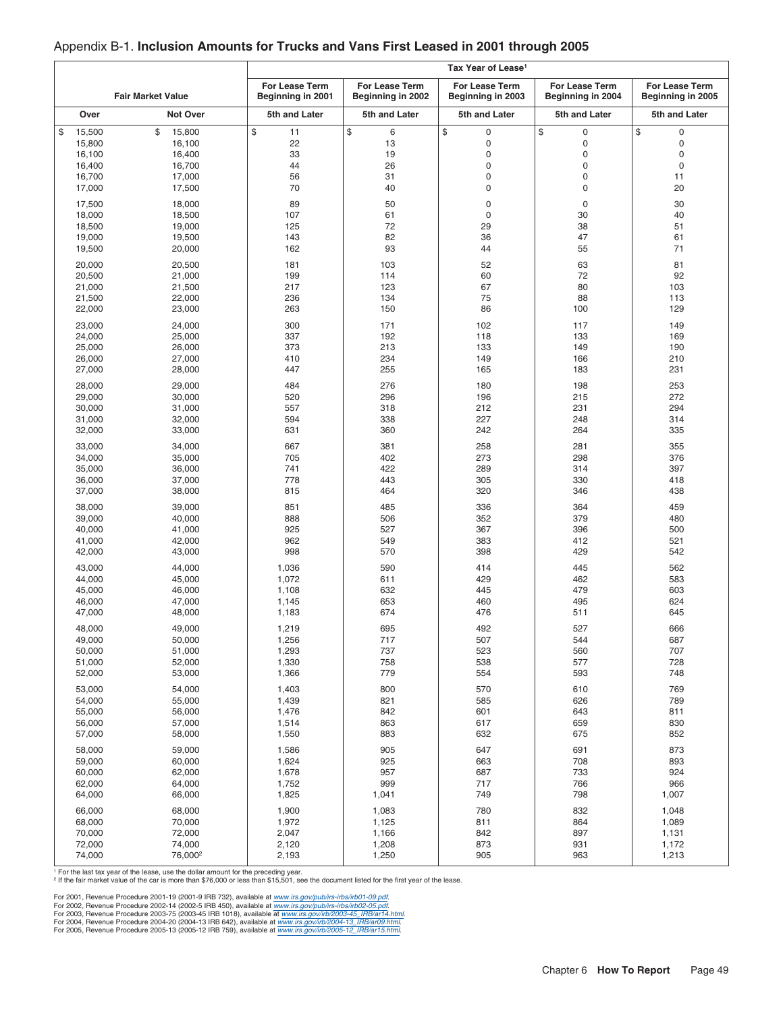|              |                          | Tax Year of Lease <sup>1</sup>      |                                     |                                     |                                     |                                     |  |  |  |  |  |
|--------------|--------------------------|-------------------------------------|-------------------------------------|-------------------------------------|-------------------------------------|-------------------------------------|--|--|--|--|--|
|              | <b>Fair Market Value</b> | For Lease Term<br>Beginning in 2001 | For Lease Term<br>Beginning in 2002 | For Lease Term<br>Beginning in 2003 | For Lease Term<br>Beginning in 2004 | For Lease Term<br>Beginning in 2005 |  |  |  |  |  |
| Over         | Not Over                 | 5th and Later                       | 5th and Later                       | 5th and Later                       | 5th and Later                       | 5th and Later                       |  |  |  |  |  |
| \$<br>15,500 | \$<br>15,800             | $$\mathbb{S}$$<br>11                | \$<br>6                             | \$<br>0                             | \$<br>0                             | \$<br>$\pmb{0}$                     |  |  |  |  |  |
| 15,800       | 16,100                   | 22                                  | 13                                  | 0                                   | 0                                   | $\pmb{0}$                           |  |  |  |  |  |
| 16,100       | 16,400                   | 33                                  | 19                                  | 0                                   | 0                                   | $\mathbf 0$                         |  |  |  |  |  |
| 16,400       | 16,700                   | 44                                  | 26                                  | $\mathbf 0$                         | 0                                   | $\mathbf 0$                         |  |  |  |  |  |
| 16,700       | 17,000                   | 56                                  | 31                                  | $\mathbf 0$                         | 0                                   | 11                                  |  |  |  |  |  |
| 17,000       | 17,500                   | 70                                  | 40                                  | $\mathbf 0$                         | 0                                   | 20                                  |  |  |  |  |  |
|              |                          | 89                                  | 50                                  | $\mathbf 0$                         | 0                                   | 30                                  |  |  |  |  |  |
| 17,500       | 18,000                   |                                     |                                     |                                     |                                     |                                     |  |  |  |  |  |
| 18,000       | 18,500                   | 107                                 | 61                                  | 0                                   | 30                                  | 40                                  |  |  |  |  |  |
| 18,500       | 19,000                   | 125                                 | 72                                  | 29                                  | 38                                  | 51                                  |  |  |  |  |  |
| 19,000       | 19,500                   | 143                                 | 82                                  | 36                                  | 47                                  | 61                                  |  |  |  |  |  |
| 19,500       | 20,000                   | 162                                 | 93                                  | 44                                  | 55                                  | 71                                  |  |  |  |  |  |
| 20,000       | 20,500                   | 181                                 | 103                                 | 52                                  | 63                                  | 81                                  |  |  |  |  |  |
| 20,500       | 21,000                   | 199                                 | 114                                 | 60                                  | 72                                  | 92                                  |  |  |  |  |  |
| 21,000       | 21,500                   | 217                                 | 123                                 | 67                                  | 80                                  | 103                                 |  |  |  |  |  |
| 21,500       | 22,000                   | 236                                 | 134                                 | 75                                  | 88                                  | 113                                 |  |  |  |  |  |
| 22,000       | 23,000                   | 263                                 | 150                                 | 86                                  | 100                                 | 129                                 |  |  |  |  |  |
|              |                          |                                     |                                     |                                     |                                     |                                     |  |  |  |  |  |
| 23,000       | 24,000                   | 300                                 | 171                                 | 102                                 | 117                                 | 149                                 |  |  |  |  |  |
| 24,000       | 25,000                   | 337                                 | 192                                 | 118                                 | 133                                 | 169                                 |  |  |  |  |  |
| 25,000       | 26,000                   | 373                                 | 213                                 | 133                                 | 149                                 | 190                                 |  |  |  |  |  |
| 26,000       | 27,000                   | 410                                 | 234                                 | 149                                 | 166                                 | 210                                 |  |  |  |  |  |
| 27,000       | 28,000                   | 447                                 | 255                                 | 165                                 | 183                                 | 231                                 |  |  |  |  |  |
| 28,000       | 29,000                   | 484                                 | 276                                 | 180                                 | 198                                 | 253                                 |  |  |  |  |  |
| 29,000       | 30,000                   | 520                                 | 296                                 | 196                                 | 215                                 | 272                                 |  |  |  |  |  |
|              |                          | 557                                 | 318                                 | 212                                 | 231                                 | 294                                 |  |  |  |  |  |
| 30,000       | 31,000                   |                                     |                                     |                                     |                                     |                                     |  |  |  |  |  |
| 31,000       | 32,000                   | 594                                 | 338                                 | 227                                 | 248                                 | 314                                 |  |  |  |  |  |
| 32,000       | 33,000                   | 631                                 | 360                                 | 242                                 | 264                                 | 335                                 |  |  |  |  |  |
| 33,000       | 34,000                   | 667                                 | 381                                 | 258                                 | 281                                 | 355                                 |  |  |  |  |  |
| 34,000       | 35,000                   | 705                                 | 402                                 | 273                                 | 298                                 | 376                                 |  |  |  |  |  |
| 35,000       | 36,000                   | 741                                 | 422                                 | 289                                 | 314                                 | 397                                 |  |  |  |  |  |
| 36,000       | 37,000                   | 778                                 | 443                                 | 305                                 | 330                                 | 418                                 |  |  |  |  |  |
| 37,000       | 38,000                   | 815                                 | 464                                 | 320                                 | 346                                 | 438                                 |  |  |  |  |  |
|              |                          |                                     |                                     |                                     |                                     |                                     |  |  |  |  |  |
| 38,000       | 39,000                   | 851                                 | 485                                 | 336                                 | 364                                 | 459                                 |  |  |  |  |  |
| 39,000       | 40,000                   | 888                                 | 506                                 | 352                                 | 379                                 | 480                                 |  |  |  |  |  |
| 40,000       | 41,000                   | 925                                 | 527                                 | 367                                 | 396                                 | 500                                 |  |  |  |  |  |
| 41,000       | 42,000                   | 962                                 | 549                                 | 383                                 | 412                                 | 521                                 |  |  |  |  |  |
| 42,000       | 43,000                   | 998                                 | 570                                 | 398                                 | 429                                 | 542                                 |  |  |  |  |  |
| 43,000       | 44,000                   | 1,036                               | 590                                 | 414                                 | 445                                 | 562                                 |  |  |  |  |  |
| 44,000       | 45,000                   | 1,072                               | 611                                 | 429                                 | 462                                 | 583                                 |  |  |  |  |  |
| 45,000       | 46,000                   | 1,108                               | 632                                 | 445                                 | 479                                 | 603                                 |  |  |  |  |  |
| 46,000       | 47,000                   | 1,145                               | 653                                 | 460                                 | 495                                 | 624                                 |  |  |  |  |  |
| 47,000       | 48,000                   | 1,183                               | 674                                 | 476                                 | 511                                 | 645                                 |  |  |  |  |  |
|              |                          |                                     |                                     |                                     |                                     |                                     |  |  |  |  |  |
| 48,000       | 49,000                   | 1,219                               | 695                                 | 492                                 | 527                                 | 666                                 |  |  |  |  |  |
| 49,000       | 50,000                   | 1,256                               | 717                                 | 507                                 | 544                                 | 687                                 |  |  |  |  |  |
| 50,000       | 51,000                   | 1,293                               | 737                                 | 523                                 | 560                                 | 707                                 |  |  |  |  |  |
| 51,000       | 52,000                   | 1,330                               | 758                                 | 538                                 | 577                                 | 728                                 |  |  |  |  |  |
| 52,000       | 53,000                   | 1,366                               | 779                                 | 554                                 | 593                                 | 748                                 |  |  |  |  |  |
| 53,000       | 54,000                   | 1,403                               | 800                                 | 570                                 | 610                                 | 769                                 |  |  |  |  |  |
| 54,000       | 55,000                   | 1,439                               | 821                                 | 585                                 | 626                                 | 789                                 |  |  |  |  |  |
| 55,000       | 56,000                   | 1,476                               | 842                                 | 601                                 | 643                                 | 811                                 |  |  |  |  |  |
| 56,000       | 57,000                   | 1,514                               | 863                                 | 617                                 | 659                                 | 830                                 |  |  |  |  |  |
| 57,000       | 58,000                   | 1,550                               | 883                                 | 632                                 | 675                                 | 852                                 |  |  |  |  |  |
|              |                          |                                     |                                     |                                     |                                     |                                     |  |  |  |  |  |
| 58,000       | 59,000                   | 1,586                               | 905                                 | 647                                 | 691                                 | 873                                 |  |  |  |  |  |
| 59,000       | 60,000                   | 1,624                               | 925                                 | 663                                 | 708                                 | 893                                 |  |  |  |  |  |
| 60,000       | 62,000                   | 1,678                               | 957                                 | 687                                 | 733                                 | 924                                 |  |  |  |  |  |
| 62,000       | 64,000                   | 1,752                               | 999                                 | 717                                 | 766                                 | 966                                 |  |  |  |  |  |
| 64,000       | 66,000                   | 1,825                               | 1,041                               | 749                                 | 798                                 | 1,007                               |  |  |  |  |  |
| 66,000       | 68,000                   | 1,900                               | 1,083                               | 780                                 | 832                                 | 1,048                               |  |  |  |  |  |
| 68,000       | 70,000                   | 1,972                               | 1,125                               | 811                                 | 864                                 | 1,089                               |  |  |  |  |  |
| 70,000       | 72,000                   | 2,047                               | 1,166                               | 842                                 | 897                                 | 1,131                               |  |  |  |  |  |
| 72,000       | 74,000                   | 2,120                               | 1,208                               | 873                                 | 931                                 | 1,172                               |  |  |  |  |  |
|              |                          |                                     |                                     |                                     |                                     |                                     |  |  |  |  |  |

74,000 76,000<sup>2</sup> 2,193 1,250 905 963 1,213

### Appendix B-1. **Inclusion Amounts for Trucks and Vans First Leased in 2001 through 2005**

<sup>1</sup> For the last tax year of the lease, use the dollar amount for the preceding year. <sup>2</sup> If the fair market value of the car is more than \$76,000 or less than \$15,501, see the document listed for the first year of the lease.

For 2001, Revenue Procedure 2001-19 (2001-9 IRB 732), available at www.irs.gov/pub/irs-irbs/irb01-09.pdf.

For 2002, Revenue Procedure 2002-14 (2002-5 IRB 450), available at <u>www.irs.*gov/pub/irs-irbs/irb02-05.pdf.*<br>For 2003, Revenue Procedure 2003-75 (2003-45 IRB 1018), available at *www.irs.gov/irb/2003-45\_IRB/ar14.html.*<br>For</u>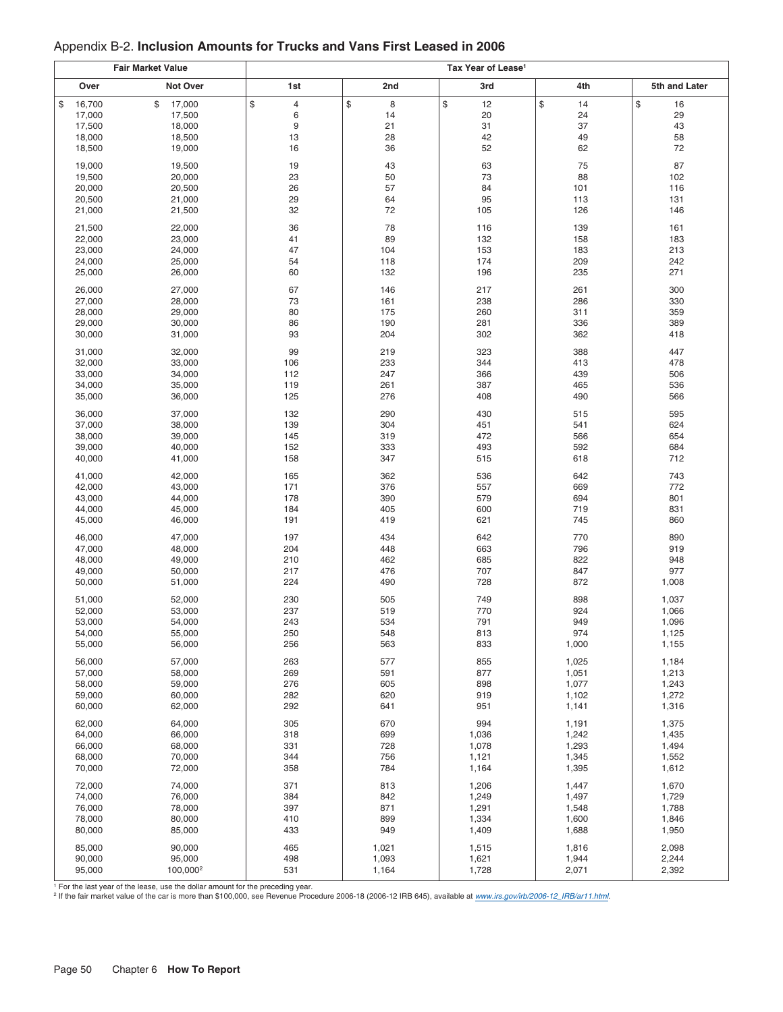|              | <b>Fair Market Value</b> | Tax Year of Lease <sup>1</sup> |         |          |          |               |  |
|--------------|--------------------------|--------------------------------|---------|----------|----------|---------------|--|
| Over         | Not Over                 | 1st                            | 2nd     | 3rd      | 4th      | 5th and Later |  |
| \$<br>16,700 | \$<br>17,000             | \$<br>4                        | \$<br>8 | \$<br>12 | \$<br>14 | \$<br>16      |  |
| 17,000       | 17,500                   | 6                              | 14      | 20       | 24       | 29            |  |
| 17,500       | 18,000                   | $\boldsymbol{9}$               | 21      | 31       | 37       | 43            |  |
| 18,000       | 18,500                   | 13                             | 28      | 42       | 49       | 58            |  |
| 18,500       | 19,000                   | 16                             | 36      | 52       | 62       | 72            |  |
|              |                          |                                |         |          |          |               |  |
| 19,000       | 19,500                   | 19                             | 43      | 63       | 75       | 87            |  |
| 19,500       | 20,000                   | 23                             | 50      | 73       | 88       | 102           |  |
| 20,000       | 20,500                   | 26                             | 57      | 84       | 101      | 116           |  |
| 20,500       | 21,000                   | 29                             | 64      | 95       | 113      | 131           |  |
| 21,000       | 21,500                   | 32                             | 72      | 105      | 126      | 146           |  |
| 21,500       | 22,000                   | 36                             | 78      | 116      | 139      | 161           |  |
| 22,000       | 23,000                   | 41                             | 89      | 132      | 158      | 183           |  |
|              |                          |                                |         |          |          |               |  |
| 23,000       | 24,000                   | 47                             | 104     | 153      | 183      | 213           |  |
| 24,000       | 25,000                   | 54                             | 118     | 174      | 209      | 242           |  |
| 25,000       | 26,000                   | 60                             | 132     | 196      | 235      | 271           |  |
| 26,000       | 27,000                   | 67                             | 146     | 217      | 261      | 300           |  |
| 27,000       | 28,000                   | 73                             | 161     | 238      | 286      | 330           |  |
| 28,000       | 29,000                   | 80                             | 175     | 260      | 311      | 359           |  |
| 29,000       | 30,000                   | 86                             | 190     | 281      | 336      | 389           |  |
| 30,000       | 31,000                   | 93                             | 204     | 302      | 362      | 418           |  |
|              |                          |                                |         |          |          |               |  |
| 31,000       | 32,000                   | 99                             | 219     | 323      | 388      | 447           |  |
| 32,000       | 33,000                   | 106                            | 233     | 344      | 413      | 478           |  |
| 33,000       | 34,000                   | 112                            | 247     | 366      | 439      | 506           |  |
| 34,000       | 35,000                   | 119                            | 261     | 387      | 465      | 536           |  |
| 35,000       | 36,000                   | 125                            | 276     | 408      | 490      | 566           |  |
|              |                          |                                |         |          |          |               |  |
| 36,000       | 37,000                   | 132                            | 290     | 430      | 515      | 595           |  |
| 37,000       | 38,000                   | 139                            | 304     | 451      | 541      | 624           |  |
| 38,000       | 39,000                   | 145                            | 319     | 472      | 566      | 654           |  |
| 39,000       | 40,000                   | 152                            | 333     | 493      | 592      | 684           |  |
| 40,000       | 41,000                   | 158                            | 347     | 515      | 618      | 712           |  |
|              |                          |                                |         |          |          |               |  |
| 41,000       | 42,000                   | 165                            | 362     | 536      | 642      | 743           |  |
| 42,000       | 43,000                   | 171                            | 376     | 557      | 669      | 772           |  |
| 43,000       | 44,000                   | 178                            | 390     | 579      | 694      | 801           |  |
| 44,000       | 45,000                   | 184                            | 405     | 600      | 719      | 831           |  |
| 45,000       | 46,000                   | 191                            | 419     | 621      | 745      | 860           |  |
| 46,000       | 47,000                   | 197                            | 434     | 642      | 770      | 890           |  |
| 47,000       | 48,000                   | 204                            | 448     | 663      | 796      | 919           |  |
| 48,000       | 49,000                   | 210                            | 462     | 685      | 822      | 948           |  |
| 49,000       | 50,000                   | 217                            | 476     | 707      | 847      | 977           |  |
| 50,000       | 51,000                   | 224                            | 490     | 728      | 872      | 1,008         |  |
|              |                          |                                |         |          |          |               |  |
| 51,000       | 52,000                   | 230                            | 505     | 749      | 898      | 1,037         |  |
| 52,000       | 53,000                   | 237                            | 519     | 770      | 924      | 1,066         |  |
| 53,000       | 54,000                   | 243                            | 534     | 791      | 949      | 1,096         |  |
| 54,000       | 55,000                   | 250                            | 548     | 813      | 974      | 1,125         |  |
| 55,000       | 56,000                   | 256                            | 563     | 833      | 1,000    | 1,155         |  |
|              |                          |                                |         |          |          |               |  |
| 56,000       | 57,000                   | 263                            | 577     | 855      | 1,025    | 1,184         |  |
| 57,000       | 58,000                   | 269                            | 591     | 877      | 1,051    | 1,213         |  |
| 58,000       | 59,000                   | 276                            | 605     | 898      | 1,077    | 1,243         |  |
| 59,000       | 60,000                   | 282                            | 620     | 919      | 1,102    | 1,272         |  |
| 60,000       | 62,000                   | 292                            | 641     | 951      | 1,141    | 1,316         |  |
| 62,000       | 64,000                   | 305                            | 670     | 994      | 1,191    | 1,375         |  |
| 64,000       | 66,000                   | 318                            | 699     | 1,036    | 1,242    | 1,435         |  |
|              |                          |                                |         |          |          |               |  |
| 66,000       | 68,000                   | 331                            | 728     | 1,078    | 1,293    | 1,494         |  |
| 68,000       | 70,000                   | 344                            | 756     | 1,121    | 1,345    | 1,552         |  |
| 70,000       | 72,000                   | 358                            | 784     | 1,164    | 1,395    | 1,612         |  |
| 72,000       | 74,000                   | 371                            | 813     | 1,206    | 1,447    | 1,670         |  |
| 74,000       | 76,000                   | 384                            | 842     | 1,249    | 1,497    | 1,729         |  |
| 76,000       | 78,000                   | 397                            | 871     | 1,291    | 1,548    | 1,788         |  |
| 78,000       | 80,000                   | 410                            | 899     | 1,334    | 1,600    | 1,846         |  |
| 80,000       | 85,000                   | 433                            | 949     | 1,409    | 1,688    | 1,950         |  |
|              |                          |                                |         |          |          |               |  |
| 85,000       | 90,000                   | 465                            | 1,021   | 1,515    | 1,816    | 2,098         |  |
| 90,000       | 95,000                   | 498                            | 1,093   | 1,621    | 1,944    | 2,244         |  |
| 95,000       | 100,000 <sup>2</sup>     | 531                            | 1,164   | 1,728    | 2,071    | 2,392         |  |

### Appendix B-2. **Inclusion Amounts for Trucks and Vans First Leased in 2006**

<sup>1</sup> For the last year of the lease, use the dollar amount for the preceding year.<br><sup>2</sup> If the fair market value of the car is more than \$100,000, see Revenue Procedure 2006-18 (2006-12 IRB 645), available at *www.irs.gov/ir*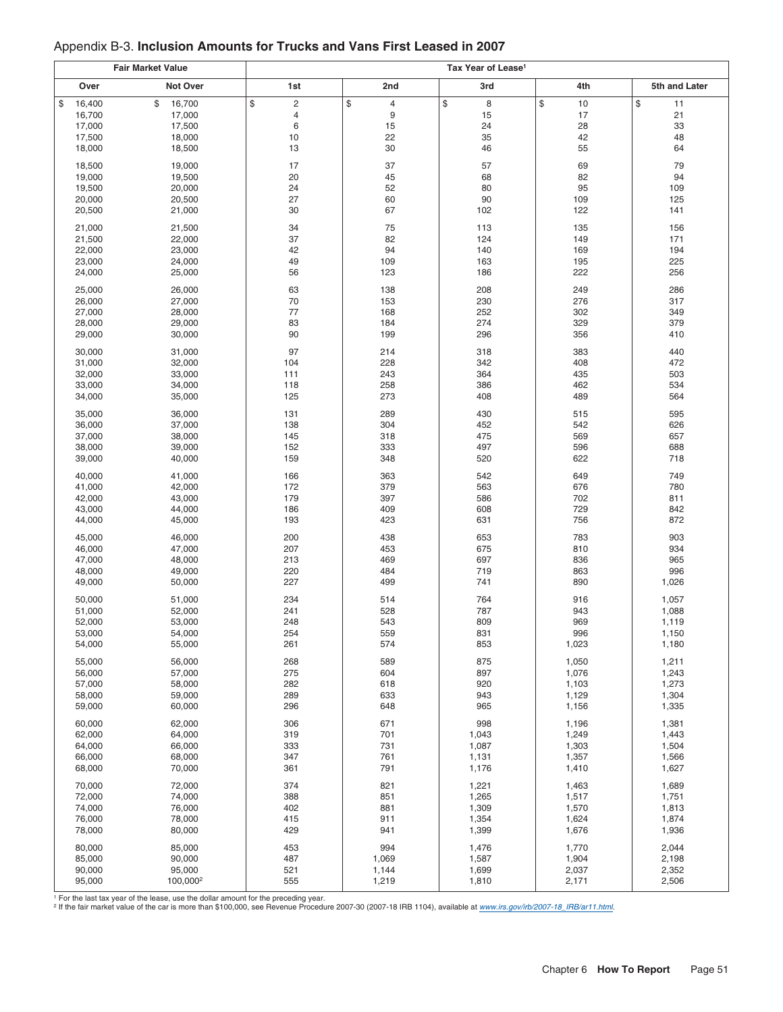|              | <b>Fair Market Value</b> | Tax Year of Lease <sup>1</sup> |                      |         |          |               |
|--------------|--------------------------|--------------------------------|----------------------|---------|----------|---------------|
| Over         | Not Over                 | 1st                            | 2nd                  | 3rd     | 4th      | 5th and Later |
| \$<br>16,400 | \$<br>16,700             | \$<br>$\sqrt{2}$               | \$<br>$\overline{4}$ | \$<br>8 | \$<br>10 | \$<br>11      |
| 16,700       | 17,000                   | 4                              | 9                    | 15      | 17       | 21            |
| 17,000       | 17,500                   | 6                              | 15                   | 24      | 28       | 33            |
| 17,500       | 18,000                   | 10                             | 22                   | 35      | 42       | 48            |
| 18,000       | 18,500                   | 13                             | 30                   | 46      | 55       | 64            |
|              |                          |                                |                      |         |          |               |
| 18,500       | 19,000                   | 17                             | 37                   | 57      | 69       | 79            |
| 19,000       | 19,500                   | 20                             | 45                   | 68      | 82       | 94            |
| 19,500       | 20,000                   | 24                             | 52                   | 80      | 95       | 109           |
| 20,000       | 20,500                   | 27                             | 60                   | 90      | 109      | 125           |
| 20,500       | 21,000                   | 30                             | 67                   | 102     | 122      | 141           |
| 21,000       | 21,500                   | 34                             | 75                   | 113     | 135      | 156           |
| 21,500       |                          | 37                             | 82                   | 124     | 149      | 171           |
|              | 22,000                   |                                |                      |         |          |               |
| 22,000       | 23,000                   | 42                             | 94                   | 140     | 169      | 194           |
| 23,000       | 24,000                   | 49                             | 109                  | 163     | 195      | 225           |
| 24,000       | 25,000                   | 56                             | 123                  | 186     | 222      | 256           |
| 25,000       | 26,000                   | 63                             | 138                  | 208     | 249      | 286           |
| 26,000       | 27,000                   | 70                             | 153                  | 230     | 276      | 317           |
| 27,000       | 28,000                   | 77                             | 168                  | 252     | 302      | 349           |
| 28,000       | 29,000                   | 83                             | 184                  | 274     | 329      | 379           |
| 29,000       | 30,000                   | 90                             | 199                  | 296     | 356      | 410           |
|              |                          |                                |                      |         |          |               |
| 30,000       | 31,000                   | 97                             | 214                  | 318     | 383      | 440           |
| 31,000       | 32,000                   | 104                            | 228                  | 342     | 408      | 472           |
| 32,000       | 33,000                   | 111                            | 243                  | 364     | 435      | 503           |
| 33,000       | 34,000                   | 118                            | 258                  | 386     | 462      | 534           |
| 34,000       | 35,000                   | 125                            | 273                  | 408     | 489      | 564           |
| 35,000       | 36,000                   | 131                            | 289                  | 430     | 515      | 595           |
| 36,000       | 37,000                   | 138                            | 304                  | 452     | 542      | 626           |
|              |                          |                                |                      |         |          |               |
| 37,000       | 38,000                   | 145                            | 318                  | 475     | 569      | 657           |
| 38,000       | 39,000                   | 152                            | 333                  | 497     | 596      | 688           |
| 39,000       | 40,000                   | 159                            | 348                  | 520     | 622      | 718           |
| 40,000       | 41,000                   | 166                            | 363                  | 542     | 649      | 749           |
| 41,000       | 42,000                   | 172                            | 379                  | 563     | 676      | 780           |
| 42,000       | 43,000                   | 179                            | 397                  | 586     | 702      | 811           |
| 43,000       | 44,000                   | 186                            | 409                  | 608     | 729      | 842           |
| 44,000       | 45,000                   | 193                            | 423                  | 631     | 756      | 872           |
|              |                          |                                |                      |         |          |               |
| 45,000       | 46,000                   | 200                            | 438                  | 653     | 783      | 903           |
| 46,000       | 47,000                   | 207                            | 453                  | 675     | 810      | 934           |
| 47,000       | 48,000                   | 213                            | 469                  | 697     | 836      | 965           |
| 48,000       | 49,000                   | 220                            | 484                  | 719     | 863      | 996           |
| 49,000       | 50,000                   | 227                            | 499                  | 741     | 890      | 1,026         |
| 50,000       | 51,000                   | 234                            | 514                  | 764     | 916      | 1,057         |
| 51,000       | 52,000                   | 241                            | 528                  | 787     | 943      | 1,088         |
| 52,000       | 53,000                   | 248                            | 543                  | 809     | 969      | 1,119         |
| 53,000       | 54,000                   | 254                            | 559                  | 831     | 996      | 1,150         |
| 54,000       | 55,000                   | 261                            | 574                  | 853     | 1,023    | 1,180         |
| 55,000       | 56,000                   | 268                            | 589                  | 875     | 1,050    | 1,211         |
| 56,000       | 57,000                   | 275                            | 604                  | 897     | 1,076    | 1,243         |
|              |                          | 282                            |                      | 920     |          |               |
| 57,000       | 58,000                   |                                | 618                  |         | 1,103    | 1,273         |
| 58,000       | 59,000                   | 289                            | 633                  | 943     | 1,129    | 1,304         |
| 59,000       | 60,000                   | 296                            | 648                  | 965     | 1,156    | 1,335         |
| 60,000       | 62,000                   | 306                            | 671                  | 998     | 1,196    | 1,381         |
| 62,000       | 64,000                   | 319                            | 701                  | 1,043   | 1,249    | 1,443         |
| 64,000       | 66,000                   | 333                            | 731                  | 1,087   | 1,303    | 1,504         |
| 66,000       | 68,000                   | 347                            | 761                  | 1,131   | 1,357    | 1,566         |
| 68,000       | 70,000                   | 361                            | 791                  | 1,176   | 1,410    | 1,627         |
| 70,000       | 72,000                   | 374                            | 821                  | 1,221   | 1,463    | 1,689         |
| 72,000       | 74,000                   | 388                            | 851                  | 1,265   | 1,517    | 1,751         |
|              |                          |                                |                      |         |          |               |
| 74,000       | 76,000                   | 402                            | 881                  | 1,309   | 1,570    | 1,813         |
| 76,000       | 78,000                   | 415                            | 911                  | 1,354   | 1,624    | 1,874         |
| 78,000       | 80,000                   | 429                            | 941                  | 1,399   | 1,676    | 1,936         |
| 80,000       | 85,000                   | 453                            | 994                  | 1,476   | 1,770    | 2,044         |
| 85,000       | 90,000                   | 487                            | 1,069                | 1,587   | 1,904    | 2,198         |
| 90,000       | 95,000                   | 521                            | 1,144                | 1,699   | 2,037    | 2,352         |
| 95,000       | 100,000 <sup>2</sup>     | 555                            | 1,219                | 1,810   | 2,171    | 2,506         |

### Appendix B-3. **Inclusion Amounts for Trucks and Vans First Leased in 2007**

<sup>1</sup> For the last tax year of the lease, use the dollar amount for the preceding year.<br><sup>2</sup> If the fair market value of the car is more than \$100,000, see Revenue Procedure 2007-30 (2007-18 IRB 1104), available at *www.irs.g*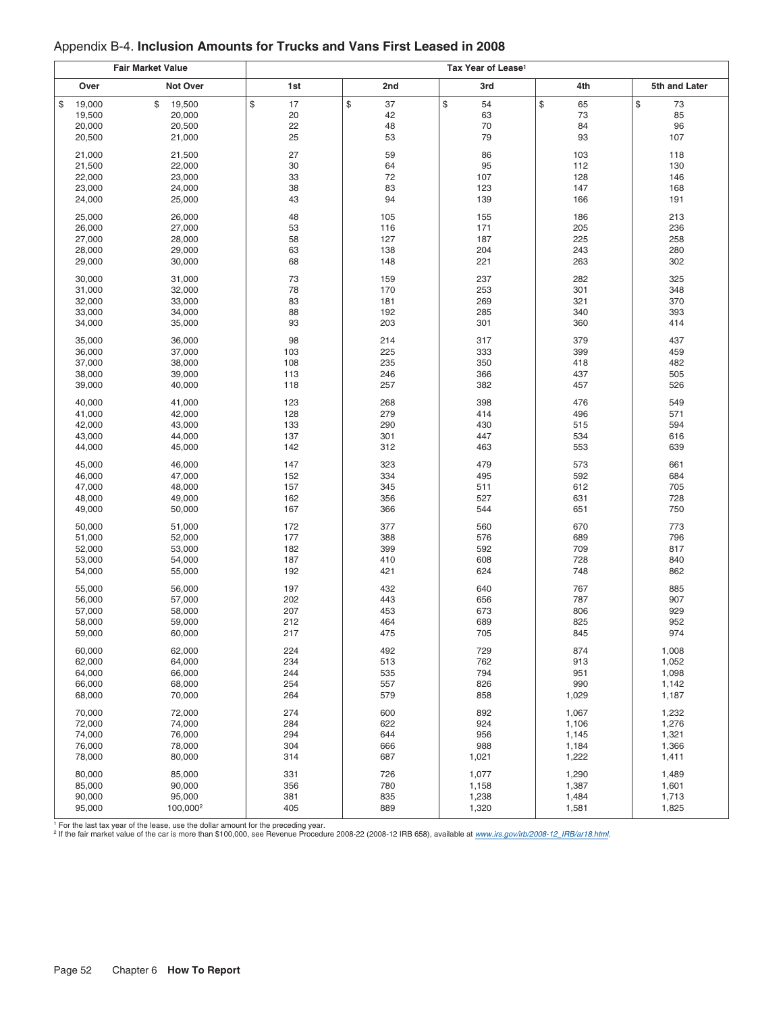|              | <b>Fair Market Value</b> | Tax Year of Lease <sup>1</sup> |          |          |          |               |
|--------------|--------------------------|--------------------------------|----------|----------|----------|---------------|
| Over         | Not Over                 | 1st                            | 2nd      | 3rd      | 4th      | 5th and Later |
| \$<br>19,000 | \$<br>19,500             | \$<br>17                       | \$<br>37 | \$<br>54 | \$<br>65 | \$<br>73      |
| 19,500       | 20,000                   | 20                             | 42       | 63       | 73       | 85            |
| 20,000       | 20,500                   | 22                             | 48       | 70       | 84       | 96            |
| 20,500       | 21,000                   | 25                             | 53       | 79       | 93       | 107           |
|              |                          |                                |          |          |          |               |
| 21,000       | 21,500                   | 27                             | 59       | 86       | 103      | 118           |
| 21,500       | 22,000                   | 30                             | 64       | 95       | 112      | 130           |
| 22,000       | 23,000                   | 33                             | 72       | 107      | 128      | 146           |
| 23,000       | 24,000                   | 38                             | 83       | 123      | 147      | 168           |
| 24,000       | 25,000                   | 43                             | 94       | 139      | 166      | 191           |
| 25,000       | 26,000                   | 48                             | 105      | 155      | 186      | 213           |
| 26,000       | 27,000                   | 53                             | 116      | 171      | 205      | 236           |
| 27,000       | 28,000                   | 58                             | 127      | 187      | 225      | 258           |
|              |                          |                                |          |          |          |               |
| 28,000       | 29,000                   | 63                             | 138      | 204      | 243      | 280           |
| 29,000       | 30,000                   | 68                             | 148      | 221      | 263      | 302           |
| 30,000       | 31,000                   | 73                             | 159      | 237      | 282      | 325           |
| 31,000       | 32,000                   | 78                             | 170      | 253      | 301      | 348           |
| 32,000       | 33,000                   | 83                             | 181      | 269      | 321      | 370           |
| 33,000       | 34,000                   | 88                             | 192      | 285      | 340      | 393           |
|              | 35,000                   | 93                             | 203      | 301      | 360      | 414           |
| 34,000       |                          |                                |          |          |          |               |
| 35,000       | 36,000                   | 98                             | 214      | 317      | 379      | 437           |
| 36,000       | 37,000                   | 103                            | 225      | 333      | 399      | 459           |
| 37,000       | 38,000                   | 108                            | 235      | 350      | 418      | 482           |
| 38,000       | 39,000                   | 113                            | 246      | 366      | 437      | 505           |
| 39,000       | 40,000                   | 118                            | 257      | 382      | 457      | 526           |
| 40,000       | 41,000                   | 123                            | 268      | 398      | 476      | 549           |
| 41,000       | 42,000                   | 128                            | 279      | 414      | 496      | 571           |
| 42,000       | 43,000                   | 133                            | 290      | 430      | 515      | 594           |
| 43,000       | 44,000                   | 137                            | 301      | 447      | 534      | 616           |
| 44,000       | 45,000                   | 142                            | 312      | 463      | 553      | 639           |
| 45,000       | 46,000                   | 147                            | 323      | 479      | 573      | 661           |
| 46,000       | 47,000                   | 152                            | 334      | 495      | 592      | 684           |
| 47,000       | 48,000                   | 157                            | 345      | 511      | 612      | 705           |
| 48,000       | 49,000                   | 162                            | 356      | 527      | 631      | 728           |
|              |                          |                                |          |          |          |               |
| 49,000       | 50,000                   | 167                            | 366      | 544      | 651      | 750           |
| 50,000       | 51,000                   | 172                            | 377      | 560      | 670      | 773           |
| 51,000       | 52,000                   | 177                            | 388      | 576      | 689      | 796           |
| 52,000       | 53,000                   | 182                            | 399      | 592      | 709      | 817           |
| 53,000       | 54,000                   | 187                            | 410      | 608      | 728      | 840           |
| 54,000       | 55,000                   | 192                            | 421      | 624      | 748      | 862           |
| 55,000       | 56,000                   | 197                            | 432      | 640      | 767      | 885           |
| 56,000       | 57,000                   | 202                            | 443      | 656      | 787      | 907           |
| 57,000       | 58,000                   | 207                            | 453      | 673      | 806      | 929           |
| 58,000       | 59,000                   | 212                            | 464      | 689      | 825      | 952           |
| 59,000       | 60,000                   | 217                            | 475      | 705      | 845      | 974           |
|              |                          |                                |          |          |          |               |
| 60,000       | 62,000                   | 224                            | 492      | 729      | 874      | 1,008         |
| 62,000       | 64,000                   | 234                            | 513      | 762      | 913      | 1,052         |
| 64,000       | 66,000                   | 244                            | 535      | 794      | 951      | 1,098         |
| 66,000       | 68,000                   | 254                            | 557      | 826      | 990      | 1,142         |
| 68,000       | 70,000                   | 264                            | 579      | 858      | 1,029    | 1,187         |
| 70,000       | 72,000                   | 274                            | 600      | 892      | 1,067    | 1,232         |
| 72,000       | 74,000                   | 284                            | 622      | 924      | 1,106    | 1,276         |
| 74,000       | 76,000                   | 294                            | 644      | 956      | 1,145    | 1,321         |
| 76,000       | 78,000                   | 304                            | 666      | 988      | 1,184    | 1,366         |
| 78,000       | 80,000                   | 314                            | 687      | 1,021    | 1,222    |               |
|              |                          |                                |          |          |          | 1,411         |
| 80,000       | 85,000                   | 331                            | 726      | 1,077    | 1,290    | 1,489         |
| 85,000       | 90,000                   | 356                            | 780      | 1,158    | 1,387    | 1,601         |
| 90,000       | 95,000                   | 381                            | 835      | 1,238    | 1,484    | 1,713         |
| 95,000       | 100,000 <sup>2</sup>     | 405                            | 889      | 1,320    | 1,581    | 1,825         |

### Appendix B-4. **Inclusion Amounts for Trucks and Vans First Leased in 2008**

<sup>1</sup> For the last tax year of the lease, use the dollar amount for the preceding year.<br><sup>2</sup> If the fair market value of the car is more than \$100,000, see Revenue Procedure 2008-22 (2008-12 IRB 658), available at *www.irs.go*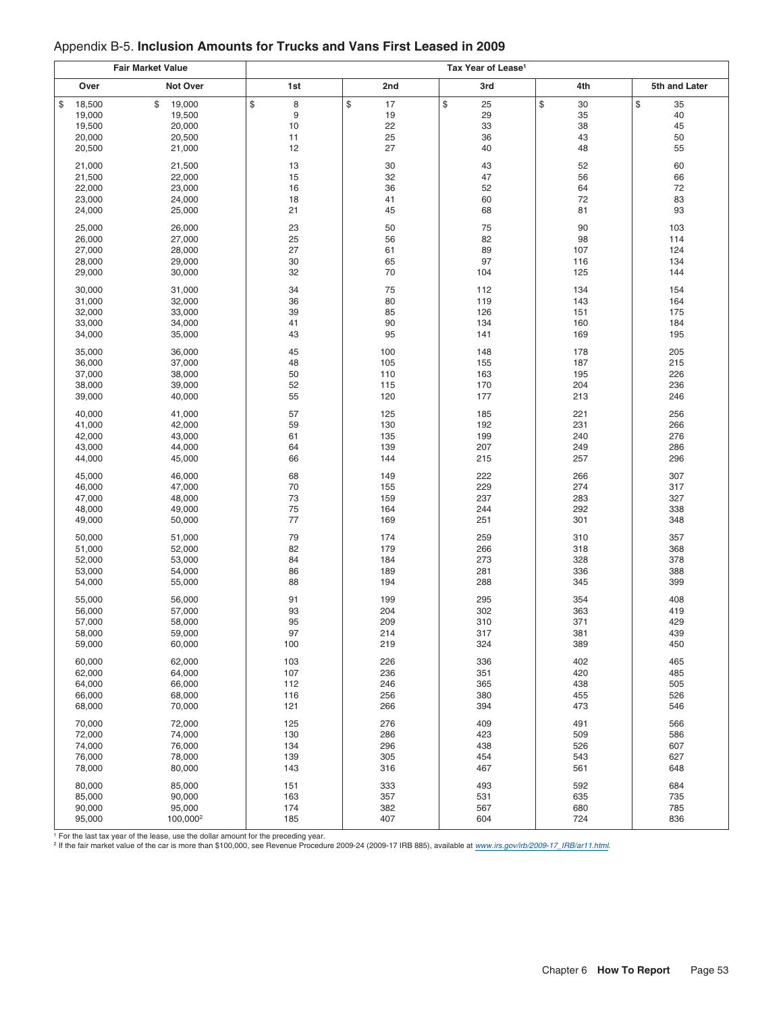|              | <b>Fair Market Value</b> | Tax Year of Lease <sup>1</sup> |          |          |          |               |
|--------------|--------------------------|--------------------------------|----------|----------|----------|---------------|
| Over         | Not Over                 | 1st                            | 2nd      | 3rd      | 4th      | 5th and Later |
| \$<br>18,500 | \$<br>19,000             | \$<br>8                        | \$<br>17 | \$<br>25 | \$<br>30 | \$<br>35      |
| 19,000       | 19,500                   | 9                              | 19       | 29       | 35       | 40            |
| 19,500       | 20,000                   | 10                             | 22       | 33       | 38       | 45            |
| 20,000       | 20,500                   | 11                             | 25       | 36       | 43       | 50            |
| 20,500       | 21,000                   | 12                             | 27       | 40       | 48       | 55            |
|              |                          |                                |          |          |          |               |
| 21,000       | 21,500                   | 13                             | 30       | 43       | 52       | 60            |
| 21,500       | 22,000                   | 15                             | 32       | 47       | 56       | 66            |
| 22,000       | 23,000                   | 16                             | 36       | 52       | 64       | 72            |
| 23,000       | 24,000                   | 18                             | 41       | 60       | 72       | 83            |
| 24,000       | 25,000                   | 21                             | 45       | 68       | 81       | 93            |
| 25,000       | 26,000                   | 23                             | 50       | 75       | 90       | 103           |
| 26,000       | 27,000                   | 25                             | 56       | 82       | 98       | 114           |
| 27,000       | 28,000                   | 27                             | 61       | 89       | 107      | 124           |
| 28,000       | 29,000                   | 30                             | 65       | 97       | 116      | 134           |
| 29,000       | 30,000                   | 32                             | 70       | 104      | 125      | 144           |
| 30,000       | 31,000                   | 34                             | 75       | 112      | 134      | 154           |
| 31,000       | 32,000                   | 36                             | 80       | 119      | 143      | 164           |
| 32,000       | 33,000                   | 39                             | 85       | 126      | 151      | 175           |
| 33,000       | 34,000                   | 41                             | 90       | 134      | 160      | 184           |
| 34,000       | 35,000                   | 43                             | 95       | 141      | 169      | 195           |
| 35,000       | 36,000                   | 45                             | 100      | 148      | 178      | 205           |
| 36,000       | 37,000                   | 48                             | 105      | 155      | 187      | 215           |
|              |                          |                                |          |          |          |               |
| 37,000       | 38,000                   | 50                             | 110      | 163      | 195      | 226           |
| 38,000       | 39,000                   | 52                             | 115      | 170      | 204      | 236           |
| 39,000       | 40,000                   | 55                             | 120      | 177      | 213      | 246           |
| 40,000       | 41,000                   | 57                             | 125      | 185      | 221      | 256           |
| 41,000       | 42,000                   | 59                             | 130      | 192      | 231      | 266           |
| 42,000       | 43,000                   | 61                             | 135      | 199      | 240      | 276           |
| 43,000       | 44,000                   | 64                             | 139      | 207      | 249      | 286           |
| 44,000       | 45,000                   | 66                             | 144      | 215      | 257      | 296           |
| 45,000       | 46,000                   | 68                             | 149      | 222      | 266      | 307           |
| 46,000       | 47,000                   | 70                             | 155      | 229      | 274      | 317           |
| 47,000       | 48,000                   | 73                             | 159      | 237      | 283      | 327           |
| 48,000       | 49,000                   | 75                             | 164      | 244      | 292      | 338           |
| 49,000       | 50,000                   | 77                             | 169      | 251      | 301      | 348           |
| 50,000       | 51,000                   | 79                             | 174      | 259      | 310      | 357           |
| 51,000       | 52,000                   | 82                             | 179      | 266      | 318      | 368           |
| 52,000       | 53,000                   | 84                             | 184      | 273      | 328      | 378           |
| 53,000       | 54,000                   | 86                             | 189      | 281      | 336      | 388           |
| 54,000       | 55,000                   | 88                             | 194      | 288      | 345      | 399           |
|              |                          |                                |          |          |          |               |
| 55,000       | 56,000                   | 91                             | 199      | 295      | 354      | 408           |
| 56,000       | 57,000                   | 93                             | 204      | 302      | 363      | 419           |
| 57,000       | 58,000                   | 95                             | 209      | 310      | 371      | 429           |
| 58,000       | 59,000                   | 97                             | 214      | 317      | 381      | 439           |
| 59,000       | 60,000                   | 100                            | 219      | 324      | 389      | 450           |
| 60,000       | 62,000                   | 103                            | 226      | 336      | 402      | 465           |
| 62,000       | 64,000                   | 107                            | 236      | 351      | 420      | 485           |
| 64,000       | 66,000                   | 112                            | 246      | 365      | 438      | 505           |
| 66,000       | 68,000                   | 116                            | 256      | 380      | 455      | 526           |
| 68,000       | 70,000                   | 121                            | 266      | 394      | 473      | 546           |
| 70,000       | 72,000                   | 125                            | 276      | 409      | 491      | 566           |
| 72,000       | 74,000                   | 130                            | 286      | 423      | 509      | 586           |
| 74,000       | 76,000                   | 134                            | 296      | 438      | 526      | 607           |
| 76,000       | 78,000                   | 139                            | 305      | 454      | 543      | 627           |
| 78,000       | 80,000                   | 143                            | 316      | 467      | 561      | 648           |
| 80,000       | 85,000                   | 151                            | 333      | 493      | 592      | 684           |
| 85,000       | 90,000                   | 163                            | 357      | 531      | 635      | 735           |
| 90,000       | 95,000                   | 174                            | 382      | 567      | 680      | 785           |
| 95,000       | 100,000 <sup>2</sup>     | 185                            | 407      | 604      | 724      | 836           |

### Appendix B-5. **Inclusion Amounts for Trucks and Vans First Leased in 2009**

<sup>1</sup> For the last tax year of the lease, use the dollar amount for the preceding year.<br><sup>2</sup> If the fair market value of the car is more than \$100,000, see Revenue Procedure 2009-24 (2009-17 IRB 885), available at *www.irs.go*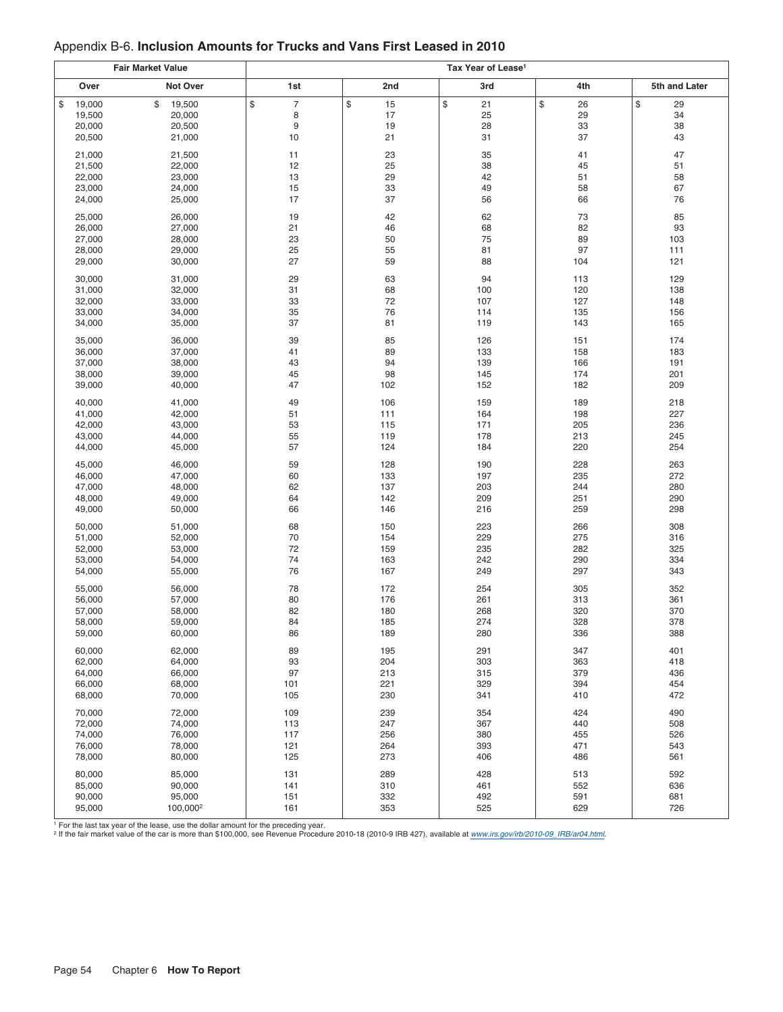| <b>Fair Market Value</b> |                      | Tax Year of Lease <sup>1</sup> |          |          |          |               |
|--------------------------|----------------------|--------------------------------|----------|----------|----------|---------------|
| Over                     | Not Over             | 1st                            | 2nd      | 3rd      | 4th      | 5th and Later |
| \$<br>19,000             | \$<br>19,500         | \$<br>$\overline{7}$           | \$<br>15 | \$<br>21 | \$<br>26 | \$<br>29      |
| 19,500                   | 20,000               | 8                              | 17       | 25       | 29       | 34            |
| 20,000                   | 20,500               | 9                              | 19       | 28       | 33       | 38            |
| 20,500                   | 21,000               | 10                             | 21       | 31       | 37       | 43            |
| 21,000                   | 21,500               | 11                             | 23       | 35       | 41       | 47            |
| 21,500                   | 22,000               | 12                             | 25       | 38       | 45       | 51            |
|                          |                      |                                |          |          |          |               |
| 22,000                   | 23,000               | 13                             | 29       | 42       | 51       | 58            |
| 23,000                   | 24,000               | 15                             | 33       | 49       | 58       | 67            |
| 24,000                   | 25,000               | 17                             | 37       | 56       | 66       | 76            |
| 25,000                   | 26,000               | 19                             | 42       | 62       | 73       | 85            |
| 26,000                   | 27,000               | 21                             | 46       | 68       | 82       | 93            |
| 27,000                   | 28,000               | 23                             | 50       | 75       | 89       | 103           |
| 28,000                   | 29,000               | 25                             | 55       | 81       | 97       | 111           |
| 29,000                   | 30,000               | 27                             | 59       | 88       | 104      | 121           |
| 30,000                   | 31,000               | 29                             | 63       | 94       | 113      | 129           |
| 31,000                   | 32,000               | 31                             | 68       | 100      | 120      | 138           |
| 32,000                   | 33,000               | 33                             | 72       | 107      | 127      | 148           |
|                          |                      |                                |          |          |          |               |
| 33,000                   | 34,000               | 35                             | 76       | 114      | 135      | 156           |
| 34,000                   | 35,000               | 37                             | 81       | 119      | 143      | 165           |
| 35,000                   | 36,000               | 39                             | 85       | 126      | 151      | 174           |
| 36,000                   | 37,000               | 41                             | 89       | 133      | 158      | 183           |
| 37,000                   | 38,000               | 43                             | 94       | 139      | 166      | 191           |
| 38,000                   | 39,000               | 45                             | 98       | 145      | 174      | 201           |
| 39,000                   | 40,000               | 47                             | 102      | 152      | 182      | 209           |
| 40,000                   | 41,000               | 49                             | 106      | 159      | 189      | 218           |
| 41,000                   | 42,000               | 51                             | 111      | 164      | 198      | 227           |
| 42,000                   | 43,000               | 53                             | 115      | 171      | 205      | 236           |
| 43,000                   | 44,000               | 55                             | 119      | 178      | 213      | 245           |
|                          |                      | 57                             |          |          |          |               |
| 44,000                   | 45,000               |                                | 124      | 184      | 220      | 254           |
| 45,000                   | 46,000               | 59                             | 128      | 190      | 228      | 263           |
| 46,000                   | 47,000               | 60                             | 133      | 197      | 235      | 272           |
| 47,000                   | 48,000               | 62                             | 137      | 203      | 244      | 280           |
| 48,000                   | 49,000               | 64                             | 142      | 209      | 251      | 290           |
| 49,000                   | 50,000               | 66                             | 146      | 216      | 259      | 298           |
| 50,000                   | 51,000               | 68                             | 150      | 223      | 266      | 308           |
| 51,000                   | 52,000               | 70                             | 154      | 229      | 275      | 316           |
| 52,000                   | 53,000               | 72                             | 159      | 235      | 282      | 325           |
| 53,000                   | 54,000               | 74                             | 163      | 242      | 290      | 334           |
| 54,000                   | 55,000               | 76                             | 167      | 249      | 297      | 343           |
| 55,000                   | 56,000               | 78                             | 172      | 254      | 305      | 352           |
| 56,000                   | 57,000               | 80                             | 176      | 261      | 313      | 361           |
| 57,000                   | 58,000               | 82                             | 180      | 268      | 320      | 370           |
| 58,000                   | 59,000               | 84                             | 185      | 274      | 328      | 378           |
|                          |                      |                                |          |          |          |               |
| 59,000                   | 60,000               | 86                             | 189      | 280      | 336      | 388           |
| 60,000                   | 62,000               | 89                             | 195      | 291      | 347      | 401           |
| 62,000                   | 64,000               | 93                             | 204      | 303      | 363      | 418           |
| 64,000                   | 66,000               | 97                             | 213      | 315      | 379      | 436           |
| 66,000                   | 68,000               | 101                            | 221      | 329      | 394      | 454           |
| 68,000                   | 70,000               | 105                            | 230      | 341      | 410      | 472           |
| 70,000                   | 72,000               | 109                            | 239      | 354      | 424      | 490           |
| 72,000                   | 74,000               | 113                            | 247      | 367      | 440      | 508           |
| 74,000                   | 76,000               | 117                            | 256      | 380      | 455      | 526           |
| 76,000                   | 78,000               | 121                            | 264      | 393      | 471      | 543           |
| 78,000                   | 80,000               | 125                            | 273      | 406      | 486      | 561           |
|                          |                      |                                |          |          |          |               |
| 80,000                   | 85,000               | 131                            | 289      | 428      | 513      | 592           |
| 85,000                   | 90,000               | 141                            | 310      | 461      | 552      | 636           |
| 90,000                   | 95,000               | 151                            | 332      | 492      | 591      | 681           |
| 95,000                   | 100,000 <sup>2</sup> | 161                            | 353      | 525      | 629      | 726           |

### Appendix B-6. **Inclusion Amounts for Trucks and Vans First Leased in 2010**

<sup>1</sup> For the last tax year of the lease, use the dollar amount for the preceding year.<br><sup>2</sup> If the fair market value of the car is more than \$100,000, see Revenue Procedure 2010-18 (2010-9 IRB 427), available at *www.irs.gov*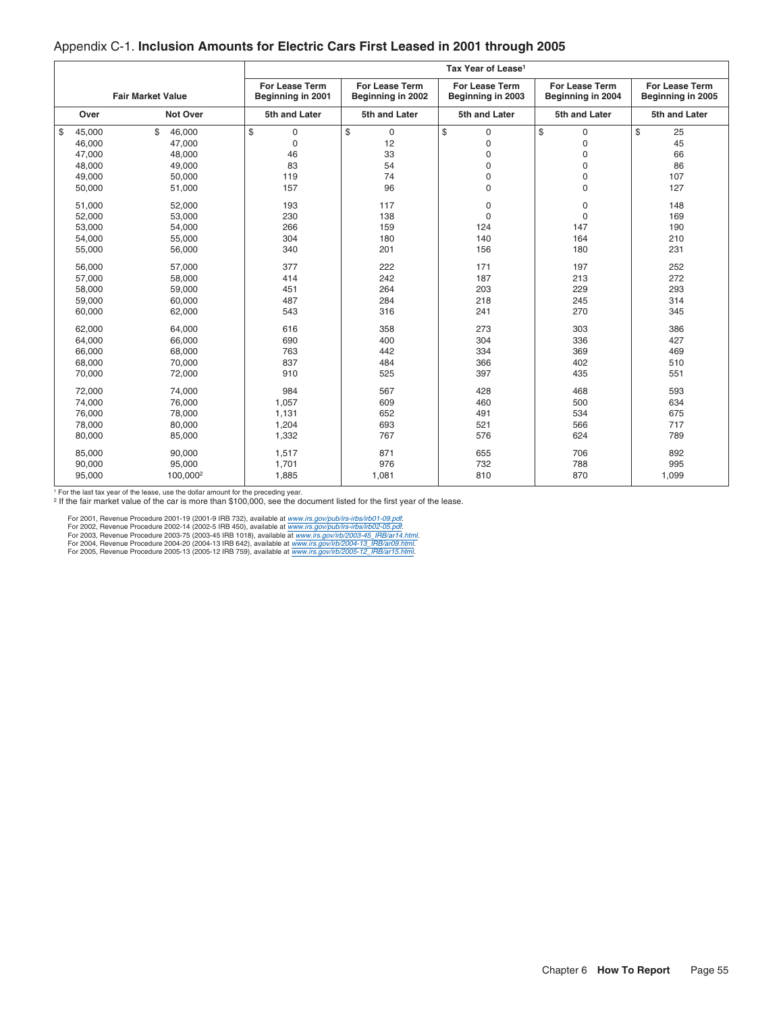| Appendix C-1. Inclusion Amounts for Electric Cars First Leased in 2001 through 2005 |  |  |  |
|-------------------------------------------------------------------------------------|--|--|--|
|                                                                                     |  |  |  |

|              |                          | Tax Year of Lease <sup>1</sup>      |                                     |                                     |                                     |                                     |
|--------------|--------------------------|-------------------------------------|-------------------------------------|-------------------------------------|-------------------------------------|-------------------------------------|
|              | <b>Fair Market Value</b> | For Lease Term<br>Beginning in 2001 | For Lease Term<br>Beginning in 2002 | For Lease Term<br>Beginning in 2003 | For Lease Term<br>Beginning in 2004 | For Lease Term<br>Beginning in 2005 |
| Over         | Not Over                 | 5th and Later                       | 5th and Later                       | 5th and Later                       | 5th and Later                       | 5th and Later                       |
| \$<br>45,000 | \$<br>46,000             | \$<br>$\mathbf 0$                   | \$<br>0                             | \$<br>0                             | \$<br>$\mathbf 0$                   | \$<br>25                            |
| 46,000       | 47,000                   | $\mathbf 0$                         | 12                                  | $\mathbf 0$                         | $\mathbf 0$                         | 45                                  |
| 47,000       | 48,000                   | 46                                  | 33                                  | $\overline{0}$                      | $\mathbf 0$                         | 66                                  |
| 48,000       | 49,000                   | 83                                  | 54                                  | $\mathbf 0$                         | $\Omega$                            | 86                                  |
| 49,000       | 50,000                   | 119                                 | 74                                  | $\mathbf 0$                         | $\Omega$                            | 107                                 |
| 50,000       | 51,000                   | 157                                 | 96                                  | 0                                   | $\Omega$                            | 127                                 |
| 51,000       | 52,000                   | 193                                 | 117                                 | $\mathbf 0$                         | $\mathbf 0$                         | 148                                 |
| 52,000       | 53,000                   | 230                                 | 138                                 | 0                                   | $\mathbf 0$                         | 169                                 |
| 53,000       | 54,000                   | 266                                 | 159                                 | 124                                 | 147                                 | 190                                 |
| 54,000       | 55,000                   | 304                                 | 180                                 | 140                                 | 164                                 | 210                                 |
| 55,000       | 56,000                   | 340                                 | 201                                 | 156                                 | 180                                 | 231                                 |
| 56,000       | 57,000                   | 377                                 | 222                                 | 171                                 | 197                                 | 252                                 |
| 57,000       | 58,000                   | 414                                 | 242                                 | 187                                 | 213                                 | 272                                 |
| 58,000       | 59,000                   | 451                                 | 264                                 | 203                                 | 229                                 | 293                                 |
| 59,000       | 60,000                   | 487                                 | 284                                 | 218                                 | 245                                 | 314                                 |
| 60,000       | 62,000                   | 543                                 | 316                                 | 241                                 | 270                                 | 345                                 |
| 62,000       | 64,000                   | 616                                 | 358                                 | 273                                 | 303                                 | 386                                 |
| 64,000       | 66,000                   | 690                                 | 400                                 | 304                                 | 336                                 | 427                                 |
| 66,000       | 68,000                   | 763                                 | 442                                 | 334                                 | 369                                 | 469                                 |
| 68,000       | 70,000                   | 837                                 | 484                                 | 366                                 | 402                                 | 510                                 |
| 70,000       | 72,000                   | 910                                 | 525                                 | 397                                 | 435                                 | 551                                 |
| 72,000       | 74,000                   | 984                                 | 567                                 | 428                                 | 468                                 | 593                                 |
| 74,000       | 76,000                   | 1,057                               | 609                                 | 460                                 | 500                                 | 634                                 |
| 76,000       | 78,000                   | 1,131                               | 652                                 | 491                                 | 534                                 | 675                                 |
| 78,000       | 80,000                   | 1,204                               | 693                                 | 521                                 | 566                                 | 717                                 |
| 80,000       | 85,000                   | 1,332                               | 767                                 | 576                                 | 624                                 | 789                                 |
| 85,000       | 90,000                   | 1,517                               | 871                                 | 655                                 | 706                                 | 892                                 |
| 90,000       | 95,000                   | 1,701                               | 976                                 | 732                                 | 788                                 | 995                                 |
| 95,000       | 100,000 <sup>2</sup>     | 1,885                               | 1,081                               | 810                                 | 870                                 | 1,099                               |

' For the last tax year of the lease, use the dollar amount for the preceding year.<br><sup>2</sup> If the fair market value of the car is more than \$100,000, see the document listed for the first year of the lease.

For 2001, Revenue Procedure 2001-19 (2001-9 IRB 732), available at www.irs.*gov/pub/irs-irbs/irb01-09.pdf.*<br>For 2002, Revenue Procedure 2002-19 (2002-5 IRB 450), available at www.irs.g*ov/pub/irs-irbs/irb02-05.pdf.*<br>For 20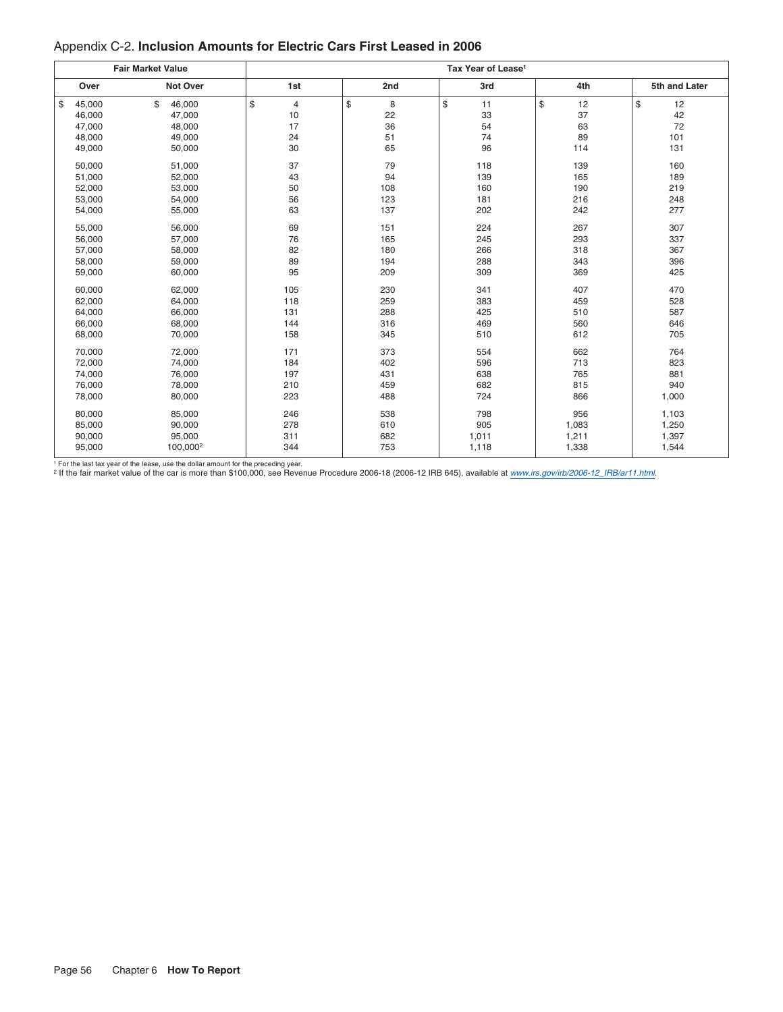| Appendix C-2. Inclusion Amounts for Electric Cars First Leased in 2006 |  |  |  |  |
|------------------------------------------------------------------------|--|--|--|--|
|                                                                        |  |  |  |  |

|              | <b>Fair Market Value</b> | Tax Year of Lease <sup>1</sup> |         |          |                    |               |
|--------------|--------------------------|--------------------------------|---------|----------|--------------------|---------------|
| Over         | Not Over                 | 1st                            | 2nd     | 3rd      | 4th                | 5th and Later |
| \$<br>45,000 | \$<br>46,000             | \$<br>4                        | \$<br>8 | \$<br>11 | $\mathbb{S}$<br>12 | \$<br>12      |
| 46,000       | 47,000                   | 10                             | 22      | 33       | 37                 | 42            |
| 47,000       | 48,000                   | 17                             | 36      | 54       | 63                 | 72            |
| 48,000       | 49,000                   | 24                             | 51      | 74       | 89                 | 101           |
| 49,000       | 50,000                   | 30                             | 65      | 96       | 114                | 131           |
| 50,000       | 51,000                   | 37                             | 79      | 118      | 139                | 160           |
| 51,000       | 52,000                   | 43                             | 94      | 139      | 165                | 189           |
| 52,000       | 53,000                   | 50                             | 108     | 160      | 190                | 219           |
| 53,000       | 54,000                   | 56                             | 123     | 181      | 216                | 248           |
| 54,000       | 55,000                   | 63                             | 137     | 202      | 242                | 277           |
| 55,000       | 56,000                   | 69                             | 151     | 224      | 267                | 307           |
| 56,000       | 57,000                   | 76                             | 165     | 245      | 293                | 337           |
| 57,000       | 58,000                   | 82                             | 180     | 266      | 318                | 367           |
| 58,000       | 59,000                   | 89                             | 194     | 288      | 343                | 396           |
| 59,000       | 60,000                   | 95                             | 209     | 309      | 369                | 425           |
| 60,000       | 62,000                   | 105                            | 230     | 341      | 407                | 470           |
| 62,000       | 64,000                   | 118                            | 259     | 383      | 459                | 528           |
| 64,000       | 66,000                   | 131                            | 288     | 425      | 510                | 587           |
| 66,000       | 68,000                   | 144                            | 316     | 469      | 560                | 646           |
| 68,000       | 70,000                   | 158                            | 345     | 510      | 612                | 705           |
| 70,000       | 72,000                   | 171                            | 373     | 554      | 662                | 764           |
| 72,000       | 74,000                   | 184                            | 402     | 596      | 713                | 823           |
| 74,000       | 76,000                   | 197                            | 431     | 638      | 765                | 881           |
| 76,000       | 78,000                   | 210                            | 459     | 682      | 815                | 940           |
| 78,000       | 80,000                   | 223                            | 488     | 724      | 866                | 1,000         |
| 80,000       | 85,000                   | 246                            | 538     | 798      | 956                | 1,103         |
| 85,000       | 90,000                   | 278                            | 610     | 905      | 1,083              | 1,250         |
| 90,000       | 95,000                   | 311                            | 682     | 1,011    | 1,211              | 1,397         |
| 95,000       | 100,000 <sup>2</sup>     | 344                            | 753     | 1,118    | 1,338              | 1,544         |

<sup>1</sup> For the last tax year of the lease, use the dollar amount for the preceding year.<br><sup>2</sup> If the fair market value of the car is more than \$100,000, see Revenue Procedure 2006-18 (2006-12 IRB 645), available at *www.irs.go*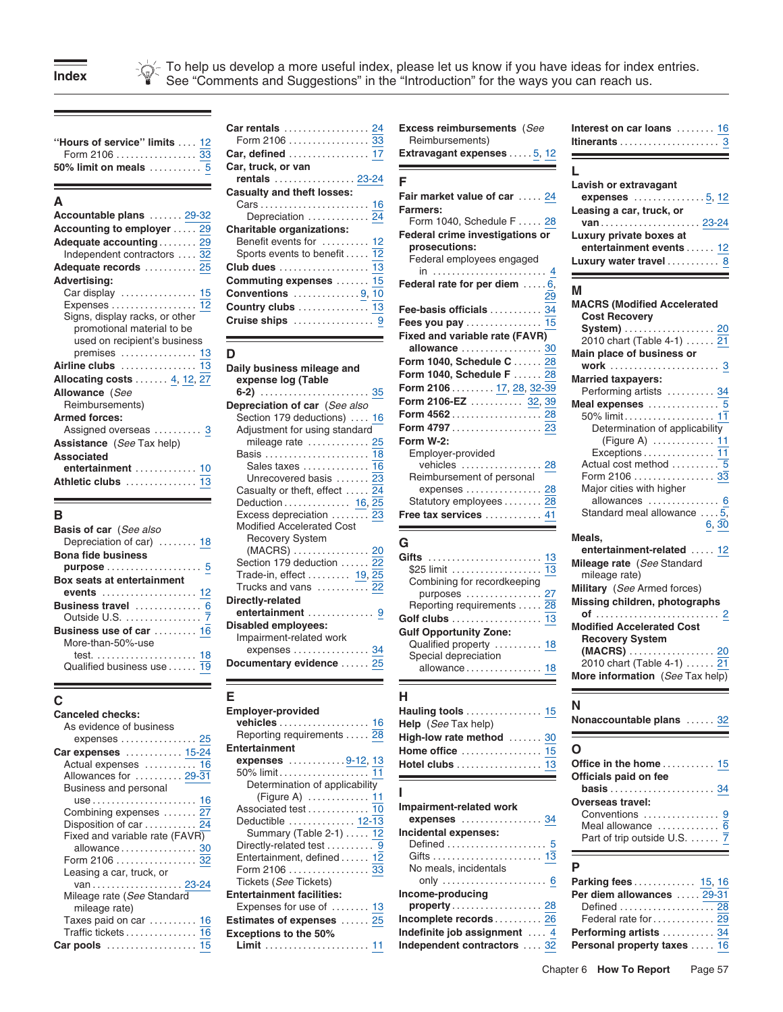To help us develop a more useful index, please let us know if you have ideas for index entries.<br>**Index** See "Comments and Suggestions" in the "Introduction" for the ways you can reach us.

| "Hours of service" limits      |  |  |
|--------------------------------|--|--|
| Form 2106                      |  |  |
| $50\%$ limit on meals $\ldots$ |  |  |

| Accountable plans  29-32         |
|----------------------------------|
| Accounting to employer  29       |
| Adequate accounting 29           |
| Independent contractors  32      |
| Adequate records  25             |
| <b>Advertising:</b>              |
| Car display  15                  |
| Expenses $\ldots$ 12             |
| Signs, display racks, or other   |
| promotional material to be       |
| used on recipient's business     |
| premises  13                     |
| Airline clubs  13                |
| Allocating costs  4, 12, 27      |
| Allowance (See                   |
| Reimbursements)                  |
| <b>Armed forces:</b>             |
| Assigned overseas  3             |
| <b>Assistance</b> (See Tax help) |
| <b>Associated</b>                |
| entertainment  10                |
| Athletic clubs  13               |
|                                  |

| <b>Basis of car</b> (See also     |
|-----------------------------------|
| Depreciation of car)  1           |
| <b>Bona fide business</b>         |
|                                   |
| <b>Box seats at entertainment</b> |
|                                   |
| Business travel                   |
| Outside U.S.                      |
| Business use of car  1            |
| More-than-50%-use                 |
|                                   |
| Qualified business use 1          |
|                                   |

| Canceled checks:                                       |
|--------------------------------------------------------|
| As evidence of business                                |
| expenses  2                                            |
| Car expenses  15-2                                     |
| Actual expenses  1                                     |
| Allowances for  29-3                                   |
| Business and personal                                  |
|                                                        |
|                                                        |
| Disposition of car  24                                 |
| Fixed and variable rate (FAVR)                         |
| allowance 3                                            |
| Form 2106 $\dots \dots \dots \dots \dots \overline{3}$ |
| Leasing a car, truck, or                               |
| van 23-2                                               |
| Mileage rate (See Standard                             |
| mileage rate)                                          |
| Taxes paid on car  1                                   |
|                                                        |
| Car pools  1                                           |
|                                                        |

| lours of service" limits  12<br>Form 2106 33                 | Car rentals  24<br>Form 2106  33           | <b>Excess reimbursements</b> (See<br>Reimbursements)<br><b>Extravagant expenses</b> 5, 12 |
|--------------------------------------------------------------|--------------------------------------------|-------------------------------------------------------------------------------------------|
| % limit on meals $\ldots \ldots \ldots 5$                    | Car, truck, or van<br><b>rentals</b> 23-24 |                                                                                           |
|                                                              | <b>Casualty and theft losses:</b>          | Fair market value of car  24                                                              |
| countable plans  29-32                                       | Cars  16<br>Depreciation  24               | Farmers:<br>Form 1040, Schedule F 28                                                      |
| counting to employer $\ldots$ . 29                           | <b>Charitable organizations:</b>           | Federal crime investigations or                                                           |
| lequate accounting 29                                        | Benefit events for  12                     | prosecutions:                                                                             |
| Independent contractors  32                                  | Sports events to benefit 12                | Federal employees engaged                                                                 |
| dequate records  25                                          |                                            | in  4                                                                                     |
| lvertisina:                                                  | Commuting expenses  15                     | Federal rate for per diem  6.                                                             |
| Car display  15                                              | <b>Conventions</b> 9, 10                   | 29                                                                                        |
| Expenses 12                                                  | Country clubs  13                          | Fee-basis officials  34                                                                   |
| Signs, display racks, or other<br>promotional material to be |                                            | Fees you pay  15                                                                          |
|                                                              |                                            |                                                                                           |

| Allocating costs 4, <u>12, 27</u><br>Allowance ( <i>See</i><br>Reimbursements)<br><b>Armed forces:</b><br>Assigned overseas  3<br><b>Assistance</b> (See Tax help)<br>Associated<br>Athletic clubs  13                                                                            | Daily business mileage and<br>expense log (Table<br>Depreciation of car (See also<br>Section 179 deductions)  16<br>Adjustment for using standard<br>mileage rate $\dots\dots\dots\dots$ 25<br>Sales taxes  16<br>Unrecovered basis  23   | Form 1040, Schedule $C \ldots 28$<br>Form 1040, Schedule F  28<br>Form 2106 17, 28, 32-39<br>Form 2106-EZ  32, 39<br>Form 4797  23<br>Form W-2:<br>Employer-provided<br>vehicles  28<br>Reimbursement of personal<br>Casualty or theft, effect  24 expenses  28 | work  3<br><b>Married taxpayers:</b><br>Performing artists  34<br>Meal expenses  5<br>50% limit 11<br>Determination of applicability<br>(Figure A)  11<br>Actual cost method  5<br>Form 2106  33<br>Major cities with higher<br>allowances $\dots\dots\dots\dots\dots$ 6 |
|-----------------------------------------------------------------------------------------------------------------------------------------------------------------------------------------------------------------------------------------------------------------------------------|-------------------------------------------------------------------------------------------------------------------------------------------------------------------------------------------------------------------------------------------|-----------------------------------------------------------------------------------------------------------------------------------------------------------------------------------------------------------------------------------------------------------------|--------------------------------------------------------------------------------------------------------------------------------------------------------------------------------------------------------------------------------------------------------------------------|
|                                                                                                                                                                                                                                                                                   | Deduction 16, 25<br>Excess depreciation  23<br>Modified Accelerated Cost                                                                                                                                                                  | Statutory employees  28<br>Free tax services  41                                                                                                                                                                                                                | Standard meal allowance  5,<br>6, 30                                                                                                                                                                                                                                     |
| <b>Basis of car</b> (See also<br>Depreciation of car)  18<br>Bona fide business<br>$purpose \ldots \ldots \ldots \ldots \ldots 5$<br>Box seats at entertainment<br>events  12<br>Business travel  6<br>Business use of car  16<br>More-than-50%-use<br>Qualified business use  19 | Recovery System<br>$(MACRS)$ 20<br>Section 179 deduction  22<br>Trade-in, effect  19, 25<br>Trucks and vans  22<br>Directly-related<br><b>Disabled employees:</b><br>Impairment-related work<br>expenses $34$<br>Documentary evidence  25 | G<br>Combining for recordkeeping<br>purposes  27<br>Reporting requirements  28<br><b>Gulf Opportunity Zone:</b><br>Qualified property  18<br>Special depreciation<br>allowance 18                                                                               | Meals,<br>entertainment-related  12<br>Mileage rate (See Standard<br>mileage rate)<br>Military (See Armed forces)<br>Missing children, photographs<br><b>Modified Accelerated Cost</b><br><b>Recovery System</b><br>2010 chart (Table 4-1)  21<br>$M = \frac{1}{2}$      |

|                                  |                                                                                                                                                                                                                                                                                                                                              | - 14<br>Nonaccountable plans  32                                                                                                                                                                                   |
|----------------------------------|----------------------------------------------------------------------------------------------------------------------------------------------------------------------------------------------------------------------------------------------------------------------------------------------------------------------------------------------|--------------------------------------------------------------------------------------------------------------------------------------------------------------------------------------------------------------------|
|                                  |                                                                                                                                                                                                                                                                                                                                              |                                                                                                                                                                                                                    |
|                                  | High-low rate method  30                                                                                                                                                                                                                                                                                                                     |                                                                                                                                                                                                                    |
| Entertainment                    | Home office $\ldots \ldots \ldots \ldots \ldots$ 15                                                                                                                                                                                                                                                                                          |                                                                                                                                                                                                                    |
|                                  | Hotel clubs $\ldots$ , $\ldots$ , $\ldots$ , 13                                                                                                                                                                                                                                                                                              | Office in the home 15                                                                                                                                                                                              |
|                                  |                                                                                                                                                                                                                                                                                                                                              | Officials paid on fee                                                                                                                                                                                              |
|                                  |                                                                                                                                                                                                                                                                                                                                              |                                                                                                                                                                                                                    |
|                                  |                                                                                                                                                                                                                                                                                                                                              | <b>Overseas travel:</b>                                                                                                                                                                                            |
|                                  |                                                                                                                                                                                                                                                                                                                                              |                                                                                                                                                                                                                    |
|                                  |                                                                                                                                                                                                                                                                                                                                              | Meal allowance  6                                                                                                                                                                                                  |
|                                  |                                                                                                                                                                                                                                                                                                                                              | Part of trip outside U.S.  7                                                                                                                                                                                       |
|                                  |                                                                                                                                                                                                                                                                                                                                              |                                                                                                                                                                                                                    |
|                                  |                                                                                                                                                                                                                                                                                                                                              |                                                                                                                                                                                                                    |
|                                  |                                                                                                                                                                                                                                                                                                                                              |                                                                                                                                                                                                                    |
| Tickets (See Tickets)            |                                                                                                                                                                                                                                                                                                                                              | <b>Parking fees 15, 16</b>                                                                                                                                                                                         |
| <b>Entertainment facilities:</b> | Income-producing                                                                                                                                                                                                                                                                                                                             | Per diem allowances  29-31                                                                                                                                                                                         |
| Expenses for use of  13          | $property \ldots \ldots \ldots \ldots \ldots 28$                                                                                                                                                                                                                                                                                             | Defined  28                                                                                                                                                                                                        |
| <b>Estimates of expenses</b> 25  | Incomplete records $\ldots \ldots \ldots 26$                                                                                                                                                                                                                                                                                                 | Federal rate for 29                                                                                                                                                                                                |
| <b>Exceptions to the 50%</b>     | Indefinite job assignment  4                                                                                                                                                                                                                                                                                                                 | Performing artists  34                                                                                                                                                                                             |
| Car pools 15                     | Independent contractors  32                                                                                                                                                                                                                                                                                                                  | Personal property taxes  16                                                                                                                                                                                        |
|                                  | <b>Employer-provided</b><br>vehicles 16<br>Reporting requirements  28<br>expenses $\dots\dots\dots\dots9-12, 13$<br>50% limit 11<br>Determination of applicability<br>$(Figure A)$ 11<br>Deductible $\ldots \ldots \ldots \ldots$ 12-13<br>Summary (Table 2-1)  12<br>Directly-related test  9<br>Entertainment, defined  12<br>Form 2106 33 | <b>Help</b> ( <i>See</i> Tax help)<br>Impairment-related work<br>expenses $\dots\dots\dots\dots\dots 34$<br>Incidental expenses:<br>Defined $\ldots$ , $\ldots$ , $\ldots$ , $\ldots$ , 5<br>No meals, incidentals |

| "Hours of service" limits  12                  | Car rentals  24<br>Form 2106  33                       | <b>Excess reimbursements</b> (See<br>Reimbursements) | Interest on car loans  16                      |
|------------------------------------------------|--------------------------------------------------------|------------------------------------------------------|------------------------------------------------|
| Form 2106  33                                  |                                                        | Extravagant expenses  5, 12                          |                                                |
| 50% limit on meals  5                          | Car, truck, or van<br><b>rentals</b> 23-24             |                                                      |                                                |
|                                                |                                                        |                                                      | Lavish or extravagant                          |
|                                                | <b>Casualty and theft losses:</b>                      | Fair market value of car  24                         | expenses $\dots\dots\dots\dots\dots\dots$      |
| Accountable plans  29-32                       | Depreciation  24                                       | <b>Farmers:</b>                                      | Leasing a car, truck, or                       |
| Accounting to employer  29                     | <b>Charitable organizations:</b>                       | Form 1040, Schedule F 28                             |                                                |
| Adequate accounting 29                         | Benefit events for  12                                 | Federal crime investigations or                      | Luxury private boxes at                        |
| Independent contractors  32                    | Sports events to benefit  12                           | prosecutions:                                        | entertainment events  12                       |
| Adequate records  25                           | Club dues  13                                          | Federal employees engaged<br>in  4                   | Luxury water travel 8                          |
| <b>Advertising:</b>                            | Commuting expenses  15                                 |                                                      |                                                |
| Car display  15                                | Conventions $\ldots \ldots \ldots \ldots \frac{9}{10}$ | Federal rate for per diem  6,                        | M                                              |
| Expenses 12                                    | Country clubs  13                                      | Fee-basis officials  34                              | <b>MACRS (Modified Accelerated</b>             |
| Signs, display racks, or other                 |                                                        | Fees you pay  15                                     | <b>Cost Recovery</b>                           |
| promotional material to be                     |                                                        | Fixed and variable rate (FAVR)                       | System)  20                                    |
| used on recipient's business                   |                                                        | allowance  30                                        | 2010 chart (Table 4-1)  21                     |
| premises  13                                   | D                                                      | Form 1040, Schedule C 28                             | Main place of business or                      |
| Airline clubs  13                              | Daily business mileage and                             | Form 1040, Schedule F  28                            | work  3                                        |
| <b>Allocating costs  4, 12, 27</b>             | expense log (Table                                     | Form 2106 17, 28, 32-39                              | <b>Married taxpayers:</b>                      |
| Allowance (See                                 |                                                        | Form 2106-EZ  32, 39                                 | Performing artists  34                         |
| Reimbursements)                                | Depreciation of car (See also                          | Form 4562 28                                         | Meal expenses  5                               |
| <b>Armed forces:</b>                           | Section 179 deductions)  16                            | Form 4797  23                                        | 50% limit 11<br>Determination of applicability |
| Assigned overseas  3                           | Adjustment for using standard                          | Form W-2:                                            | $(Figure A)$ 11                                |
| <b>Assistance</b> (See Tax help)               | mileage rate  25<br>Basis  18                          | Employer-provided                                    |                                                |
| <b>Associated</b>                              | Sales taxes  16                                        | vehicles  28                                         | Actual cost method  5                          |
| entertainment  10                              | Unrecovered basis $\ldots$ . $\overline{23}$           | Reimbursement of personal                            | Form 2106  33                                  |
| Athletic clubs  13                             | Casualty or theft, effect  24                          | expenses $\dots\dots\dots\dots\dots$ 28              | Major cities with higher                       |
|                                                | Deduction 16, 25                                       | Statutory employees  28                              | allowances  6                                  |
| в                                              | Excess depreciation  23                                | Free tax services  41                                | Standard meal allowance  5.                    |
| <b>Basis of car</b> (See also                  | <b>Modified Accelerated Cost</b>                       |                                                      | 6,30                                           |
| Depreciation of car)  18                       | <b>Recovery System</b>                                 | G                                                    | Meals.                                         |
| <b>Bona fide business</b>                      | $(MACRS)$ 20                                           | Gifts  13                                            | entertainment-related  12                      |
| $purpose \ldots \ldots \ldots \ldots \ldots 5$ | Section 179 deduction  22<br>Trade-in effect 19 25     | \$25 limit  13                                       | Mileage rate (See Standard                     |
|                                                |                                                        |                                                      | milaana rata)                                  |

### **C <sup>E</sup> <sup>H</sup>**

| <b>Emplover-provided</b>                 |                                                            | N |
|------------------------------------------|------------------------------------------------------------|---|
| <b>vehicles</b> 16                       | Help (See Tax help)                                        |   |
|                                          | Reporting requirements  28 High-low rate method  30        | Ξ |
| Entertainment                            | Home office $\ldots \ldots \ldots \ldots \ldots 15$        | O |
| expenses $\ldots \ldots \ldots 9-12, 13$ | Hotel clubs $\ldots \ldots \ldots \ldots \ldots \ldots$ 13 | 0 |
| 50% limit 11                             |                                                            |   |
|                                          |                                                            |   |

# No meals, incidentals **P**  $Income-producing$ mileage rate) Expenses for use of ........ <sup>13</sup> **property** ................... <sup>28</sup> Defined .................... <sup>28</sup> **Independent contractors** ..... 32

| Interest on car loans  16 |
|---------------------------|
|                           |
| L                         |
| Lavish or extravagant     |
| expenses 5, 12            |
| Leasing a car, truck, or  |
| van 23-24                 |
| Luxury private boxes at   |
| entertainment events 12   |
| Luxury water travel 8     |
|                           |
|                           |

# **Form 1040, Schedule F** ...... <sup>28</sup> **Allocating costs** ....... 4, 12, 27 **expense log (Table Married taxpayers:** Performing artists .............. 34 Reimbursements) **Depreciation of car** (See also **Form 2106-EZ** ........... 32, 39 **Meal expenses** ............... <sup>5</sup> **Armed forces:** Section 179 deductions) .... <sup>16</sup> **Form 4562** ................... <sup>28</sup> 50% limit ................... <sup>11</sup> Determination of applicability **Assistance** (See Tax help) mileage rate ............. <sup>25</sup> **Form W-2:** (Figure A) ............. <sup>11</sup> Basis ...................... <sup>18</sup> Employer-provided Exceptions ............... <sup>11</sup> **Associated** Sales taxes .............. <sup>16</sup> vehicles ................. <sup>28</sup> Actual cost method .......... <sup>5</sup> **entertainment** ............. <sup>10</sup> Unrecovered basis ....... <sup>23</sup> Reimbursement of personal Form 2106 ................. <sup>33</sup> **Athletic clubs** ............... <sup>13</sup> Major cities with higher allowances ................ 6

Qualified business use **Documentary evidence** ...... <sup>25</sup> 2010 chart (Table 4-1) ...... <sup>21</sup> ...... <sup>19</sup> allowance ................ <sup>18</sup> **More information** (See Tax help)

| Office in the home  1<br>Officials paid on fee                                 |  |
|--------------------------------------------------------------------------------|--|
| Overseas travel:<br>Conventions<br>Meal allowance<br>Part of trip outside U.S. |  |
|                                                                                |  |

| <b>Parking fees 15, 16</b>  |  |
|-----------------------------|--|
| Per diem allowances  29-31  |  |
|                             |  |
| Federal rate for  29        |  |
| Performing artists  34      |  |
| Personal property taxes  16 |  |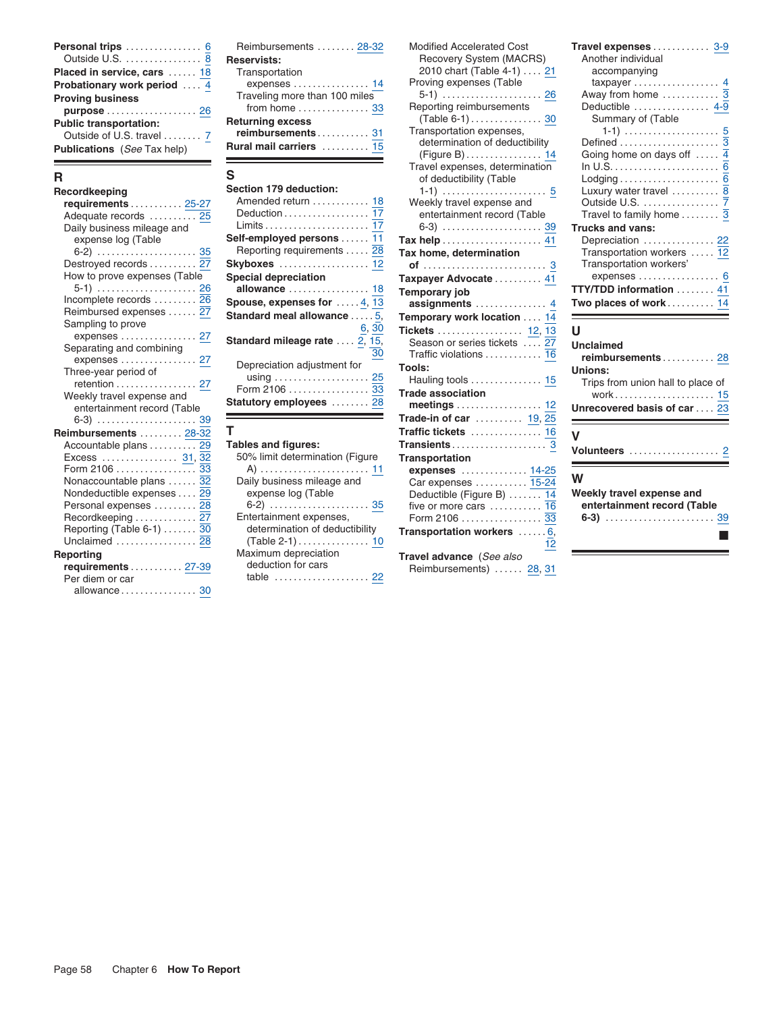| Personal trips                     |
|------------------------------------|
| Outside U.S.                       |
| Placed in service, cars  1         |
| Probationary work period           |
| <b>Proving business</b>            |
| <b>purpose</b> 2                   |
| <b>Public transportation:</b>      |
| Outside of U.S. travel             |
| <b>Publications</b> (See Tax help) |

| Recordkeeping                                                |  |
|--------------------------------------------------------------|--|
| <b>requirements</b> <u>25-27</u>                             |  |
| Adequate records  25                                         |  |
| Daily business mileage and                                   |  |
| expense log (Table                                           |  |
|                                                              |  |
|                                                              |  |
| How to prove expenses (Table                                 |  |
| 5-1)  26                                                     |  |
| Incomplete records  26                                       |  |
| Reimbursed expenses  27                                      |  |
| Sampling to prove                                            |  |
| expenses  27                                                 |  |
| Separating and combining                                     |  |
| expenses  27                                                 |  |
| Three-year period of                                         |  |
| retention 27                                                 |  |
|                                                              |  |
| Weekly travel expense and                                    |  |
| entertainment record (Table                                  |  |
|                                                              |  |
| Reimbursements <u>28-32</u>                                  |  |
| Accountable plans 29                                         |  |
| Excess <u>31, 32</u>                                         |  |
| Form 2106 $\ldots \ldots \ldots \ldots \overline{\ldots}$ 33 |  |
| Nonaccountable plans  32                                     |  |
|                                                              |  |
| Nondeductible expenses $\ldots$ $\frac{29}{22}$              |  |
| Personal expenses  28<br>Recordkeeping  27                   |  |
| Reporting (Table 6-1)  30                                    |  |
| Unclaimed  28                                                |  |
| Reportina                                                    |  |
| requirements  27-39                                          |  |
| Per diem or car<br>allowance 30                              |  |

| Reimbursements  28-32                            |
|--------------------------------------------------|
| <b>Reservists:</b>                               |
| Transportation                                   |
| expenses $\ldots \ldots \ldots \ldots \ldots$ 14 |
| Traveling more than 100 miles                    |
| from home $\ldots \ldots \ldots \ldots 33$       |
| <b>Returning excess</b>                          |
| reimbursements 31                                |
| Rural mail carriers  15                          |

| Section T79 dequation:        |      |
|-------------------------------|------|
| Amended return  18            |      |
| Deduction 17                  |      |
|                               |      |
| Self-employed persons  11     |      |
| Reporting requirements 28     |      |
| Skyboxes  12                  |      |
| <b>Special depreciation</b>   |      |
| allowance  18                 |      |
| Spouse, expenses for  4, 13   |      |
| Standard meal allowance 5,    |      |
|                               | 6,30 |
| Standard mileage rate  2, 15, |      |
|                               | 30   |
| Depreciation adjustment for   |      |
|                               |      |
| Form 2106 33                  |      |
|                               |      |
| Statutory employees  28       |      |
|                               |      |

| Accountable plans $\ldots \ldots \ldots$       | Tables and inquires.                          | $\blacksquare$   alisienis |
|------------------------------------------------|-----------------------------------------------|----------------------------|
| Excess  31, 32                                 | 50% limit determination (Figure               | Transportation             |
|                                                |                                               | expenses                   |
| Nonaccountable plans  32                       | Daily business mileage and                    | Car expenses               |
| Nondeductible expenses  29                     | expense log (Table                            | Deductible (Figure B)      |
| Personal expenses  28                          |                                               | five or more cars          |
| Recordkeeping $\ldots \ldots \ldots \ldots$ 27 | Entertainment expenses,                       | Form 2106                  |
| Reporting (Table $6-1$ ) $\ldots$ 30           | determination of deductibility                | Transportation workers.    |
| Unclaimed  28                                  |                                               |                            |
| Reporting                                      | Maximum depreciation                          | Travel advance (See also   |
| requirements $\ldots \ldots \ldots 27-39$      | deduction for cars                            | Reimbursements)            |
| Per diem or car                                | table $\ldots \ldots \ldots \ldots \ldots 22$ |                            |
|                                                |                                               |                            |

| Personal trips  6<br>Placed in service, cars  18<br>Probationary work period  4<br><b>Proving business</b><br>$purpose \ldots \ldots \ldots \ldots \ldots 26$<br><b>Public transportation:</b><br>Outside of U.S. travel  7<br>Publications (See Tax help) | Reimbursements  28-32<br><b>Reservists:</b><br>Transportation<br>expenses $\dots\dots\dots\dots\dots$ 14<br>Traveling more than 100 miles<br>from home $\dots\dots\dots\dots\dots$ 33<br><b>Returning excess</b><br>reimbursements 31<br>Rural mail carriers  15 | <b>Modified Accelerated Cost</b><br>Recovery System (MACRS)<br>2010 chart (Table 4-1)  21<br>Proving expenses (Table<br>$5-1)$ 26<br>Reporting reimbursements<br>Transportation expenses,<br>determination of deductibility | Travel expenses  3-9<br>Another individual<br>accompanying<br>Away from home  3<br>Deductible  4-9<br>Summary of (Table<br>Defined  3<br>Going home on days off  4 |
|------------------------------------------------------------------------------------------------------------------------------------------------------------------------------------------------------------------------------------------------------------|------------------------------------------------------------------------------------------------------------------------------------------------------------------------------------------------------------------------------------------------------------------|-----------------------------------------------------------------------------------------------------------------------------------------------------------------------------------------------------------------------------|--------------------------------------------------------------------------------------------------------------------------------------------------------------------|
|                                                                                                                                                                                                                                                            |                                                                                                                                                                                                                                                                  | Travel expenses, determination                                                                                                                                                                                              |                                                                                                                                                                    |
|                                                                                                                                                                                                                                                            | Section 179 deduction:                                                                                                                                                                                                                                           | of deductibility (Table                                                                                                                                                                                                     |                                                                                                                                                                    |
| Recordkeeping                                                                                                                                                                                                                                              | Amended return  18                                                                                                                                                                                                                                               | Weekly travel expense and                                                                                                                                                                                                   | Luxury water travel  8                                                                                                                                             |
| requirements 25-27<br>Adequate records  25                                                                                                                                                                                                                 | Deduction 17                                                                                                                                                                                                                                                     | entertainment record (Table                                                                                                                                                                                                 | Travel to family home  3                                                                                                                                           |
| Daily business mileage and                                                                                                                                                                                                                                 |                                                                                                                                                                                                                                                                  |                                                                                                                                                                                                                             | <b>Trucks and vans:</b>                                                                                                                                            |
| expense log (Table                                                                                                                                                                                                                                         | Self-employed persons  11                                                                                                                                                                                                                                        | Tax help  41                                                                                                                                                                                                                | Depreciation  22                                                                                                                                                   |
|                                                                                                                                                                                                                                                            | Reporting requirements  28                                                                                                                                                                                                                                       | Tax home, determination                                                                                                                                                                                                     | Transportation workers  12                                                                                                                                         |
| Destroyed records  27                                                                                                                                                                                                                                      | <b>Skyboxes</b> 12                                                                                                                                                                                                                                               |                                                                                                                                                                                                                             | Transportation workers'                                                                                                                                            |
| How to prove expenses (Table                                                                                                                                                                                                                               | <b>Special depreciation</b>                                                                                                                                                                                                                                      | Taxpayer Advocate  41                                                                                                                                                                                                       | expenses $\dots\dots\dots\dots\dots\dots$ 6                                                                                                                        |
| $5-1)$ 26                                                                                                                                                                                                                                                  | allowance  18                                                                                                                                                                                                                                                    | Temporary job                                                                                                                                                                                                               | TTY/TDD information  41                                                                                                                                            |
| Incomplete records  26                                                                                                                                                                                                                                     | Spouse, expenses for 4, 13                                                                                                                                                                                                                                       | assignments  4                                                                                                                                                                                                              | Two places of work 14                                                                                                                                              |
| Reimbursed expenses  27                                                                                                                                                                                                                                    | Standard meal allowance  5,                                                                                                                                                                                                                                      | Temporary work location  14                                                                                                                                                                                                 |                                                                                                                                                                    |
| Sampling to prove                                                                                                                                                                                                                                          | 6,30                                                                                                                                                                                                                                                             | Tickets  12, 13                                                                                                                                                                                                             | U                                                                                                                                                                  |
| expenses  27                                                                                                                                                                                                                                               | Standard mileage rate  2, 15,                                                                                                                                                                                                                                    | Season or series tickets  27                                                                                                                                                                                                | <b>Unclaimed</b>                                                                                                                                                   |
| Separating and combining<br>expenses  27                                                                                                                                                                                                                   | 30                                                                                                                                                                                                                                                               | Traffic violations  16                                                                                                                                                                                                      | reimbursements 28                                                                                                                                                  |
| Three-year period of                                                                                                                                                                                                                                       | Depreciation adjustment for                                                                                                                                                                                                                                      | Tools:                                                                                                                                                                                                                      | Unions:                                                                                                                                                            |
| retention 27                                                                                                                                                                                                                                               |                                                                                                                                                                                                                                                                  | Hauling tools  15                                                                                                                                                                                                           | Trips from union hall to place of                                                                                                                                  |
| Weekly travel expense and                                                                                                                                                                                                                                  | Form 2106  33                                                                                                                                                                                                                                                    | <b>Trade association</b>                                                                                                                                                                                                    | work 15                                                                                                                                                            |
| entertainment record (Table                                                                                                                                                                                                                                | Statutory employees  28                                                                                                                                                                                                                                          | meetings  12                                                                                                                                                                                                                | Unrecovered basis of car  23                                                                                                                                       |
|                                                                                                                                                                                                                                                            |                                                                                                                                                                                                                                                                  | Trade-in of car  19, 25                                                                                                                                                                                                     |                                                                                                                                                                    |
| Reimbursements  28-32                                                                                                                                                                                                                                      | т                                                                                                                                                                                                                                                                | Traffic tickets  16                                                                                                                                                                                                         | V                                                                                                                                                                  |
| Accountable plans  29                                                                                                                                                                                                                                      | <b>Tables and figures:</b>                                                                                                                                                                                                                                       | Transients 3                                                                                                                                                                                                                | Volunteers  2                                                                                                                                                      |
| Excess  31, 32                                                                                                                                                                                                                                             | 50% limit determination (Figure                                                                                                                                                                                                                                  | <b>Transportation</b>                                                                                                                                                                                                       |                                                                                                                                                                    |
| Form 2106  33                                                                                                                                                                                                                                              |                                                                                                                                                                                                                                                                  | expenses  14-25                                                                                                                                                                                                             |                                                                                                                                                                    |
| Nonaccountable plans  32                                                                                                                                                                                                                                   | Daily business mileage and                                                                                                                                                                                                                                       | Car expenses  15-24                                                                                                                                                                                                         | W                                                                                                                                                                  |
| Nondeductible expenses 29                                                                                                                                                                                                                                  | expense log (Table                                                                                                                                                                                                                                               | Deductible (Figure B)  14                                                                                                                                                                                                   | Weekly travel expense and                                                                                                                                          |
| Personal expenses  28                                                                                                                                                                                                                                      |                                                                                                                                                                                                                                                                  | five or more cars $\dots\dots\dots$ 16                                                                                                                                                                                      | entertainment record (Table                                                                                                                                        |
| Recordkeeping  27                                                                                                                                                                                                                                          | Entertainment expenses,                                                                                                                                                                                                                                          | Form 2106 33                                                                                                                                                                                                                |                                                                                                                                                                    |
| Reporting (Table $6-1$ )  30<br>Unclaimed  28                                                                                                                                                                                                              | determination of deductibility                                                                                                                                                                                                                                   | Transportation workers  6,                                                                                                                                                                                                  |                                                                                                                                                                    |
|                                                                                                                                                                                                                                                            | Maximum depreciation                                                                                                                                                                                                                                             | 12                                                                                                                                                                                                                          |                                                                                                                                                                    |
| Reporting<br>requirements 27-39                                                                                                                                                                                                                            | deduction for cars                                                                                                                                                                                                                                               | Travel advance (See also                                                                                                                                                                                                    |                                                                                                                                                                    |
|                                                                                                                                                                                                                                                            | $\sim$                                                                                                                                                                                                                                                           | Reimbursements)  28, 31                                                                                                                                                                                                     |                                                                                                                                                                    |

| Recovery System (MACRS)                                             | Another individual                           |
|---------------------------------------------------------------------|----------------------------------------------|
| 2010 chart (Table 4-1)  21                                          | accompanying                                 |
| Proving expenses (Table                                             |                                              |
|                                                                     | Away from home $\dots\dots\dots\overline{3}$ |
| Reporting reimbursements                                            | Deductible $4-9$                             |
|                                                                     | Summary of (Table                            |
| Transportation expenses,                                            |                                              |
| determination of deductibility                                      | Defined  3                                   |
|                                                                     | Going home on days off  4                    |
| Travel expenses, determination                                      |                                              |
| of deductibility (Table                                             |                                              |
|                                                                     | Luxury water travel  8                       |
| Weekly travel expense and                                           |                                              |
| entertainment record (Table                                         | Travel to family home  3                     |
|                                                                     | <b>Trucks and vans:</b>                      |
|                                                                     | Depreciation  22                             |
| x home, determination                                               | Transportation workers  12                   |
|                                                                     | Transportation workers'                      |
| xpayer Advocate  41                                                 |                                              |
| mporary job                                                         | TTY/TDD information  41                      |
|                                                                     |                                              |
|                                                                     | Two places of work 14                        |
| assignments  4                                                      |                                              |
| mporary work location  14                                           | U                                            |
| ckets  12, 13                                                       |                                              |
| Season or series tickets  27<br>Traffic violations  16              | <b>Unclaimed</b>                             |
| ols:                                                                | reimbursements 28                            |
|                                                                     | Unions:                                      |
| Hauling tools 15<br>ade association                                 | Trips from union hall to place of            |
|                                                                     | work 15                                      |
| meetings 12                                                         | Unrecovered basis of car  23                 |
| ade-in of car  19, 25                                               |                                              |
| affic tickets  16                                                   | V                                            |
|                                                                     | Volunteers  2                                |
| ansportation                                                        |                                              |
|                                                                     | W                                            |
| expenses  14-25<br>Car expenses  15-24                              | Weekly travel expense and                    |
|                                                                     | entertainment record (Table                  |
| Deductible (Figure B)  14<br>five or more cars  16<br>Form 2106  33 |                                              |
| ansportation workers 6,                                             |                                              |